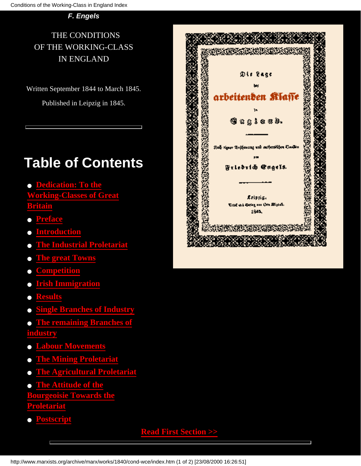#### **F. Engels**

## <span id="page-0-0"></span> THE CONDITIONS OF THE WORKING-CLASS IN ENGLAND

Written September 1844 to March 1845.

Published in Leipzig in 1845.

# **Table of Contents**

## ● **[Dedication: To the](#page-2-0)**

## **[Working-Classes of Great](#page-2-0) [Britain](#page-2-0)**

- **[Preface](#page-4-0)**
- **[Introduction](#page-7-0)**
- **[The Industrial Proletariat](#page-18-0)**
- **[The great Towns](#page-21-0)**
- **[Competition](#page-50-0)**
- **[Irish Immigration](#page-59-0)**
- **[Results](#page-62-0)**
- **[Single Branches of Industry](#page-85-0)**
- **[The remaining Branches of](#page-115-0) [industry](#page-115-0)**
- **[Labour Movements](#page-129-0)**
- **[The Mining Proletariat](#page-145-0)**
- **[The Agricultural Proletariat](#page-156-0)**
- **[The Attitude of the](#page-165-0)**

## **[Bourgeoisie Towards the](#page-165-0)**

## **[Proletariat](#page-165-0)**

● **[Postscript](#page-178-0)**



**Read First Section**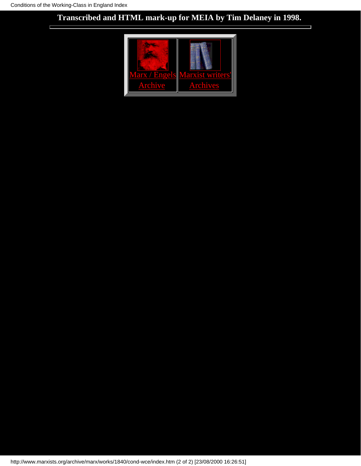## **Transcribed and HTML mark-up for MEIA by Tim Delaney in 1998.**

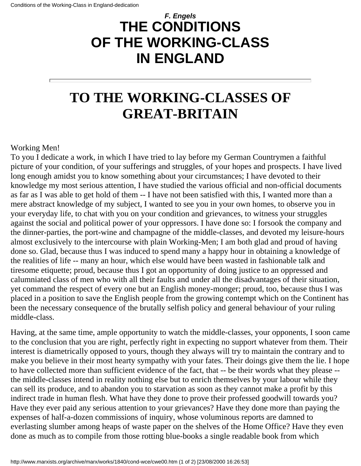## <span id="page-2-0"></span>**F. Engels THE CONDITIONS OF THE WORKING-CLASS IN ENGLAND**

# **TO THE WORKING-CLASSES OF GREAT-BRITAIN**

## Working Men!

To you I dedicate a work, in which I have tried to lay before my German Countrymen a faithful picture of your condition, of your sufferings and struggles, of your hopes and prospects. I have lived long enough amidst you to know something about your circumstances; I have devoted to their knowledge my most serious attention, I have studied the various official and non-official documents as far as I was able to get hold of them -- I have not been satisfied with this, I wanted more than a mere abstract knowledge of my subject, I wanted to see you in your own homes, to observe you in your everyday life, to chat with you on your condition and grievances, to witness your struggles against the social and political power of your oppressors. I have done so: I forsook the company and the dinner-parties, the port-wine and champagne of the middle-classes, and devoted my leisure-hours almost exclusively to the intercourse with plain Working-Men; I am both glad and proud of having done so. Glad, because thus I was induced to spend many a happy hour in obtaining a knowledge of the realities of life -- many an hour, which else would have been wasted in fashionable talk and tiresome etiquette; proud, because thus I got an opportunity of doing justice to an oppressed and calumniated class of men who with all their faults and under all the disadvantages of their situation, yet command the respect of every one but an English money-monger; proud, too, because thus I was placed in a position to save the English people from the growing contempt which on the Continent has been the necessary consequence of the brutally selfish policy and general behaviour of your ruling middle-class.

Having, at the same time, ample opportunity to watch the middle-classes, your opponents, I soon came to the conclusion that you are right, perfectly right in expecting no support whatever from them. Their interest is diametrically opposed to yours, though they always will try to maintain the contrary and to make you believe in their most hearty sympathy with your fates. Their doings give them the lie. I hope to have collected more than sufficient evidence of the fact, that -- be their words what they please - the middle-classes intend in reality nothing else but to enrich themselves by your labour while they can sell its produce, and to abandon you to starvation as soon as they cannot make a profit by this indirect trade in human flesh. What have they done to prove their professed goodwill towards you? Have they ever paid any serious attention to your grievances? Have they done more than paying the expenses of half-a-dozen commissions of inquiry, whose voluminous reports are damned to everlasting slumber among heaps of waste paper on the shelves of the Home Office? Have they even done as much as to compile from those rotting blue-books a single readable book from which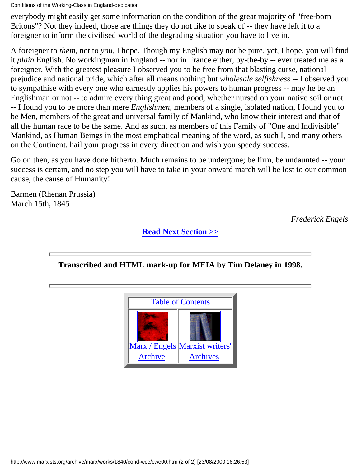everybody might easily get some information on the condition of the great majority of "free-born Britons"? Not they indeed, those are things they do not like to speak of -- they have left it to a foreigner to inform the civilised world of the degrading situation you have to live in.

A foreigner to *them,* not to *you,* I hope. Though my English may not be pure, yet, I hope, you will find it *plain* English. No workingman in England -- nor in France either, by-the-by -- ever treated me as a foreigner. With the greatest pleasure I observed you to be free from that blasting curse, national prejudice and national pride, which after all means nothing but *wholesale selfishness* -- I observed you to sympathise with every one who earnestly applies his powers to human progress -- may he be an Englishman or not -- to admire every thing great and good, whether nursed on your native soil or not -- I found you to be more than mere *Englishmen,* members of a single, isolated nation, I found you to be Men, members of the great and universal family of Mankind, who know their interest and that of all the human race to be the same. And as such, as members of this Family of "One and Indivisible" Mankind, as Human Beings in the most emphatical meaning of the word, as such I, and many others on the Continent, hail your progress in every direction and wish you speedy success.

Go on then, as you have done hitherto. Much remains to be undergone; be firm, be undaunted -- your success is certain, and no step you will have to take in your onward march will be lost to our common cause, the cause of Humanity!

Barmen (Rhenan Prussia) March 15th, 1845

*Frederick Engels*

## **[Read Next Section >>](#page-4-0)**

## **Transcribed and HTML mark-up for MEIA by Tim Delaney in 1998.**

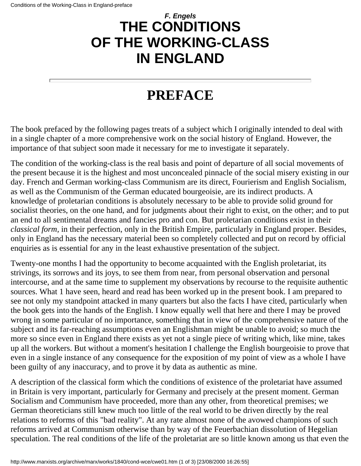## <span id="page-4-0"></span>**F. Engels THE CONDITIONS OF THE WORKING-CLASS IN ENGLAND**

# **PREFACE**

The book prefaced by the following pages treats of a subject which I originally intended to deal with in a single chapter of a more comprehensive work on the social history of England. However, the importance of that subject soon made it necessary for me to investigate it separately.

The condition of the working-class is the real basis and point of departure of all social movements of the present because it is the highest and most unconcealed pinnacle of the social misery existing in our day. French and German working-class Communism are its direct, Fourierism and English Socialism, as well as the Communism of the German educated bourgeoisie, are its indirect products. A knowledge of proletarian conditions is absolutely necessary to be able to provide solid ground for socialist theories, on the one hand, and for judgments about their right to exist, on the other; and to put an end to all sentimental dreams and fancies pro and con. But proletarian conditions exist in their *classical form,* in their perfection, only in the British Empire, particularly in England proper. Besides, only in England has the necessary material been so completely collected and put on record by official enquiries as is essential for any in the least exhaustive presentation of the subject.

Twenty-one months I had the opportunity to become acquainted with the English proletariat, its strivings, its sorrows and its joys, to see them from near, from personal observation and personal intercourse, and at the same time to supplement my observations by recourse to the requisite authentic sources. What 1 have seen, heard and read has been worked up in the present book. I am prepared to see not only my standpoint attacked in many quarters but also the facts I have cited, particularly when the book gets into the hands of the English. I know equally well that here and there I may be proved wrong in some particular of no importance, something that in view of the comprehensive nature of the subject and its far-reaching assumptions even an Englishman might be unable to avoid; so much the more so since even in England there exists as yet not a single piece of writing which, like mine, takes up all the workers. But without a moment's hesitation I challenge the English bourgeoisie to prove that even in a single instance of any consequence for the exposition of my point of view as a whole I have been guilty of any inaccuracy, and to prove it by data as authentic as mine.

A description of the classical form which the conditions of existence of the proletariat have assumed in Britain is very important, particularly for Germany and precisely at the present moment. German Socialism and Communism have proceeded, more than any other, from theoretical premises; we German theoreticians still knew much too little of the real world to be driven directly by the real relations to reforms of this "bad reality". At any rate almost none of the avowed champions of such reforms arrived at Communism otherwise than by way of the Feuerbachian dissolution of Hegelian speculation. The real conditions of the life of the proletariat are so little known among us that even the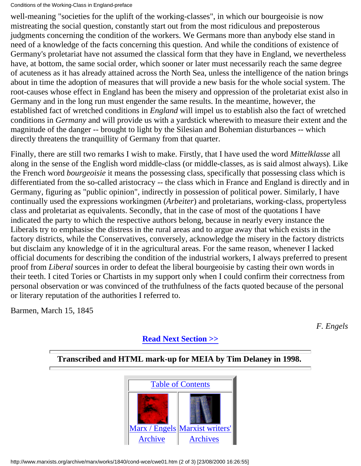#### Conditions of the Working-Class in England-preface

well-meaning "societies for the uplift of the working-classes", in which our bourgeoisie is now mistreating the social question, constantly start out from the most ridiculous and preposterous judgments concerning the condition of the workers. We Germans more than anybody else stand in need of a knowledge of the facts concerning this question. And while the conditions of existence of Germany's proletariat have not assumed the classical form that they have in England, we nevertheless have, at bottom, the same social order, which sooner or later must necessarily reach the same degree of acuteness as it has already attained across the North Sea, unless the intelligence of the nation brings about in time the adoption of measures that will provide a new basis for the whole social system. The root-causes whose effect in England has been the misery and oppression of the proletariat exist also in Germany and in the long run must engender the same results. In the meantime, however, the established fact of wretched conditions in *England* will impel us to establish also the fact of wretched conditions in *Germany* and will provide us with a yardstick wherewith to measure their extent and the magnitude of the danger -- brought to light by the Silesian and Bohemian disturbances -- which directly threatens the tranquillity of Germany from that quarter.

Finally, there are still two remarks I wish to make. Firstly, that I have used the word *Mittelklasse* all along in the sense of the English word middle-class (or middle-classes, as is said almost always). Like the French word *bourgeoisie* it means the possessing class, specifically that possessing class which is differentiated from the so-called aristocracy -- the class which in France and England is directly and in Germany, figuring as "public opinion", indirectly in possession of political power. Similarly, I have continually used the expressions workingmen (*Arbeiter*) and proletarians, working-class, propertyless class and proletariat as equivalents. Secondly, that in the case of most of the quotations I have indicated the party to which the respective authors belong, because in nearly every instance the Liberals try to emphasise the distress in the rural areas and to argue away that which exists in the factory districts, while the Conservatives, conversely, acknowledge the misery in the factory districts but disclaim any knowledge of it in the agricultural areas. For the same reason, whenever I lacked official documents for describing the condition of the industrial workers, I always preferred to present proof from *Liberal* sources in order to defeat the liberal bourgeoisie by casting their own words in their teeth. I cited Tories or Chartists in my support only when I could confirm their correctness from personal observation or was convinced of the truthfulness of the facts quoted because of the personal or literary reputation of the authorities I referred to.

Barmen, March 15, 1845

*F. Engels*



## **[Read Next Section >>](#page-7-0)**

http://www.marxists.org/archive/marx/works/1840/cond-wce/cwe01.htm (2 of 3) [23/08/2000 16:26:55]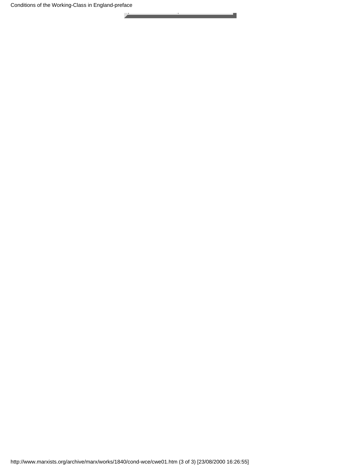Conditions of the Working-Class in England-preface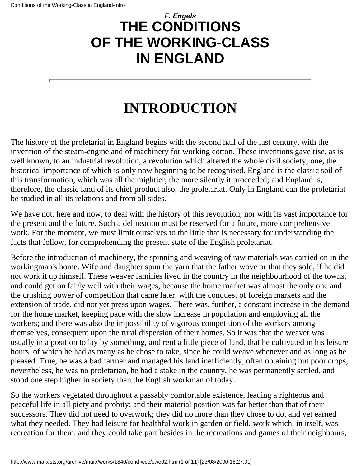## <span id="page-7-0"></span>**F. Engels THE CONDITIONS OF THE WORKING-CLASS IN ENGLAND**

# **INTRODUCTION**

The history of the proletariat in England begins with the second half of the last century, with the invention of the steam-engine and of machinery for working cotton. These inventions gave rise, as is well known, to an industrial revolution, a revolution which altered the whole civil society; one, the historical importance of which is only now beginning to be recognised. England is the classic soil of this transformation, which was all the mightier, the more silently it proceeded; and England is, therefore, the classic land of its chief product also, the proletariat. Only in England can the proletariat be studied in all its relations and from all sides.

We have not, here and now, to deal with the history of this revolution, nor with its vast importance for the present and the future. Such a delineation must be reserved for a future, more comprehensive work. For the moment, we must limit ourselves to the little that is necessary for understanding the facts that follow, for comprehending the present state of the English proletariat.

Before the introduction of machinery, the spinning and weaving of raw materials was carried on in the workingman's home. Wife and daughter spun the yarn that the father wove or that they sold, if he did not work it up himself. These weaver families lived in the country in the neighbourhood of the towns, and could get on fairly well with their wages, because the home market was almost the only one and the crushing power of competition that came later, with the conquest of foreign markets and the extension of trade, did not yet press upon wages. There was, further, a constant increase in the demand for the home market, keeping pace with the slow increase in population and employing all the workers; and there was also the impossibility of vigorous competition of the workers among themselves, consequent upon the rural dispersion of their homes. So it was that the weaver was usually in a position to lay by something, and rent a little piece of land, that he cultivated in his leisure hours, of which he had as many as he chose to take, since he could weave whenever and as long as he pleased. True, he was a bad farmer and managed his land inefficiently, often obtaining but poor crops; nevertheless, he was no proletarian, he had a stake in the country, he was permanently settled, and stood one step higher in society than the English workman of today.

So the workers vegetated throughout a passably comfortable existence, leading a righteous and peaceful life in all piety and probity; and their material position was far better than that of their successors. They did not need to overwork; they did no more than they chose to do, and yet earned what they needed. They had leisure for healthful work in garden or field, work which, in itself, was recreation for them, and they could take part besides in the recreations and games of their neighbours,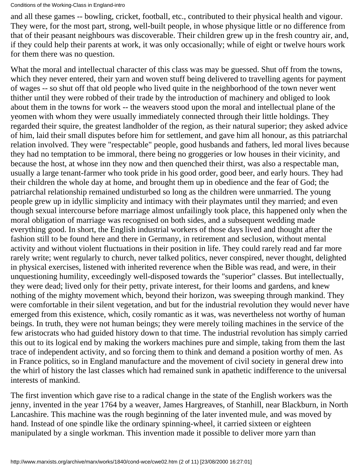and all these games -- bowling, cricket, football, etc., contributed to their physical health and vigour. They were, for the most part, strong, well-built people, in whose physique little or no difference from that of their peasant neighbours was discoverable. Their children grew up in the fresh country air, and, if they could help their parents at work, it was only occasionally; while of eight or twelve hours work for them there was no question.

What the moral and intellectual character of this class was may be guessed. Shut off from the towns, which they never entered, their yarn and woven stuff being delivered to travelling agents for payment of wages -- so shut off that old people who lived quite in the neighborhood of the town never went thither until they were robbed of their trade by the introduction of machinery and obliged to look about them in the towns for work -- the weavers stood upon the moral and intellectual plane of the yeomen with whom they were usually immediately connected through their little holdings. They regarded their squire, the greatest landholder of the region, as their natural superior; they asked advice of him, laid their small disputes before him for settlement, and gave him all honour, as this patriarchal relation involved. They were "respectable" people, good husbands and fathers, led moral lives because they had no temptation to be immoral, there being no groggeries or low houses in their vicinity, and because the host, at whose inn they now and then quenched their thirst, was also a respectable man, usually a large tenant-farmer who took pride in his good order, good beer, and early hours. They had their children the whole day at home, and brought them up in obedience and the fear of God; the patriarchal relationship remained undisturbed so long as the children were unmarried. The young people grew up in idyllic simplicity and intimacy with their playmates until they married; and even though sexual intercourse before marriage almost unfailingly took place, this happened only when the moral obligation of marriage was recognised on both sides, and a subsequent wedding made everything good. In short, the English industrial workers of those days lived and thought after the fashion still to be found here and there in Germany, in retirement and seclusion, without mental activity and without violent fluctuations in their position in life. They could rarely read and far more rarely write; went regularly to church, never talked politics, never conspired, never thought, delighted in physical exercises, listened with inherited reverence when the Bible was read, and were, in their unquestioning humility, exceedingly well-disposed towards the "superior" classes. But intellectually, they were dead; lived only for their petty, private interest, for their looms and gardens, and knew nothing of the mighty movement which, beyond their horizon, was sweeping through mankind. They were comfortable in their silent vegetation, and but for the industrial revolution they would never have emerged from this existence, which, cosily romantic as it was, was nevertheless not worthy of human beings. In truth, they were not human beings; they were merely toiling machines in the service of the few aristocrats who had guided history down to that time. The industrial revolution has simply carried this out to its logical end by making the workers machines pure and simple, taking from them the last trace of independent activity, and so forcing them to think and demand a position worthy of men. As in France politics, so in England manufacture and the movement of civil society in general drew into the whirl of history the last classes which had remained sunk in apathetic indifference to the universal interests of mankind.

The first invention which gave rise to a radical change in the state of the English workers was the jenny, invented in the year 1764 by a weaver, James Hargreaves, of Stanhill, near Blackburn, in North Lancashire. This machine was the rough beginning of the later invented mule, and was moved by hand. Instead of one spindle like the ordinary spinning-wheel, it carried sixteen or eighteen manipulated by a single workman. This invention made it possible to deliver more yarn than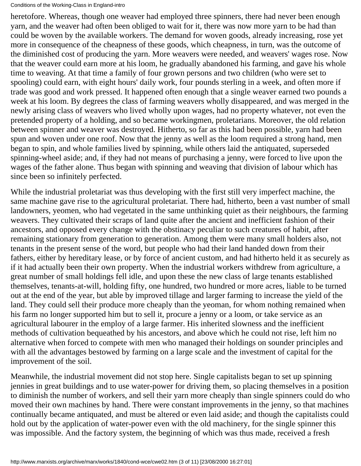heretofore. Whereas, though one weaver had employed three spinners, there had never been enough yarn, and the weaver had often been obliged to wait for it, there was now more yarn to be had than could be woven by the available workers. The demand for woven goods, already increasing, rose yet more in consequence of the cheapness of these goods, which cheapness, in turn, was the outcome of the diminished cost of producing the yarn. More weavers were needed, and weavers' wages rose. Now that the weaver could earn more at his loom, he gradually abandoned his farming, and gave his whole time to weaving. At that time a family of four grown persons and two children (who were set to spooling) could earn, with eight hours' daily work, four pounds sterling in a week, and often more if trade was good and work pressed. It happened often enough that a single weaver earned two pounds a week at his loom. By degrees the class of farming weavers wholly disappeared, and was merged in the newly arising class of weavers who lived wholly upon wages, had no property whatever, not even the pretended property of a holding, and so became workingmen, proletarians. Moreover, the old relation between spinner and weaver was destroyed. Hitherto, so far as this had been possible, yarn had been spun and woven under one roof. Now that the jenny as well as the loom required a strong hand, men began to spin, and whole families lived by spinning, while others laid the antiquated, superseded spinning-wheel aside; and, if they had not means of purchasing a jenny, were forced to live upon the wages of the father alone. Thus began with spinning and weaving that division of labour which has since been so infinitely perfected.

While the industrial proletariat was thus developing with the first still very imperfect machine, the same machine gave rise to the agricultural proletariat. There had, hitherto, been a vast number of small landowners, yeomen, who had vegetated in the same unthinking quiet as their neighbours, the farming weavers. They cultivated their scraps of land quite after the ancient and inefficient fashion of their ancestors, and opposed every change with the obstinacy peculiar to such creatures of habit, after remaining stationary from generation to generation. Among them were many small holders also, not tenants in the present sense of the word, but people who had their land handed down from their fathers, either by hereditary lease, or by force of ancient custom, and had hitherto held it as securely as if it had actually been their own property. When the industrial workers withdrew from agriculture, a great number of small holdings fell idle, and upon these the new class of large tenants established themselves, tenants-at-will, holding fifty, one hundred, two hundred or more acres, liable to be turned out at the end of the year, but able by improved tillage and larger farming to increase the yield of the land. They could sell their produce more cheaply than the yeoman, for whom nothing remained when his farm no longer supported him but to sell it, procure a jenny or a loom, or take service as an agricultural labourer in the employ of a large farmer. His inherited slowness and the inefficient methods of cultivation bequeathed by his ancestors, and above which he could not rise, left him no alternative when forced to compete with men who managed their holdings on sounder principles and with all the advantages bestowed by farming on a large scale and the investment of capital for the improvement of the soil.

Meanwhile, the industrial movement did not stop here. Single capitalists began to set up spinning jennies in great buildings and to use water-power for driving them, so placing themselves in a position to diminish the number of workers, and sell their yarn more cheaply than single spinners could do who moved their own machines by hand. There were constant improvements in the jenny, so that machines continually became antiquated, and must be altered or even laid aside; and though the capitalists could hold out by the application of water-power even with the old machinery, for the single spinner this was impossible. And the factory system, the beginning of which was thus made, received a fresh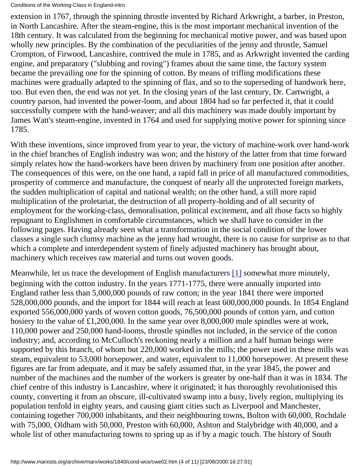extension in 1767, through the spinning throstle invented by Richard Arkwright, a barber, in Preston, in North Lancashire. After the steam-engine, this is the most important mechanical invention of the 18th century. It was calculated from the beginning for mechanical motive power, and was based upon wholly new principles. By the combination of the peculiarities of the jenny and throstle, Samuel Crompton, of Firwood, Lancashire, contrived the mule in 1785, and as Arkwright invented the carding engine, and preparatory ("slubbing and roving") frames about the same time, the factory system became the prevailing one for the spinning of cotton. By means of trifling modifications these machines were gradually adapted to the spinning of flax, and so to the superseding of handwork here, too. But even then, the end was not yet. In the closing years of the last century, Dr. Cartwright, a country parson, had invented the power-loom, and about 1804 had so far perfected it, that it could successfully compete with the hand-weaver; and all this machinery was made doubly important by James Watt's steam-engine, invented in 1764 and used for supplying motive power for spinning since 1785.

With these inventions, since improved from year to year, the victory of machine-work over hand-work in the chief branches of English industry was won; and the history of the latter from that time forward simply relates how the hand-workers have been driven by machinery from one position after another. The consequences of this were, on the one hand, a rapid fall in price of all manufactured commodities, prosperity of commerce and manufacture, the conquest of nearly all the unprotected foreign markets, the sudden multiplication of capital and national wealth; on the other hand, a still more rapid multiplication of the proletariat, the destruction of all property-holding and of all security of employment for the working-class, demoralisation, political excitement, and all those facts so highly repugnant to Englishmen in comfortable circumstances, which we shall have to consider in the following pages. Having already seen what a transformation in the social condition of the lower classes a single such clumsy machine as the jenny had wrought, there is no cause for surprise as to that which a complete and interdependent system of finely adjusted machinery has brought about, machinery which receives raw material and turns out woven goods.

<span id="page-10-0"></span>Meanwhile, let us trace the development of English manufacturers [\[1\]](#page-16-0) somewhat more minutely, beginning with the cotton industry. In the years 1771-1775, there were annually imported into England rather less than 5,000,000 pounds of raw cotton; in the year 1841 there were imported 528,000,000 pounds, and the import for 1844 will reach at least 600,000,000 pounds. In 1854 England exported 556,000,000 yards of woven cotton goods, 76,500,000 pounds of cotton yarn, and cotton hosiery to the value of £1,200,000. In the same year over 8,000,000 mule spindles were at work, 110,000 power and 250,000 hand-looms, throstle spindles not included, in the service of the cotton industry; and, according to McCulloch's reckoning nearly a million and a half human beings were supported by this branch, of whom but 220,000 worked in the mills; the power used in these mills was steam, equivalent to 53,000 horsepower, and water, equivalent to 11,000 horsepower. At present these figures are far from adequate, and it may be safely assumed that, in the year 1845, the power and number of the machines and the number of the workers is greater by one-half than it was in 1834. The chief centre of this industry is Lancashire, where it originated; it has thoroughly revolutionised this county, converting it from an obscure, ill-cultivated swamp into a busy, lively region, multiplying its population tenfold in eighty years, and causing giant cities such as Liverpool and Manchester, containing together 700,000 inhabitants, and their neighbouring towns, Bolton with 60,000, Rochdale with 75,000, Oldham with 50,000, Preston with 60,000, Ashton and Stalybridge with 40,000, and a whole list of other manufacturing towns to spring up as if by a magic touch. The history of South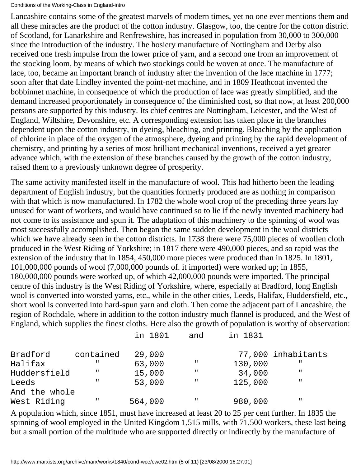Lancashire contains some of the greatest marvels of modern times, yet no one ever mentions them and all these miracles are the product of the cotton industry. Glasgow, too, the centre for the cotton district of Scotland, for Lanarkshire and Renfrewshire, has increased in population from 30,000 to 300,000 since the introduction of the industry. The hosiery manufacture of Nottingham and Derby also received one fresh impulse from the lower price of yarn, and a second one from an improvement of the stocking loom, by means of which two stockings could be woven at once. The manufacture of lace, too, became an important branch of industry after the invention of the lace machine in 1777; soon after that date Lindley invented the point-net machine, and in 1809 Heathcoat invented the bobbinnet machine, in consequence of which the production of lace was greatly simplified, and the demand increased proportionately in consequence of the diminished cost, so that now, at least 200,000 persons are supported by this industry. Its chief centres are Nottingham, Leicester, and the West of England, Wiltshire, Devonshire, etc. A corresponding extension has taken place in the branches dependent upon the cotton industry, in dyeing, bleaching, and printing. Bleaching by the application of chlorine in place of the oxygen of the atmosphere, dyeing and printing by the rapid development of chemistry, and printing by a series of most brilliant mechanical inventions, received a yet greater advance which, with the extension of these branches caused by the growth of the cotton industry, raised them to a previously unknown degree of prosperity.

The same activity manifested itself in the manufacture of wool. This had hitherto been the leading department of English industry, but the quantities formerly produced are as nothing in comparison with that which is now manufactured. In 1782 the whole wool crop of the preceding three years lay unused for want of workers, and would have continued so to lie if the newly invented machinery had not come to its assistance and spun it. The adaptation of this machinery to the spinning of wool was most successfully accomplished. Then began the same sudden development in the wool districts which we have already seen in the cotton districts. In 1738 there were 75,000 pieces of woollen cloth produced in the West Riding of Yorkshire; in 1817 there were 490,000 pieces, and so rapid was the extension of the industry that in 1854, 450,000 more pieces were produced than in 1825. In 1801, 101,000,000 pounds of wool (7,000,000 pounds of. it imported) were worked up; in 1855, 180,000,000 pounds were worked up, of which 42,000,000 pounds were imported. The principal centre of this industry is the West Riding of Yorkshire, where, especially at Bradford, long English wool is converted into worsted yarns, etc., while in the other cities, Leeds, Halifax, Huddersfield, etc., short wool is converted into hard-spun yarn and cloth. Then come the adjacent part of Lancashire, the region of Rochdale, where in addition to the cotton industry much flannel is produced, and the West of England, which supplies the finest cloths. Here also the growth of population is worthy of observation:

|               |              | in 1801 | and          | in 1831 |                    |
|---------------|--------------|---------|--------------|---------|--------------------|
| Bradford      | contained    | 29,000  |              |         | 77,000 inhabitants |
| Halifax       | $\mathbf{H}$ | 63,000  | $\mathbf{H}$ | 130,000 | ш                  |
| Huddersfield  | П            | 15,000  | $\mathbf{H}$ | 34,000  | $\mathbf{H}$       |
| Leeds         | П            | 53,000  | $\mathbf{H}$ | 125,000 | П                  |
| And the whole |              |         |              |         |                    |
| West Riding   | П            | 564,000 | $\mathbf{H}$ | 980,000 | П                  |

A population which, since 1851, must have increased at least 20 to 25 per cent further. In 1835 the spinning of wool employed in the United Kingdom 1,515 mills, with 71,500 workers, these last being but a small portion of the multitude who are supported directly or indirectly by the manufacture of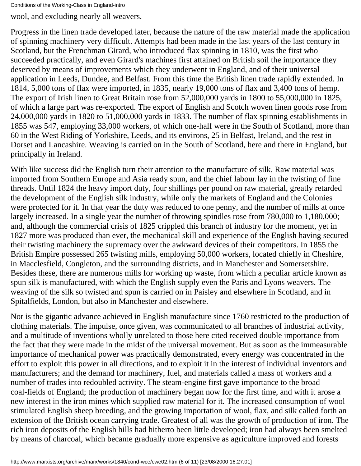wool, and excluding nearly all weavers.

Progress in the linen trade developed later, because the nature of the raw material made the application of spinning machinery very difficult. Attempts had been made in the last years of the last century in Scotland, but the Frenchman Girard, who introduced flax spinning in 1810, was the first who succeeded practically, and even Girard's machines first attained on British soil the importance they deserved by means of improvements which they underwent in England, and of their universal application in Leeds, Dundee, and Belfast. From this time the British linen trade rapidly extended. In 1814, 5,000 tons of flax were imported, in 1835, nearly 19,000 tons of flax and 3,400 tons of hemp. The export of Irish linen to Great Britain rose from 52,000,000 yards in 1800 to 55,000,000 in 1825, of which a large part was re-exported. The export of English and Scotch woven linen goods rose from 24,000,000 yards in 1820 to 51,000,000 yards in 1833. The number of flax spinning establishments in 1855 was 547, employing 33,000 workers, of which one-half were in the South of Scotland, more than 60 in the West Riding of Yorkshire, Leeds, and its environs, 25 in Belfast, Ireland, and the rest in Dorset and Lancashire. Weaving is carried on in the South of Scotland, here and there in England, but principally in Ireland.

With like success did the English turn their attention to the manufacture of silk. Raw material was imported from Southern Europe and Asia ready spun, and the chief labour lay in the twisting of fine threads. Until 1824 the heavy import duty, four shillings per pound on raw material, greatly retarded the development of the English silk industry, while only the markets of England and the Colonies were protected for it. In that year the duty was reduced to one penny, and the number of mills at once largely increased. In a single year the number of throwing spindles rose from 780,000 to 1,180,000; and, although the commercial crisis of 1825 crippled this branch of industry for the moment, yet in 1827 more was produced than ever, the mechanical skill and experience of the English having secured their twisting machinery the supremacy over the awkward devices of their competitors. In 1855 the British Empire possessed 265 twisting mills, employing 50,000 workers, located chiefly in Cheshire, in Macclesfield, Congleton, and the surrounding districts, and in Manchester and Somersetshire. Besides these, there are numerous mills for working up waste, from which a peculiar article known as spun silk is manufactured, with which the English supply even the Paris and Lyons weavers. The weaving of the silk so twisted and spun is carried on in Paisley and elsewhere in Scotland, and in Spitalfields, London, but also in Manchester and elsewhere.

Nor is the gigantic advance achieved in English manufacture since 1760 restricted to the production of clothing materials. The impulse, once given, was communicated to all branches of industrial activity, and a multitude of inventions wholly unrelated to those here cited received double importance from the fact that they were made in the midst of the universal movement. But as soon as the immeasurable importance of mechanical power was practically demonstrated, every energy was concentrated in the effort to exploit this power in all directions, and to exploit it in the interest of individual inventors and manufacturers; and the demand for machinery, fuel, and materials called a mass of workers and a number of trades into redoubled activity. The steam-engine first gave importance to the broad coal-fields of England; the production of machinery began now for the first time, and with it arose a new interest in the iron mines which supplied raw material for it. The increased consumption of wool stimulated English sheep breeding, and the growing importation of wool, flax, and silk called forth an extension of the British ocean carrying trade. Greatest of all was the growth of production of iron. The rich iron deposits of the English hills had hitherto been little developed; iron had always been smelted by means of charcoal, which became gradually more expensive as agriculture improved and forests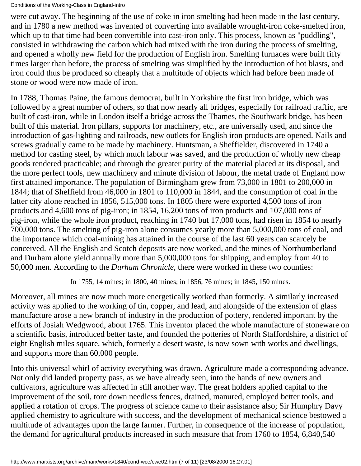were cut away. The beginning of the use of coke in iron smelting had been made in the last century, and in 1780 a new method was invented of converting into available wrought-iron coke-smelted iron, which up to that time had been convertible into cast-iron only. This process, known as "puddling", consisted in withdrawing the carbon which had mixed with the iron during the process of smelting, and opened a wholly new field for the production of English iron. Smelting furnaces were built fifty times larger than before, the process of smelting was simplified by the introduction of hot blasts, and iron could thus be produced so cheaply that a multitude of objects which had before been made of stone or wood were now made of iron.

In 1788, Thomas Paine, the famous democrat, built in Yorkshire the first iron bridge, which was followed by a great number of others, so that now nearly all bridges, especially for railroad traffic, are built of cast-iron, while in London itself a bridge across the Thames, the Southwark bridge, has been built of this material. Iron pillars, supports for machinery, etc., are universally used, and since the introduction of gas-lighting and railroads, new outlets for English iron products are opened. Nails and screws gradually came to be made by machinery. Huntsman, a Sheffielder, discovered in 1740 a method for casting steel, by which much labour was saved, and the production of wholly new cheap goods rendered practicable; and through the greater purity of the material placed at its disposal, and the more perfect tools, new machinery and minute division of labour, the metal trade of England now first attained importance. The population of Birmingham grew from 73,000 in 1801 to 200,000 in 1844; that of Sheffield from 46,000 in 1801 to 110,000 in 1844, and the consumption of coal in the latter city alone reached in 1856, 515,000 tons. In 1805 there were exported 4,500 tons of iron products and 4,600 tons of pig-iron; in 1854, 16,200 tons of iron products and 107,000 tons of pig-iron, while the whole iron product, reaching in 1740 but 17,000 tons, had risen in 1854 to nearly 700,000 tons. The smelting of pig-iron alone consumes yearly more than 5,000,000 tons of coal, and the importance which coal-mining has attained in the course of the last 60 years can scarcely be conceived. All the English and Scotch deposits are now worked, and the mines of Northumberland and Durham alone yield annually more than 5,000,000 tons for shipping, and employ from 40 to 50,000 men. According to the *Durham Chronicle,* there were worked in these two counties:

### In 1755, 14 mines; in 1800, 40 mines; in 1856, 76 mines; in 1845, 150 mines.

Moreover, all mines are now much more energetically worked than formerly. A similarly increased activity was applied to the working of tin, copper, and lead, and alongside of the extension of glass manufacture arose a new branch of industry in the production of pottery, rendered important by the efforts of Josiah Wedgwood, about 1765. This inventor placed the whole manufacture of stoneware on a scientific basis, introduced better taste, and founded the potteries of North Staffordshire, a district of eight English miles square, which, formerly a desert waste, is now sown with works and dwellings, and supports more than 60,000 people.

Into this universal whirl of activity everything was drawn. Agriculture made a corresponding advance. Not only did landed property pass, as we have already seen, into the hands of new owners and cultivators, agriculture was affected in still another way. The great holders applied capital to the improvement of the soil, tore down needless fences, drained, manured, employed better tools, and applied a rotation of crops. The progress of science came to their assistance also; Sir Humphry Davy applied chemistry to agriculture with success, and the development of mechanical science bestowed a multitude of advantages upon the large farmer. Further, in consequence of the increase of population, the demand for agricultural products increased in such measure that from 1760 to 1854, 6,840,540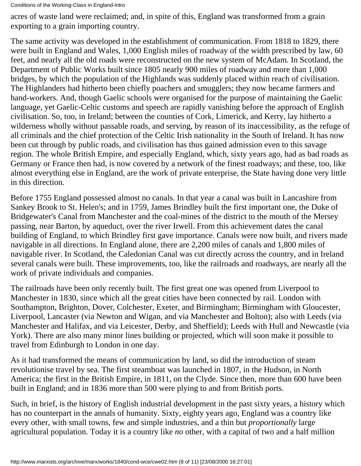acres of waste land were reclaimed; and, in spite of this, England was transformed from a grain exporting to a grain importing country.

The same activity was developed in the establishment of communication. From 1818 to 1829, there were built in England and Wales, 1,000 English miles of roadway of the width prescribed by law, 60 feet, and nearly all the old roads were reconstructed on the new system of McAdam. In Scotland, the Department of Public Works built since 1805 nearly 900 miles of roadway and more than 1,000 bridges, by which the population of the Highlands was suddenly placed within reach of civilisation. The Highlanders had hitherto been chiefly poachers and smugglers; they now became farmers and hand-workers. And, though Gaelic schools were organised for the purpose of maintaining the Gaelic language, yet Gaelic-Celtic customs and speech are rapidly vanishing before the approach of English civilisation. So, too, in Ireland; between the counties of Cork, Limerick, and Kerry, lay hitherto a wilderness wholly without passable roads, and serving, by reason of its inaccessibility, as the refuge of all criminals and the chief protection of the Celtic Irish nationality in the South of Ireland. It has now been cut through by public roads, and civilisation has thus gained admission even to this savage region. The whole British Empire, and especially England, which, sixty years ago, had as bad roads as Germany or France then had, is now covered by a network of the finest roadways; and these, too, like almost everything else in England, are the work of private enterprise, the State having done very little in this direction.

Before 1755 England possessed almost no canals. In that year a canal was built in Lancashire from Sankey Brook to St. Helen's; and in 1759, James Brindley built the first important one, the Duke of Bridgewater's Canal from Manchester and the coal-mines of the district to the mouth of the Mersey passing, near Barton, by aqueduct, over the river Irwell. From this achievement dates the canal building of England, to which Brindley first gave importance. Canals were now built, and rivers made navigable in all directions. In England alone, there are 2,200 miles of canals and 1,800 miles of navigable river. In Scotland, the Caledonian Canal was cut directly across the country, and in Ireland several canals were built. These improvements, too, like the railroads and roadways, are nearly all the work of private individuals and companies.

The railroads have been only recently built. The first great one was opened from Liverpool to Manchester in 1830, since which all the great cities have been connected by rail. London with Southampton, Brighton, Dover, Colchester, Exeter, and Birmingham; Birmingham with Gloucester, Liverpool, Lancaster (via Newton and Wigan, and via Manchester and Bolton); also with Leeds (via Manchester and Halifax, and via Leicester, Derby, and Sheffield); Leeds with Hull and Newcastle (via York). There are also many minor lines building or projected, which will soon make it possible to travel from Edinburgh to London in one day.

As it had transformed the means of communication by land, so did the introduction of steam revolutionise travel by sea. The first steamboat was launched in 1807, in the Hudson, in North America; the first in the British Empire, in 1811, on the Clyde. Since then, more than 600 have been built in England; and in 1836 more than 500 were plying to and from British ports.

Such, in brief, is the history of English industrial development in the past sixty years, a history which has no counterpart in the annals of humanity. Sixty, eighty years ago, England was a country like every other, with small towns, few and simple industries, and a thin but *proportionally* large agricultural population. Today it is a country like *no* other, with a capital of two and a half million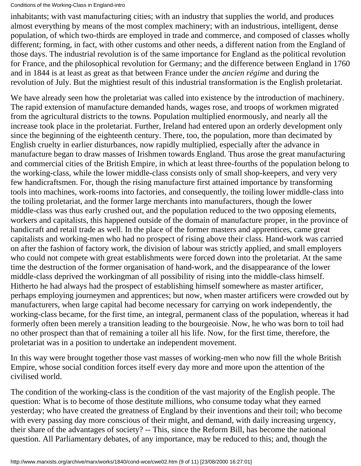inhabitants; with vast manufacturing cities; with an industry that supplies the world, and produces almost everything by means of the most complex machinery; with an industrious, intelligent, dense population, of which two-thirds are employed in trade and commerce, and composed of classes wholly different; forming, in fact, with other customs and other needs, a different nation from the England of those days. The industrial revolution is of the same importance for England as the political revolution for France, and the philosophical revolution for Germany; and the difference between England in 1760 and in 1844 is at least as great as that between France under the *ancien régime* and during the revolution of July. But the mightiest result of this industrial transformation is the English proletariat.

We have already seen how the proletariat was called into existence by the introduction of machinery. The rapid extension of manufacture demanded hands, wages rose, and troops of workmen migrated from the agricultural districts to the towns. Population multiplied enormously, and nearly all the increase took place in the proletariat. Further, Ireland had entered upon an orderly development only since the beginning of the eighteenth century. There, too, the population, more than decimated by English cruelty in earlier disturbances, now rapidly multiplied, especially after the advance in manufacture began to draw masses of Irishmen towards England. Thus arose the great manufacturing and commercial cities of the British Empire, in which at least three-fourths of the population belong to the working-class, while the lower middle-class consists only of small shop-keepers, and very very few handicraftsmen. For, though the rising manufacture first attained importance by transforming tools into machines, work-rooms into factories, and consequently, the toiling lower middle-class into the toiling proletariat, and the former large merchants into manufacturers, though the lower middle-class was thus early crushed out, and the population reduced to the two opposing elements, workers and capitalists, this happened outside of the domain of manufacture proper, in the province of handicraft and retail trade as well. In the place of the former masters and apprentices, came great capitalists and working-men who had no prospect of rising above their class. Hand-work was carried on after the fashion of factory work, the division of labour was strictly applied, and small employers who could not compete with great establishments were forced down into the proletariat. At the same time the destruction of the former organisation of hand-work, and the disappearance of the lower middle-class deprived the workingman of all possibility of rising into the middle-class himself. Hitherto he had always had the prospect of establishing himself somewhere as master artificer, perhaps employing journeymen and apprentices; but now, when master artificers were crowded out by manufacturers, when large capital had become necessary for carrying on work independently, the working-class became, for the first time, an integral, permanent class of the population, whereas it had formerly often been merely a transition leading to the bourgeoisie. Now, he who was born to toil had no other prospect than that of remaining a toiler all his life. Now, for the first time, therefore, the proletariat was in a position to undertake an independent movement.

In this way were brought together those vast masses of working-men who now fill the whole British Empire, whose social condition forces itself every day more and more upon the attention of the civilised world.

The condition of the working-class is the condition of the vast majority of the English people. The question: What is to become of those destitute millions, who consume today what they earned yesterday; who have created the greatness of England by their inventions and their toil; who become with every passing day more conscious of their might, and demand, with daily increasing urgency, their share of the advantages of society? -- This, since the Reform Bill, has become the national question. All Parliamentary debates, of any importance, may be reduced to this; and, though the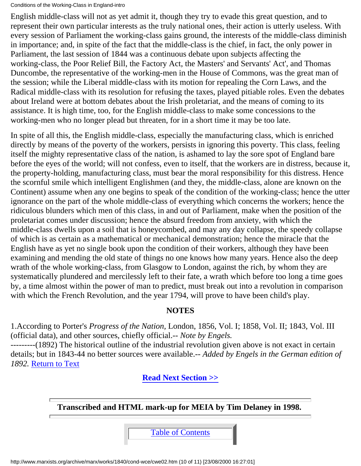English middle-class will not as yet admit it, though they try to evade this great question, and to represent their own particular interests as the truly national ones, their action is utterly useless. With every session of Parliament the working-class gains ground, the interests of the middle-class diminish in importance; and, in spite of the fact that the middle-class is the chief, in fact, the only power in Parliament, the last session of 1844 was a continuous debate upon subjects affecting the working-class, the Poor Relief Bill, the Factory Act, the Masters' and Servants' Act', and Thomas Duncombe, the representative of the working-men in the House of Commons, was the great man of the session; while the Liberal middle-class with its motion for repealing the Corn Laws, and the Radical middle-class with its resolution for refusing the taxes, played pitiable roles. Even the debates about Ireland were at bottom debates about the Irish proletariat, and the means of coming to its assistance. It is high time, too, for the English middle-class to make some concessions to the working-men who no longer plead but threaten, for in a short time it may be too late.

In spite of all this, the English middle-class, especially the manufacturing class, which is enriched directly by means of the poverty of the workers, persists in ignoring this poverty. This class, feeling itself the mighty representative class of the nation, is ashamed to lay the sore spot of England bare before the eyes of the world; will not confess, even to itself, that the workers are in distress, because it, the property-holding, manufacturing class, must bear the moral responsibility for this distress. Hence the scornful smile which intelligent Englishmen (and they, the middle-class, alone are known on the Continent) assume when any one begins to speak of the condition of the working-class; hence the utter ignorance on the part of the whole middle-class of everything which concerns the workers; hence the ridiculous blunders which men of this class, in and out of Parliament, make when the position of the proletariat comes under discussion; hence the absurd freedom from anxiety, with which the middle-class dwells upon a soil that is honeycombed, and may any day collapse, the speedy collapse of which is as certain as a mathematical or mechanical demonstration; hence the miracle that the English have as yet no single book upon the condition of their workers, although they have been examining and mending the old state of things no one knows how many years. Hence also the deep wrath of the whole working-class, from Glasgow to London, against the rich, by whom they are systematically plundered and mercilessly left to their fate, a wrath which before too long a time goes by, a time almost within the power of man to predict, must break out into a revolution in comparison with which the French Revolution, and the year 1794, will prove to have been child's play.

## **NOTES**

<span id="page-16-0"></span>1.According to Porter's *Progress of the Nation,* London, 1856, Vol. I; 1858, Vol. II; 1843, Vol. III (official data), and other sources, chiefly official.-- *Note by Engels.*

---------(1892) The historical outline of the industrial revolution given above is not exact in certain details; but in 1843-44 no better sources were available.-- *Added by Engels in the German edition of 1892.* [Return to Text](#page-10-0)

## **[Read Next Section >>](#page-18-0)**

## **Transcribed and HTML mark-up for MEIA by Tim Delaney in 1998.**

[Table of Contents](#page-0-0)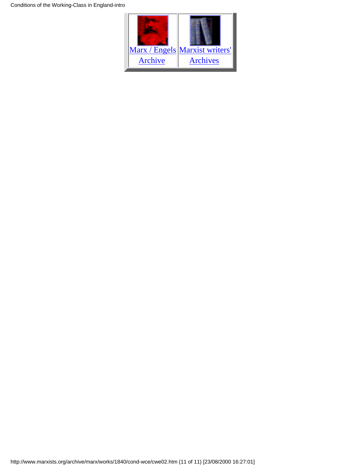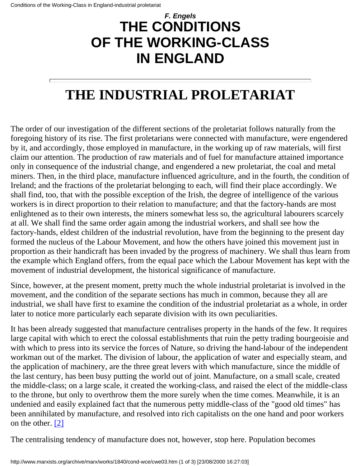## <span id="page-18-0"></span>**F. Engels THE CONDITIONS OF THE WORKING-CLASS IN ENGLAND**

# **THE INDUSTRIAL PROLETARIAT**

The order of our investigation of the different sections of the proletariat follows naturally from the foregoing history of its rise. The first proletarians were connected with manufacture, were engendered by it, and accordingly, those employed in manufacture, in the working up of raw materials, will first claim our attention. The production of raw materials and of fuel for manufacture attained importance only in consequence of the industrial change, and engendered a new proletariat, the coal and metal miners. Then, in the third place, manufacture influenced agriculture, and in the fourth, the condition of Ireland; and the fractions of the proletariat belonging to each, will find their place accordingly. We shall find, too, that with the possible exception of the Irish, the degree of intelligence of the various workers is in direct proportion to their relation to manufacture; and that the factory-hands are most enlightened as to their own interests, the miners somewhat less so, the agricultural labourers scarcely at all. We shall find the same order again among the industrial workers, and shall see how the factory-hands, eldest children of the industrial revolution, have from the beginning to the present day formed the nucleus of the Labour Movement, and how the others have joined this movement just in proportion as their handicraft has been invaded by the progress of machinery. We shall thus learn from the example which England offers, from the equal pace which the Labour Movement has kept with the movement of industrial development, the historical significance of manufacture.

Since, however, at the present moment, pretty much the whole industrial proletariat is involved in the movement, and the condition of the separate sections has much in common, because they all are industrial, we shall have first to examine the condition of the industrial proletariat as a whole, in order later to notice more particularly each separate division with its own peculiarities.

It has been already suggested that manufacture centralises property in the hands of the few. It requires large capital with which to erect the colossal establishments that ruin the petty trading bourgeoisie and with which to press into its service the forces of Nature, so driving the hand-labour of the independent workman out of the market. The division of labour, the application of water and especially steam, and the application of machinery, are the three great levers with which manufacture, since the middle of the last century, has been busy putting the world out of joint. Manufacture, on a small scale, created the middle-class; on a large scale, it created the working-class, and raised the elect of the middle-class to the throne, but only to overthrow them the more surely when the time comes. Meanwhile, it is an undenied and easily explained fact that the numerous petty middle-class of the "good old times" has been annihilated by manufacture, and resolved into rich capitalists on the one hand and poor workers on the other. [\[2\]](#page-19-0)

<span id="page-18-1"></span>The centralising tendency of manufacture does not, however, stop here. Population becomes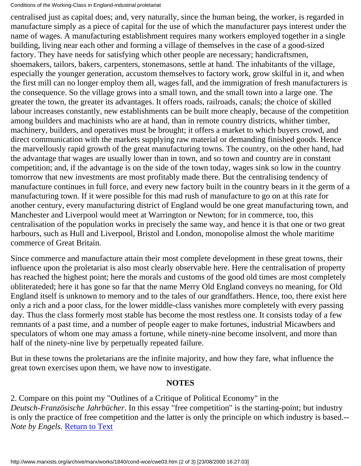#### Conditions of the Working-Class in England-industrial proletariat

centralised just as capital does; and, very naturally, since the human being, the worker, is regarded in manufacture simply as a piece of capital for the use of which the manufacturer pays interest under the name of wages. A manufacturing establishment requires many workers employed together in a single building, living near each other and forming a village of themselves in the case of a good-sized factory. They have needs for satisfying which other people are necessary; handicraftsmen, shoemakers, tailors, bakers, carpenters, stonemasons, settle at hand. The inhabitants of the village, especially the younger generation, accustom themselves to factory work, grow skilful in it, and when the first mill can no longer employ them all, wages fall, and the immigration of fresh manufacturers is the consequence. So the village grows into a small town, and the small town into a large one. The greater the town, the greater its advantages. It offers roads, railroads, canals; the choice of skilled labour increases constantly, new establishments can be built more cheaply, because of the competition among builders and machinists who are at hand, than in remote country districts, whither timber, machinery, builders, and operatives must be brought; it offers a market to which buyers crowd, and direct communication with the markets supplying raw material or demanding finished goods. Hence the marvellously rapid growth of the great manufacturing towns. The country, on the other hand, had the advantage that wages are usually lower than in town, and so town and country are in constant competition; and, if the advantage is on the side of the town today, wages sink so low in the country tomorrow that new investments are most profitably made there. But the centralising tendency of manufacture continues in full force, and every new factory built in the country bears in it the germ of a manufacturing town. If it were possible for this mad rush of manufacture to go on at this rate for another century, every manufacturing district of England would be one great manufacturing town, and Manchester and Liverpool would meet at Warrington or Newton; for in commerce, too, this centralisation of the population works in precisely the same way, and hence it is that one or two great harbours, such as Hull and Liverpool, Bristol and London, monopolise almost the whole maritime commerce of Great Britain.

Since commerce and manufacture attain their most complete development in these great towns, their influence upon the proletariat is also most clearly observable here. Here the centralisation of property has reached the highest point; here the morals and customs of the good old times are most completely obliterateded; here it has gone so far that the name Merry Old England conveys no meaning, for Old England itself is unknown to memory and to the tales of our grandfathers. Hence, too, there exist here only a rich and a poor class, for the lower middle-class vanishes more completely with every passing day. Thus the class formerly most stable has become the most restless one. It consists today of a few remnants of a past time, and a number of people eager to make fortunes, industrial Micawbers and speculators of whom one may amass a fortune, while ninety-nine become insolvent, and more than half of the ninety-nine live by perpetually repeated failure.

But in these towns the proletarians are the infinite majority, and how they fare, what influence the great town exercises upon them, we have now to investigate.

## **NOTES**

<span id="page-19-0"></span>2. Compare on this point my "Outlines of a Critique of Political Economy" in the *Deutsch-Französische Jahrbücher.* In this essay "free competition" is the starting-point; but industry is only the practice of free competition and the latter is only the principle on which industry is based.-- *Note by Engels.* [Return to Text](#page-18-1)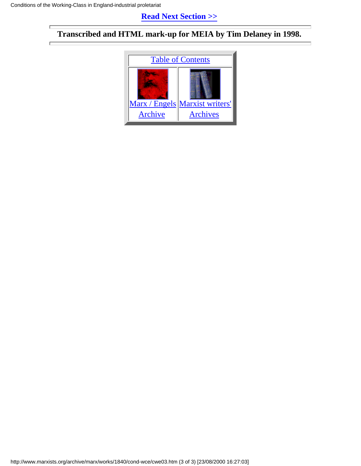D

 $\overline{\phantom{0}}$ 

### **[Read Next Section >>](#page-21-0)**

## **Transcribed and HTML mark-up for MEIA by Tim Delaney in 1998.**

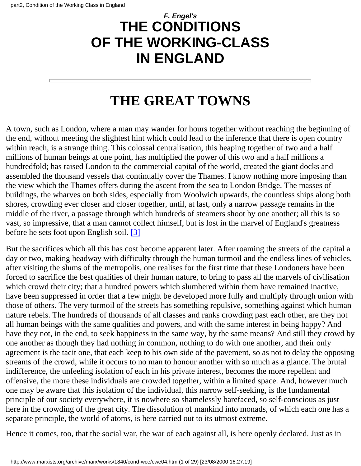## <span id="page-21-0"></span>**F. Engel's THE CONDITIONS OF THE WORKING-CLASS IN ENGLAND**

# **THE GREAT TOWNS**

A town, such as London, where a man may wander for hours together without reaching the beginning of the end, without meeting the slightest hint which could lead to the inference that there is open country within reach, is a strange thing. This colossal centralisation, this heaping together of two and a half millions of human beings at one point, has multiplied the power of this two and a half millions a hundredfold; has raised London to the commercial capital of the world, created the giant docks and assembled the thousand vessels that continually cover the Thames. I know nothing more imposing than the view which the Thames offers during the ascent from the sea to London Bridge. The masses of buildings, the wharves on both sides, especially from Woolwich upwards, the countless ships along both shores, crowding ever closer and closer together, until, at last, only a narrow passage remains in the middle of the river, a passage through which hundreds of steamers shoot by one another; all this is so vast, so impressive, that a man cannot collect himself, but is lost in the marvel of England's greatness before he sets foot upon English soil. [\[3\]](#page-48-0)

But the sacrifices which all this has cost become apparent later. After roaming the streets of the capital a day or two, making headway with difficulty through the human turmoil and the endless lines of vehicles, after visiting the slums of the metropolis, one realises for the first time that these Londoners have been forced to sacrifice the best qualities of their human nature, to bring to pass all the marvels of civilisation which crowd their city; that a hundred powers which slumbered within them have remained inactive, have been suppressed in order that a few might be developed more fully and multiply through union with those of others. The very turmoil of the streets has something repulsive, something against which human nature rebels. The hundreds of thousands of all classes and ranks crowding past each other, are they not all human beings with the same qualities and powers, and with the same interest in being happy? And have they not, in the end, to seek happiness in the same way, by the same means? And still they crowd by one another as though they had nothing in common, nothing to do with one another, and their only agreement is the tacit one, that each keep to his own side of the pavement, so as not to delay the opposing streams of the crowd, while it occurs to no man to honour another with so much as a glance. The brutal indifference, the unfeeling isolation of each in his private interest, becomes the more repellent and offensive, the more these individuals are crowded together, within a limited space. And, however much one may be aware that this isolation of the individual, this narrow self-seeking, is the fundamental principle of our society everywhere, it is nowhere so shamelessly barefaced, so self-conscious as just here in the crowding of the great city. The dissolution of mankind into monads, of which each one has a separate principle, the world of atoms, is here carried out to its utmost extreme.

Hence it comes, too, that the social war, the war of each against all, is here openly declared. Just as in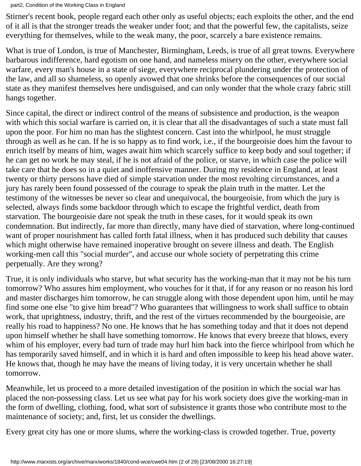Stirner's recent book, people regard each other only as useful objects; each exploits the other, and the end of it all is that the stronger treads the weaker under foot; and that the powerful few, the capitalists, seize everything for themselves, while to the weak many, the poor, scarcely a bare existence remains.

What is true of London, is true of Manchester, Birmingham, Leeds, is true of all great towns. Everywhere barbarous indifference, hard egotism on one hand, and nameless misery on the other, everywhere social warfare, every man's house in a state of siege, everywhere reciprocal plundering under the protection of the law, and all so shameless, so openly avowed that one shrinks before the consequences of our social state as they manifest themselves here undisguised, and can only wonder that the whole crazy fabric still hangs together.

Since capital, the direct or indirect control of the means of subsistence and production, is the weapon with which this social warfare is carried on, it is clear that all the disadvantages of such a state must fall upon the poor. For him no man has the slightest concern. Cast into the whirlpool, he must struggle through as well as he can. If he is so happy as to find work, i.e., if the bourgeoisie does him the favour to enrich itself by means of him, wages await him which scarcely suffice to keep body and soul together; if he can get no work he may steal, if he is not afraid of the police, or starve, in which case the police will take care that he does so in a quiet and inoffensive manner. During my residence in England, at least twenty or thirty persons have died of simple starvation under the most revolting circumstances, and a jury has rarely been found possessed of the courage to speak the plain truth in the matter. Let the testimony of the witnesses be never so clear and unequivocal, the bourgeoisie, from which the jury is selected, always finds some backdoor through which to escape the frightful verdict, death from starvation. The bourgeoisie dare not speak the truth in these cases, for it would speak its own condemnation. But indirectly, far more than directly, many have died of starvation, where long-continued want of proper nourishment has called forth fatal illness, when it has produced such debility that causes which might otherwise have remained inoperative brought on severe illness and death. The English working-men call this "social murder", and accuse our whole society of perpetrating this crime perpetually. Are they wrong?

True, it is only individuals who starve, but what security has the working-man that it may not be his turn tomorrow? Who assures him employment, who vouches for it that, if for any reason or no reason his lord and master discharges him tomorrow, he can struggle along with those dependent upon him, until he may find some one else "to give him bread"? Who guarantees that willingness to work shall suffice to obtain work, that uprightness, industry, thrift, and the rest of the virtues recommended by the bourgeoisie, are really his road to happiness? No one. He knows that he has something today and that it does not depend upon himself whether he shall have something tomorrow. He knows that every breeze that blows, every whim of his employer, every bad turn of trade may hurl him back into the fierce whirlpool from which he has temporarily saved himself, and in which it is hard and often impossible to keep his head above water. He knows that, though he may have the means of living today, it is very uncertain whether he shall tomorrow.

Meanwhile, let us proceed to a more detailed investigation of the position in which the social war has placed the non-possessing class. Let us see what pay for his work society does give the working-man in the form of dwelling, clothing, food, what sort of subsistence it grants those who contribute most to the maintenance of society; and, first, let us consider the dwellings.

Every great city has one or more slums, where the working-class is crowded together. True, poverty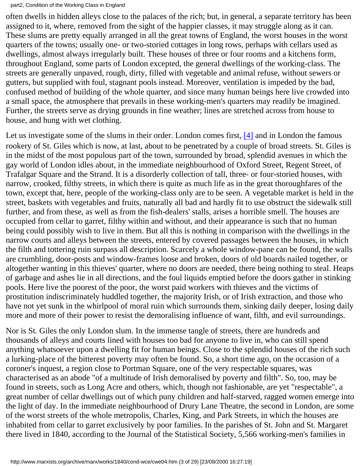often dwells in hidden alleys close to the palaces of the rich; but, in general, a separate territory has been assigned to it, where, removed from the sight of the happier classes, it may struggle along as it can. These slums are pretty equally arranged in all the great towns of England, the worst houses in the worst quarters of the towns; usually one- or two-storied cottages in long rows, perhaps with cellars used as dwellings, almost always irregularly built. These houses of three or four rooms and a kitchens form, throughout England, some parts of London excepted, the general dwellings of the working-class. The streets are generally unpaved, rough, dirty, filled with vegetable and animal refuse, without sewers or gutters, but supplied with foul, stagnant pools instead. Moreover, ventilation is impeded by the bad, confused method of building of the whole quarter, and since many human beings here live crowded into a small space, the atmosphere that prevails in these working-men's quarters may readily be imagined. Further, the streets serve as drying grounds in fine weather; lines are stretched across from house to house, and hung with wet clothing.

Let us investigate some of the slums in their order. London comes first, [\[4\]](#page-48-1) and in London the famous rookery of St. Giles which is now, at last, about to be penetrated by a couple of broad streets. St. Giles is in the midst of the most populous part of the town, surrounded by broad, splendid avenues in which the gay world of London idles about, in the immediate neighbourhood of Oxford Street, Regent Street, of Trafalgar Square and the Strand. It is a disorderly collection of tall, three- or four-storied houses, with narrow, crooked, filthy streets, in which there is quite as much life as in the great thoroughfares of the town, except that, here, people of the working-class only are to be seen. A vegetable market is held in the street, baskets with vegetables and fruits, naturally all bad and hardly fit to use obstruct the sidewalk still further, and from these, as well as from the fish-dealers' stalls, arises a horrible smell. The houses are occupied from cellar to garret, filthy within and without, and their appearance is such that no human being could possibly wish to live in them. But all this is nothing in comparison with the dwellings in the narrow courts and alleys between the streets, entered by covered passages between the houses, in which the filth and tottering ruin surpass all description. Scarcely a whole window-pane can be found, the walls are crumbling, door-posts and window-frames loose and broken, doors of old boards nailed together, or altogether wanting in this thieves' quarter, where no doors are needed, there being nothing to steal. Heaps of garbage and ashes lie in all directions, and the foul liquids emptied before the doors gather in stinking pools. Here live the poorest of the poor, the worst paid workers with thieves and the victims of prostitution indiscriminately huddled together, the majority Irish, or of Irish extraction, and those who have not yet sunk in the whirlpool of moral ruin which surrounds them, sinking daily deeper, losing daily more and more of their power to resist the demoralising influence of want, filth, and evil surroundings.

Nor is St. Giles the only London slum. In the immense tangle of streets, there are hundreds and thousands of alleys and courts lined with houses too bad for anyone to live in, who can still spend anything whatsoever upon a dwelling fit for human beings. Close to the splendid houses of the rich such a lurking-place of the bitterest poverty may often be found. So, a short time ago, on the occasion of a coroner's inquest, a region close to Portman Square, one of the very respectable squares, was characterised as an abode "of a multitude of Irish demoralised by poverty and filth". So, too, may be found in streets, such as Long Acre and others, which, though not fashionable, are yet "respectable", a great number of cellar dwellings out of which puny children and half-starved, ragged women emerge into the light of day. In the immediate neighbourhood of Drury Lane Theatre, the second in London, are some of the worst streets of the whole metropolis, Charles, King, and Park Streets, in which the houses are inhabited from cellar to garret exclusively by poor families. In the parishes of St. John and St. Margaret there lived in 1840, according to the Journal of the Statistical Society, 5,566 working-men's families in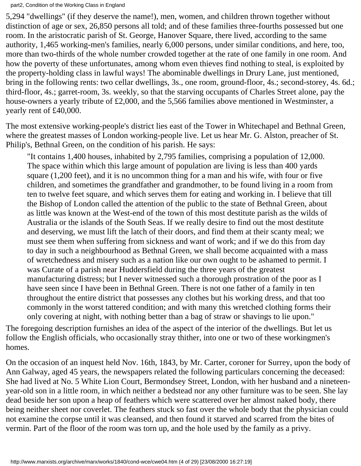5,294 "dwellings" (if they deserve the name!), men, women, and children thrown together without distinction of age or sex, 26,850 persons all told; and of these families three-fourths possessed but one room. In the aristocratic parish of St. George, Hanover Square, there lived, according to the same authority, 1,465 working-men's families, nearly 6,000 persons, under similar conditions, and here, too, more than two-thirds of the whole number crowded together at the rate of one family in one room. And how the poverty of these unfortunates, among whom even thieves find nothing to steal, is exploited by the property-holding class in lawful ways! The abominable dwellings in Drury Lane, just mentioned, bring in the following rents: two cellar dwellings, 3s., one room, ground-floor, 4s.; second-storey, 4s. 6d.; third-floor, 4s.; garret-room, 3s. weekly, so that the starving occupants of Charles Street alone, pay the house-owners a yearly tribute of £2,000, and the 5,566 families above mentioned in Westminster, a yearly rent of £40,000.

The most extensive working-people's district lies east of the Tower in Whitechapel and Bethnal Green, where the greatest masses of London working-people live. Let us hear Mr. G. Alston, preacher of St. Philip's, Bethnal Green, on the condition of his parish. He says:

"It contains 1,400 houses, inhabited by 2,795 families, comprising a population of 12,000. The space within which this large amount of population are living is less than 400 yards square (1,200 feet), and it is no uncommon thing for a man and his wife, with four or five children, and sometimes the grandfather and grandmother, to be found living in a room from ten to twelve feet square, and which serves them for eating and working in. I believe that till the Bishop of London called the attention of the public to the state of Bethnal Green, about as little was known at the West-end of the town of this most destitute parish as the wilds of Australia or the islands of the South Seas. If we really desire to find out the most destitute and deserving, we must lift the latch of their doors, and find them at their scanty meal; we must see them when suffering from sickness and want of work; and if we do this from day to day in such a neighbourhood as Bethnal Green, we shall become acquainted with a mass of wretchedness and misery such as a nation like our own ought to be ashamed to permit. I was Curate of a parish near Huddersfield during the three years of the greatest manufacturing distress; but I never witnessed such a thorough prostration of the poor as I have seen since I have been in Bethnal Green. There is not one father of a family in ten throughout the entire district that possesses any clothes but his working dress, and that too commonly in the worst tattered condition; and with many this wretched clothing forms their only covering at night, with nothing better than a bag of straw or shavings to lie upon."

The foregoing description furnishes an idea of the aspect of the interior of the dwellings. But let us follow the English officials, who occasionally stray thither, into one or two of these workingmen's homes.

On the occasion of an inquest held Nov. 16th, 1843, by Mr. Carter, coroner for Surrey, upon the body of Ann Galway, aged 45 years, the newspapers related the following particulars concerning the deceased: She had lived at No. 5 White Lion Court, Bermondsey Street, London, with her husband and a nineteenyear-old son in a little room, in which neither a bedstead nor any other furniture was to be seen. She lay dead beside her son upon a heap of feathers which were scattered over her almost naked body, there being neither sheet nor coverlet. The feathers stuck so fast over the whole body that the physician could not examine the corpse until it was cleansed, and then found it starved and scarred from the bites of vermin. Part of the floor of the room was torn up, and the hole used by the family as a privy.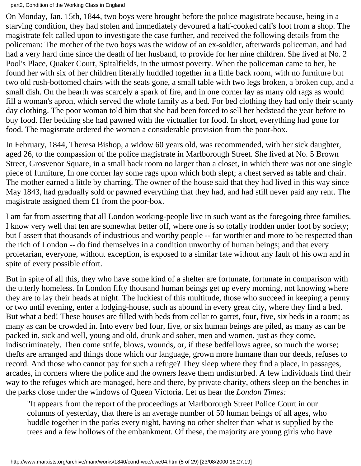On Monday, Jan. 15th, 1844, two boys were brought before the police magistrate because, being in a starving condition, they had stolen and immediately devoured a half-cooked calf's foot from a shop. The magistrate felt called upon to investigate the case further, and received the following details from the policeman: The mother of the two boys was the widow of an ex-soldier, afterwards policeman, and had had a very hard time since the death of her husband, to provide for her nine children. She lived at No. 2 Pool's Place, Quaker Court, Spitalfields, in the utmost poverty. When the policeman came to her, he found her with six of her children literally huddled together in a little back room, with no furniture but two old rush-bottomed chairs with the seats gone, a small table with two legs broken, a broken cup, and a small dish. On the hearth was scarcely a spark of fire, and in one corner lay as many old rags as would fill a woman's apron, which served the whole family as a bed. For bed clothing they had only their scanty day clothing. The poor woman told him that she had been forced to sell her bedstead the year before to buy food. Her bedding she had pawned with the victualler for food. In short, everything had gone for food. The magistrate ordered the woman a considerable provision from the poor-box.

In February, 1844, Theresa Bishop, a widow 60 years old, was recommended, with her sick daughter, aged 26, to the compassion of the police magistrate in Marlborough Street. She lived at No. 5 Brown Street, Grosvenor Square, in a small back room no larger than a closet, in which there was not one single piece of furniture, In one corner lay some rags upon which both slept; a chest served as table and chair. The mother earned a little by charring. The owner of the house said that they had lived in this way since May 1843, had gradually sold or pawned everything that they had, and had still never paid any rent. The magistrate assigned them £1 from the poor-box.

I am far from asserting that all London working-people live in such want as the foregoing three families. I know very well that ten are somewhat better off, where one is so totally trodden under foot by society; but I assert that thousands of industrious and worthy people -- far worthier and more to be respected than the rich of London -- do find themselves in a condition unworthy of human beings; and that every proletarian, everyone, without exception, is exposed to a similar fate without any fault of his own and in spite of every possible effort.

But in spite of all this, they who have some kind of a shelter are fortunate, fortunate in comparison with the utterly homeless. In London fifty thousand human beings get up every morning, not knowing where they are to lay their heads at night. The luckiest of this multitude, those who succeed in keeping a penny or two until evening, enter a lodging-house, such as abound in every great city, where they find a bed. But what a bed! These houses are filled with beds from cellar to garret, four, five, six beds in a room; as many as can be crowded in. Into every bed four, five, or six human beings are piled, as many as can be packed in, sick and well, young and old, drunk and sober, men and women, just as they come, indiscriminately. Then come strife, blows, wounds, or, if these bedfellows agree, so much the worse; thefts are arranged and things done which our language, grown more humane than our deeds, refuses to record. And those who cannot pay for such a refuge? They sleep where they find a place, in passages, arcades, in corners where the police and the owners leave them undisturbed. A few individuals find their way to the refuges which are managed, here and there, by private charity, others sleep on the benches in the parks close under the windows of Queen Victoria. Let us hear the *London Times:*

"It appears from the report of the proceedings at Marlborough Street Police Court in our columns of yesterday, that there is an average number of 50 human beings of all ages, who huddle together in the parks every night, having no other shelter than what is supplied by the trees and a few hollows of the embankment. Of these, the majority are young girls who have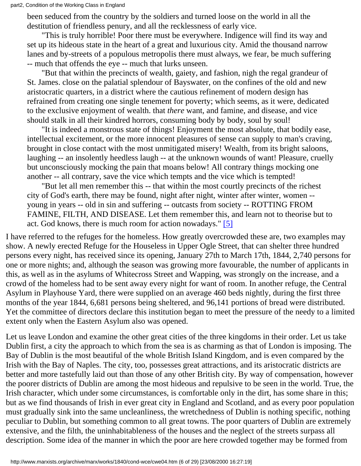been seduced from the country by the soldiers and turned loose on the world in all the destitution of friendless penury, and all the recklessness of early vice.

 "This is truly horrible! Poor there must be everywhere. Indigence will find its way and set up its hideous state in the heart of a great and luxurious city. Amid the thousand narrow lanes and by-streets of a populous metropolis there must always, we fear, be much suffering -- much that offends the eye -- much that lurks unseen.

 "But that within the precincts of wealth, gaiety, and fashion, nigh the regal grandeur of St. James. close on the palatial splendour of Bayswater, on the confines of the old and new aristocratic quarters, in a district where the cautious refinement of modern design has refrained from creating one single tenement for poverty; which seems, as it were, dedicated to the exclusive enjoyment of wealth. that *there* want, and famine, and disease, and vice should stalk in all their kindred horrors, consuming body by body, soul by soul!

 "It is indeed a monstrous state of things! Enjoyment the most absolute, that bodily ease, intellectual excitement, or the more innocent pleasures of sense can supply to man's craving, brought in close contact with the most unmitigated misery! Wealth, from its bright saloons, laughing -- an insolently heedless laugh -- at the unknown wounds of want! Pleasure, cruelly but unconsciously mocking the pain that moans below! All contrary things mocking one another -- all contrary, save the vice which tempts and the vice which is tempted!

 "But let all men remember this -- that within the most courtly precincts of the richest city of God's earth, there may be found, night after night, winter after winter, women - young in years -- old in sin and suffering -- outcasts from society -- ROTTING FROM FAMINE, FILTH, AND DISEASE. Let them remember this, and learn not to theorise but to act. God knows, there is much room for action nowadays." [\[5\]](#page-48-2)

I have referred to the refuges for the homeless. How greatly overcrowded these are, two examples may show. A newly erected Refuge for the Houseless in Upper Ogle Street, that can shelter three hundred persons every night, has received since its opening, January 27th to March 17th, 1844, 2,740 persons for one or more nights; and, although the season was growing more favourable, the number of applicants in this, as well as in the asylums of Whitecross Street and Wapping, was strongly on the increase, and a crowd of the homeless had to be sent away every night for want of room. In another refuge, the Central Asylum in Playhouse Yard, there were supplied on an average 460 beds nightly, during the first three months of the year 1844, 6,681 persons being sheltered, and 96,141 portions of bread were distributed. Yet the committee of directors declare this institution began to meet the pressure of the needy to a limited extent only when the Eastern Asylum also was opened.

Let us leave London and examine the other great cities of the three kingdoms in their order. Let us take Dublin first, a city the approach to which from the sea is as charming as that of London is imposing. The Bay of Dublin is the most beautiful of the whole British Island Kingdom, and is even compared by the Irish with the Bay of Naples. The city, too, possesses great attractions, and its aristocratic districts are better and more tastefully laid out than those of any other British city. By way of compensation, however the poorer districts of Dublin are among the most hideous and repulsive to be seen in the world. True, the Irish character, which under some circumstances, is comfortable only in the dirt, has some share in this; but as we find thousands of Irish in ever great city in England and Scotland, and as every poor population must gradually sink into the same uncleanliness, the wretchedness of Dublin is nothing specific, nothing peculiar to Dublin, but something common to all great towns. The poor quarters of Dublin are extremely extensive, and the filth, the uninhabitableness of the houses and the neglect of the streets surpass all description. Some idea of the manner in which the poor are here crowded together may be formed from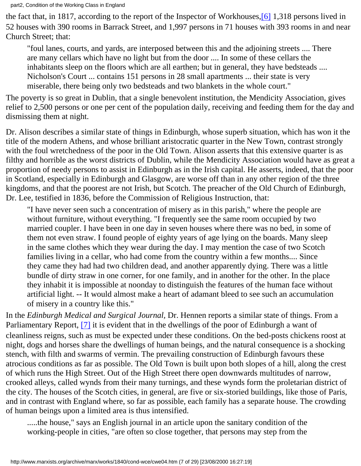the fact that, in 1817, according to the report of the Inspector of Workhouses[,\[6\]](#page-48-3) 1,318 persons lived in 52 houses with 390 rooms in Barrack Street, and 1,997 persons in 71 houses with 393 rooms in and near Church Street; that:

"foul lanes, courts, and yards, are interposed between this and the adjoining streets .... There are many cellars which have no light but from the door .... In some of these cellars the inhabitants sleep on the floors which are all earthen; but in general, they have bedsteads .... Nicholson's Court ... contains 151 persons in 28 small apartments ... their state is very miserable, there being only two bedsteads and two blankets in the whole court."

The poverty is so great in Dublin, that a single benevolent institution, the Mendicity Association, gives relief to 2,500 persons or one per cent of the population daily, receiving and feeding them for the day and dismissing them at night.

Dr. Alison describes a similar state of things in Edinburgh, whose superb situation, which has won it the title of the modern Athens, and whose brilliant aristocratic quarter in the New Town, contrast strongly with the foul wretchedness of the poor in the Old Town. Alison asserts that this extensive quarter is as filthy and horrible as the worst districts of Dublin, while the Mendicity Association would have as great a proportion of needy persons to assist in Edinburgh as in the Irish capital. He asserts, indeed, that the poor in Scotland, especially in Edinburgh and Glasgow, are worse off than in any other region of the three kingdoms, and that the poorest are not Irish, but Scotch. The preacher of the Old Church of Edinburgh, Dr. Lee, testified in 1836, before the Commission of Religious Instruction, that:

"I have never seen such a concentration of misery as in this parish," where the people are without furniture, without everything. "I frequently see the same room occupied by two married coupler. I have been in one day in seven houses where there was no bed, in some of them not even straw. I found people of eighty years of age lying on the boards. Many sleep in the same clothes which they wear during the day. I may mention the case of two Scotch families living in a cellar, who had come from the country within a few months.... Since they came they had had two children dead, and another apparently dying. There was a little bundle of dirty straw in one corner, for one family, and in another for the other. In the place they inhabit it is impossible at noonday to distinguish the features of the human face without artificial light. -- It would almost make a heart of adamant bleed to see such an accumulation of misery in a country like this."

In the *Edinburgh Medical and Surgical Journal,* Dr. Hennen reports a similar state of things. From a Parliamentary Report, [\[7\]](#page-48-4) it is evident that in the dwellings of the poor of Edinburgh a want of cleanliness reigns, such as must be expected under these conditions. On the bed-posts chickens roost at night, dogs and horses share the dwellings of human beings, and the natural consequence is a shocking stench, with filth and swarms of vermin. The prevailing construction of Edinburgh favours these atrocious conditions as far as possible. The Old Town is built upon both slopes of a hill, along the crest of which runs the High Street. Out of the High Street there open downwards multitudes of narrow, crooked alleys, called wynds from their many turnings, and these wynds form the proletarian district of the city. The houses of the Scotch cities, in general, are five or six-storied buildings, like those of Paris, and in contrast with England where, so far as possible, each family has a separate house. The crowding of human beings upon a limited area is thus intensified.

.....the house," says an English journal in an article upon the sanitary condition of the working-people in cities, "are often so close together, that persons may step from the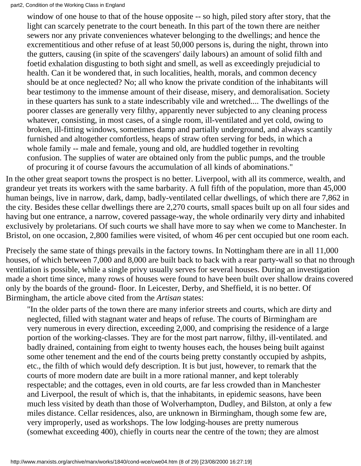window of one house to that of the house opposite -- so high, piled story after story, that the light can scarcely penetrate to the court beneath. In this part of the town there are neither sewers nor any private conveniences whatever belonging to the dwellings; and hence the excrementitious and other refuse of at least 50,000 persons is, during the night, thrown into the gutters, causing (in spite of the scavengers' daily labours) an amount of solid filth and foetid exhalation disgusting to both sight and smell, as well as exceedingly prejudicial to health. Can it be wondered that, in such localities, health, morals, and common decency should be at once neglected? No; all who know the private condition of the inhabitants will bear testimony to the immense amount of their disease, misery, and demoralisation. Society in these quarters has sunk to a state indescribably vile and wretched.... The dwellings of the poorer classes are generally very filthy, apparently never subjected to any cleaning process whatever, consisting, in most cases, of a single room, ill-ventilated and yet cold, owing to broken, ill-fitting windows, sometimes damp and partially underground, and always scantily furnished and altogether comfortless, heaps of straw often serving for beds, in which a whole family -- male and female, young and old, are huddled together in revolting confusion. The supplies of water are obtained only from the public pumps, and the trouble of procuring it of course favours the accumulation of all kinds of abominations."

In the other great seaport towns the prospect is no better. Liverpool, with all its commerce, wealth, and grandeur yet treats its workers with the same barbarity. A full fifth of the population, more than 45,000 human beings, live in narrow, dark, damp, badly-ventilated cellar dwellings, of which there are 7,862 in the city. Besides these cellar dwellings there are 2,270 courts, small spaces built up on all four sides and having but one entrance, a narrow, covered passage-way, the whole ordinarily very dirty and inhabited exclusively by proletarians. Of such courts we shall have more to say when we come to Manchester. In Bristol, on one occasion, 2,800 families were visited, of whom 46 per cent occupied but one room each.

Precisely the same state of things prevails in the factory towns. In Nottingham there are in all 11,000 houses, of which between 7,000 and 8,000 are built back to back with a rear party-wall so that no through ventilation is possible, while a single privy usually serves for several houses. During an investigation made a short time since, many rows of houses were found to have been built over shallow drains covered only by the boards of the ground- floor. In Leicester, Derby, and Sheffield, it is no better. Of Birmingham, the article above cited from the *Artisan* states:

"In the older parts of the town there are many inferior streets and courts, which are dirty and neglected, filled with stagnant water and heaps of refuse. The courts of Birmingham are very numerous in every direction, exceeding 2,000, and comprising the residence of a large portion of the working-classes. They are for the most part narrow, filthy, ill-ventilated. and badly drained, containing from eight to twenty houses each, the houses being built against some other tenement and the end of the courts being pretty constantly occupied by ashpits, etc., the filth of which would defy description. It is but just, however, to remark that the courts of more modern date are built in a more rational manner, and kept tolerably respectable; and the cottages, even in old courts, are far less crowded than in Manchester and Liverpool, the result of which is, that the inhabitants, in epidemic seasons, have been much less visited by death than those of Wolverhampton, Dudley, and Bilston, at only a few miles distance. Cellar residences, also, are unknown in Birmingham, though some few are, very improperly, used as workshops. The low lodging-houses are pretty numerous (somewhat exceeding 400), chiefly in courts near the centre of the town; they are almost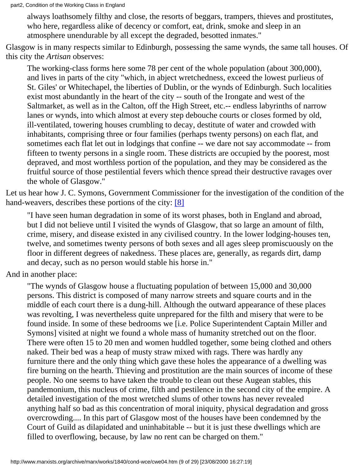always loathsomely filthy and close, the resorts of beggars, trampers, thieves and prostitutes, who here, regardless alike of decency or comfort, eat, drink, smoke and sleep in an atmosphere unendurable by all except the degraded, besotted inmates."

Glasgow is in many respects similar to Edinburgh, possessing the same wynds, the same tall houses. Of this city the *Artisan* observes:

The working-class forms here some 78 per cent of the whole population (about 300,000), and lives in parts of the city "which, in abject wretchedness, exceed the lowest purlieus of St. Giles' or Whitechapel, the liberties of Dublin, or the wynds of Edinburgh. Such localities exist most abundantly in the heart of the city -- south of the Irongate and west of the Saltmarket, as well as in the Calton, off the High Street, etc.-- endless labyrinths of narrow lanes or wynds, into which almost at every step debouche courts or closes formed by old, ill-ventilated, towering houses crumbling to decay, destitute of water and crowded with inhabitants, comprising three or four families (perhaps twenty persons) on each flat, and sometimes each flat let out in lodgings that confine -- we dare not say accommodate -- from fifteen to twenty persons in a single room. These districts are occupied by the poorest, most depraved, and most worthless portion of the population, and they may be considered as the fruitful source of those pestilential fevers which thence spread their destructive ravages over the whole of Glasgow."

Let us hear how J. C. Symons, Government Commissioner for the investigation of the condition of the hand-weavers, describes these portions of the city: [\[8\]](#page-48-5)

"I have seen human degradation in some of its worst phases, both in England and abroad, but I did not believe until I visited the wynds of Glasgow, that so large an amount of filth, crime, misery, and disease existed in any civilised country. In the lower lodging-houses ten, twelve, and sometimes twenty persons of both sexes and all ages sleep promiscuously on the floor in different degrees of nakedness. These places are, generally, as regards dirt, damp and decay, such as no person would stable his horse in."

And in another place:

"The wynds of Glasgow house a fluctuating population of between 15,000 and 30,000 persons. This district is composed of many narrow streets and square courts and in the middle of each court there is a dung-hill. Although the outward appearance of these places was revolting, I was nevertheless quite unprepared for the filth and misery that were to be found inside. In some of these bedrooms we [i.e. Police Superintendent Captain Miller and Symons] visited at night we found a whole mass of humanity stretched out on the floor. There were often 15 to 20 men and women huddled together, some being clothed and others naked. Their bed was a heap of musty straw mixed with rags. There was hardly any furniture there and the only thing which gave these holes the appearance of a dwelling was fire burning on the hearth. Thieving and prostitution are the main sources of income of these people. No one seems to have taken the trouble to clean out these Augean stables, this pandemonium, this nucleus of crime, filth and pestilence in the second city of the empire. A detailed investigation of the most wretched slums of other towns has never revealed anything half so bad as this concentration of moral iniquity, physical degradation and gross overcrowding.... In this part of Glasgow most of the houses have been condemned by the Court of Guild as dilapidated and uninhabitable -- but it is just these dwellings which are filled to overflowing, because, by law no rent can be charged on them."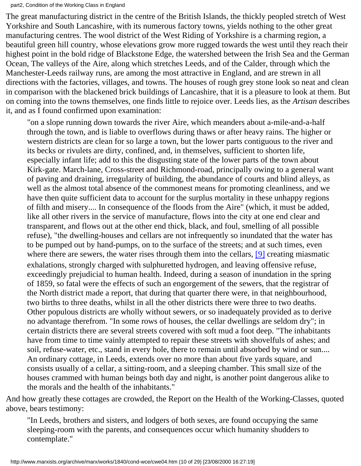The great manufacturing district in the centre of the British Islands, the thickly peopled stretch of West Yorkshire and South Lancashire, with its numerous factory towns, yields nothing to the other great manufacturing centres. The wool district of the West Riding of Yorkshire is a charming region, a beautiful green hill country, whose elevations grow more rugged towards the west until they reach their highest point in the bold ridge of Blackstone Edge, the watershed between the Irish Sea and the German Ocean, The valleys of the Aire, along which stretches Leeds, and of the Calder, through which the Manchester-Leeds railway runs, are among the most attractive in England, and are strewn in all directions with the factories, villages, and towns. The houses of rough grey stone look so neat and clean in comparison with the blackened brick buildings of Lancashire, that it is a pleasure to look at them. But on coming into the towns themselves, one finds little to rejoice over. Leeds lies, as the *Artisan* describes it, and as I found confirmed upon examination:

"on a slope running down towards the river Aire, which meanders about a-mile-and-a-half through the town, and is liable to overflows during thaws or after heavy rains. The higher or western districts are clean for so large a town, but the lower parts contiguous to the river and its becks or rivulets are dirty, confined, and, in themselves, sufficient to shorten life, especially infant life; add to this the disgusting state of the lower parts of the town about Kirk-gate. March-lane, Cross-street and Richmond-road, principally owing to a general want of paving and draining, irregularity of building, the abundance of courts and blind alleys, as well as the almost total absence of the commonest means for promoting cleanliness, and we have then quite sufficient data to account for the surplus mortality in these unhappy regions of filth and misery.... In consequence of the floods from the Aire" (which, it must be added, like all other rivers in the service of manufacture, flows into the city at one end clear and transparent, and flows out at the other end thick, black, and foul, smelling of all possible refuse), "the dwelling-houses and cellars are not infrequently so inundated that the water has to be pumped out by hand-pumps, on to the surface of the streets; and at such times, even where there are sewers, the water rises through them into the cellars, [\[9\]](#page-48-6) creating miasmatic exhalations, strongly charged with sulphuretted hydrogen, and leaving offensive refuse, exceedingly prejudicial to human health. Indeed, during a season of inundation in the spring of 1859, so fatal were the effects of such an engorgement of the sewers, that the registrar of the North district made a report, that during that quarter there were, in that neighbourhood, two births to three deaths, whilst in all the other districts there were three to two deaths. Other populous districts are wholly without sewers, or so inadequately provided as to derive no advantage therefrom. "In some rows of houses, the cellar dwellings are seldom dry"; in certain districts there are several streets covered with soft mud a foot deep. "The inhabitants have from time to time vainly attempted to repair these streets with shovelfuls of ashes; and soil, refuse-water, etc., stand in every hole, there to remain until absorbed by wind or sun.... An ordinary cottage, in Leeds, extends over no more than about five yards square, and consists usually of a cellar, a sitting-room, and a sleeping chamber. This small size of the houses crammed with human beings both day and night, is another point dangerous alike to the morals and the health of the inhabitants."

And how greatly these cottages are crowded, the Report on the Health of the Working-Classes, quoted above, bears testimony:

"In Leeds, brothers and sisters, and lodgers of both sexes, are found occupying the same sleeping-room with the parents, and consequences occur which humanity shudders to contemplate."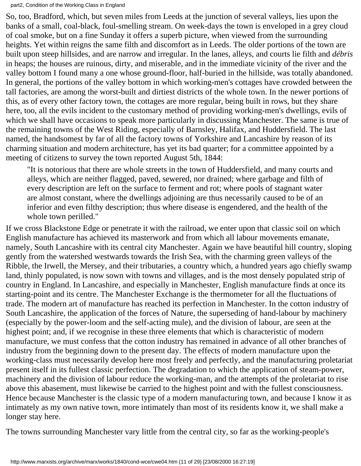So, too, Bradford, which, but seven miles from Leeds at the junction of several valleys, lies upon the banks of a small, coal-black, foul-smelling stream. On week-days the town is enveloped in a grey cloud of coal smoke, but on a fine Sunday it offers a superb picture, when viewed from the surrounding heights. Yet within reigns the same filth and discomfort as in Leeds. The older portions of the town are built upon steep hillsides, and are narrow and irregular. In the lanes, alleys, and courts lie filth and *débris* in heaps; the houses are ruinous, dirty, and miserable, and in the immediate vicinity of the river and the valley bottom I found many a one whose ground-floor, half-buried in the hillside, was totally abandoned. In general, the portions of the valley bottom in which working-men's cottages have crowded between the tall factories, are among the worst-built and dirtiest districts of the whole town. In the newer portions of this, as of every other factory town, the cottages are more regular, being built in rows, but they share here, too, all the evils incident to the customary method of providing working-men's dwellings, evils of which we shall have occasions to speak more particularly in discussing Manchester. The same is true of the remaining towns of the West Riding, especially of Barnsley, Halifax, and Huddersfield. The last named, the handsomest by far of all the factory towns of Yorkshire and Lancashire by reason of its charming situation and modern architecture, has yet its bad quarter; for a committee appointed by a meeting of citizens to survey the town reported August 5th, 1844:

"It is notorious that there are whole streets in the town of Huddersfield, and many courts and alleys, which are neither flagged, paved, sewered, nor drained; where garbage and filth of every description are left on the surface to ferment and rot; where pools of stagnant water are almost constant, where the dwellings adjoining are thus necessarily caused to be of an inferior and even filthy description; thus where disease is engendered, and the health of the whole town perilled."

If we cross Blackstone Edge or penetrate it with the railroad, we enter upon that classic soil on which English manufacture has achieved its masterwork and from which all labour movements emanate, namely, South Lancashire with its central city Manchester. Again we have beautiful hill country, sloping gently from the watershed westwards towards the Irish Sea, with the charming green valleys of the Ribble, the Irwell, the Mersey, and their tributaries, a country which, a hundred years ago chiefly swamp land, thinly populated, is now sown with towns and villages, and is the most densely populated strip of country in England. In Lancashire, and especially in Manchester, English manufacture finds at once its starting-point and its centre. The Manchester Exchange is the thermometer for all the fluctuations of trade. The modern art of manufacture has reached its perfection in Manchester. In the cotton industry of South Lancashire, the application of the forces of Nature, the superseding of hand-labour by machinery (especially by the power-loom and the self-acting mule), and the division of labour, are seen at the highest point; and, if we recognise in these three elements that which is characteristic of modern manufacture, we must confess that the cotton industry has remained in advance of all other branches of industry from the beginning down to the present day. The effects of modern manufacture upon the working-class must necessarily develop here most freely and perfectly, and the manufacturing proletariat present itself in its fullest classic perfection. The degradation to which the application of steam-power, machinery and the division of labour reduce the working-man, and the attempts of the proletariat to rise above this abasement, must likewise be carried to the highest point and with the fullest consciousness. Hence because Manchester is the classic type of a modern manufacturing town, and because I know it as intimately as my own native town, more intimately than most of its residents know it, we shall make a longer stay here.

The towns surrounding Manchester vary little from the central city, so far as the working-people's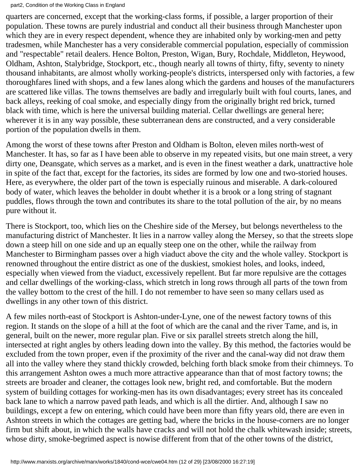quarters are concerned, except that the working-class forms, if possible, a larger proportion of their population. These towns are purely industrial and conduct all their business through Manchester upon which they are in every respect dependent, whence they are inhabited only by working-men and petty tradesmen, while Manchester has a very considerable commercial population, especially of commission and "respectable" retail dealers. Hence Bolton, Preston, Wigan, Bury, Rochdale, Middleton, Heywood, Oldham, Ashton, Stalybridge, Stockport, etc., though nearly all towns of thirty, fifty, seventy to ninety thousand inhabitants, are almost wholly working-people's districts, interspersed only with factories, a few thoroughfares lined with shops, and a few lanes along which the gardens and houses of the manufacturers are scattered like villas. The towns themselves are badly and irregularly built with foul courts, lanes, and back alleys, reeking of coal smoke, and especially dingy from the originally bright red brick, turned black with time, which is here the universal building material. Cellar dwellings are general here; wherever it is in any way possible, these subterranean dens are constructed, and a very considerable portion of the population dwells in them.

Among the worst of these towns after Preston and Oldham is Bolton, eleven miles north-west of Manchester. It has, so far as I have been able to observe in my repeated visits, but one main street, a very dirty one, Deansgate, which serves as a market, and is even in the finest weather a dark, unattractive hole in spite of the fact that, except for the factories, its sides are formed by low one and two-storied houses. Here, as everywhere, the older part of the town is especially ruinous and miserable. A dark-coloured body of water, which leaves the beholder in doubt whether it is a brook or a long string of stagnant puddles, flows through the town and contributes its share to the total pollution of the air, by no means pure without it.

There is Stockport, too, which lies on the Cheshire side of the Mersey, but belongs nevertheless to the manufacturing district of Manchester. It lies in a narrow valley along the Mersey, so that the streets slope down a steep hill on one side and up an equally steep one on the other, while the railway from Manchester to Birmingham passes over a high viaduct above the city and the whole valley. Stockport is renowned throughout the entire district as one of the duskiest, smokiest holes, and looks, indeed, especially when viewed from the viaduct, excessively repellent. But far more repulsive are the cottages and cellar dwellings of the working-class, which stretch in long rows through all parts of the town from the valley bottom to the crest of the hill. I do not remember to have seen so many cellars used as dwellings in any other town of this district.

A few miles north-east of Stockport is Ashton-under-Lyne, one of the newest factory towns of this region. It stands on the slope of a hill at the foot of which are the canal and the river Tame, and is, in general, built on the newer, more regular plan. Five or six parallel streets stretch along the hill, intersected at right angles by others leading down into the valley. By this method, the factories would be excluded from the town proper, even if the proximity of the river and the canal-way did not draw them all into the valley where they stand thickly crowded, belching forth black smoke from their chimneys. To this arrangement Ashton owes a much more attractive appearance than that of most factory towns; the streets are broader and cleaner, the cottages look new, bright red, and comfortable. But the modern system of building cottages for working-men has its own disadvantages; every street has its concealed back lane to which a narrow paved path leads, and which is all the dirtier. And, although I saw no buildings, except a few on entering, which could have been more than fifty years old, there are even in Ashton streets in which the cottages are getting bad, where the bricks in the house-corners are no longer firm but shift about, in which the walls have cracks and will not hold the chalk whitewash inside; streets, whose dirty, smoke-begrimed aspect is nowise different from that of the other towns of the district,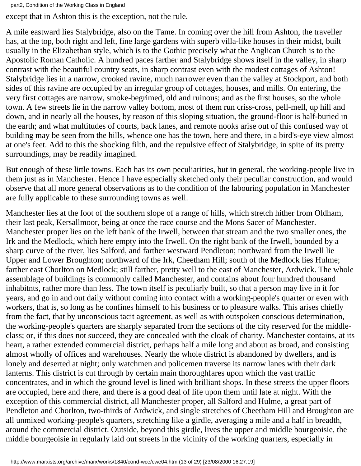except that in Ashton this is the exception, not the rule.

A mile eastward lies Stalybridge, also on the Tame. In coming over the hill from Ashton, the traveller has, at the top, both right and left, fine large gardens with superb villa-like houses in their midst, built usually in the Elizabethan style, which is to the Gothic precisely what the Anglican Church is to the Apostolic Roman Catholic. A hundred paces farther and Stalybridge shows itself in the valley, in sharp contrast with the beautiful country seats, in sharp contrast even with the modest cottages of Ashton! Stalybridge lies in a narrow, crooked ravine, much narrower even than the valley at Stockport, and both sides of this ravine are occupied by an irregular group of cottages, houses, and mills. On entering, the very first cottages are narrow, smoke-begrimed, old and ruinous; and as the first houses, so the whole town. A few streets lie in the narrow valley bottom, most of them run criss-cross, pell-mell, up hill and down, and in nearly all the houses, by reason of this sloping situation, the ground-floor is half-buried in the earth; and what multitudes of courts, back lanes, and remote nooks arise out of this confused way of building may be seen from the hills, whence one has the town, here and there, in a bird's-eye view almost at one's feet. Add to this the shocking filth, and the repulsive effect of Stalybridge, in spite of its pretty surroundings, may be readily imagined.

But enough of these little towns. Each has its own peculiarities, but in general, the working-people live in them just as in Manchester. Hence I have especially sketched only their peculiar construction, and would observe that all more general observations as to the condition of the labouring population in Manchester are fully applicable to these surrounding towns as well.

Manchester lies at the foot of the southern slope of a range of hills, which stretch hither from Oldham, their last peak, Kersallmoor, being at once the race course and the Mons Sacer of Manchester. Manchester proper lies on the left bank of the Irwell, between that stream and the two smaller ones, the Irk and the Medlock, which here empty into the Irwell. On the right bank of the Irwell, bounded by a sharp curve of the river, lies Salford, and farther westward Pendleton; northward from the Irwell lie Upper and Lower Broughton; northward of the Irk, Cheetham Hill; south of the Medlock lies Hulme; farther east Chorlton on Medlock; still farther, pretty well to the east of Manchester, Ardwick. The whole assemblage of buildings is commonly called Manchester, and contains about four hundred thousand inhabitnts, rather more than less. The town itself is peculiarly built, so that a person may live in it for years, and go in and out daily without coming into contact with a working-people's quarter or even with workers, that is, so long as he confines himself to his business or to pleasure walks. This arises chiefly from the fact, that by unconscious tacit agreement, as well as with outspoken conscious determination, the working-people's quarters are sharply separated from the sections of the city reserved for the middleclass; or, if this does not succeed, they are concealed with the cloak of charity. Manchester contains, at its heart, a rather extended commercial district, perhaps half a mile long and about as broad, and consisting almost wholly of offices and warehouses. Nearly the whole district is abandoned by dwellers, and is lonely and deserted at night; only watchmen and policemen traverse its narrow lanes with their dark lanterns. This district is cut through by certain main thoroughfares upon which the vast traffic concentrates, and in which the ground level is lined with brilliant shops. In these streets the upper floors are occupied, here and there, and there is a good deal of life upon them until late at night. With the exception of this commercial district, all Manchester proper, all Salford and Hulme, a great part of Pendleton and Chorlton, two-thirds of Ardwick, and single stretches of Cheetham Hill and Broughton are all unmixed working-people's quarters, stretching like a girdle, averaging a mile and a half in breadth, around the commercial district. Outside, beyond this girdle, lives the upper and middle bourgeoisie, the middle bourgeoisie in regularly laid out streets in the vicinity of the working quarters, especially in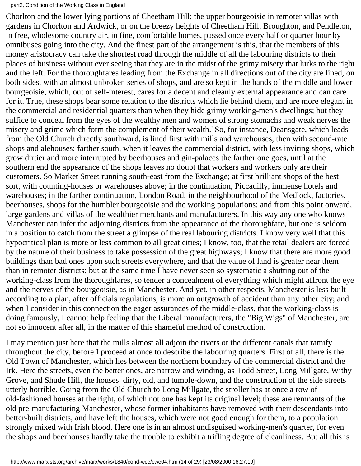Chorlton and the lower lying portions of Cheetham Hill; the upper bourgeoisie in remoter villas with gardens in Chorlton and Ardwick, or on the breezy heights of Cheetham Hill, Broughton, and Pendleton, in free, wholesome country air, in fine, comfortable homes, passed once every half or quarter hour by omnibuses going into the city. And the finest part of the arrangement is this, that the members of this money aristocracy can take the shortest road through the middle of all the labouring districts to their places of business without ever seeing that they are in the midst of the grimy misery that lurks to the right and the left. For the thoroughfares leading from the Exchange in all directions out of the city are lined, on both sides, with an almost unbroken series of shops, and are so kept in the hands of the middle and lower bourgeoisie, which, out of self-interest, cares for a decent and cleanly external appearance and can care for it. True, these shops bear some relation to the districts which lie behind them, and are more elegant in the commercial and residential quarters than when they hide grimy working-men's dwellings; but they suffice to conceal from the eyes of the wealthy men and women of strong stomachs and weak nerves the misery and grime which form the complement of their wealth.' So, for instance, Deansgate, which leads from the Old Church directly southward, is lined first with mills and warehouses, then with second-rate shops and alehouses; farther south, when it leaves the commercial district, with less inviting shops, which grow dirtier and more interrupted by beerhouses and gin-palaces the farther one goes, until at the southern end the appearance of the shops leaves no doubt that workers and workers only are their customers. So Market Street running south-east from the Exchange; at first brilliant shops of the best sort, with counting-houses or warehouses above; in the continuation, Piccadilly, immense hotels and warehouses; in the farther continuation, London Road, in the neighbourhood of the Medlock, factories, beerhouses, shops for the humbler bourgeoisie and the working populations; and from this point onward, large gardens and villas of the wealthier merchants and manufacturers. In this way any one who knows Manchester can infer the adjoining districts from the appearance of the thoroughfare, but one is seldom in a position to catch from the street a glimpse of the real labouring districts. I know very well that this hypocritical plan is more or less common to all great cities; I know, too, that the retail dealers are forced by the nature of their business to take possession of the great highways; I know that there are more good buildings than bad ones upon such streets everywhere, and that the value of land is greater near them than in remoter districts; but at the same time I have never seen so systematic a shutting out of the working-class from the thoroughfares, so tender a concealment of everything which might affront the eye and the nerves of the bourgeoisie, as in Manchester. And yet, in other respects, Manchester is less built according to a plan, after officials regulations, is more an outgrowth of accident than any other city; and when I consider in this connection the eager assurances of the middle-class, that the working-class is doing famously, I cannot help feeling that the Liberal manufacturers, the "Big Wigs" of Manchester, are not so innocent after all, in the matter of this shameful method of construction.

I may mention just here that the mills almost all adjoin the rivers or the different canals that ramify throughout the city, before I proceed at once to describe the labouring quarters. First of all, there is the Old Town of Manchester, which lies between the northern boundary of the commercial district and the Irk. Here the streets, even the better ones, are narrow and winding, as Todd Street, Long Millgate, Withy Grove, and Shude Hill, the houses dirty, old, and tumble-down, and the construction of the side streets utterly horrible. Going from the Old Church to Long Millgate, the stroller has at once a row of old-fashioned houses at the right, of which not one has kept its original level; these are remnants of the old pre-manufacturing Manchester, whose former inhabitants have removed with their descendants into better-built districts, and have left the houses, which were not good enough for them, to a population strongly mixed with Irish blood. Here one is in an almost undisguised working-men's quarter, for even the shops and beerhouses hardly take the trouble to exhibit a trifling degree of cleanliness. But all this is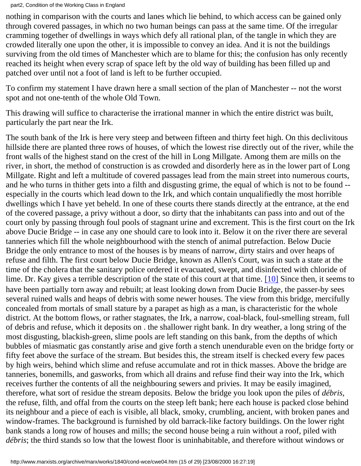nothing in comparison with the courts and lanes which lie behind, to which access can be gained only through covered passages, in which no two human beings can pass at the same time. Of the irregular cramming together of dwellings in ways which defy all rational plan, of the tangle in which they are crowded literally one upon the other, it is impossible to convey an idea. And it is not the buildings surviving from the old times of Manchester which are to blame for this; the confusion has only recently reached its height when every scrap of space left by the old way of building has been filled up and patched over until not a foot of land is left to be further occupied.

To confirm my statement I have drawn here a small section of the plan of Manchester -- not the worst spot and not one-tenth of the whole Old Town.

This drawing will suffice to characterise the irrational manner in which the entire district was built, particularly the part near the Irk.

The south bank of the Irk is here very steep and between fifteen and thirty feet high. On this declivitous hillside there are planted three rows of houses, of which the lowest rise directly out of the river, while the front walls of the highest stand on the crest of the hill in Long Millgate. Among them are mills on the river, in short, the method of construction is as crowded and disorderly here as in the lower part of Long Millgate. Right and left a multitude of covered passages lead from the main street into numerous courts, and he who turns in thither gets into a filth and disgusting grime, the equal of which is not to be found - especially in the courts which lead down to the Irk, and which contain unqualifiedly the most horrible dwellings which I have yet beheld. In one of these courts there stands directly at the entrance, at the end of the covered passage, a privy without a door, so dirty that the inhabitants can pass into and out of the court only by passing through foul pools of stagnant urine and excrement. This is the first court on the Irk above Ducie Bridge -- in case any one should care to look into it. Below it on the river there are several tanneries which fill the whole neighbourhood with the stench of animal putrefaction. Below Ducie Bridge the only entrance to most of the houses is by means of narrow, dirty stairs and over heaps of refuse and filth. The first court below Ducie Bridge, known as Allen's Court, was in such a state at the time of the cholera that the sanitary police ordered it evacuated, swept, and disinfected with chloride of lime. Dr. Kay gives a terrible description of the state of this court at that time. [\[10\]](#page-48-7) Since then, it seems to have been partially torn away and rebuilt; at least looking down from Ducie Bridge, the passer-by sees several ruined walls and heaps of debris with some newer houses. The view from this bridge, mercifully concealed from mortals of small stature by a parapet as high as a man, is characteristic for the whole district. At the bottom flows, or rather stagnates, the Irk, a narrow, coal-black, foul-smelling stream, full of debris and refuse, which it deposits on . the shallower right bank. In dry weather, a long string of the most disgusting, blackish-green, slime pools are left standing on this bank, from the depths of which bubbles of miasmatic gas constantly arise and give forth a stench unendurable even on the bridge forty or fifty feet above the surface of the stream. But besides this, the stream itself is checked every few paces by high weirs, behind which slime and refuse accumulate and rot in thick masses. Above the bridge are tanneries, bonemills, and gasworks, from which all drains and refuse find their way into the Irk, which receives further the contents of all the neighbouring sewers and privies. It may be easily imagined, therefore, what sort of residue the stream deposits. Below the bridge you look upon the piles of *débris*, the refuse, filth, and offal from the courts on the steep left bank; here each house is packed close behind its neighbour and a piece of each is visible, all black, smoky, crumbling, ancient, with broken panes and window-frames. The background is furnished by old barrack-like factory buildings. On the lower right bank stands a long row of houses and mills; the second house being a ruin without a roof, piled with *débris*; the third stands so low that the lowest floor is uninhabitable, and therefore without windows or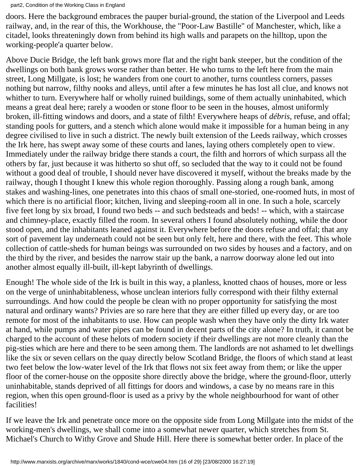doors. Here the background embraces the pauper burial-ground, the station of the Liverpool and Leeds railway, and, in the rear of this, the Workhouse, the "Poor-Law Bastille" of Manchester, which, like a citadel, looks threateningly down from behind its high walls and parapets on the hilltop, upon the working-people'a quarter below.

Above Ducie Bridge, the left bank grows more flat and the right bank steeper, but the condition of the dwellings on both bank grows worse rather than better. He who turns to the left here from the main street, Long Millgate, is lost; he wanders from one court to another, turns countless corners, passes nothing but narrow, filthy nooks and alleys, until after a few minutes he has lost all clue, and knows not whither to turn. Everywhere half or wholly ruined buildings, some of them actually uninhabited, which means a great deal here; rarely a wooden or stone floor to be seen in the houses, almost uniformly broken, ill-fitting windows and doors, and a state of filth! Everywhere heaps of *débris*, refuse, and offal; standing pools for gutters, and a stench which alone would make it impossible for a human being in any degree civilised to live in such a district. The newly built extension of the Leeds railway, which crosses the Irk here, has swept away some of these courts and lanes, laying others completely open to view. Immediately under the railway bridge there stands a court, the filth and horrors of which surpass all the others by far, just because it was hitherto so shut off, so secluded that the way to it could not be found without a good deal of trouble, I should never have discovered it myself, without the breaks made by the railway, though I thought I knew this whole region thoroughly. Passing along a rough bank, among stakes and washing-lines, one penetrates into this chaos of small one-storied, one-roomed huts, in most of which there is no artificial floor; kitchen, living and sleeping-room all in one. In such a hole, scarcely five feet long by six broad, I found two beds -- and such bedsteads and beds! -- which, with a staircase and chimney-place, exactly filled the room. In several others I found absolutely nothing, while the door stood open, and the inhabitants leaned against it. Everywhere before the doors refuse and offal; that any sort of pavement lay underneath could not be seen but only felt, here and there, with the feet. This whole collection of cattle-sheds for human beings was surrounded on two sides by houses and a factory, and on the third by the river, and besides the narrow stair up the bank, a narrow doorway alone led out into another almost equally ill-built, ill-kept labyrinth of dwellings.

Enough! The whole side of the Irk is built in this way, a planless, knotted chaos of houses, more or less on the verge of uninhabitableness, whose unclean interiors fully correspond with their filthy external surroundings. And how could the people be clean with no proper opportunity for satisfying the most natural and ordinary wants? Privies are so rare here that they are either filled up every day, or are too remote for most of the inhabitants to use. How can people wash when they have only the dirty Irk water at hand, while pumps and water pipes can be found in decent parts of the city alone? In truth, it cannot be charged to the account of these helots of modern society if their dwellings are not more cleanly than the pig-sties which are here and there to be seen among them. The landlords are not ashamed to let dwellings like the six or seven cellars on the quay directly below Scotland Bridge, the floors of which stand at least two feet below the low-water level of the Irk that flows not six feet away from them; or like the upper floor of the corner-house on the opposite shore directly above the bridge, where the ground-floor, utterly uninhabitable, stands deprived of all fittings for doors and windows, a case by no means rare in this region, when this open ground-floor is used as a privy by the whole neighbourhood for want of other facilities!

If we leave the Irk and penetrate once more on the opposite side from Long Millgate into the midst of the working-men's dwellings, we shall come into a somewhat newer quarter, which stretches from St. Michael's Church to Withy Grove and Shude Hill. Here there is somewhat better order. In place of the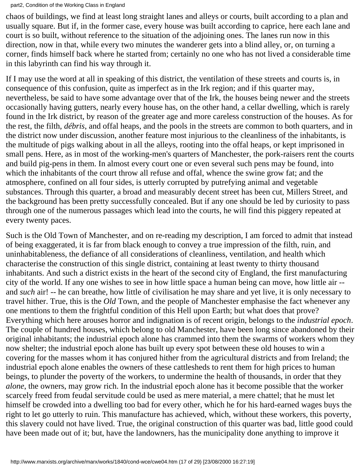chaos of buildings, we find at least long straight lanes and alleys or courts, built according to a plan and usually square. But if, in the former case, every house was built according to caprice, here each lane and court is so built, without reference to the situation of the adjoining ones. The lanes run now in this direction, now in that, while every two minutes the wanderer gets into a blind alley, or, on turning a corner, finds himself back where he started from; certainly no one who has not lived a considerable time in this labyrinth can find his way through it.

If I may use the word at all in speaking of this district, the ventilation of these streets and courts is, in consequence of this confusion, quite as imperfect as in the Irk region; and if this quarter may, nevertheless, be said to have some advantage over that of the Irk, the houses being newer and the streets occasionally having gutters, nearly every house has, on the other hand, a cellar dwelling, which is rarely found in the Irk district, by reason of the greater age and more careless construction of the houses. As for the rest, the filth, *débris*, and offal heaps, and the pools in the streets are common to both quarters, and in the district now under discussion, another feature most injurious to the cleanliness of the inhabitants, is the multitude of pigs walking about in all the alleys, rooting into the offal heaps, or kept imprisoned in small pens. Here, as in most of the working-men's quarters of Manchester, the pork-raisers rent the courts and build pig-pens in them. In almost every court one or even several such pens may be found, into which the inhabitants of the court throw all refuse and offal, whence the swine grow fat; and the atmosphere, confined on all four sides, is utterly corrupted by putrefying animal and vegetable substances. Through this quarter, a broad and measurably decent street has been cut, Millers Street, and the background has been pretty successfully concealed. But if any one should be led by curiosity to pass through one of the numerous passages which lead into the courts, he will find this piggery repeated at every twenty paces.

Such is the Old Town of Manchester, and on re-reading my description, I am forced to admit that instead of being exaggerated, it is far from black enough to convey a true impression of the filth, ruin, and uninhabitableness, the defiance of all considerations of cleanliness, ventilation, and health which characterise the construction of this single district, containing at least twenty to thirty thousand inhabitants. And such a district exists in the heart of the second city of England, the first manufacturing city of the world. If any one wishes to see in how little space a human being can move, how little air - and *such* air! -- he can breathe, how little of civilisation he may share and yet live, it is only necessary to travel hither. True, this is the *Old* Town, and the people of Manchester emphasise the fact whenever any one mentions to them the frightful condition of this Hell upon Earth; but what does that prove? Everything which here arouses horror and indignation is of recent origin, belongs to the *industrial epoch*. The couple of hundred houses, which belong to old Manchester, have been long since abandoned by their original inhabitants; the industrial epoch alone has crammed into them the swarms of workers whom they now shelter; the industrial epoch alone has built up every spot between these old houses to win a covering for the masses whom it has conjured hither from the agricultural districts and from Ireland; the industrial epoch alone enables the owners of these cattlesheds to rent them for high prices to human beings, to plunder the poverty of the workers, to undermine the health of thousands, in order that they *alone*, the owners, may grow rich. In the industrial epoch alone has it become possible that the worker scarcely freed from feudal servitude could be used as mere material, a mere chattel; that he must let himself be crowded into a dwelling too bad for every other, which he for his hard-earned wages buys the right to let go utterly to ruin. This manufacture has achieved, which, without these workers, this poverty, this slavery could not have lived. True, the original construction of this quarter was bad, little good could have been made out of it; but, have the landowners, has the municipality done anything to improve it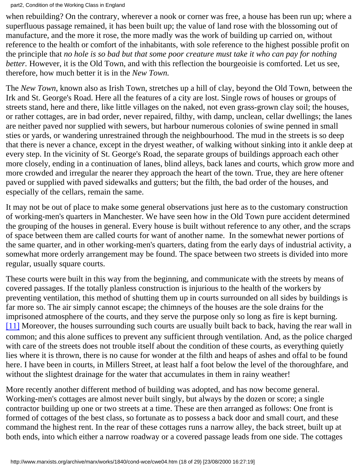when rebuilding? On the contrary, wherever a nook or corner was free, a house has been run up; where a superfluous passage remained, it has been built up; the value of land rose with the blossoming out of manufacture, and the more it rose, the more madly was the work of building up carried on, without reference to the health or comfort of the inhabitants, with sole reference to the highest possible profit on the principle that *no hole is so bad but that some poor creature must take it who can pay for nothing better.* However, it is the Old Town, and with this reflection the bourgeoisie is comforted. Let us see, therefore, how much better it is in the *New Town.*

The *New Town*, known also as Irish Town, stretches up a hill of clay, beyond the Old Town, between the Irk and St. George's Road. Here all the features of a city are lost. Single rows of houses or groups of streets stand, here and there, like little villages on the naked, not even grass-grown clay soil; the houses, or rather cottages, are in bad order, never repaired, filthy, with damp, unclean, cellar dwellings; the lanes are neither paved nor supplied with sewers, but harbour numerous colonies of swine penned in small sties or yards, or wandering unrestrained through the neighbourhood. The mud in the streets is so deep that there is never a chance, except in the dryest weather, of walking without sinking into it ankle deep at every step. In the vicinity of St. George's Road, the separate groups of buildings approach each other more closely, ending in a continuation of lanes, blind alleys, back lanes and courts, which grow more and more crowded and irregular the nearer they approach the heart of the town. True, they are here oftener paved or supplied with paved sidewalks and gutters; but the filth, the bad order of the houses, and especially of the cellars, remain the same.

It may not be out of place to make some general observations just here as to the customary construction of working-men's quarters in Manchester. We have seen how in the Old Town pure accident determined the grouping of the houses in general. Every house is built without reference to any other, and the scraps of space between them are called courts for want of another name. In the somewhat newer portions of the same quarter, and in other working-men's quarters, dating from the early days of industrial activity, a somewhat more orderly arrangement may be found. The space between two streets is divided into more regular, usually square courts.

<span id="page-38-0"></span>These courts were built in this way from the beginning, and communicate with the streets by means of covered passages. If the totally planless construction is injurious to the health of the workers by preventing ventilation, this method of shutting them up in courts surrounded on all sides by buildings is far more so. The air simply cannot escape; the chimneys of the houses are the sole drains for the imprisoned atmosphere of the courts, and they serve the purpose only so long as fire is kept burning. [\[11\]](#page-49-0) Moreover, the houses surrounding such courts are usually built back to back, having the rear wall in common; and this alone suffices to prevent any sufficient through ventilation. And, as the police charged with care of the streets does not trouble itself about the condition of these courts, as everything quietly lies where it is thrown, there is no cause for wonder at the filth and heaps of ashes and offal to be found here. I have been in courts, in Millers Street, at least half a foot below the level of the thoroughfare, and without the slightest drainage for the water that accumulates in them in rainy weather!

More recently another different method of building was adopted, and has now become general. Working-men's cottages are almost never built singly, but always by the dozen or score; a single contractor building up one or two streets at a time. These are then arranged as follows: One front is formed of cottages of the best class, so fortunate as to possess a back door and small court, and these command the highest rent. In the rear of these cottages runs a narrow alley, the back street, built up at both ends, into which either a narrow roadway or a covered passage leads from one side. The cottages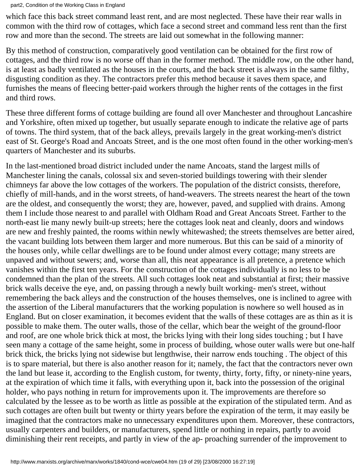which face this back street command least rent, and are most neglected. These have their rear walls in common with the third row of cottages, which face a second street and command less rent than the first row and more than the second. The streets are laid out somewhat in the following manner:

By this method of construction, comparatively good ventilation can be obtained for the first row of cottages, and the third row is no worse off than in the former method. The middle row, on the other hand, is at least as badly ventilated as the houses in the courts, and the back street is always in the same filthy, disgusting condition as they. The contractors prefer this method because it saves them space, and furnishes the means of fleecing better-paid workers through the higher rents of the cottages in the first and third rows.

These three different forms of cottage building are found all over Manchester and throughout Lancashire and Yorkshire, often mixed up together, but usually separate enough to indicate the relative age of parts of towns. The third system, that of the back alleys, prevails largely in the great working-men's district east of St. George's Road and Ancoats Street, and is the one most often found in the other working-men's quarters of Manchester and its suburbs.

In the last-mentioned broad district included under the name Ancoats, stand the largest mills of Manchester lining the canals, colossal six and seven-storied buildings towering with their slender chimneys far above the low cottages of the workers. The population of the district consists, therefore, chiefly of mill-hands, and in the worst streets, of hand-weavers. The streets nearest the heart of the town are the oldest, and consequently the worst; they are, however, paved, and supplied with drains. Among them I include those nearest to and parallel with Oldham Road and Great Ancoats Street. Farther to the north-east lie many newly built-up streets; here the cottages look neat and cleanly, doors and windows are new and freshly painted, the rooms within newly whitewashed; the streets themselves are better aired, the vacant building lots between them larger and more numerous. But this can be said of a minority of the houses only, while cellar dwellings are to be found under almost every cottage; many streets are unpaved and without sewers; and, worse than all, this neat appearance is all pretence, a pretence which vanishes within the first ten years. For the construction of the cottages individually is no less to be condemned than the plan of the streets. All such cottages look neat and substantial at first; their massive brick walls deceive the eye, and, on passing through a newly built working- men's street, without remembering the back alleys and the construction of the houses themselves, one is inclined to agree with the assertion of the Liberal manufacturers that the working population is nowhere so well housed as in England. But on closer examination, it becomes evident that the walls of these cottages are as thin as it is possible to make them. The outer walls, those of the cellar, which bear the weight of the ground-floor and roof, are one whole brick thick at most, the bricks lying with their long sides touching ; but I have seen many a cottage of the same height, some in process of building, whose outer walls were but one-half brick thick, the bricks lying not sidewise but lengthwise, their narrow ends touching . The object of this is to spare material, but there is also another reason for it; namely, the fact that the contractors never own the land but lease it, according to the English custom, for twenty, thirty, forty, fifty, or ninety-nine years, at the expiration of which time it falls, with everything upon it, back into the possession of the original holder, who pays nothing in return for improvements upon it. The improvements are therefore so calculated by the lessee as to be worth as little as possible at the expiration of the stipulated term. And as such cottages are often built but twenty or thirty years before the expiration of the term, it may easily be imagined that the contractors make no unnecessary expenditures upon them. Moreover, these contractors, usually carpenters and builders, or manufacturers, spend little or nothing in repairs, partly to avoid diminishing their rent receipts, and partly in view of the ap- proaching surrender of the improvement to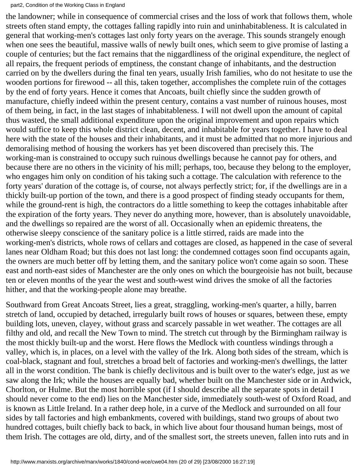the landowner; while in consequence of commercial crises and the loss of work that follows them, whole streets often stand empty, the cottages falling rapidly into ruin and uninhabitableness. It is calculated in general that working-men's cottages last only forty years on the average. This sounds strangely enough when one sees the beautiful, massive walls of newly built ones, which seem to give promise of lasting a couple of centuries; but the fact remains that the niggardliness of the original expenditure, the neglect of all repairs, the frequent periods of emptiness, the constant change of inhabitants, and the destruction carried on by the dwellers during the final ten years, usually Irish families, who do not hesitate to use the wooden portions for firewood -- all this, taken together, accomplishes the complete ruin of the cottages by the end of forty years. Hence it comes that Ancoats, built chiefly since the sudden growth of manufacture, chiefly indeed within the present century, contains a vast number of ruinous houses, most of them being, in fact, in the last stages of inhabitableness. I will not dwell upon the amount of capital thus wasted, the small additional expenditure upon the original improvement and upon repairs which would suffice to keep this whole district clean, decent, and inhabitable for years together. I have to deal here with the state of the houses and their inhabitants, and it must be admitted that no more injurious and demoralising method of housing the workers has yet been discovered than precisely this. The working-man is constrained to occupy such ruinous dwellings because he cannot pay for others, and because there are no others in the vicinity of his mill; perhaps, too, because they belong to the employer, who engages him only on condition of his taking such a cottage. The calculation with reference to the forty years' duration of the cottage is, of course, not always perfectly strict; for, if the dwellings are in a thickly built-up portion of the town, and there is a good prospect of finding steady occupants for them, while the ground-rent is high, the contractors do a little something to keep the cottages inhabitable after the expiration of the forty years. They never do anything more, however, than is absolutely unavoidable, and the dwellings so repaired are the worst of all. Occasionally when an epidemic threatens, the otherwise sleepy conscience of the sanitary police is a little stirred, raids are made into the working-men's districts, whole rows of cellars and cottages are closed, as happened in the case of several lanes near Oldham Road; but this does not last long: the condemned cottages soon find occupants again, the owners are much better off by letting them, and the sanitary police won't come again so soon. These east and north-east sides of Manchester are the only ones on which the bourgeoisie has not built, because ten or eleven months of the year the west and south-west wind drives the smoke of all the factories hither, and that the working-people alone may breathe.

Southward from Great Ancoats Street, lies a great, straggling, working-men's quarter, a hilly, barren stretch of land, occupied by detached, irregularly built rows of houses or squares, between these, empty building lots, uneven, clayey, without grass and scarcely passable in wet weather. The cottages are all filthy and old, and recall the New Town to mind. The stretch cut through by the Birmingham railway is the most thickly built-up and the worst. Here flows the Medlock with countless windings through a valley, which is, in places, on a level with the valley of the Irk. Along both sides of the stream, which is coal-black, stagnant and foul, stretches a broad belt of factories and working-men's dwellings, the latter all in the worst condition. The bank is chiefly declivitous and is built over to the water's edge, just as we saw along the Irk; while the houses are equally bad, whether built on the Manchester side or in Ardwick, Chorlton, or Hulme. But the most horrible spot (if I should describe all the separate spots in detail I should never come to the end) lies on the Manchester side, immediately south-west of Oxford Road, and is known as Little Ireland. In a rather deep hole, in a curve of the Medlock and surrounded on all four sides by tall factories and high embankments, covered with buildings, stand two groups of about two hundred cottages, built chiefly back to back, in which live about four thousand human beings, most of them Irish. The cottages are old, dirty, and of the smallest sort, the streets uneven, fallen into ruts and in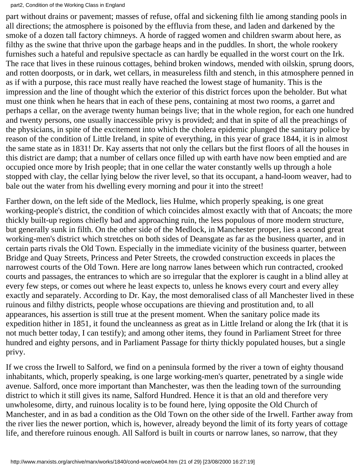part without drains or pavement; masses of refuse, offal and sickening filth lie among standing pools in all directions; the atmosphere is poisoned by the effluvia from these, and laden and darkened by the smoke of a dozen tall factory chimneys. A horde of ragged women and children swarm about here, as filthy as the swine that thrive upon the garbage heaps and in the puddles. In short, the whole rookery furnishes such a hateful and repulsive spectacle as can hardly be equalled in the worst court on the Irk. The race that lives in these ruinous cottages, behind broken windows, mended with oilskin, sprung doors, and rotten doorposts, or in dark, wet cellars, in measureless filth and stench, in this atmosphere penned in as if with a purpose, this race must really have reached the lowest stage of humanity. This is the impression and the line of thought which the exterior of this district forces upon the beholder. But what must one think when he hears that in each of these pens, containing at most two rooms, a garret and perhaps a cellar, on the average twenty human beings live; that in the whole region, for each one hundred and twenty persons, one usually inaccessible privy is provided; and that in spite of all the preachings of the physicians, in spite of the excitement into which the cholera epidemic plunged the sanitary police by reason of the condition of Little Ireland, in spite of everything, in this year of grace 1844, it is in almost the same state as in 1831! Dr. Kay asserts that not only the cellars but the first floors of all the houses in this district are damp; that a number of cellars once filled up with earth have now been emptied and are occupied once more by Irish people; that in one cellar the water constantly wells up through a hole stopped with clay, the cellar lying below the river level, so that its occupant, a hand-loom weaver, had to bale out the water from his dwelling every morning and pour it into the street!

Farther down, on the left side of the Medlock, lies Hulme, which properly speaking, is one great working-people's district, the condition of which coincides almost exactly with that of Ancoats; the more thickly built-up regions chiefly bad and approaching ruin, the less populous of more modern structure, but generally sunk in filth. On the other side of the Medlock, in Manchester proper, lies a second great working-men's district which stretches on both sides of Deansgate as far as the business quarter, and in certain parts rivals the Old Town. Especially in the immediate vicinity of the business quarter, between Bridge and Quay Streets, Princess and Peter Streets, the crowded construction exceeds in places the narrowest courts of the Old Town. Here are long narrow lanes between which run contracted, crooked courts and passages, the entrances to which are so irregular that the explorer is caught in a blind alley at every few steps, or comes out where he least expects to, unless he knows every court and every alley exactly and separately. According to Dr. Kay, the most demoralised class of all Manchester lived in these ruinous and filthy districts, people whose occupations are thieving and prostitution and, to all appearances, his assertion is still true at the present moment. When the sanitary police made its expedition hither in 1851, it found the uncleanness as great as in Little Ireland or along the Irk (that it is not much better today, I can testify); and among other items, they found in Parliament Street for three hundred and eighty persons, and in Parliament Passage for thirty thickly populated houses, but a single privy.

If we cross the Irwell to Salford, we find on a peninsula formed by the river a town of eighty thousand inhabitants, which, properly speaking, is one large working-men's quarter, penetrated by a single wide avenue. Salford, once more important than Manchester, was then the leading town of the surrounding district to which it still gives its name, Salford Hundred. Hence it is that an old and therefore very unwholesome, dirty, and ruinous locality is to be found here, lying opposite the Old Church of Manchester, and in as bad a condition as the Old Town on the other side of the Irwell. Farther away from the river lies the newer portion, which is, however, already beyond the limit of its forty years of cottage life, and therefore ruinous enough. All Salford is built in courts or narrow lanes, so narrow, that they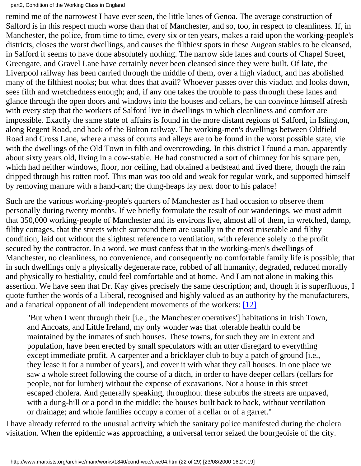remind me of the narrowest I have ever seen, the little lanes of Genoa. The average construction of Salford is in this respect much worse than that of Manchester, and so, too, in respect to cleanliness. If, in Manchester, the police, from time to time, every six or ten years, makes a raid upon the working-people's districts, closes the worst dwellings, and causes the filthiest spots in these Augean stables to be cleansed, in Salford it seems to have done absolutely nothing. The narrow side lanes and courts of Chapel Street, Greengate, and Gravel Lane have certainly never been cleansed since they were built. Of late, the Liverpool railway has been carried through the middle of them, over a high viaduct, and has abolished many of the filthiest nooks; but what does that avail? Whoever passes over this viaduct and looks down, sees filth and wretchedness enough; and, if any one takes the trouble to pass through these lanes and glance through the open doors and windows into the houses and cellars, he can convince himself afresh with every step that the workers of Salford live in dwellings in which cleanliness and comfort are impossible. Exactly the same state of affairs is found in the more distant regions of Salford, in Islington, along Regent Road, and back of the Bolton railway. The working-men's dwellings between Oldfield Road and Cross Lane, where a mass of courts and alleys are to be found in the worst possible state, vie with the dwellings of the Old Town in filth and overcrowding. In this district I found a man, apparently about sixty years old, living in a cow-stable. He had constructed a sort of chimney for his square pen, which had neither windows, floor, nor ceiling, had obtained a bedstead and lived there, though the rain dripped through his rotten roof. This man was too old and weak for regular work, and supported himself by removing manure with a hand-cart; the dung-heaps lay next door to his palace!

Such are the various working-people's quarters of Manchester as I had occasion to observe them personally during twenty months. If we briefly formulate the result of our wanderings, we must admit that 350,000 working-people of Manchester and its environs live, almost all of them, in wretched, damp, filthy cottages, that the streets which surround them are usually in the most miserable and filthy condition, laid out without the slightest reference to ventilation, with reference solely to the profit secured by the contractor. In a word, we must confess that in the working-men's dwellings of Manchester, no cleanliness, no convenience, and consequently no comfortable family life is possible; that in such dwellings only a physically degenerate race, robbed of all humanity, degraded, reduced morally and physically to bestiality, could feel comfortable and at home. And I am not alone in making this assertion. We have seen that Dr. Kay gives precisely the same description; and, though it is superfluous, I quote further the words of a Liberal, recognised and highly valued as an authority by the manufacturers, and a fanatical opponent of all independent movements of the workers: [\[12\]](#page-49-1)

<span id="page-42-0"></span>"But when I went through their [i.e., the Manchester operatives'] habitations in Irish Town, and Ancoats, and Little Ireland, my only wonder was that tolerable health could be maintained by the inmates of such houses. These towns, for such they are in extent and population, have been erected by small speculators with an utter disregard to everything except immediate profit. A carpenter and a bricklayer club to buy a patch of ground [i.e., they lease it for a number of years], and cover it with what they call houses. In one place we saw a whole street following the course of a ditch, in order to have deeper cellars (cellars for people, not for lumber) without the expense of excavations. Not a house in this street escaped cholera. And generally speaking, throughout these suburbs the streets are unpaved, with a dung-hill or a pond in the middle; the houses built back to back, without ventilation or drainage; and whole families occupy a corner of a cellar or of a garret."

I have already referred to the unusual activity which the sanitary police manifested during the cholera visitation. When the epidemic was approaching, a universal terror seized the bourgeoisie of the city.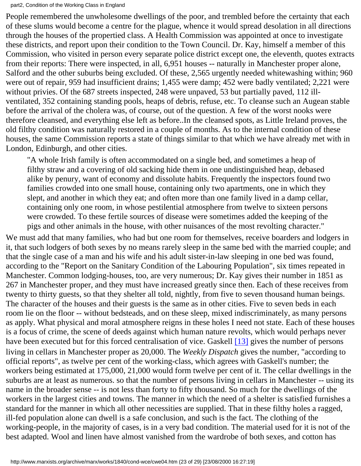People remembered the unwholesome dwellings of the poor, and trembled before the certainty that each of these slums would become a centre for the plague, whence it would spread desolation in all directions through the houses of the propertied class. A Health Commission was appointed at once to investigate these districts, and report upon their condition to the Town Council. Dr. Kay, himself a member of this Commission, who visited in person every separate police district except one, the eleventh, quotes extracts from their reports: There were inspected, in all, 6,951 houses -- naturally in Manchester proper alone, Salford and the other suburbs being excluded. Of these, 2,565 urgently needed whitewashing within; 960 were out of repair, 959 had insufficient drains; 1,455 were damp; 452 were badly ventilated; 2,221 were without privies. Of the 687 streets inspected, 248 were unpaved, 53 but partially paved, 112 illventilated, 352 containing standing pools, heaps of debris, refuse, etc. To cleanse such an Augean stable before the arrival of the cholera was, of course, out of the question. A few of the worst nooks were therefore cleansed, and everything else left as before..In the cleansed spots, as Little Ireland proves, the old filthy condition was naturally restored in a couple of months. As to the internal condition of these houses, the same Commission reports a state of things similar to that which we have already met with in London, Edinburgh, and other cities.

"A whole Irish family is often accommodated on a single bed, and sometimes a heap of filthy straw and a covering of old sacking hide them in one undistinguished heap, debased alike by penury, want of economy and dissolute habits. Frequently the inspectors found two families crowded into one small house, containing only two apartments, one in which they slept, and another in which they eat; and often more than one family lived in a damp cellar, containing only one room, in whose pestilential atmosphere from twelve to sixteen persons were crowded. To these fertile sources of disease were sometimes added the keeping of the pigs and other animals in the house, with other nuisances of the most revolting character."

<span id="page-43-0"></span>We must add that many families, who had but one room for themselves, receive boarders and lodgers in it, that such lodgers of both sexes by no means rarely sleep in the same bed with the married couple; and that the single case of a man and his wife and his adult sister-in-law sleeping in one bed was found, according to the "Report on the Sanitary Condition of the Labouring Population", six times repeated in Manchester. Common lodging-houses, too, are very numerous; Dr. Kay gives their number in 1851 as 267 in Manchester proper, and they must have increased greatly since then. Each of these receives from twenty to thirty guests, so that they shelter all told, nightly, from five to seven thousand human beings. The character of the houses and their guests is the same as in other cities. Five to seven beds in each room lie on the floor -- without bedsteads, and on these sleep, mixed indiscriminately, as many persons as apply. What physical and moral atmosphere reigns in these holes I need not state. Each of these houses is a focus of crime, the scene of deeds against which human nature revolts, which would perhaps never have been executed but for this forced centralisation of vice. Gaskell [\[13\]](#page-49-2) gives the number of persons living in cellars in Manchester proper as 20,000. The *Weekly Dispatch* gives the number, "according to official reports", as twelve per cent of the working-class, which agrees with Gaskell's number; the workers being estimated at 175,000, 21,000 would form twelve per cent of it. The cellar dwellings in the suburbs are at least as numerous. so that the number of persons living in cellars in Manchester -- using its name in the broader sense -- is not less than forty to fifty thousand. So much for the dwellings of the workers in the largest cities and towns. The manner in which the need of a shelter is satisfied furnishes a standard for the manner in which all other necessities are supplied. That in these filthy holes a ragged, ill-fed population alone can dwell is a safe conclusion, and such is the fact. The clothing of the working-people, in the majority of cases, is in a very bad condition. The material used for it is not of the best adapted. Wool and linen have almost vanished from the wardrobe of both sexes, and cotton has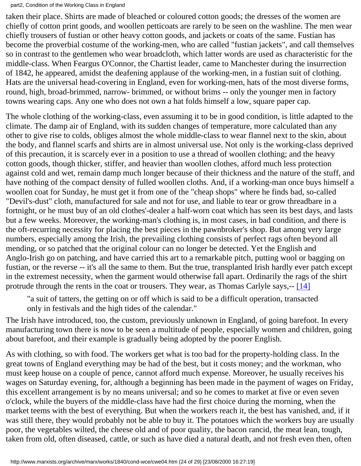taken their place. Shirts are made of bleached or coloured cotton goods; the dresses of the women are chiefly of cotton print goods, and woollen petticoats are rarely to be seen on the washline. The men wear chiefly trousers of fustian or other heavy cotton goods, and jackets or coats of the same. Fustian has become the proverbial costume of the working-men, who are called "fustian jackets", and call themselves so in contrast to the gentlemen who wear broadcloth, which latter words are used as characteristic for the middle-class. When Feargus O'Connor, the Chartist leader, came to Manchester during the insurrection of 1842, he appeared, amidst the deafening applause of the working-men, in a fustian suit of clothing. Hats are the universal head-covering in England, even for working-men, hats of the most diverse forms, round, high, broad-brimmed, narrow- brimmed, or without brims -- only the younger men in factory towns wearing caps. Any one who does not own a hat folds himself a low, square paper cap.

The whole clothing of the working-class, even assuming it to be in good condition, is little adapted to the climate. The damp air of England, with its sudden changes of temperature, more calculated than any other to give rise to colds, obliges almost the whole middle-class to wear flannel next to the skin, about the body, and flannel scarfs and shirts are in almost universal use. Not only is the working-class deprived of this precaution, it is scarcely ever in a position to use a thread of woollen clothing; and the heavy cotton goods, though thicker, stiffer, and heavier than woollen clothes, afford much less protection against cold and wet, remain damp much longer because of their thickness and the nature of the stuff, and have nothing of the compact density of fulled woollen cloths. And, if a working-man once buys himself a woollen coat for Sunday, he must get it from one of the "cheap shops" where he finds bad, so-called "Devil's-dust" cloth, manufactured for sale and not for use, and liable to tear or grow threadbare in a fortnight, or he must buy of an old clothes'-dealer a half-worn coat which has seen its best days, and lasts but a few weeks. Moreover, the working-man's clothing is, in most cases, in bad condition, and there is the oft-recurring necessity for placing the best pieces in the pawnbroker's shop. But among very large numbers, especially among the Irish, the prevailing clothing consists of perfect rags often beyond all mending, or so patched that the original colour can no longer be detected. Yet the English and Anglo-Irish go on patching, and have carried this art to a remarkable pitch, putting wool or bagging on fustian, or the reverse -- it's all the same to them. But the true, transplanted Irish hardly ever patch except in the extremest necessity, when the garment would otherwise fall apart. Ordinarily the rags of the shirt protrude through the rents in the coat or trousers. They wear, as Thomas Carlyle says,-- [\[14\]](#page-49-3)

"a suit of tatters, the getting on or off which is said to be a difficult operation, transacted only in festivals and the high tides of the calendar."

<span id="page-44-0"></span>The Irish have introduced, too, the custom, previously unknown in England, of going barefoot. In every manufacturing town there is now to be seen a multitude of people, especially women and children, going about barefoot, and their example is gradually being adopted by the poorer English.

As with clothing, so with food. The workers get what is too bad for the property-holding class. In the great towns of England everything may be had of the best, but it costs money; and the workman, who must keep house on a couple of pence, cannot afford much expense. Moreover, he usually receives his wages on Saturday evening, for, although a beginning has been made in the payment of wages on Friday, this excellent arrangement is by no means universal; and so he comes to market at five or even seven o'clock, while the buyers of the middle-class have had the first choice during the morning, when the market teems with the best of everything. But when the workers reach it, the best has vanished, and, if it was still there, they would probably not be able to buy it. The potatoes which the workers buy are usually poor, the vegetables wilted, the cheese old and of poor quality, the bacon rancid, the meat lean, tough, taken from old, often diseased, cattle, or such as have died a natural death, and not fresh even then, often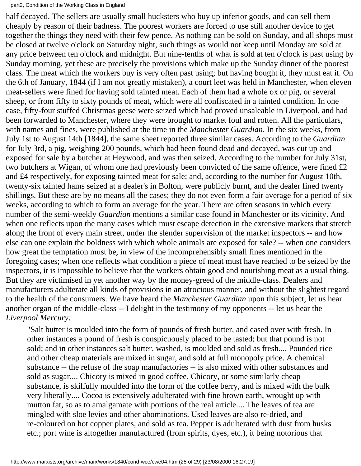half decayed. The sellers are usually small hucksters who buy up inferior goods, and can sell them cheaply by reason of their badness. The poorest workers are forced to use still another device to get together the things they need with their few pence. As nothing can be sold on Sunday, and all shops must be closed at twelve o'clock on Saturday night, such things as would not keep until Monday are sold at any price between ten o'clock and midnight. But nine-tenths of what is sold at ten o'clock is past using by Sunday morning, yet these are precisely the provisions which make up the Sunday dinner of the poorest class. The meat which the workers buy is very often past using; but having bought it, they must eat it. On the 6th of January, 1844 (if I am not greatly mistaken), a court leet was held in Manchester, when eleven meat-sellers were fined for having sold tainted meat. Each of them had a whole ox or pig, or several sheep, or from fifty to sixty pounds of meat, which were all confiscated in a tainted condition. In one case, fifty-four stuffed Christmas geese were seized which had proved unsaleable in Liverpool, and had been forwarded to Manchester, where they were brought to market foul and rotten. All the particulars, with names and fines, were published at the time in the *Manchester Guardian*. In the six weeks, from July 1st to August 14th [1844], the same sheet reported three similar cases. According to the *Guardian* for July 3rd, a pig, weighing 200 pounds, which had been found dead and decayed, was cut up and exposed for sale by a butcher at Heywood, and was then seized. According to the number for July 31st, two butchers at Wigan, of whom one had previously been convicted of the same offence, were fined £2 and £4 respectively, for exposing tainted meat for sale; and, according to the number for August 10th, twenty-six tainted hams seized at a dealer's in Bolton, were publicly burnt, and the dealer fined twenty shillings. But these are by no means all the cases; they do not even form a fair average for a period of six weeks, according to which to form an average for the year. There are often seasons in which every number of the semi-weekly *Guardian* mentions a similar case found in Manchester or its vicinity. And when one reflects upon the many cases which must escape detection in the extensive markets that stretch along the front of every main street, under the slender supervision of the market inspectors -- and how else can one explain the boldness with which whole animals are exposed for sale? -- when one considers how great the temptation must be, in view of the incomprehensibly small fines mentioned in the foregoing cases; when one reflects what condition a piece of meat must have reached to be seized by the inspectors, it is impossible to believe that the workers obtain good and nourishing meat as a usual thing. But they are victimised in yet another way by the money-greed of the middle-class. Dealers and manufacturers adulterate all kinds of provisions in an atrocious manner, and without the slightest regard to the health of the consumers. We have heard the *Manchester Guardian* upon this subject, let us hear another organ of the middle-class -- I delight in the testimony of my opponents -- let us hear the *Liverpool Mercury:*

"Salt butter is moulded into the form of pounds of fresh butter, and cased over with fresh. In other instances a pound of fresh is conspicuously placed to be tasted; but that pound is not sold; and in other instances salt butter, washed, is moulded and sold as fresh.... Pounded rice and other cheap materials are mixed in sugar, and sold at full monopoly price. A chemical substance -- the refuse of the soap manufactories -- is also mixed with other substances and sold as sugar.... Chicory is mixed in good coffee. Chicory, or some similarly cheap substance, is skilfully moulded into the form of the coffee berry, and is mixed with the bulk very liberally.... Cocoa is extensively adulterated with fine brown earth, wrought up with mutton fat, so as to amalgamate with portions of the real article.... The leaves of tea are mingled with sloe levies and other abominations. Used leaves are also re-dried, and re-coloured on hot copper plates, and sold as tea. Pepper is adulterated with dust from husks etc.; port wine is altogether manufactured (from spirits, dyes, etc.), it being notorious that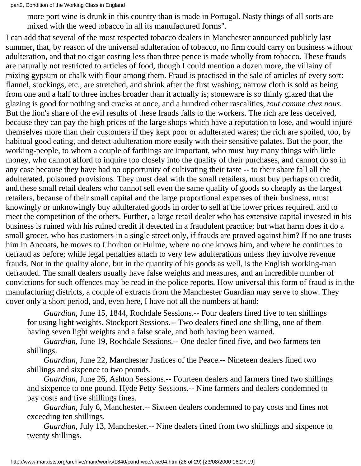more port wine is drunk in this country than is made in Portugal. Nasty things of all sorts are mixed with the weed tobacco in all its manufactured forms".

I can add that several of the most respected tobacco dealers in Manchester announced publicly last summer, that, by reason of the universal adulteration of tobacco, no firm could carry on business without adulteration, and that no cigar costing less than three pence is made wholly from tobacco. These frauds are naturally not restricted to articles of food, though I could mention a dozen more, the villainy of mixing gypsum or chalk with flour among them. Fraud is practised in the sale of articles of every sort: flannel, stockings, etc., are stretched, and shrink after the first washing; narrow cloth is sold as being from one and a half to three inches broader than it actually is; stoneware is so thinly glazed that the glazing is good for nothing and cracks at once, and a hundred other rascalities, *tout comme chez nous*. But the lion's share of the evil results of these frauds falls to the workers. The rich are less deceived, because they can pay the high prices of the large shops which have a reputation to lose, and would injure themselves more than their customers if they kept poor or adulterated wares; the rich are spoiled, too, by habitual good eating, and detect adulteration more easily with their sensitive palates. But the poor, the working-people, to whom a couple of farthings are important, who must buy many things with little money, who cannot afford to inquire too closely into the quality of their purchases, and cannot do so in any case because they have had no opportunity of cultivating their taste -- to their share fall all the adulterated, poisoned provisions. They must deal with the small retailers, must buy perhaps on credit, and.these small retail dealers who cannot sell even the same quality of goods so cheaply as the largest retailers, because of their small capital and the large proportional expenses of their business, must knowingly or unknowingly buy adulterated goods in order to sell at the lower prices required, and to meet the competition of the others. Further, a large retail dealer who has extensive capital invested in his business is ruined with his ruined credit if detected in a fraudulent practice; but what harm does it do a small grocer, who has customers in a single street only, if frauds are proved against him? If no one trusts him in Ancoats, he moves to Chorlton or Hulme, where no one knows him, and where he continues to defraud as before; while legal penalties attach to very few adulterations unless they involve revenue frauds. Not in the quality alone, but in the quantity of his goods as well, is the English working-man defrauded. The small dealers usually have false weights and measures, and an incredible number of convictions for such offences may be read in the police reports. How universal this form of fraud is in the manufacturing districts, a couple of extracts from the Manchester Guardian may serve to show. They cover only a short period, and, even here, I have not all the numbers at hand:

 *Guardian*, June 15, 1844, Rochdale Sessions.-- Four dealers fined five to ten shillings for using light weights. Stockport Sessions.-- Two dealers fined one shilling, one of them having seven light weights and a false scale, and both having been warned.

 *Guardian*, June 19, Rochdale Sessions.-- One dealer fined five, and two farmers ten shillings.

 *Guardian*, June 22, Manchester Justices of the Peace.-- Nineteen dealers fined two shillings and sixpence to two pounds.

 *Guardian*, June 26, Ashton Sessions.-- Fourteen dealers and farmers fined two shillings and sixpence to one pound. Hyde Petty Sessions.-- Nine farmers and dealers condemned to pay costs and five shillings fines.

 *Guardian*, July 6, Manchester.-- Sixteen dealers condemned to pay costs and fines not exceeding ten shillings.

 *Guardian*, July 13, Manchester.-- Nine dealers fined from two shillings and sixpence to twenty shillings.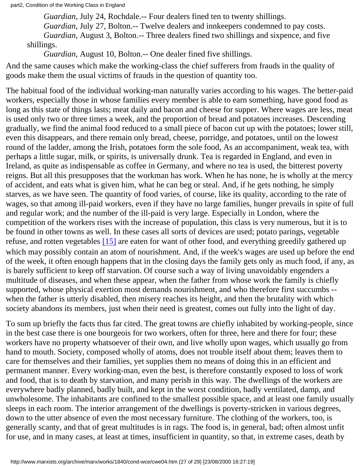*Guardian*, July 24, Rochdale.-- Four dealers fined ten to twenty shillings. *Guardian*, July 27, Bolton.-- Twelve dealers and innkeepers condemned to pay costs. *Guardian*, August 3, Bolton.-- Three dealers fined two shillings and sixpence, and five shillings.

*Guardian*, August 10, Bolton.-- One dealer fined five shillings.

And the same causes which make the working-class the chief sufferers from frauds in the quality of goods make them the usual victims of frauds in the question of quantity too.

The habitual food of the individual working-man naturally varies according to his wages. The better-paid workers, especially those in whose families every member is able to earn something, have good food as long as this state of things lasts; meat daily and bacon and cheese for supper. Where wages are less, meat is used only two or three times a week, and the proportion of bread and potatoes increases. Descending gradually, we find the animal food reduced to a small piece of bacon cut up with the potatoes; lower still, even this disappears, and there remain only bread, cheese, porridge, and potatoes, until on the lowest round of the ladder, among the Irish, potatoes form the sole food, As an accompaniment, weak tea, with perhaps a little sugar, milk, or spirits, is universally drunk. Tea is regarded in England, and even in Ireland, as quite as indispensable as coffee in Germany, and where no tea is used, the bitterest poverty reigns. But all this presupposes that the workman has work. When he has none, he is wholly at the mercy of accident, and eats what is given him, what he can beg or steal. And, if he gets nothing, he simply starves, as we have seen. The quantity of food varies, of course, like its quality, according to the rate of wages, so that among ill-paid workers, even if they have no large families, hunger prevails in spite of full and regular work; and the number of the ill-paid is very large. Especially in London, where the competition of the workers rises with the increase of population, this class is very numerous, but it is to be found in other towns as well. In these cases all sorts of devices are used; potato parings, vegetable refuse, and rotten vegetables [\[15\]](#page-49-4) are eaten for want of other food, and everything greedily gathered up which may possibly contain an atom of nourishment. And, if the week's wages are used up before the end of the week, it often enough happens that in the closing days the family gets only as much food, if any, as is barely sufficient to keep off starvation. Of course such a way of living unavoidably engenders a multitude of diseases, and when these appear, when the father from whose work the family is chiefly supported, whose physical exertion most demands nourishment, and who therefore first succumbs - when the father is utterly disabled, then misery reaches its height, and then the brutality with which society abandons its members, just when their need is greatest, comes out fully into the light of day.

<span id="page-47-0"></span>To sum up briefly the facts thus far cited. The great towns are chiefly inhabited by working-people, since in the best case there is one bourgeois for two workers, often for three, here and there for four; these workers have no property whatsoever of their own, and live wholly upon wages, which usually go from hand to mouth. Society, composed wholly of atoms, does not trouble itself about them; leaves them to care for themselves and their families, yet supplies them no means of doing this in an efficient and permanent manner. Every working-man, even the best, is therefore constantly exposed to loss of work and food, that is to death by starvation, and many perish in this way. The dwellings of the workers are everywhere badly planned, badly built, and kept in the worst condition, badly ventilated, damp, and unwholesome. The inhabitants are confined to the smallest possible space, and at least one family usually sleeps in each room. The interior arrangement of the dwellings is poverty-stricken in various degrees, down to the utter absence of even the most necessary furniture. The clothing of the workers, too, is generally scanty, and that of great multitudes is in rags. The food is, in general, bad; often almost unfit for use, and in many cases, at least at times, insufficient in quantity, so that, in extreme cases, death by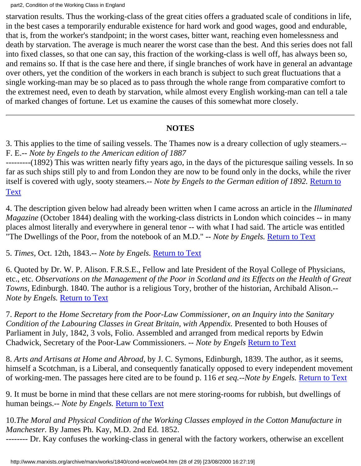starvation results. Thus the working-class of the great cities offers a graduated scale of conditions in life, in the best cases a temporarily endurable existence for hard work and good wages, good and endurable, that is, from the worker's standpoint; in the worst cases, bitter want, reaching even homelessness and death by starvation. The average is much nearer the worst case than the best. And this series does not fall into fixed classes, so that one can say, this fraction of the working-class is well off, has always been so, and remains so. If that is the case here and there, if single branches of work have in general an advantage over others, yet the condition of the workers in each branch is subject to such great fluctuations that a single working-man may be so placed as to pass through the whole range from comparative comfort to the extremest need, even to death by starvation, while almost every English working-man can tell a tale of marked changes of fortune. Let us examine the causes of this somewhat more closely.

## **NOTES**

3. This applies to the time of sailing vessels. The Thames now is a dreary collection of ugly steamers.-- F. E.-- *Note by Engels to the American edition of 1887*

---------(1892) This was written nearly fifty years ago, in the days of the picturesque sailing vessels. In so far as such ships still ply to and from London they are now to be found only in the docks, while the river itself is covered with ugly, sooty steamers.-- *Note by Engels to the German edition of 1892.* [Return to](#page-21-0) [Text](#page-21-0)

4. The description given below had already been written when I came across an article in the *Illuminated Magazine* (October 1844) dealing with the working-class districts in London which coincides -- in many places almost literally and everywhere in general tenor -- with what I had said. The article was entitled "The Dwellings of the Poor, from the notebook of an M.D." -- *Note by Engels.* [Return to Text](#page-23-0)

## 5. *Times*, Oct. 12th, 1843.-- *Note by Engels.* [Return to Text](#page-26-0)

6. Quoted by Dr. W. P. Alison. F.R.S.E., Fellow and late President of the Royal College of Physicians, etc., etc. *Observations on the Management of the Poor in Scotland and its Effects on the Health of Great Towns,* Edinburgh. 1840. The author is a religious Tory, brother of the historian, Archibald Alison.-- *Note by Engels.* [Return to Text](#page-27-0)

7. *Report to the Home Secretary from the Poor-Law Commissioner, on an Inquiry into the Sanitary Condition of the Labouring Classes in Great Britain, with Appendix.* Presented to both Houses of Parliament in July, 1842, 3 vols, Folio. Assembled and arranged from medical reports by Edwin Chadwick, Secretary of the Poor-Law Commissioners. -- *Note by Engels* [Return to Text](#page-27-1)

8. *Arts and Artisans at Home and Abroad,* by J. C. Symons, Edinburgh, 1839. The author, as it seems, himself a Scotchman, is a Liberal, and consequently fanatically opposed to every independent movement of working-men. The passages here cited are to be found p. 116 *et seq.--Note by Engels.* [Return to Text](#page-29-0)

9. It must be borne in mind that these cellars are not mere storing-rooms for rubbish, but dwellings of human beings.-- *Note by Engels.* Return to Text

10.*The Moral and Physical Condition of the Working Classes employed in the Cotton Manufacture in Manchester.* By James Ph. Kay, M.D. 2nd Ed. 1852.

-------- Dr. Kay confuses the working-class in general with the factory workers, otherwise an excellent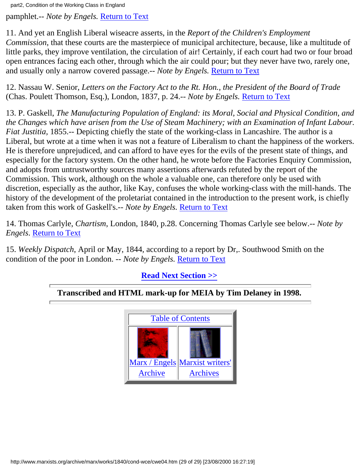pamphlet.-- *Note by Engels.* [Return to Text](#page-35-0)

<span id="page-49-0"></span>11. And yet an English Liberal wiseacre asserts, in the *Report of the Children's Employment Commission*, that these courts are the masterpiece of municipal architecture, because, like a multitude of little parks, they improve ventilation, the circulation of air! Certainly, if each court had two or four broad open entrances facing each other, through which the air could pour; but they never have two, rarely one, and usually only a narrow covered passage.-- *Note by Engels.* [Return to Text](#page-38-0)

<span id="page-49-1"></span>12. Nassau W. Senior, *Letters on the Factory Act to the Rt. Hon., the President of the Board of Trade* (Chas. Poulett Thomson, Esq.), London, 1837, p. 24.-- *Note by Engels.* [Return to Text](#page-42-0)

<span id="page-49-2"></span>13. P. Gaskell, *The Manufacturing Population of England: its Moral, Social and Physical Condition, and the Changes which have arisen from the Use of Steam Machinery; with an Examination of Infant Labour. Fiat Justitia,* 1855.-- Depicting chiefly the state of the working-class in Lancashire. The author is a Liberal, but wrote at a time when it was not a feature of Liberalism to chant the happiness of the workers. He is therefore unprejudiced, and can afford to have eyes for the evils of the present state of things, and especially for the factory system. On the other hand, he wrote before the Factories Enquiry Commission, and adopts from untrustworthy sources many assertions afterwards refuted by the report of the Commission. This work, although on the whole a valuable one, can therefore only be used with discretion, especially as the author, like Kay, confuses the whole working-class with the mill-hands. The history of the development of the proletariat contained in the introduction to the present work, is chiefly taken from this work of Gaskell's.-- *Note by Engels.* [Return to Text](#page-43-0)

<span id="page-49-3"></span>14. Thomas Carlyle, *Chartism*, London, 1840, p.28. Concerning Thomas Carlyle see below.-- *Note by Engels*. [Return to Text](#page-44-0)

<span id="page-49-4"></span>15. *Weekly Dispatch*, April or May, 1844, according to a report by Dr,. Southwood Smith on the condition of the poor in London. -- *Note by Engels.* [Return to Text](#page-47-0)



## **[Read Next Section >>](#page-50-0)**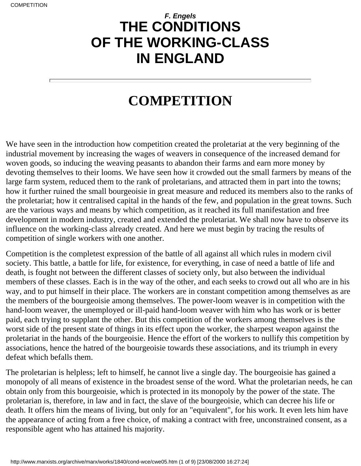## <span id="page-50-0"></span>**F. Engels THE CONDITIONS OF THE WORKING-CLASS IN ENGLAND**

# **COMPETITION**

We have seen in the introduction how competition created the proletariat at the very beginning of the industrial movement by increasing the wages of weavers in consequence of the increased demand for woven goods, so inducing the weaving peasants to abandon their farms and earn more money by devoting themselves to their looms. We have seen how it crowded out the small farmers by means of the large farm system, reduced them to the rank of proletarians, and attracted them in part into the towns; how it further ruined the small bourgeoisie in great measure and reduced its members also to the ranks of the proletariat; how it centralised capital in the hands of the few, and population in the great towns. Such are the various ways and means by which competition, as it reached its full manifestation and free development in modern industry, created and extended the proletariat. We shall now have to observe its influence on the working-class already created. And here we must begin by tracing the results of competition of single workers with one another.

Competition is the completest expression of the battle of all against all which rules in modern civil society. This battle, a battle for life, for existence, for everything, in case of need a battle of life and death, is fought not between the different classes of society only, but also between the individual members of these classes. Each is in the way of the other, and each seeks to crowd out all who are in his way, and to put himself in their place. The workers are in constant competition among themselves as are the members of the bourgeoisie among themselves. The power-loom weaver is in competition with the hand-loom weaver, the unemployed or ill-paid hand-loom weaver with him who has work or is better paid, each trying to supplant the other. But this competition of the workers among themselves is the worst side of the present state of things in its effect upon the worker, the sharpest weapon against the proletariat in the hands of the bourgeoisie. Hence the effort of the workers to nullify this competition by associations, hence the hatred of the bourgeoisie towards these associations, and its triumph in every defeat which befalls them.

The proletarian is helpless; left to himself, he cannot live a single day. The bourgeoisie has gained a monopoly of all means of existence in the broadest sense of the word. What the proletarian needs, he can obtain only from this bourgeoisie, which is protected in its monopoly by the power of the state. The proletarian is, therefore, in law and in fact, the slave of the bourgeoisie, which can decree his life or death. It offers him the means of living, but only for an "equivalent", for his work. It even lets him have the appearance of acting from a free choice, of making a contract with free, unconstrained consent, as a responsible agent who has attained his majority.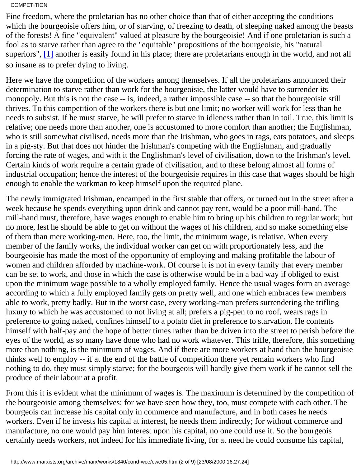Fine freedom, where the proletarian has no other choice than that of either accepting the conditions which the bourgeoisie offers him, or of starving, of freezing to death, of sleeping naked among the beasts of the forests! A fine "equivalent" valued at pleasure by the bourgeoisie! And if one proletarian is such a fool as to starve rather than agree to the "equitable" propositions of the bourgeoisie, his "natural superiors", [\[1\]](#page-57-0) another is easily found in his place; there are proletarians enough in the world, and not all so insane as to prefer dying to living.

<span id="page-51-0"></span>Here we have the competition of the workers among themselves. If all the proletarians announced their determination to starve rather than work for the bourgeoisie, the latter would have to surrender its monopoly. But this is not the case -- is, indeed, a rather impossible case -- so that the bourgeoisie still thrives. To this competition of the workers there is but one limit; no worker will work for less than he needs to subsist. If he must starve, he will prefer to starve in idleness rather than in toil. True, this limit is relative; one needs more than another, one is accustomed to more comfort than another; the Englishman, who is still somewhat civilised, needs more than the Irishman, who goes in rags, eats potatoes, and sleeps in a pig-sty. But that does not hinder the Irishman's competing with the Englishman, and gradually forcing the rate of wages, and with it the Englishman's level of civilisation, down to the Irishman's level. Certain kinds of work require a certain grade of civilisation, and to these belong almost all forms of industrial occupation; hence the interest of the bourgeoisie requires in this case that wages should be high enough to enable the workman to keep himself upon the required plane.

The newly immigrated Irishman, encamped in the first stable that offers, or turned out in the street after a week because he spends everything upon drink and cannot pay rent, would be a poor mill-hand. The mill-hand must, therefore, have wages enough to enable him to bring up his children to regular work; but no more, lest he should be able to get on without the wages of his children, and so make something else of them than mere working-men. Here, too, the limit, the minimum wage, is relative. When every member of the family works, the individual worker can get on with proportionately less, and the bourgeoisie has made the most of the opportunity of employing and making profitable the labour of women and children afforded by machine-work. Of course it is not in every family that every member can be set to work, and those in which the case is otherwise would be in a bad way if obliged to exist upon the minimum wage possible to a wholly employed family. Hence the usual wages form an average according to which a fully employed family gets on pretty well, and one which embraces few members able to work, pretty badly. But in the worst case, every working-man prefers surrendering the trifling luxury to which he was accustomed to not living at all; prefers a pig-pen to no roof, wears rags in preference to going naked, confines himself to a potato diet in preference to starvation. He contents himself with half-pay and the hope of better times rather than be driven into the street to perish before the eyes of the world, as so many have done who had no work whatever. This trifle, therefore, this something more than nothing, is the minimum of wages. And if there are more workers at hand than the bourgeoisie thinks well to employ -- if at the end of the battle of competition there yet remain workers who find nothing to do, they must simply starve; for the bourgeois will hardly give them work if he cannot sell the produce of their labour at a profit.

From this it is evident what the minimum of wages is. The maximum is determined by the competition of the bourgeoisie among themselves; for we have seen how they, too, must compete with each other. The bourgeois can increase his capital only in commerce and manufacture, and in both cases he needs workers. Even if he invests his capital at interest, he needs them indirectly; for without commerce and manufacture, no one would pay him interest upon his capital, no one could use it. So the bourgeois certainly needs workers, not indeed for his immediate living, for at need he could consume his capital,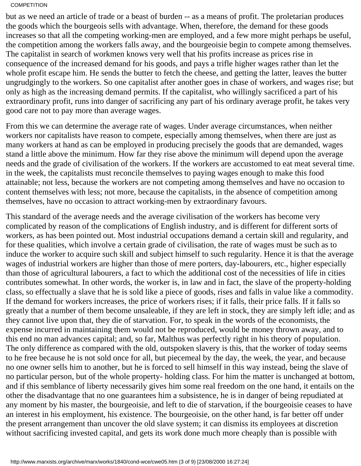but as we need an article of trade or a beast of burden -- as a means of profit. The proletarian produces the goods which the bourgeois sells with advantage. When, therefore, the demand for these goods increases so that all the competing working-men are employed, and a few more might perhaps be useful, the competition among the workers falls away, and the bourgeoisie begin to compete among themselves. The capitalist in search of workmen knows very well that his profits increase as prices rise in consequence of the increased demand for his goods, and pays a trifle higher wages rather than let the whole profit escape him. He sends the butter to fetch the cheese, and getting the latter, leaves the butter ungrudgingly to the workers. So one capitalist after another goes in chase of workers, and wages rise; but only as high as the increasing demand permits. If the capitalist, who willingly sacrificed a part of his extraordinary profit, runs into danger of sacrificing any part of his ordinary average profit, he takes very good care not to pay more than average wages.

From this we can determine the average rate of wages. Under average circumstances, when neither workers nor capitalists have reason to compete, especially among themselves, when there are just as many workers at hand as can be employed in producing precisely the goods that are demanded, wages stand a little above the minimum. How far they rise above the minimum will depend upon the average needs and the grade of civilisation of the workers. If the workers are accustomed to eat meat several time. in the week, the capitalists must reconcile themselves to paying wages enough to make this food attainable; not less, because the workers are not competing among themselves and have no occasion to content themselves with less; not more, because the capitalists, in the absence of competition among themselves, have no occasion to attract working-men by extraordinary favours.

This standard of the average needs and the average civilisation of the workers has become very complicated by reason of the complications of English industry, and is different for different sorts of workers, as has been pointed out. Most industrial occupations demand a certain skill and regularity, and for these qualities, which involve a certain grade of civilisation, the rate of wages must be such as to induce the worker to acquire such skill and subject himself to such regularity. Hence it is that the average wages of industrial workers are higher than those of mere porters, day-labourers, etc., higher especially than those of agricultural labourers, a fact to which the additional cost of the necessities of life in cities contributes somewhat. In other words, the worker is, in law and in fact, the slave of the property-holding class, so effectually a slave that he is sold like a piece of goods, rises and falls in value like a commodity. If the demand for workers increases, the price of workers rises; if it falls, their price falls. If it falls so greatly that a number of them become unsaleable, if they are left in stock, they are simply left idle; and as they cannot live upon that, they die of starvation. For, to speak in the words of the economists, the expense incurred in maintaining them would not be reproduced, would be money thrown away, and to this end no man advances capital; and, so far, Malthus was perfectly right in his theory of population. The only difference as compared with the old, outspoken slavery is this, that the worker of today seems to he free because he is not sold once for all, but piecemeal by the day, the week, the year, and because no one owner sells him to another, but he is forced to sell himself in this way instead, being the slave of no particular person, but of the whole property- holding class. For him the matter is unchanged at bottom, and if this semblance of liberty necessarily gives him some real freedom on the one hand, it entails on the other the disadvantage that no one guarantees him a subsistence, he is in danger of being repudiated at any moment by his master, the bourgeoisie, and left to die of starvation, if the bourgeoisie ceases to have an interest in his employment, his existence. The bourgeoisie, on the other hand, is far better off under the present arrangement than uncover the old slave system; it can dismiss its employees at discretion without sacrificing invested capital, and gets its work done much more cheaply than is possible with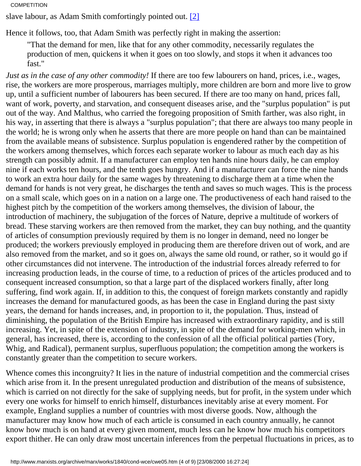slave labour, as Adam Smith comfortingly pointed out. [\[2\]](#page-57-1)

<span id="page-53-0"></span>Hence it follows, too, that Adam Smith was perfectly right in making the assertion:

"That the demand for men, like that for any other commodity, necessarily regulates the production of men, quickens it when it goes on too slowly, and stops it when it advances too fast."

*Just as in the case of any other commodity!* If there are too few labourers on hand, prices, i.e., wages, rise, the workers are more prosperous, marriages multiply, more children are born and more live to grow up, until a sufficient number of labourers has been secured. If there are too many on hand, prices fall, want of work, poverty, and starvation, and consequent diseases arise, and the "surplus population" is put out of the way. And Malthus, who carried the foregoing proposition of Smith farther, was also right, in his way, in asserting that there is always a "surplus population"; that there are always too many people in the world; he is wrong only when he asserts that there are more people on hand than can be maintained from the available means of subsistence. Surplus population is engendered rather by the competition of the workers among themselves, which forces each separate worker to labour as much each day as his strength can possibly admit. If a manufacturer can employ ten hands nine hours daily, he can employ nine if each works ten hours, and the tenth goes hungry. And if a manufacturer can force the nine hands to work an extra hour daily for the same wages by threatening to discharge them at a time when the demand for hands is not very great, he discharges the tenth and saves so much wages. This is the process on a small scale, which goes on in a nation on a large one. The productiveness of each hand raised to the highest pitch by the competition of the workers among themselves, the division of labour, the introduction of machinery, the subjugation of the forces of Nature, deprive a multitude of workers of bread. These starving workers are then removed from the market, they can buy nothing, and the quantity of articles of consumption previously required by them is no longer in demand, need no longer be produced; the workers previously employed in producing them are therefore driven out of work, and are also removed from the market, and so it goes on, always the same old round, or rather, so it would go if other circumstances did not intervene. The introduction of the industrial forces already referred to for increasing production leads, in the course of time, to a reduction of prices of the articles produced and to consequent increased consumption, so that a large part of the displaced workers finally, after long suffering, find work again. If, in addition to this, the conquest of foreign markets constantly and rapidly increases the demand for manufactured goods, as has been the case in England during the past sixty years, the demand for hands increases, and, in proportion to it, the population. Thus, instead of diminishing, the population of the British Empire has increased with extraordinary rapidity, and is still increasing. Yet, in spite of the extension of industry, in spite of the demand for working-men which, in general, has increased, there is, according to the confession of all the official political parties (Tory, Whig, and Radical), permanent surplus, superfluous population; the competition among the workers is constantly greater than the competition to secure workers.

Whence comes this incongruity? It lies in the nature of industrial competition and the commercial crises which arise from it. In the present unregulated production and distribution of the means of subsistence, which is carried on not directly for the sake of supplying needs, but for profit, in the system under which every one works for himself to enrich himself, disturbances inevitably arise at every moment. For example, England supplies a number of countries with most diverse goods. Now, although the manufacturer may know how much of each article is consumed in each country annually, he cannot know how much is on hand at every given moment, much less can he know how much his competitors export thither. He can only draw most uncertain inferences from the perpetual fluctuations in prices, as to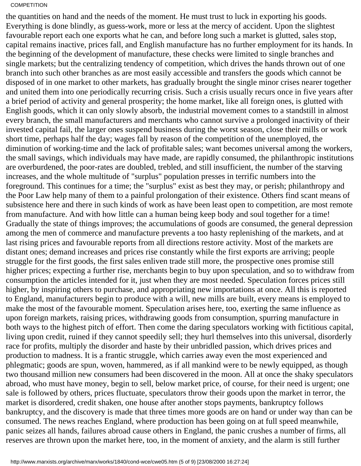the quantities on hand and the needs of the moment. He must trust to luck in exporting his goods. Everything is done blindly, as guess-work, more or less at the mercy of accident. Upon the slightest favourable report each one exports what he can, and before long such a market is glutted, sales stop, capital remains inactive, prices fall, and English manufacture has no further employment for its hands. In the beginning of the development of manufacture, these checks were limited to single branches and single markets; but the centralizing tendency of competition, which drives the hands thrown out of one branch into such other branches as are most easily accessible and transfers the goods which cannot be disposed of in one market to other markets, has gradually brought the single minor crises nearer together and united them into one periodically recurring crisis. Such a crisis usually recurs once in five years after a brief period of activity and general prosperity; the home market, like all foreign ones, is glutted with English goods, which it can only slowly absorb, the industrial movement comes to a standstill in almost every branch, the small manufacturers and merchants who cannot survive a prolonged inactivity of their invested capital fail, the larger ones suspend business during the worst season, close their mills or work short time, perhaps half the day; wages fall by reason of the competition of the unemployed, the diminution of working-time and the lack of profitable sales; want becomes universal among the workers, the small savings, which individuals may have made, are rapidly consumed, the philanthropic institutions are overburdened, the poor-rates are doubled, trebled, and still insufficient, the number of the starving increases, and the whole multitude of "surplus" population presses in terrific numbers into the foreground. This continues for a time; the "surplus" exist as best they may, or perish; philanthropy and the Poor Law help many of them to a painful prolongation of their existence. Others find scant means of subsistence here and there in such kinds of work as have been least open to competition, are most remote from manufacture. And with how little can a human being keep body and soul together for a time! Gradually the state of things improves; the accumulations of goods are consumed, the general depression among the men of commerce and manufacture prevents a too hasty replenishing of the markets, and at last rising prices and favourable reports from all directions restore activity. Most of the markets are distant ones; demand increases and prices rise constantly while the first exports are arriving; people struggle for the first goods, the first sales enliven trade still more, the prospective ones promise still higher prices; expecting a further rise, merchants begin to buy upon speculation, and so to withdraw from consumption the articles intended for it, just when they are most needed. Speculation forces prices still higher, by inspiring others to purchase, and appropriating new importations at once. All this is reported to England, manufacturers begin to produce with a will, new mills are built, every means is employed to make the most of the favourable moment. Speculation arises here, too, exerting the same influence as upon foreign markets, raising prices, withdrawing goods from consumption, spurring manufacture in both ways to the highest pitch of effort. Then come the daring speculators working with fictitious capital, living upon credit, ruined if they cannot speedily sell; they hurl themselves into this universal, disorderly race for profits, multiply the disorder and haste by their unbridled passion, which drives prices and production to madness. It is a frantic struggle, which carries away even the most experienced and phlegmatic; goods are spun, woven, hammered, as if all mankind were to be newly equipped, as though two thousand million new consumers had been discovered in the moon. All at once the shaky speculators abroad, who must have money, begin to sell, below market price, of course, for their need is urgent; one sale is followed by others, prices fluctuate, speculators throw their goods upon the market in terror, the market is disordered, credit shaken, one house after another stops payments, bankruptcy follows bankruptcy, and the discovery is made that three times more goods are on hand or under way than can be consumed. The news reaches England, where production has been going on at full speed meanwhile, panic seizes all hands, failures abroad cause others in England, the panic crushes a number of firms, all reserves are thrown upon the market here, too, in the moment of anxiety, and the alarm is still further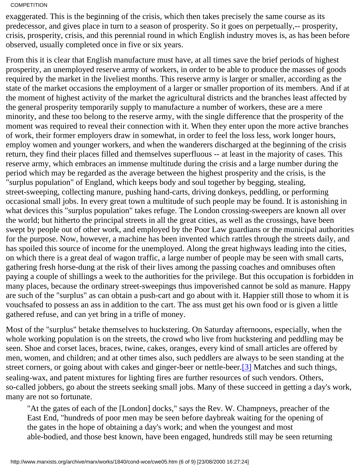exaggerated. This is the beginning of the crisis, which then takes precisely the same course as its predecessor, and gives place in turn to a season of prosperity. So it goes on perpetually,-- prosperity, crisis, prosperity, crisis, and this perennial round in which English industry moves is, as has been before observed, usually completed once in five or six years.

From this it is clear that English manufacture must have, at all times save the brief periods of highest prosperity, an unemployed reserve army of workers, in order to be able to produce the masses of goods required by the market in the liveliest months. This reserve army is larger or smaller, according as the state of the market occasions the employment of a larger or smaller proportion of its members. And if at the moment of highest activity of the market the agricultural districts and the branches least affected by the general prosperity temporarily supply to manufacture a number of workers, these are a mere minority, and these too belong to the reserve army, with the single difference that the prosperity of the moment was required to reveal their connection with it. When they enter upon the more active branches of work, their former employers draw in somewhat, in order to feel the loss less, work longer hours, employ women and younger workers, and when the wanderers discharged at the beginning of the crisis return, they find their places filled and themselves superfluous -- at least in the majority of cases. This reserve army, which embraces an immense multitude during the crisis and a large number during the period which may be regarded as the average between the highest prosperity and the crisis, is the "surplus population" of England, which keeps body and soul together by begging, stealing, street-sweeping, collecting manure, pushing hand-carts, driving donkeys, peddling, or performing occasional small jobs. In every great town a multitude of such people may be found. It is astonishing in what devices this "surplus population" takes refuge. The London crossing-sweepers are known all over the world; but hitherto the principal streets in all the great cities, as well as the crossings, have been swept by people out of other work, and employed by the Poor Law guardians or the municipal authorities for the purpose. Now, however, a machine has been invented which rattles through the streets daily, and has spoiled this source of income for the unemployed. Along the great highways leading into the cities, on which there is a great deal of wagon traffic, a large number of people may be seen with small carts, gathering fresh horse-dung at the risk of their lives among the passing coaches and omnibuses often paying a couple of shillings a week to the authorities for the privilege. But this occupation is forbidden in many places, because the ordinary street-sweepings thus impoverished cannot be sold as manure. Happy are such of the "surplus" as can obtain a push-cart and go about with it. Happier still those to whom it is vouchsafed to possess an ass in addition to the cart. The ass must get his own food or is given a little gathered refuse, and can yet bring in a trifle of money.

<span id="page-55-0"></span>Most of the "surplus" betake themselves to huckstering. On Saturday afternoons, especially, when the whole working population is on the streets, the crowd who live from huckstering and peddling may be seen. Shoe and corset laces, braces, twine, cakes, oranges, every kind of small articles are offered by men, women, and children; and at other times also, such peddlers are always to be seen standing at the street corners, or going about with cakes and ginger-beer or nettle-beer.<sup>[3]</sup> Matches and such things, sealing-wax, and patent mixtures for lighting fires are further resources of such vendors. Others, so-called jobbers, go about the streets seeking small jobs. Many of these succeed in getting a day's work, many are not so fortunate.

"At the gates of each of the [London] docks," says the Rev. W. Champneys, preacher of the East End, "hundreds of poor men may be seen before daybreak waiting for the opening of the gates in the hope of obtaining a day's work; and when the youngest and most able-bodied, and those best known, have been engaged, hundreds still may be seen returning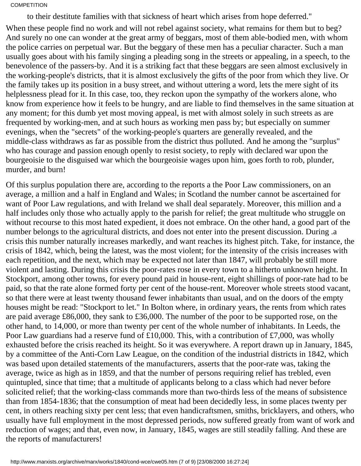to their destitute families with that sickness of heart which arises from hope deferred."

When these people find no work and will not rebel against society, what remains for them but to beg? And surely no one can wonder at the great army of beggars, most of them able-bodied men, with whom the police carries on perpetual war. But the beggary of these men has a peculiar character. Such a man usually goes about with his family singing a pleading song in the streets or appealing, in a speech, to the benevolence of the passers-by. And it is a striking fact that these beggars are seen almost exclusively in the working-people's districts, that it is almost exclusively the gifts of the poor from which they live. Or the family takes up its position in a busy street, and without uttering a word, lets the mere sight of its helplessness plead for it. In this case, too, they reckon upon the sympathy of the workers alone, who know from experience how it feels to be hungry, and are liable to find themselves in the same situation at any moment; for this dumb yet most moving appeal, is met with almost solely in such streets as are frequented by working-men, and at such hours as working men pass by; but especially on summer evenings, when the "secrets" of the working-people's quarters are generally revealed, and the middle-class withdraws as far as possible from the district thus polluted. And he among the "surplus" who has courage and passion enough openly to resist society, to reply with declared war upon the bourgeoisie to the disguised war which the bourgeoisie wages upon him, goes forth to rob, plunder, murder, and burn!

Of this surplus population there are, according to the reports a the Poor Law commissioners, on an average, a million and a half in England and Wales; in Scotland the number cannot be ascertained for want of Poor Law regulations, and with Ireland we shall deal separately. Moreover, this million and a half includes only those who actually apply to the parish for relief; the great multitude who struggle on without recourse to this most hated expedient, it does not embrace. On the other hand, a good part of the number belongs to the agricultural districts, and does not enter into the present discussion. During .a crisis this number naturally increases markedly, and want reaches its highest pitch. Take, for instance, the crisis of 1842, which, being the latest, was the most violent; for the intensity of the crisis increases with each repetition, and the next, which may be expected not later than 1847, will probably be still more violent and lasting. During this crisis the poor-rates rose in every town to a hitherto unknown height. In Stockport, among other towns, for every pound paid in house-rent, eight shillings of poor-rate had to be paid, so that the rate alone formed forty per cent of the house-rent. Moreover whole streets stood vacant, so that there were at least twenty thousand fewer inhabitants than usual, and on the doors of the empty houses might be read: "Stockport to let." In Bolton where, in ordinary years, the rents from which rates are paid average £86,000, they sank to £36,000. The number of the poor to be supported rose, on the other hand, to 14,000, or more than twenty per cent of the whole number of inhabitants. In Leeds, the Poor Law guardians had a reserve fund of £10,000. This, with a contribution of £7,000, was wholly exhausted before the crisis reached its height. So it was everywhere. A report drawn up in January, 1845, by a committee of the Anti-Corn Law League, on the condition of the industrial districts in 1842, which was based upon detailed statements of the manufacturers, asserts that the poor-rate was, taking the average, twice as high as in 1859, and that the number of persons requiring relief has trebled, even quintupled, since that time; that a multitude of applicants belong to a class which had never before solicited relief; that the working-class commands more than two-thirds less of the means of subsistence than from 1854-1836; that the consumption of meat had been decidedly less, in some places twenty per cent, in others reaching sixty per cent less; that even handicraftsmen, smiths, bricklayers, and others, who usually have full employment in the most depressed periods, now suffered greatly from want of work and reduction of wages; and that, even now, in January, 1845, wages are still steadily falling. And these are the reports of manufacturers!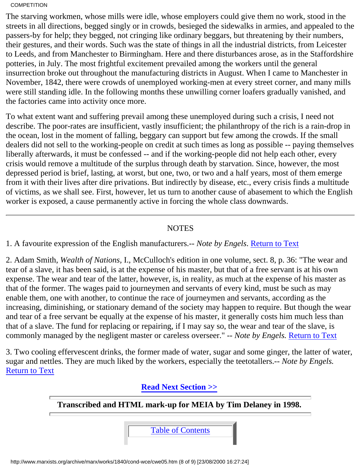The starving workmen, whose mills were idle, whose employers could give them no work, stood in the streets in all directions, begged singly or in crowds, besieged the sidewalks in armies, and appealed to the passers-by for help; they begged, not cringing like ordinary beggars, but threatening by their numbers, their gestures, and their words. Such was the state of things in all the industrial districts, from Leicester to Leeds, and from Manchester to Birmingham. Here and there disturbances arose, as in the Staffordshire potteries, in July. The most frightful excitement prevailed among the workers until the general insurrection broke out throughout the manufacturing districts in August. When I came to Manchester in November, 1842, there were crowds of unemployed working-men at every street corner, and many mills were still standing idle. In the following months these unwilling corner loafers gradually vanished, and the factories came into activity once more.

To what extent want and suffering prevail among these unemployed during such a crisis, I need not describe. The poor-rates are insufficient, vastly insufficient; the philanthropy of the rich is a rain-drop in the ocean, lost in the moment of falling, beggary can support but few among the crowds. If the small dealers did not sell to the working-people on credit at such times as long as possible -- paying themselves liberally afterwards, it must be confessed -- and if the working-people did not help each other, every crisis would remove a multitude of the surplus through death by starvation. Since, however, the most depressed period is brief, lasting, at worst, but one, two, or two and a half years, most of them emerge from it with their lives after dire privations. But indirectly by disease, etc., every crisis finds a multitude of victims, as we shall see. First, however, let us turn to another cause of abasement to which the English worker is exposed, a cause permanently active in forcing the whole class downwards.

## **NOTES**

<span id="page-57-0"></span>1. A favourite expression of the English manufacturers.-- *Note by Engels*. [Return to Text](#page-51-0)

<span id="page-57-1"></span>2. Adam Smith, *Wealth of Nations,* I., McCulloch's edition in one volume, sect. 8, p. 36: "The wear and tear of a slave, it has been said, is at the expense of his master, but that of a free servant is at his own expense. The wear and tear of the latter, however, is, in reality, as much at the expense of his master as that of the former. The wages paid to journeymen and servants of every kind, must be such as may enable them, one with another, to continue the race of journeymen and servants, according as the increasing, diminishing, or stationary demand of the society may happen to require. But though the wear and tear of a free servant be equally at the expense of his master, it generally costs him much less than that of a slave. The fund for replacing or repairing, if I may say so, the wear and tear of the slave, is commonly managed by the negligent master or careless overseer." -- *Note by Engels.* [Return to Text](#page-53-0)

<span id="page-57-2"></span>3. Two cooling effervescent drinks, the former made of water, sugar and some ginger, the latter of water, sugar and nettles. They are much liked by the workers, especially the teetotallers.-- *Note by Engels.* [Return to Text](#page-55-0)

## **[Read Next Section >>](#page-59-0)**

**Transcribed and HTML mark-up for MEIA by Tim Delaney in 1998.**

[Table of Contents](#page-0-0)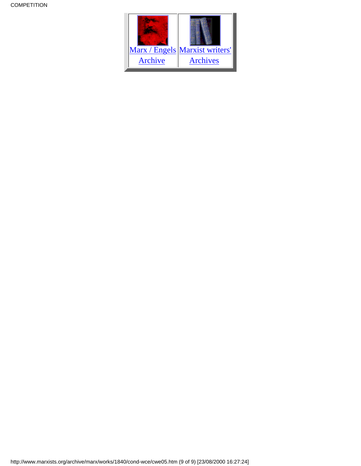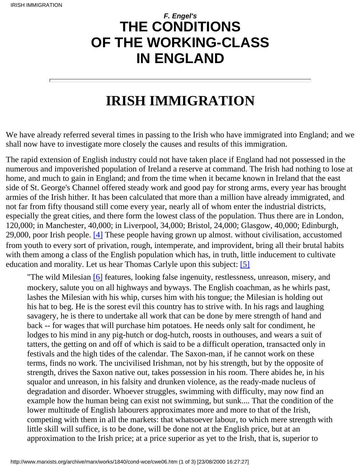## <span id="page-59-0"></span>**F. Engel's THE CONDITIONS OF THE WORKING-CLASS IN ENGLAND**

# **IRISH IMMIGRATION**

We have already referred several times in passing to the Irish who have immigrated into England; and we shall now have to investigate more closely the causes and results of this immigration.

The rapid extension of English industry could not have taken place if England had not possessed in the numerous and impoverished population of Ireland a reserve at command. The Irish had nothing to lose at home, and much to gain in England; and from the time when it became known in Ireland that the east side of St. George's Channel offered steady work and good pay for strong arms, every year has brought armies of the Irish hither. It has been calculated that more than a million have already immigrated, and not far from fifty thousand still come every year, nearly all of whom enter the industrial districts, especially the great cities, and there form the lowest class of the population. Thus there are in London, 120,000; in Manchester, 40,000; in Liverpool, 34,000; Bristol, 24,000; Glasgow, 40,000; Edinburgh, 29,000, poor Irish people. [\[4\]](#page-61-0) These people having grown up almost. without civilisation, accustomed from youth to every sort of privation, rough, intemperate, and improvident, bring all their brutal habits with them among a class of the English population which has, in truth, little inducement to cultivate education and morality. Let us hear Thomas Carlyle upon this subject: [\[5\]](#page-61-1)

<span id="page-59-3"></span><span id="page-59-2"></span><span id="page-59-1"></span>"The wild Milesian [\[6\]](#page-61-2) features, looking false ingenuity, restlessness, unreason, misery, and mockery, salute you on all highways and byways. The English coachman, as he whirls past, lashes the Milesian with his whip, curses him with his tongue; the Milesian is holding out his hat to beg. He is the sorest evil this country has to strive with. In his rags and laughing savagery, he is there to undertake all work that can be done by mere strength of hand and back -- for wages that will purchase him potatoes. He needs only salt for condiment, he lodges to his mind in any pig-hutch or dog-hutch, roosts in outhouses, and wears a suit of tatters, the getting on and off of which is said to be a difficult operation, transacted only in festivals and the high tides of the calendar. The Saxon-man, if he cannot work on these terms, finds no work. The uncivilised Irishman, not by his strength, but by the opposite of strength, drives the Saxon native out, takes possession in his room. There abides he, in his squalor and unreason, in his falsity and drunken violence, as the ready-made nucleus of degradation and disorder. Whoever struggles, swimming with difficulty, may now find an example how the human being can exist not swimming, but sunk.... That the condition of the lower multitude of English labourers approximates more and more to that of the Irish, competing with them in all the markets: that whatsoever labour, to which mere strength with little skill will suffice, is to be done, will be done not at the English price, but at an approximation to the Irish price; at a price superior as yet to the Irish, that is, superior to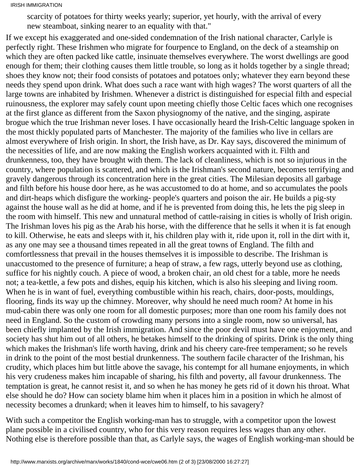## IRISH IMMIGRATION

scarcity of potatoes for thirty weeks yearly; superior, yet hourly, with the arrival of every new steamboat, sinking nearer to an equality with that."

If we except his exaggerated and one-sided condemnation of the Irish national character, Carlyle is perfectly right. These Irishmen who migrate for fourpence to England, on the deck of a steamship on which they are often packed like cattle, insinuate themselves everywhere. The worst dwellings are good enough for them; their clothing causes them little trouble, so long as it holds together by a single thread; shoes they know not; their food consists of potatoes and potatoes only; whatever they earn beyond these needs they spend upon drink. What does such a race want with high wages? The worst quarters of all the large towns are inhabited by Irishmen. Whenever a district is distinguished for especial filth and especial ruinousness, the explorer may safely count upon meeting chiefly those Celtic faces which one recognises at the first glance as different from the Saxon physiognomy of the native, and the singing, aspirate brogue which the true Irishman never loses. I have occasionally heard the Irish-Celtic language spoken in the most thickly populated parts of Manchester. The majority of the families who live in cellars are almost everywhere of Irish origin. In short, the Irish have, as Dr. Kay says, discovered the minimum of the necessities of life, and are now making the English workers acquainted with it. Filth and drunkenness, too, they have brought with them. The lack of cleanliness, which is not so injurious in the country, where population is scattered, and which is the Irishman's second nature, becomes terrifying and gravely dangerous through its concentration here in the great cities. The Milesian deposits all garbage and filth before his house door here, as he was accustomed to do at home, and so accumulates the pools and dirt-heaps which disfigure the working- people's quarters and poison the air. He builds a pig-sty against the house wall as he did at home, and if he is prevented from doing this, he lets the pig sleep in the room with himself. This new and unnatural method of cattle-raising in cities is wholly of Irish origin. The Irishman loves his pig as the Arab his horse, with the difference that he sells it when it is fat enough to kill. Otherwise, he eats and sleeps with it, his children play with it, ride upon it, roll in the dirt with it, as any one may see a thousand times repeated in all the great towns of England. The filth and comfortlessness that prevail in the houses themselves it is impossible to describe. The Irishman is unaccustomed to the presence of furniture; a heap of straw, a few rags, utterly beyond use as clothing, suffice for his nightly couch. A piece of wood, a broken chair, an old chest for a table, more he needs not; a tea-kettle, a few pots and dishes, equip his kitchen, which is also his sleeping and living room. When he is in want of fuel, everything combustible within his reach, chairs, door-posts, mouldings, flooring, finds its way up the chimney. Moreover, why should he need much room? At home in his mud-cabin there was only one room for all domestic purposes; more than one room his family does not need in England. So the custom of crowding many persons into a single room, now so universal, has been chiefly implanted by the Irish immigration. And since the poor devil must have one enjoyment, and society has shut him out of all others, he betakes himself to the drinking of spirits. Drink is the only thing which makes the Irishman's life worth having, drink and his cheery care-free temperament; so he revels in drink to the point of the most bestial drunkenness. The southern facile character of the Irishman, his crudity, which places him but little above the savage, his contempt for all humane enjoyments, in which his very crudeness makes him incapable of sharing, his filth and poverty, all favour drunkenness. The temptation is great, he cannot resist it, and so when he has money he gets rid of it down his throat. What else should he do? How can society blame him when it places him in a position in which he almost of necessity becomes a drunkard; when it leaves him to himself, to his savagery?

With such a competitor the English working-man has to struggle, with a competitor upon the lowest plane possible in a civilised country, who for this very reason requires less wages than any other. Nothing else is therefore possible than that, as Carlyle says, the wages of English working-man should be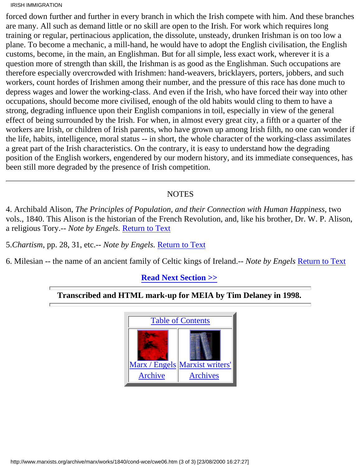## IRISH IMMIGRATION

forced down further and further in every branch in which the Irish compete with him. And these branches are many. All such as demand little or no skill are open to the Irish. For work which requires long training or regular, pertinacious application, the dissolute, unsteady, drunken Irishman is on too low a plane. To become a mechanic, a mill-hand, he would have to adopt the English civilisation, the English customs, become, in the main, an Englishman. But for all simple, less exact work, wherever it is a question more of strength than skill, the Irishman is as good as the Englishman. Such occupations are therefore especially overcrowded with Irishmen: hand-weavers, bricklayers, porters, jobbers, and such workers, count hordes of Irishmen among their number, and the pressure of this race has done much to depress wages and lower the working-class. And even if the Irish, who have forced their way into other occupations, should become more civilised, enough of the old habits would cling to them to have a strong, degrading influence upon their English companions in toil, especially in view of the general effect of being surrounded by the Irish. For when, in almost every great city, a fifth or a quarter of the workers are Irish, or children of Irish parents, who have grown up among Irish filth, no one can wonder if the life, habits, intelligence, moral status -- in short, the whole character of the working-class assimilates a great part of the Irish characteristics. On the contrary, it is easy to understand how the degrading position of the English workers, engendered by our modern history, and its immediate consequences, has been still more degraded by the presence of Irish competition.

## **NOTES**

<span id="page-61-0"></span>4. Archibald Alison, *The Principles of Population, and their Connection with Human Happiness,* two vols., 1840. This Alison is the historian of the French Revolution, and, like his brother, Dr. W. P. Alison, a religious Tory.-- *Note by Engels.* [Return to Text](#page-59-1)

<span id="page-61-1"></span>5.*Chartism*, pp. 28, 31, etc.-- *Note by Engels.* [Return to Text](#page-59-2)

<span id="page-61-2"></span>6. Milesian -- the name of an ancient family of Celtic kings of Ireland.-- *Note by Engels* [Return to Text](#page-59-3)

## **[Read Next Section >>](#page-62-0)**

## **Transcribed and HTML mark-up for MEIA by Tim Delaney in 1998.**

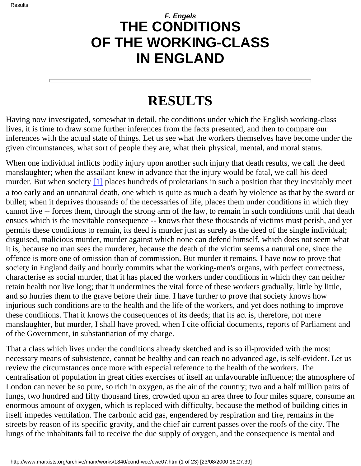## <span id="page-62-0"></span>**F. Engels THE CONDITIONS OF THE WORKING-CLASS IN ENGLAND**

# **RESULTS**

Having now investigated, somewhat in detail, the conditions under which the English working-class lives, it is time to draw some further inferences from the facts presented, and then to compare our inferences with the actual state of things. Let us see what the workers themselves have become under the given circumstances, what sort of people they are, what their physical, mental, and moral status.

When one individual inflicts bodily injury upon another such injury that death results, we call the deed manslaughter; when the assailant knew in advance that the injury would be fatal, we call his deed murder. But when society [1] places hundreds of proletarians in such a position that they inevitably meet a too early and an unnatural death, one which is quite as much a death by violence as that by the sword or bullet; when it deprives thousands of the necessaries of life, places them under conditions in which they cannot live -- forces them, through the strong arm of the law, to remain in such conditions until that death ensues which is the inevitable consequence -- knows that these thousands of victims must perish, and yet permits these conditions to remain, its deed is murder just as surely as the deed of the single individual; disguised, malicious murder, murder against which none can defend himself, which does not seem what it is, because no man sees the murderer, because the death of the victim seems a natural one, since the offence is more one of omission than of commission. But murder it remains. I have now to prove that society in England daily and hourly commits what the working-men's organs, with perfect correctness, characterise as social murder, that it has placed the workers under conditions in which they can neither retain health nor live long; that it undermines the vital force of these workers gradually, little by little, and so hurries them to the grave before their time. I have further to prove that society knows how injurious such conditions are to the health and the life of the workers, and yet does nothing to improve these conditions. That it knows the consequences of its deeds; that its act is, therefore, not mere manslaughter, but murder, I shall have proved, when I cite official documents, reports of Parliament and of the Government, in substantiation of my charge.

That a class which lives under the conditions already sketched and is so ill-provided with the most necessary means of subsistence, cannot be healthy and can reach no advanced age, is self-evident. Let us review the circumstances once more with especial reference to the health of the workers. The centralisation of population in great cities exercises of itself an unfavourable influence; the atmosphere of London can never be so pure, so rich in oxygen, as the air of the country; two and a half million pairs of lungs, two hundred and fifty thousand fires, crowded upon an area three to four miles square, consume an enormous amount of oxygen, which is replaced with difficulty, because the method of building cities in itself impedes ventilation. The carbonic acid gas, engendered by respiration and fire, remains in the streets by reason of its specific gravity, and the chief air current passes over the roofs of the city. The lungs of the inhabitants fail to receive the due supply of oxygen, and the consequence is mental and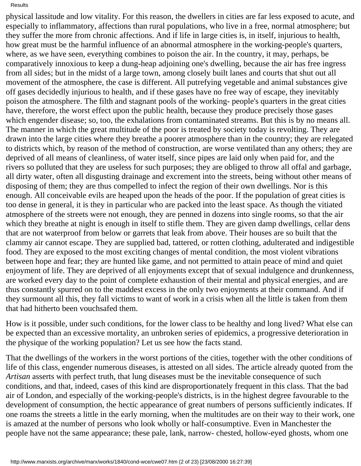physical lassitude and low vitality. For this reason, the dwellers in cities are far less exposed to acute, and especially to inflammatory, affections than rural populations, who live in a free, normal atmosphere; but they suffer the more from chronic affections. And if life in large cities is, in itself, injurious to health, how great must be the harmful influence of an abnormal atmosphere in the working-people's quarters, where, as we have seen, everything combines to poison the air. In the country, it may, perhaps, be comparatively innoxious to keep a dung-heap adjoining one's dwelling, because the air has free ingress from all sides; but in the midst of a large town, among closely built lanes and courts that shut out all movement of the atmosphere, the case is different. All putrefying vegetable and animal substances give off gases decidedly injurious to health, and if these gases have no free way of escape, they inevitably poison the atmosphere. The filth and stagnant pools of the working- people's quarters in the great cities have, therefore, the worst effect upon the public health, because they produce precisely those gases which engender disease; so, too, the exhalations from contaminated streams. But this is by no means all. The manner in which the great multitude of the poor is treated by society today is revolting. They are drawn into the large cities where they breathe a poorer atmosphere than in the country; they are relegated to districts which, by reason of the method of construction, are worse ventilated than any others; they are deprived of all means of cleanliness, of water itself, since pipes are laid only when paid for, and the rivers so polluted that they are useless for such purposes; they are obliged to throw all offal and garbage, all dirty water, often all disgusting drainage and excrement into the streets, being without other means of disposing of them; they are thus compelled to infect the region of their own dwellings. Nor is this enough. All conceivable evils are heaped upon the heads of the poor. If the population of great cities is too dense in general, it is they in particular who are packed into the least space. As though the vitiated atmosphere of the streets were not enough, they are penned in dozens into single rooms, so that the air which they breathe at night is enough in itself to stifle them. They are given damp dwellings, cellar dens that are not waterproof from below or garrets that leak from above. Their houses are so built that the clammy air cannot escape. They are supplied bad, tattered, or rotten clothing, adulterated and indigestible food. They are exposed to the most exciting changes of mental condition, the most violent vibrations between hope and fear; they are hunted like game, and not permitted to attain peace of mind and quiet enjoyment of life. They are deprived of all enjoyments except that of sexual indulgence and drunkenness, are worked every day to the point of complete exhaustion of their mental and physical energies, and are thus constantly spurred on to the maddest excess in the only two enjoyments at their command. And if they surmount all this, they fall victims to want of work in a crisis when all the little is taken from them that had hitherto been vouchsafed them.

How is it possible, under such conditions, for the lower class to be healthy and long lived? What else can be expected than an excessive mortality, an unbroken series of epidemics, a progressive deterioration in the physique of the working population? Let us see how the facts stand.

That the dwellings of the workers in the worst portions of the cities, together with the other conditions of life of this class, engender numerous diseases, is attested on all sides. The article already quoted from the *Artisan* asserts with perfect truth, that lung diseases must be the inevitable consequence of such conditions, and that, indeed, cases of this kind are disproportionately frequent in this class. That the bad air of London, and especially of the working-people's districts, is in the highest degree favourable to the development of consumption, the hectic appearance of great numbers of persons sufficiently indicates. If one roams the streets a little in the early morning, when the multitudes are on their way to their work, one is amazed at the number of persons who look wholly or half-consumptive. Even in Manchester the people have not the same appearance; these pale, lank, narrow- chested, hollow-eyed ghosts, whom one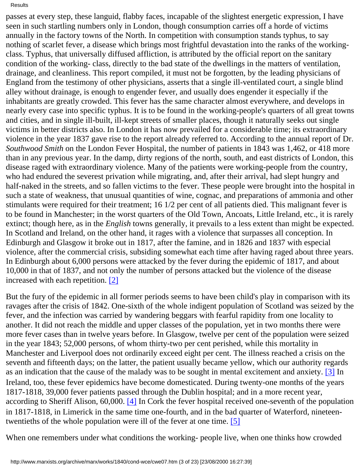passes at every step, these languid, flabby faces, incapable of the slightest energetic expression, I have seen in such startling numbers only in London, though consumption carries off a horde of victims annually in the factory towns of the North. In competition with consumption stands typhus, to say nothing of scarlet fever, a disease which brings most frightful devastation into the ranks of the workingclass. Typhus, that universally diffused affliction, is attributed by the official report on the sanitary condition of the working- class, directly to the bad state of the dwellings in the matters of ventilation, drainage, and cleanliness. This report compiled, it must not be forgotten, by the leading physicians of England from the testimony of other physicians, asserts that a single ill-ventilated court, a single blind alley without drainage, is enough to engender fever, and usually does engender it especially if the inhabitants are greatly crowded. This fever has the same character almost everywhere, and develops in nearly every case into specific typhus. It is to be found in the working-people's quarters of all great towns and cities, and in single ill-built, ill-kept streets of smaller places, though it naturally seeks out single victims in better districts also. In London it has now prevailed for a considerable time; its extraordinary violence in the year 1837 gave rise to the report already referred to. According to the annual report of Dr. *Southwood Smith* on the London Fever Hospital, the number of patients in 1843 was 1,462, or 418 more than in any previous year. In the damp, dirty regions of the north, south, and east districts of London, this disease raged with extraordinary violence. Many of the patients were working-people from the country, who had endured the severest privation while migrating, and, after their arrival, had slept hungry and half-naked in the streets, and so fallen victims to the fever. These people were brought into the hospital in such a state of weakness, that unusual quantities of wine, cognac, and preparations of ammonia and other stimulants were required for their treatment; 16 1/2 per cent of all patients died. This malignant fever is to be found in Manchester; in the worst quarters of the Old Town, Ancoats, Little Ireland, etc., it is rarely extinct; though here, as in the *English* towns generally, it prevails to a less extent than might be expected. In Scotland and Ireland, on the other hand, it rages with a violence that surpasses all conception. In Edinburgh and Glasgow it broke out in 1817, after the famine, and in 1826 and 1837 with especial violence, after the commercial crisis, subsiding somewhat each time after having raged about three years. In Edinburgh about 6,000 persons were attacked by the fever during the epidemic of 1817, and about 10,000 in that of 1837, and not only the number of persons attacked but the violence of the disease increased with each repetition. [2]

But the fury of the epidemic in all former periods seems to have been child's play in comparison with its ravages after the crisis of 1842. One-sixth of the whole indigent population of Scotland was seized by the fever, and the infection was carried by wandering beggars with fearful rapidity from one locality to another. It did not reach the middle and upper classes of the population, yet in two months there were more fever cases than in twelve years before. In Glasgow, twelve per cent of the population were seized in the year 1843; 52,000 persons, of whom thirty-two per cent perished, while this mortality in Manchester and Liverpool does not ordinarily exceed eight per cent. The illness reached a crisis on the seventh and fifteenth days; on the latter, the patient usually became yellow, which our authority regards as an indication that the cause of the malady was to be sought in mental excitement and anxiety. [3] In Ireland, too, these fever epidemics have become domesticated. During twenty-one months of the years 1817-1818, 39,000 fever patients passed through the Dublin hospital; and in a more recent year, according to Sheriff Alison, 60,000. [4] In Cork the fever hospital received one-seventh of the population in 1817-1818, in Limerick in the same time one-fourth, and in the bad quarter of Waterford, nineteentwentieths of the whole population were ill of the fever at one time. [5]

When one remembers under what conditions the working- people live, when one thinks how crowded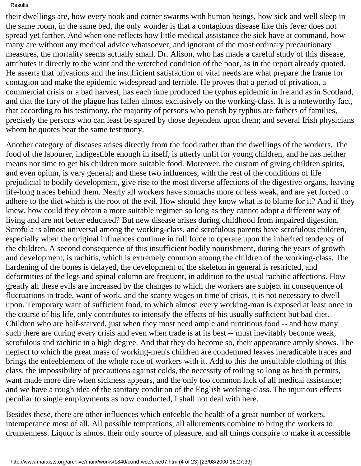their dwellings are, how every nook and corner swarms with human beings, how sick and well sleep in the same room, in the same bed, the only wonder is that a contagious disease like this fever does not spread yet farther. And when one reflects how little medical assistance the sick have at command, how many are without any medical advice whatsoever, and ignorant of the most ordinary precautionary measures, the mortality seems actually small. Dr. Alison, who has made a careful study of this disease, attributes it directly to the want and the wretched condition of the poor, as in the report already quoted. He asserts that privations and the insufficient satisfaction of vital needs are what prepare the frame for contagion and make the epidemic widespread and terrible. He proves that a period of privation, a commercial crisis or a bad harvest, has each time produced the typhus epidemic in Ireland as in Scotland, and that the fury of the plague has fallen almost exclusively on the working-class. It is a noteworthy fact, that according to his testimony, the majority of persons who perish by typhus are fathers of families, precisely the persons who can least be spared by those dependent upon them; and several Irish physicians whom he quotes bear the same testimony.

Another category of diseases arises directly from the food rather than the dwellings of the workers. The food of the labourer, indigestible enough in itself, is utterly unfit for young children, and he has neither means nor time to get his children more suitable food. Moreover, the custom of giving children spirits, and even opium, is very general; and these two influences, with the rest of the conditions of life prejudicial to bodily development, give rise to the most diverse affections of the digestive organs, leaving life-long traces behind them. Nearly all workers have stomachs more or less weak, and are yet forced to adhere to the diet which is the root of the evil. How should they know what is to blame for it? And if they knew, how could they obtain a more suitable regimen so long as they cannot adopt a different way of living and are not better educated? But new disease arises during childhood from impaired digestion. Scrofula is almost universal among the working-class, and scrofulous parents have scrofulous children, especially when the original influences continue in full force to operate upon the inherited tendency of the children. A second consequence of this insufficient bodily nourishment, during the years of growth and development, is rachitis, which is extremely common among the children of the working-class. The hardening of the bones is delayed, the development of the skeleton in general is restricted, and deformities of the legs and spinal column are frequent, in addition to the usual rachitic affections. How greatly all these evils are increased by the changes to which the workers are subject in consequence of fluctuations in trade, want of work, and the scanty wages in time of crisis, it is not necessary to dwell upon. Temporary want of sufficient food, to which almost every working-man is exposed at least once in the course of his life, only contributes to intensify the effects of his usually sufficient but bad diet. Children who are half-starved, just when they most need ample and nutritious food -- and how many such there are during every crisis and even when trade is at its best -- must inevitably become weak, scrofulous and rachitic in a high degree. And that they do become so, their appearance amply shows. The neglect to which the great mass of working-men's children are condemned leaves ineradicable traces and brings the enfeeblement of the whole race of workers with it. Add to this the unsuitable clothing of this class, the impossibility of precautions against colds, the necessity of toiling so long as health permits, want made more dire when sickness appears, and the only too common lack of all medical assistance; and we have a rough idea of the sanitary condition of the English working-class. The injurious effects peculiar to single employments as now conducted, I shall not deal with here.

Besides these, there are other influences which enfeeble the health of a great number of workers, intemperance most of all. All possible temptations, all allurements combine to bring the workers to drunkenness. Liquor is almost their only source of pleasure, and all things conspire to make it accessible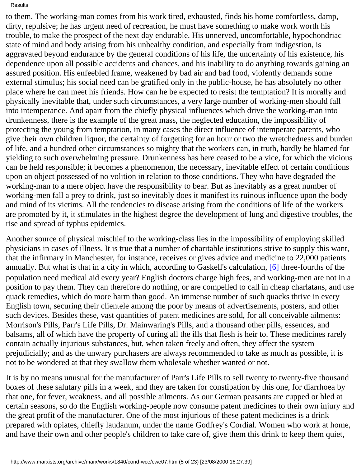to them. The working-man comes from his work tired, exhausted, finds his home comfortless, damp, dirty, repulsive; he has urgent need of recreation, he must have something to make work worth his trouble, to make the prospect of the next day endurable. His unnerved, uncomfortable, hypochondriac state of mind and body arising from his unhealthy condition, and especially from indigestion, is aggravated beyond endurance by the general conditions of his life, the uncertainty of his existence, his dependence upon all possible accidents and chances, and his inability to do anything towards gaining an assured position. His enfeebled frame, weakened by bad air and bad food, violently demands some external stimulus; his social need can be gratified only in the public-house, he has absolutely no other place where he can meet his friends. How can he be expected to resist the temptation? It is morally and physically inevitable that, under such circumstances, a very large number of working-men should fall into intemperance. And apart from the chiefly physical influences which drive the working-man into drunkenness, there is the example of the great mass, the neglected education, the impossibility of protecting the young from temptation, in many cases the direct influence of intemperate parents, who give their own children liquor, the certainty of forgetting for an hour or two the wretchedness and burden of life, and a hundred other circumstances so mighty that the workers can, in truth, hardly be blamed for yielding to such overwhelming pressure. Drunkenness has here ceased to be a vice, for which the vicious can be held responsible; it becomes a phenomenon, the necessary, inevitable effect of certain conditions upon an object possessed of no volition in relation to those conditions. They who have degraded the working-man to a mere object have the responsibility to bear. But as inevitably as a great number of working-men fall a prey to drink, just so inevitably does it manifest its ruinous influence upon the body and mind of its victims. All the tendencies to disease arising from the conditions of life of the workers are promoted by it, it stimulates in the highest degree the development of lung and digestive troubles, the rise and spread of typhus epidemics.

Another source of physical mischief to the working-class lies in the impossibility of employing skilled physicians in cases of illness. It is true that a number of charitable institutions strive to supply this want, that the infirmary in Manchester, for instance, receives or gives advice and medicine to 22,000 patients annually. But what is that in a city in which, according to Gaskell's calculation, [6] three-fourths of the population need medical aid every year? English doctors charge high fees, and working-men are not in a position to pay them. They can therefore do nothing, or are compelled to call in cheap charlatans, and use quack remedies, which do more harm than good. An immense number of such quacks thrive in every English town, securing their clientele among the poor by means of advertisements, posters, and other such devices. Besides these, vast quantities of patent medicines are sold, for all conceivable ailments: Morrison's Pills, Parr's Life Pills, Dr. Mainwaring's Pills, and a thousand other pills, essences, and balsams, all of which have the property of curing all the ills that flesh is heir to. These medicines rarely contain actually injurious substances, but, when taken freely and often, they affect the system prejudicially; and as the unwary purchasers are always recommended to take as much as possible, it is not to be wondered at that they swallow them wholesale whether wanted or not.

It is by no means unusual for the manufacturer of Parr's Life Pills to sell twenty to twenty-five thousand boxes of these salutary pills in a week, and they are taken for constipation by this one, for diarrhoea by that one, for fever, weakness, and all possible ailments. As our German peasants are cupped or bled at certain seasons, so do the English working-people now consume patent medicines to their own injury and the great profit of the manufacturer. One of the most injurious of these patent medicines is a drink prepared with opiates, chiefly laudanum, under the name Godfrey's Cordial. Women who work at home, and have their own and other people's children to take care of, give them this drink to keep them quiet,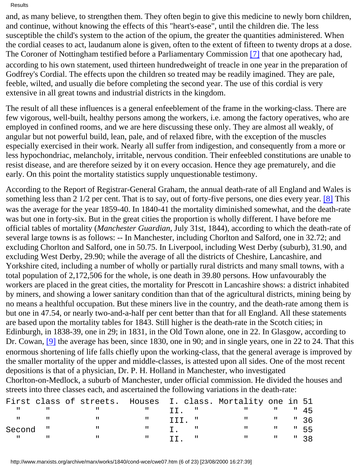and, as many believe, to strengthen them. They often begin to give this medicine to newly born children, and continue, without knowing the effects of this "heart's-ease", until the children die. The less susceptible the child's system to the action of the opium, the greater the quantities administered. When the cordial ceases to act, laudanum alone is given, often to the extent of fifteen to twenty drops at a dose. The Coroner of Nottingham testified before a Parliamentary Commission [7] that one apothecary had, according to his own statement, used thirteen hundredweight of treacle in one year in the preparation of Godfrey's Cordial. The effects upon the children so treated may be readily imagined. They are pale, feeble, wilted, and usually die before completing the second year. The use of this cordial is very extensive in all great towns and industrial districts in the kingdom.

The result of all these influences is a general enfeeblement of the frame in the working-class. There are few vigorous, well-built, healthy persons among the workers, i.e. among the factory operatives, who are employed in confined rooms, and we are here discussing these only. They are almost all weakly, of angular but not powerful build, lean, pale, and of relaxed fibre, with the exception of the muscles especially exercised in their work. Nearly all suffer from indigestion, and consequently from a more or less hypochondriac, melancholy, irritable, nervous condition. Their enfeebled constitutions are unable to resist disease, and are therefore seized by it on every occasion. Hence they age prematurely, and die early. On this point the mortality statistics supply unquestionable testimony.

According to the Report of Registrar-General Graham, the annual death-rate of all England and Wales is something less than 2 1/2 per cent. That is to say, out of forty-five persons, one dies every year. [8] This was the average for the year 1859-40. In 1840-41 the mortality diminished somewhat, and the death-rate was but one in forty-six. But in the great cities the proportion is wholly different. I have before me official tables of mortality (*Manchester Guardian*, July 31st, 1844), according to which the death-rate of several large towns is as follows: -- In Manchester, including Chorlton and Salford, one in 32.72; and excluding Chorlton and Salford, one in 50.75. In Liverpool, including West Derby (suburb), 31.90, and excluding West Derby, 29.90; while the average of all the districts of Cheshire, Lancashire, and Yorkshire cited, including a number of wholly or partially rural districts and many small towns, with a total population of 2,172,506 for the whole, is one death in 39.80 persons. How unfavourably the workers are placed in the great cities, the mortality for Prescott in Lancashire shows: a district inhabited by miners, and showing a lower sanitary condition than that of the agricultural districts, mining being by no means a healthful occupation. But these miners live in the country, and the death-rate among them is but one in 47.54, or nearly two-and-a-half per cent better than that for all England. All these statements are based upon the mortality tables for 1843. Still higher is the death-rate in the Scotch cities; in Edinburgh, in 1838-39, one in 29; in 1831, in the Old Town alone, one in 22. In Glasgow, according to Dr. Cowan, <sup>[9]</sup> the average has been, since 1830, one in 90; and in single years, one in 22 to 24. That this enormous shortening of life falls chiefly upon the working-class, that the general average is improved by the smaller mortality of the upper and middle-classes, is attested upon all sides. One of the most recent depositions is that of a physician, Dr. P. H. Holland in Manchester, who investigated Chorlton-on-Medlock, a suburb of Manchester, under official commission. He divided the houses and streets into three classes each, and ascertained the following variations in the death-rate:

|          |                               | First class of streets. Houses I. class. Mortality one in 51 |                                                                                           |  |                                                                                                                                                                                                                                                                                                                                    |  |  |
|----------|-------------------------------|--------------------------------------------------------------|-------------------------------------------------------------------------------------------|--|------------------------------------------------------------------------------------------------------------------------------------------------------------------------------------------------------------------------------------------------------------------------------------------------------------------------------------|--|--|
|          |                               |                                                              |                                                                                           |  | " II. " " " 45                                                                                                                                                                                                                                                                                                                     |  |  |
|          | $\mathbf{u}$ and $\mathbf{u}$ |                                                              | " III. "                                                                                  |  | " " " " 36"                                                                                                                                                                                                                                                                                                                        |  |  |
| Second " |                               |                                                              | $"$ $I.$ $"$                                                                              |  | $\mathbb{I}$ $\mathbb{I}$ $\mathbb{I}$ $\mathbb{I}$ $\mathbb{I}$ $\mathbb{I}$ $\mathbb{I}$ $\mathbb{I}$ $\mathbb{I}$ $\mathbb{I}$ $\mathbb{I}$ $\mathbb{I}$ $\mathbb{I}$ $\mathbb{I}$ $\mathbb{I}$ $\mathbb{I}$ $\mathbb{I}$ $\mathbb{I}$ $\mathbb{I}$ $\mathbb{I}$ $\mathbb{I}$ $\mathbb{I}$ $\mathbb{I}$ $\mathbb{I}$ $\mathbb{$ |  |  |
|          |                               |                                                              | $\blacksquare$ $\blacksquare$ $\blacksquare$ $\blacksquare$ $\blacksquare$ $\blacksquare$ |  | $\frac{11}{2}$ $\frac{11}{2}$ $\frac{11}{2}$ $\frac{12}{2}$                                                                                                                                                                                                                                                                        |  |  |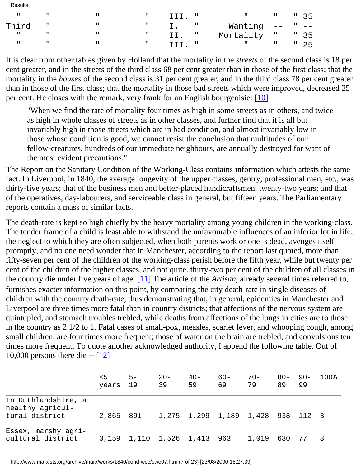| .     |   |              |                |              |                               |                                                                            |                                                                                                                                                                                                                                                                                                                                    |
|-------|---|--------------|----------------|--------------|-------------------------------|----------------------------------------------------------------------------|------------------------------------------------------------------------------------------------------------------------------------------------------------------------------------------------------------------------------------------------------------------------------------------------------------------------------------|
|       |   | $\mathbf{H}$ | TIT.           | H            | $\mathbf{H}$ and $\mathbf{H}$ | $\blacksquare$ $\blacksquare$ $\blacksquare$ $\blacksquare$ $\blacksquare$ |                                                                                                                                                                                                                                                                                                                                    |
| Third | Ш | ш            | $I.$ "         |              | Wanting --                    |                                                                            | $\mathbb{R}$ $\mathbb{R}$ $\mathbb{R}$ $\mathbb{R}$ $\mathbb{R}$ $\mathbb{R}$ $\mathbb{R}$ $\mathbb{R}$ $\mathbb{R}$ $\mathbb{R}$ $\mathbb{R}$ $\mathbb{R}$ $\mathbb{R}$ $\mathbb{R}$ $\mathbb{R}$ $\mathbb{R}$ $\mathbb{R}$ $\mathbb{R}$ $\mathbb{R}$ $\mathbb{R}$ $\mathbb{R}$ $\mathbb{R}$ $\mathbb{R}$ $\mathbb{R}$ $\mathbb{$ |
|       |   | ш            | II.            | $\mathbf{H}$ | Mortality " "35               |                                                                            |                                                                                                                                                                                                                                                                                                                                    |
|       |   | ш            | $\blacksquare$ | $\mathbf{H}$ | <b>H</b> and                  | <b>ILLUSTRATION</b>                                                        | "25"                                                                                                                                                                                                                                                                                                                               |

It is clear from other tables given by Holland that the mortality in the *streets* of the second class is 18 per cent greater, and in the streets of the third class 68 per cent greater than in those of the first class; that the mortality in the *houses* of the second class is 31 per cent greater, and in the third class 78 per cent greater than in those of the first class; that the mortality in those bad streets which were improved, decreased 25 per cent. He closes with the remark, very frank for an English bourgeoisie: [10]

"When we find the rate of mortality four times as high in some streets as in others, and twice as high in whole classes of streets as in other classes, and further find that it is all but invariably high in those streets which are in bad condition, and almost invariably low in those whose condition is good, we cannot resist the conclusion that multitudes of our fellow-creatures, hundreds of our immediate neighbours, are annually destroyed for want of the most evident precautions."

The Report on the Sanitary Condition of the Working-Class contains information which attests the same fact. In Liverpool, in 1840, the average longevity of the upper classes, gentry, professional men, etc., was thirty-five years; that of the business men and better-placed handicraftsmen, twenty-two years; and that of the operatives, day-labourers, and serviceable class in general, but fifteen years. The Parliamentary reports contain a mass of similar facts.

The death-rate is kept so high chiefly by the heavy mortality among young children in the working-class. The tender frame of a child is least able to withstand the unfavourable influences of an inferior lot in life; the neglect to which they are often subjected, when both parents work or one is dead, avenges itself promptly, and no one need wonder that in Manchester, according to the report last quoted, more than fifty-seven per cent of the children of the working-class perish before the fifth year, while but twenty per cent of the children of the higher classes, and not quite. thirty-two per cent of the children of all classes in the country die under five years of age. [11] The article of the *Artisan*, already several times referred to, furnishes exacter information on this point, by comparing the city death-rate in single diseases of children with the country death-rate, thus demonstrating that, in general, epidemics in Manchester and Liverpool are three times more fatal than in country districts; that affections of the nervous system are quintupled, and stomach troubles trebled, while deaths from affections of the lungs in cities are to those in the country as 2 1/2 to 1. Fatal cases of small-pox, measles, scarlet fever, and whooping cough, among small children, are four times more frequent; those of water on the brain are trebled, and convulsions ten times more frequent. To quote another acknowledged authority, I append the following table. Out of 10,000 persons there die -- [12]

|                                                           | 5<br>years | $5-$<br>19 | $20 -$<br>39                                | $40 -$<br>59 | $60 -$<br>69 | $70 -$<br>79 | $80 -$<br>89 | $90 -$<br>99 | 100% |
|-----------------------------------------------------------|------------|------------|---------------------------------------------|--------------|--------------|--------------|--------------|--------------|------|
| In Ruthlandshire, a<br>healthy agricul-<br>tural district |            |            | 2,865 891 1,275 1,299 1,189 1,428 938 112 3 |              |              |              |              |              |      |
| Essex, marshy agri-<br>cultural district                  |            |            | 3,159 1,110 1,526 1,413 963                 |              |              | 1,019        | 630 77 3     |              |      |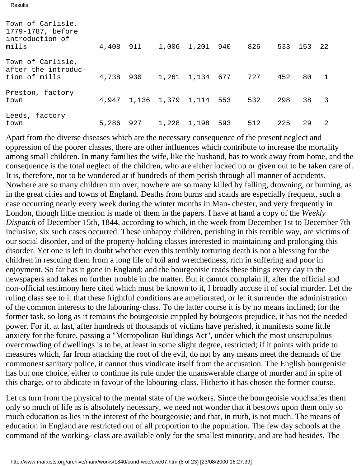| Town of Carlisle,<br>1779-1787, before<br>introduction of<br>mills | 4,408 911 |                             | 1,006 1,201 940 | 826 | 533 | 153 | -22 |
|--------------------------------------------------------------------|-----------|-----------------------------|-----------------|-----|-----|-----|-----|
|                                                                    |           |                             |                 |     |     |     |     |
| Town of Carlisle,<br>after the introduc-                           |           |                             |                 |     |     |     |     |
| tion of mills                                                      |           | 4,738 930 1,261 1,134 677   |                 | 727 | 452 | 80  |     |
|                                                                    |           |                             |                 |     |     |     |     |
| Preston, factory<br>town                                           |           | 4,947 1,136 1,379 1,114 553 |                 | 532 | 298 | 38  | 3   |
| Leeds, factory<br>town                                             |           | 5,286 927 1,228 1,198 593   |                 | 512 | 225 | 29  | 2   |
|                                                                    |           |                             |                 |     |     |     |     |

Apart from the diverse diseases which are the necessary consequence of the present neglect and oppression of the poorer classes, there are other influences which contribute to increase the mortality among small children. In many families the wife, like the husband, has to work away from home, and the consequence is the total neglect of the children, who are either locked up or given out to be taken care of. It is, therefore, not to be wondered at if hundreds of them perish through all manner of accidents. Nowhere are so many children run over, nowhere are so many killed by falling, drowning, or burning, as in the great cities and towns of England. Deaths from burns and scalds are especially frequent, such a case occurring nearly every week during the winter months in Man- chester, and very frequently in London, though little mention is made of them in the papers. I have at hand a copy of the *Weekly Dispatch* of December 15th, 1844, according to which, in the week from December 1st to December 7th inclusive, six such cases occurred. These unhappy children, perishing in this terrible way, are victims of our social disorder, and of the property-holding classes interested in maintaining and prolonging this disorder. Yet one is left in doubt whether even this terribly torturing death is not a blessing for the children in rescuing them from a long life of toil and wretchedness, rich in suffering and poor in enjoyment. So far has it gone in England; and the bourgeoisie reads these things every day in the newspapers and takes no further trouble in the matter. But it cannot complain if, after the official and non-official testimony here cited which must be known to it, I broadly accuse it of social murder. Let the ruling class see to it that these frightful conditions are ameliorated, or let it surrender the administration of the common interests to the labouring-class. To the latter course it is by no means inclined; for the former task, so long as it remains the bourgeoisie crippled by bourgeois prejudice, it has not the needed power. For if, at last, after hundreds of thousands of victims have perished, it manifests some little anxiety for the future, passing a "Metropolitan Buildings Act", under which the most unscrupulous overcrowding of dwellings is to be, at least in some slight degree, restricted; if it points with pride to measures which, far from attacking the root of the evil, do not by any means meet the demands of the commonest sanitary police, it cannot thus vindicate itself from the accusation. The English bourgeoisie has but one choice, either to continue its rule under the unanswerable charge of murder and in spite of this charge, or to abdicate in favour of the labouring-class. Hitherto it has chosen the former course.

Let us turn from the physical to the mental state of the workers. Since the bourgeoisie vouchsafes them only so much of life as is absolutely necessary, we need not wonder that it bestows upon them only so much education as lies in the interest of the bourgeoisie; and that, in truth, is not much. The means of education in England are restricted out of all proportion to the population. The few day schools at the command of the working- class are available only for the smallest minority, and are bad besides. The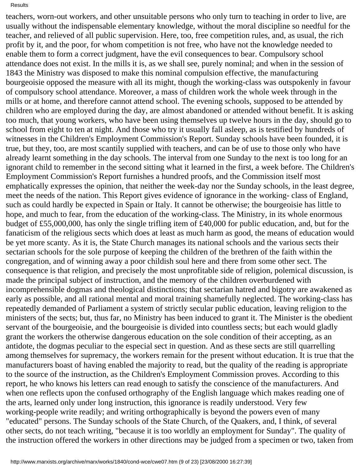teachers, worn-out workers, and other unsuitable persons who only turn to teaching in order to live, are usually without the indispensable elementary knowledge, without the moral discipline so needful for the teacher, and relieved of all public supervision. Here, too, free competition rules, and, as usual, the rich profit by it, and the poor, for whom competition is not free, who have not the knowledge needed to enable them to form a correct judgment, have the evil consequences to bear. Compulsory school attendance does not exist. In the mills it is, as we shall see, purely nominal; and when in the session of 1843 the Ministry was disposed to make this nominal compulsion effective, the manufacturing bourgeoisie opposed the measure with all its might, though the working-class was outspokenly in favour of compulsory school attendance. Moreover, a mass of children work the whole week through in the mills or at home, and therefore cannot attend school. The evening schools, supposed to be attended by children who are employed during the day, are almost abandoned or attended without benefit. It is asking too much, that young workers, who have been using themselves up twelve hours in the day, should go to school from eight to ten at night. And those who try it usually fall asleep, as is testified by hundreds of witnesses in the Children's Employment Commission's Report. Sunday schools have been founded, it is true, but they, too, are most scantily supplied with teachers, and can be of use to those only who have already learnt something in the day schools. The interval from one Sunday to the next is too long for an ignorant child to remember in the second sitting what it learned in the first, a week before. The Children's Employment Commission's Report furnishes a hundred proofs, and the Commission itself most emphatically expresses the opinion, that neither the week-day nor the Sunday schools, in the least degree, meet the needs of the nation. This Report gives evidence of ignorance in the working- class of England, such as could hardly be expected in Spain or Italy. It cannot be otherwise; the bourgeoisie has little to hope, and much to fear, from the education of the working-class. The Ministry, in its whole enormous budget of £55,000,000, has only the single trifling item of £40,000 for public education, and, but for the fanaticism of the religious sects which does at least as much harm as good, the means of education would be yet more scanty. As it is, the State Church manages its national schools and the various sects their sectarian schools for the sole purpose of keeping the children of the brethren of the faith within the congregation, and of winning away a poor childish soul here and there from some other sect. The consequence is that religion, and precisely the most unprofitable side of religion, polemical discussion, is made the principal subject of instruction, and the memory of the children overburdened with incomprehensible dogmas and theological distinctions; that sectarian hatred and bigotry are awakened as early as possible, and all rational mental and moral training shamefully neglected. The working-class has repeatedly demanded of Parliament a system of strictly secular public education, leaving religion to the ministers of the sects; but, thus far, no Ministry has been induced to grant it. The Minister is the obedient servant of the bourgeoisie, and the bourgeoisie is divided into countless sects; but each would gladly grant the workers the otherwise dangerous education on the sole condition of their accepting, as an antidote, the dogmas peculiar to the especial sect in question. And as these sects are still quarrelling among themselves for supremacy, the workers remain for the present without education. It is true that the manufacturers boast of having enabled the majority to read, but the quality of the reading is appropriate to the source of the instruction, as the Children's Employment Commission proves. According to this report, he who knows his letters can read enough to satisfy the conscience of the manufacturers. And when one reflects upon the confused orthography of the English language which makes reading one of the arts, learned only under long instruction, this ignorance is readily understood. Very few working-people write readily; and writing orthographically is beyond the powers even of many "educated" persons. The Sunday schools of the State Church, of the Quakers, and, I think, of several other sects, do not teach writing, "because it is too worldly an employment for Sunday". The quality of the instruction offered the workers in other directions may be judged from a specimen or two, taken from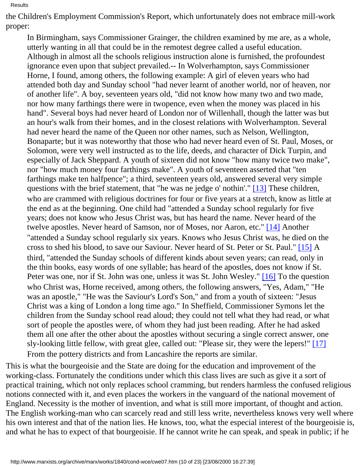the Children's Employment Commission's Report, which unfortunately does not embrace mill-work proper:

In Birmingham, says Commissioner Grainger, the children examined by me are, as a whole, utterly wanting in all that could be in the remotest degree called a useful education. Although in almost all the schools religious instruction alone is furnished, the profoundest ignorance even upon that subject prevailed.-- In Wolverhampton, says Commissioner Horne, I found, among others, the following example: A girl of eleven years who had attended both day and Sunday school "had never learnt of another world, nor of heaven, nor of another life". A boy, seventeen years old, "did not know how many two and two made, nor how many farthings there were in twopence, even when the money was placed in his hand". Several boys had never heard of London nor of Willenhall, though the latter was but an hour's walk from their homes, and in the closest relations with Wolverhampton. Several had never heard the name of the Queen nor other names, such as Nelson, Wellington, Bonaparte; but it was noteworthy that those who had never heard even of St. Paul, Moses, or Solomon, were very well instructed as to the life, deeds, and character of Dick Turpin, and especially of Jack Sheppard. A youth of sixteen did not know "how many twice two make", nor "how much money four farthings make". A youth of seventeen asserted that "ten farthings make ten halfpence"; a third, seventeen years old, answered several very simple questions with the brief statement, that "he was ne jedge o' nothin'." [13] These children, who are crammed with religious doctrines for four or five years at a stretch, know as little at the end as at the beginning. One child had "attended a Sunday school regularly for five years; does not know who Jesus Christ was, but has heard the name. Never heard of the twelve apostles. Never heard of Samson, nor of Moses, nor Aaron, etc." [14] Another "attended a Sunday school regularly six years. Knows who Jesus Christ was, he died on the cross to shed his blood, to save our Saviour. Never heard of St. Peter or St. Paul." [15] A third, "attended the Sunday schools of different kinds about seven years; can read, only in the thin books, easy words of one syllable; has heard of the apostles, does not know if St. Peter was one, nor if St. John was one, unless it was St. John Wesley." [16] To the question who Christ was, Horne received, among others, the following answers, "Yes, Adam," "He was an apostle," "He was the Saviour's Lord's Son," and from a youth of sixteen: "Jesus Christ was a king of London a long time ago." In Sheffield, Commissioner Symons let the children from the Sunday school read aloud; they could not tell what they had read, or what sort of people the apostles were, of whom they had just been reading. After he had asked them all one after the other about the apostles without securing a single correct answer, one sly-looking little fellow, with great glee, called out: "Please sir, they were the lepers!" [17] From the pottery districts and from Lancashire the reports are similar.

This is what the bourgeoisie and the State are doing for the education and improvement of the working-class. Fortunately the conditions under which this class lives are such as give it a sort of practical training, which not only replaces school cramming, but renders harmless the confused religious notions connected with it, and even places the workers in the vanguard of the national movement of England. Necessity is the mother of invention, and what is still more important, of thought and action. The English working-man who can scarcely read and still less write, nevertheless knows very well where his own interest and that of the nation lies. He knows, too, what the especial interest of the bourgeoisie is, and what he has to expect of that bourgeoisie. If he cannot write he can speak, and speak in public; if he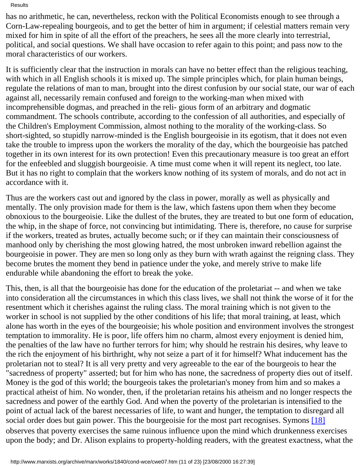has no arithmetic, he can, nevertheless, reckon with the Political Economists enough to see through a Corn-Law-repealing bourgeois, and to get the better of him in argument; if celestial matters remain very mixed for him in spite of all the effort of the preachers, he sees all the more clearly into terrestrial, political, and social questions. We shall have occasion to refer again to this point; and pass now to the moral characteristics of our workers.

It is sufficiently clear that the instruction in morals can have no better effect than the religious teaching, with which in all English schools it is mixed up. The simple principles which, for plain human beings, regulate the relations of man to man, brought into the direst confusion by our social state, our war of each against all, necessarily remain confused and foreign to the working-man when mixed with incomprehensible dogmas, and preached in the reli- gious form of an arbitrary and dogmatic commandment. The schools contribute, according to the confession of all authorities, and especially of the Children's Employment Commission, almost nothing to the morality of the working-class. So short-sighted, so stupidly narrow-minded is the English bourgeoisie in its egotism, that it does not even take the trouble to impress upon the workers the morality of the day, which the bourgeoisie has patched together in its own interest for its own protection! Even this precautionary measure is too great an effort for the enfeebled and sluggish bourgeoisie. A time must come when it will repent its neglect, too late. But it has no right to complain that the workers know nothing of its system of morals, and do not act in accordance with it.

Thus are the workers cast out and ignored by the class in power, morally as well as physically and mentally. The only provision made for them is the law, which fastens upon them when they become obnoxious to the bourgeoisie. Like the dullest of the brutes, they are treated to but one form of education, the whip, in the shape of force, not convincing but intimidating. There is, therefore, no cause for surprise if the workers, treated as brutes, actually become such; or if they can maintain their consciousness of manhood only by cherishing the most glowing hatred, the most unbroken inward rebellion against the bourgeoisie in power. They are men so long only as they burn with wrath against the reigning class. They become brutes the moment they bend in patience under the yoke, and merely strive to make life endurable while abandoning the effort to break the yoke.

<span id="page-72-0"></span>This, then, is all that the bourgeoisie has done for the education of the proletariat -- and when we take into consideration all the circumstances in which this class lives, we shall not think the worse of it for the resentment which it cherishes against the ruling class. The moral training which is not given to the worker in school is not supplied by the other conditions of his life; that moral training, at least, which alone has worth in the eyes of the bourgeoisie; his whole position and environment involves the strongest temptation to immorality. He is poor, life offers him no charm, almost every enjoyment is denied him, the penalties of the law have no further terrors for him; why should he restrain his desires, why leave to the rich the enjoyment of his birthright, why not seize a part of it for himself? What inducement has the proletarian not to steal? It is all very pretty and very agreeable to the ear of the bourgeois to hear the "sacredness of property" asserted; but for him who has none, the sacredness of property dies out of itself. Money is the god of this world; the bourgeois takes the proletarian's money from him and so makes a practical atheist of him. No wonder, then, if the proletarian retains his atheism and no longer respects the sacredness and power of the earthly God. And when the poverty of the proletarian is intensified to the point of actual lack of the barest necessaries of life, to want and hunger, the temptation to disregard all social order does but gain power. This the bourgeoisie for the most part recognises. Symons [18] observes that poverty exercises the same ruinous influence upon the mind which drunkenness exercises upon the body; and Dr. Alison explains to property-holding readers, with the greatest exactness, what the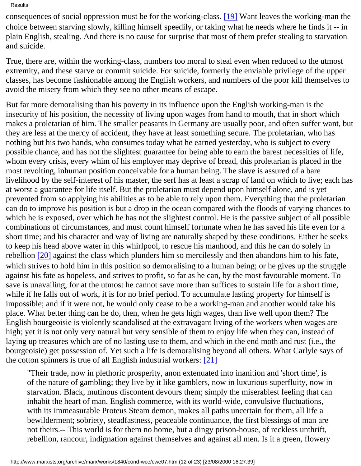<span id="page-73-0"></span>consequences of social oppression must be for the working-class. [19] Want leaves the working-man the choice between starving slowly, killing himself speedily, or taking what he needs where he finds it -- in plain English, stealing. And there is no cause for surprise that most of them prefer stealing to starvation and suicide.

True, there are, within the working-class, numbers too moral to steal even when reduced to the utmost extremity, and these starve or commit suicide. For suicide, formerly the enviable privilege of the upper classes, has become fashionable among the English workers, and numbers of the poor kill themselves to avoid the misery from which they see no other means of escape.

But far more demoralising than his poverty in its influence upon the English working-man is the insecurity of his position, the necessity of living upon wages from hand to mouth, that in short which makes a proletarian of him. The smaller peasants in Germany are usually poor, and often suffer want, but they are less at the mercy of accident, they have at least something secure. The proletarian, who has nothing but his two hands, who consumes today what he earned yesterday, who is subject to every possible chance, and has not the slightest guarantee for being able to earn the barest necessities of life, whom every crisis, every whim of his employer may deprive of bread, this proletarian is placed in the most revolting, inhuman position conceivable for a human being. The slave is assured of a bare livelihood by the self-interest of his master, the serf has at least a scrap of land on which to live; each has at worst a guarantee for life itself. But the proletarian must depend upon himself alone, and is yet prevented from so applying his abilities as to be able to rely upon them. Everything that the proletarian can do to improve his position is but a drop in the ocean compared with the floods of varying chances to which he is exposed, over which he has not the slightest control. He is the passive subject of all possible combinations of circumstances, and must count himself fortunate when he has saved his life even for a short time; and his character and way of living are naturally shaped by these conditions. Either he seeks to keep his head above water in this whirlpool, to rescue his manhood, and this he can do solely in rebellion [20] against the class which plunders him so mercilessly and then abandons him to his fate, which strives to hold him in this position so demoralising to a human being; or he gives up the struggle against his fate as hopeless, and strives to profit, so far as he can, by the most favourable moment. To save is unavailing, for at the utmost he cannot save more than suffices to sustain life for a short time, while if he falls out of work, it is for no brief period. To accumulate lasting property for himself is impossible; and if it were not, he would only cease to be a working-man and another would take his place. What better thing can he do, then, when he gets high wages, than live well upon them? The English bourgeoisie is violently scandalised at the extravagant living of the workers when wages are high; yet it is not only very natural but very sensible of them to enjoy life when they can, instead of laying up treasures which are of no lasting use to them, and which in the end moth and rust (i.e., the bourgeoisie) get possession of. Yet such a life is demoralising beyond all others. What Carlyle says of the cotton spinners is true of all English industrial workers: [21]

<span id="page-73-2"></span><span id="page-73-1"></span>"Their trade, now in plethoric prosperity, anon extenuated into inanition and 'short time', is of the nature of gambling; they live by it like gamblers, now in luxurious superfluity, now in starvation. Black, mutinous discontent devours them; simply the miserablest feeling that can inhabit the heart of man. English commerce, with its world-wide, convulsive fluctuations, with its immeasurable Proteus Steam demon, makes all paths uncertain for them, all life a bewilderment; sobriety, steadfastness, peaceable continuance, the first blessings of man are not theirs.-- This world is for them no home, but a dingy prison-house, of reckless unthrift, rebellion, rancour, indignation against themselves and against all men. Is it a green, flowery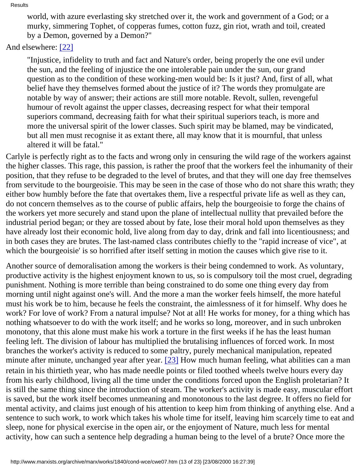world, with azure everlasting sky stretched over it, the work and government of a God; or a murky, simmering Tophet, of copperas fumes, cotton fuzz, gin riot, wrath and toil, created by a Demon, governed by a Demon?"

### <span id="page-74-0"></span>And elsewhere: [22]

"Injustice, infidelity to truth and fact and Nature's order, being properly the one evil under the sun, and the feeling of injustice the one intolerable pain under the sun, our grand question as to the condition of these working-men would be: Is it just? And, first of all, what belief have they themselves formed about the justice of it? The words they promulgate are notable by way of answer; their actions are still more notable. Revolt, sullen, revengeful humour of revolt against the upper classes, decreasing respect for what their temporal superiors command, decreasing faith for what their spiritual superiors teach, is more and more the universal spirit of the lower classes. Such spirit may be blamed, may be vindicated, but all men must recognise it as extant there, all may know that it is mournful, that unless altered it will be fatal."

Carlyle is perfectly right as to the facts and wrong only in censuring the wild rage of the workers against the higher classes. This rage, this passion, is rather the proof that the workers feel the inhumanity of their position, that they refuse to be degraded to the level of brutes, and that they will one day free themselves from servitude to the bourgeoisie. This may be seen in the case of those who do not share this wrath; they either bow humbly before the fate that overtakes them, live a respectful private life as well as they can, do not concern themselves as to the course of public affairs, help the bourgeoisie to forge the chains of the workers yet more securely and stand upon the plane of intellectual nullity that prevailed before the industrial period began; or they are tossed about by fate, lose their moral hold upon themselves as they have already lost their economic hold, live along from day to day, drink and fall into licentiousness; and in both cases they are brutes. The last-named class contributes chiefly to the "rapid increase of vice", at which the bourgeoisie' is so horrified after itself setting in motion the causes which give rise to it.

<span id="page-74-1"></span>Another source of demoralisation among the workers is their being condemned to work. As voluntary, productive activity is the highest enjoyment known to us, so is compulsory toil the most cruel, degrading punishment. Nothing is more terrible than being constrained to do some one thing every day from morning until night against one's will. And the more a man the worker feels himself, the more hateful must his work be to him, because he feels the constraint, the aimlessness of it for himself. Why does he work? For love of work? From a natural impulse? Not at all! He works for money, for a thing which has nothing whatsoever to do with the work itself; and he works so long, moreover, and in such unbroken monotony, that this alone must make his work a torture in the first weeks if he has the least human feeling left. The division of labour has multiplied the brutalising influences of forced work. In most branches the worker's activity is reduced to some paltry, purely mechanical manipulation, repeated minute after minute, unchanged year after year. [23] How much human feeling, what abilities can a man retain in his thirtieth year, who has made needle points or filed toothed wheels twelve hours every day from his early childhood, living all the time under the conditions forced upon the English proletarian? It is still the same thing since the introduction of steam. The worker's activity is made easy, muscular effort is saved, but the work itself becomes unmeaning and monotonous to the last degree. It offers no field for mental activity, and claims just enough of his attention to keep him from thinking of anything else. And a sentence to such work, to work which takes his whole time for itself, leaving him scarcely time to eat and sleep, none for physical exercise in the open air, or the enjoyment of Nature, much less for mental activity, how can such a sentence help degrading a human being to the level of a brute? Once more the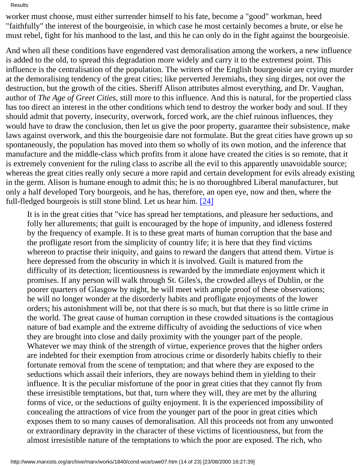worker must choose, must either surrender himself to his fate, become a "good" workman, heed "faithfully" the interest of the bourgeoisie, in which case he most certainly becomes a brute, or else he must rebel, fight for his manhood to the last, and this he can only do in the fight against the bourgeoisie.

And when all these conditions have engendered vast demoralisation among the workers, a new influence is added to the old, to spread this degradation more widely and carry it to the extremest point. This influence is the centralisation of the population. The writers of the English bourgeoisie are crying murder at the demoralising tendency of the great cities; like perverted Jeremiahs, they sing dirges, not over the destruction, but the growth of the cities. Sheriff Alison attributes almost everything, and Dr. Vaughan, author of *The Age of Greet Cities,* still more to this influence. And this is natural, for the propertied class has too direct an interest in the other conditions which tend to destroy the worker body and soul. If they should admit that poverty, insecurity, overwork, forced work, are the chief ruinous influences, they would have to draw the conclusion, then let us give the poor property, guarantee their subsistence, make laws against overwork, and this the bourgeoisie dare not formulate. But the great cities have grown up so spontaneously, the population has moved into them so wholly of its own motion, and the inference that manufacture and the middle-class which profits from it alone have created the cities is so remote, that it is extremely convenient for the ruling class to ascribe all the evil to this apparently unavoidable source; whereas the great cities really only secure a more rapid and certain development for evils already existing in the germ. Alison is humane enough to admit this; he is no thoroughbred Liberal manufacturer, but only a half developed Tory bourgeois, and he has, therefore, an open eye, now and then, where the full-fledged bourgeois is still stone blind. Let us hear him. [24]

<span id="page-75-0"></span>It is in the great cities that "vice has spread her temptations, and pleasure her seductions, and folly her allurements; that guilt is encouraged by the hope of impunity, and idleness fostered by the frequency of example. It is to these great marts of human corruption that the base and the profligate resort from the simplicity of country life; it is here that they find victims whereon to practise their iniquity, and gains to reward the dangers that attend them. Virtue is here depressed from the obscurity in which it is involved. Guilt is matured from the difficulty of its detection; licentiousness is rewarded by the immediate enjoyment which it promises. If any person will walk through St. Giles's, the crowded alleys of Dublin, or the poorer quarters of Glasgow by night, he will meet with ample proof of these observations; he will no longer wonder at the disorderly habits and profligate enjoyments of the lower orders; his astonishment will be, not that there is so much, but that there is so little crime in the world. The great cause of human corruption in these crowded situations is the contagious nature of bad example and the extreme difficulty of avoiding the seductions of vice when they are brought into close and daily proximity with the younger part of the people. Whatever we may think of the strength of virtue, experience proves that the higher orders are indebted for their exemption from atrocious crime or disorderly habits chiefly to their fortunate removal from the scene of temptation; and that where they are exposed to the seductions which assail their inferiors, they are noways behind them in yielding to their influence. It is the peculiar misfortune of the poor in great cities that they cannot fly from these irresistible temptations, but that, turn where they will, they are met by the alluring forms of vice, or the seductions of guilty enjoyment. It is the experienced impossibility of concealing the attractions of vice from the younger part of the poor in great cities which exposes them to so many causes of demoralisation. All this proceeds not from any unwonted or extraordinary depravity in the character of these victims of licentiousness, but from the almost irresistible nature of the temptations to which the poor are exposed. The rich, who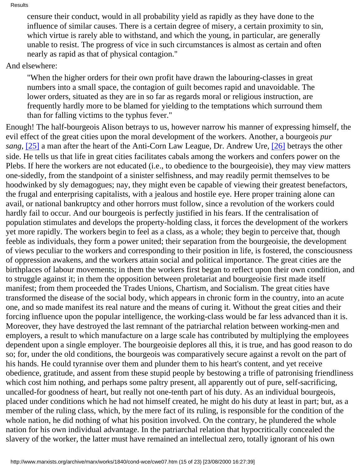censure their conduct, would in all probability yield as rapidly as they have done to the influence of similar causes. There is a certain degree of misery, a certain proximity to sin, which virtue is rarely able to withstand, and which the young, in particular, are generally unable to resist. The progress of vice in such circumstances is almost as certain and often nearly as rapid as that of physical contagion."

And elsewhere:

"When the higher orders for their own profit have drawn the labouring-classes in great numbers into a small space, the contagion of guilt becomes rapid and unavoidable. The lower orders, situated as they are in so far as regards moral or religious instruction, are frequently hardly more to be blamed for yielding to the temptations which surround them than for falling victims to the typhus fever."

<span id="page-76-0"></span>Enough! The half-bourgeois Alison betrays to us, however narrow his manner of expressing himself, the evil effect of the great cities upon the moral development of the workers. Another, a bourgeois *pur sang,* [25] a man after the heart of the Anti-Corn Law League, Dr. Andrew Ure, [26] betrays the other side. He tells us that life in great cities facilitates cabals among the workers and confers power on the Plebs. If here the workers are not educated (i.e., to obedience to the bourgeoisie), they may view matters one-sidedly, from the standpoint of a sinister selfishness, and may readily permit themselves to be hoodwinked by sly demagogues; nay, they might even be capable of viewing their greatest benefactors, the frugal and enterprising capitalists, with a jealous and hostile eye. Here proper training alone can avail, or national bankruptcy and other horrors must follow, since a revolution of the workers could hardly fail to occur. And our bourgeois is perfectly justified in his fears. If the centralisation of population stimulates and develops the property-holding class, it forces the development of the workers yet more rapidly. The workers begin to feel as a class, as a whole; they begin to perceive that, though feeble as individuals, they form a power united; their separation from the bourgeoisie, the development of views peculiar to the workers and corresponding to their position in life, is fostered, the consciousness of oppression awakens, and the workers attain social and political importance. The great cities are the birthplaces of labour movements; in them the workers first began to reflect upon their own condition, and to struggle against it; in them the opposition between proletariat and bourgeoisie first made itself manifest; from them proceeded the Trades Unions, Chartism, and Socialism. The great cities have transformed the disease of the social body, which appears in chronic form in the country, into an acute one, and so made manifest its real nature and the means of curing it. Without the great cities and their forcing influence upon the popular intelligence, the working-class would be far less advanced than it is. Moreover, they have destroyed the last remnant of the patriarchal relation between working-men and employers, a result to which manufacture on a large scale has contributed by multiplying the employees dependent upon a single employer. The bourgeoisie deplores all this, it is true, and has good reason to do so; for, under the old conditions, the bourgeois was comparatively secure against a revolt on the part of his hands. He could tyrannise over them and plunder them to his heart's content, and yet receive obedience, gratitude, and assent from these stupid people by bestowing a trifle of patronising friendliness which cost him nothing, and perhaps some paltry present, all apparently out of pure, self-sacrificing, uncalled-for goodness of heart, but really not one-tenth part of his duty. As an individual bourgeois, placed under conditions which he had not himself created, he might do his duty at least in part; but, as a member of the ruling class, which, by the mere fact of its ruling, is responsible for the condition of the whole nation, he did nothing of what his position involved. On the contrary, he plundered the whole nation for his own individual advantage. In the patriarchal relation that hypocritically concealed the slavery of the worker, the latter must have remained an intellectual zero, totally ignorant of his own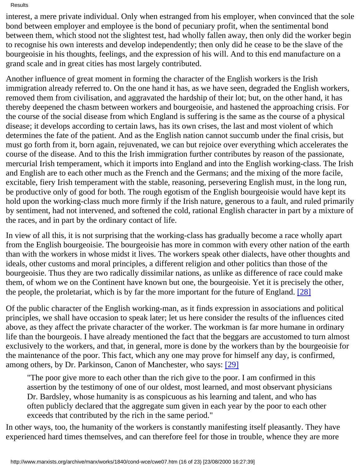interest, a mere private individual. Only when estranged from his employer, when convinced that the sole bond between employer and employee is the bond of pecuniary profit, when the sentimental bond between them, which stood not the slightest test, had wholly fallen away, then only did the worker begin to recognise his own interests and develop independently; then only did he cease to be the slave of the bourgeoisie in his thoughts, feelings, and the expression of his will. And to this end manufacture on a grand scale and in great cities has most largely contributed.

Another influence of great moment in forming the character of the English workers is the Irish immigration already referred to. On the one hand it has, as we have seen, degraded the English workers, removed them from civilisation, and aggravated the hardship of their lot; but, on the other hand, it has thereby deepened the chasm between workers and bourgeoisie, and hastened the approaching crisis. For the course of the social disease from which England is suffering is the same as the course of a physical disease; it develops according to certain laws, has its own crises, the last and most violent of which determines the fate of the patient. And as the English nation cannot succumb under the final crisis, but must go forth from it, born again, rejuvenated, we can but rejoice over everything which accelerates the course of the disease. And to this the Irish immigration further contributes by reason of the passionate, mercurial Irish temperament, which it imports into England and into the English working-class. The Irish and English are to each other much as the French and the Germans; and the mixing of the more facile, excitable, fiery Irish temperament with the stable, reasoning, persevering English must, in the long run, be productive only of good for both. The rough egotism of the English bourgeoisie would have kept its hold upon the working-class much more firmly if the Irish nature, generous to a fault, and ruled primarily by sentiment, had not intervened, and softened the cold, rational English character in part by a mixture of the races, and in part by the ordinary contact of life.

In view of all this, it is not surprising that the working-class has gradually become a race wholly apart from the English bourgeoisie. The bourgeoisie has more in common with every other nation of the earth than with the workers in whose midst it lives. The workers speak other dialects, have other thoughts and ideals, other customs and moral principles, a different religion and other politics than those of the bourgeoisie. Thus they are two radically dissimilar nations, as unlike as difference of race could make them, of whom we on the Continent have known but one, the bourgeoisie. Yet it is precisely the other, the people, the proletariat, which is by far the more important for the future of England. [28]

<span id="page-77-0"></span>Of the public character of the English working-man, as it finds expression in associations and political principles, we shall have occasion to speak later; let us here consider the results of the influences cited above, as they affect the private character of the worker. The workman is far more humane in ordinary life than the bourgeois. I have already mentioned the fact that the beggars are accustomed to turn almost exclusively to the workers, and that, in general, more is done by the workers than by the bourgeoisie for the maintenance of the poor. This fact, which any one may prove for himself any day, is confirmed, among others, by Dr. Parkinson, Canon of Manchester, who says: [29]

<span id="page-77-1"></span>"The poor give more to each other than the rich give to the poor. I am confirmed in this assertion by the testimony of one of our oldest, most learned, and most observant physicians Dr. Bardsley, whose humanity is as conspicuous as his learning and talent, and who has often publicly declared that the aggregate sum given in each year by the poor to each other exceeds that contributed by the rich in the same period."

In other ways, too, the humanity of the workers is constantly manifesting itself pleasantly. They have experienced hard times themselves, and can therefore feel for those in trouble, whence they are more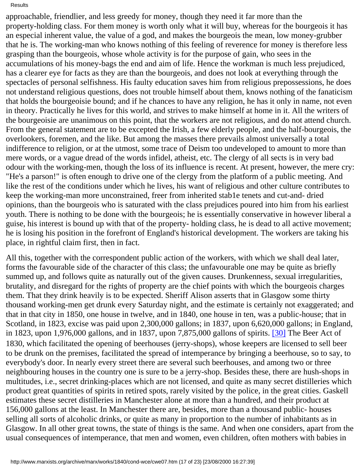approachable, friendlier, and less greedy for money, though they need it far more than the property-holding class. For them money is worth only what it will buy, whereas for the bourgeois it has an especial inherent value, the value of a god, and makes the bourgeois the mean, low money-grubber that he is. The working-man who knows nothing of this feeling of reverence for money is therefore less grasping than the bourgeois, whose whole activity is for the purpose of gain, who sees in the accumulations of his money-bags the end and aim of life. Hence the workman is much less prejudiced, has a clearer eye for facts as they are than the bourgeois, and does not look at everything through the spectacles of personal selfishness. His faulty education saves him from religious prepossessions, he does not understand religious questions, does not trouble himself about them, knows nothing of the fanaticism that holds the bourgeoisie bound; and if he chances to have any religion, he has it only in name, not even in theory. Practically he lives for this world, and strives to make himself at home in it. All the writers of the bourgeoisie are unanimous on this point, that the workers are not religious, and do not attend church. From the general statement are to be excepted the Irish, a few elderly people, and the half-bourgeois, the overlookers, foremen, and the like. But among the masses there prevails almost universally a total indifference to religion, or at the utmost, some trace of Deism too undeveloped to amount to more than mere words, or a vague dread of the words infidel, atheist, etc. The clergy of all sects is in very bad odour with the working-men, though the loss of its influence is recent. At present, however, the mere cry: "He's a parson!" is often enough to drive one of the clergy from the platform of a public meeting. And like the rest of the conditions under which he lives, his want of religious and other culture contributes to keep the working-man more unconstrained, freer from inherited stab1e tenets and cut-and- dried opinions, than the bourgeois who is saturated with the class prejudices poured into him from his earliest youth. There is nothing to be done with the bourgeois; he is essentially conservative in however liberal a guise, his interest is bound up with that of the property- holding class, he is dead to all active movement; he is losing his position in the forefront of England's historical development. The workers are taking his place, in rightful claim first, then in fact.

<span id="page-78-0"></span>All this, together with the correspondent public action of the workers, with which we shall deal later, forms the favourable side of the character of this class; the unfavourable one may be quite as briefly summed up, and follows quite as naturally out of the given causes. Drunkenness, sexual irregularities, brutality, and disregard for the rights of property are the chief points with which the bourgeois charges them. That they drink heavily is to be expected. Sheriff Alison asserts that in Glasgow some thirty thousand working-men get drunk every Saturday night, and the estimate is certainly not exaggerated; and that in that city in 1850, one house in twelve, and in 1840, one house in ten, was a public-house; that in Scotland, in 1823, excise was paid upon 2,300,000 gallons; in 1837, upon 6,620,000 gallons; in England, in 1823, upon 1,9?6,000 gallons, and in 1837, upon 7,875,000 gallons of spirits. [30] The Beer Act of 1830, which facilitated the opening of beerhouses (jerry-shops), whose keepers are licensed to sell beer to be drunk on the premises, facilitated the spread of intemperance by bringing a beerhouse, so to say, to everybody's door. In nearly every street there are several such beerhouses, and among two or three neighbouring houses in the country one is sure to be a jerry-shop. Besides these, there are hush-shops in multitudes, i.e., secret drinking-places which are not licensed, and quite as many secret distilleries which product great quantities of spirits in retired spots, rarely visited by the police, in the great cities. Gaskell estimates these secret distilleries in Manchester alone at more than a hundred, and their product at 156,000 gallons at the least. In Manchester there are, besides, more than a thousand public- houses selling all sorts of alcoholic drinks, or quite as many in proportion to the number of inhabitants as in Glasgow. In all other great towns, the state of things is the same. And when one considers, apart from the usual consequences of intemperance, that men and women, even children, often mothers with babies in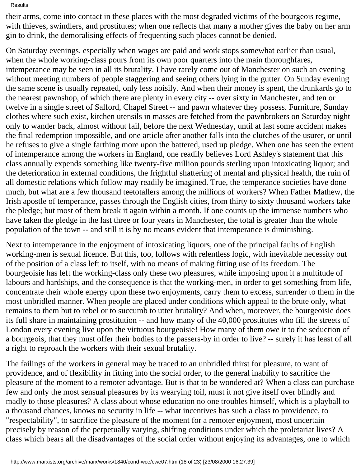their arms, come into contact in these places with the most degraded victims of the bourgeois regime, with thieves, swindlers, and prostitutes; when one reflects that many a mother gives the baby on her arm gin to drink, the demoralising effects of frequenting such places cannot be denied.

On Saturday evenings, especially when wages are paid and work stops somewhat earlier than usual, when the whole working-class pours from its own poor quarters into the main thoroughfares, intemperance may be seen in all its brutality. I have rarely come out of Manchester on such an evening without meeting numbers of people staggering and seeing others lying in the gutter. On Sunday evening the same scene is usually repeated, only less noisily. And when their money is spent, the drunkards go to the nearest pawnshop, of which there are plenty in every city -- over sixty in Manchester, and ten or twelve in a single street of Salford, Chapel Street -- and pawn whatever they possess. Furniture, Sunday clothes where such exist, kitchen utensils in masses are fetched from the pawnbrokers on Saturday night only to wander back, almost without fail, before the next Wednesday, until at last some accident makes the final redemption impossible, and one article after another falls into the clutches of the usurer, or until he refuses to give a single farthing more upon the battered, used up pledge. When one has seen the extent of intemperance among the workers in England, one readily believes Lord Ashley's statement that this class annually expends something like twenty-five million pounds sterling upon intoxicating liquor; and the deterioration in external conditions, the frightful shattering of mental and physical health, the ruin of all domestic relations which follow may readily be imagined. True, the temperance societies have done much, but what are a few thousand teetotallers among the millions of workers? When Father Mathew, the Irish apostle of temperance, passes through the English cities, from thirty to sixty thousand workers take the pledge; but most of them break it again within a month. If one counts up the immense numbers who have taken the pledge in the last three or four years in Manchester, the total is greater than the whole population of the town -- and still it is by no means evident that intemperance is diminishing.

Next to intemperance in the enjoyment of intoxicating liquors, one of the principal faults of English working-men is sexual licence. But this, too, follows with relentless logic, with inevitable necessity out of the position of a class left to itself, with no means of making fitting use of its freedom. The bourgeoisie has left the working-class only these two pleasures, while imposing upon it a multitude of labours and hardships, and the consequence is that the working-men, in order to get something from life, concentrate their whole energy upon these two enjoyments, carry them to excess, surrender to them in the most unbridled manner. When people are placed under conditions which appeal to the brute only, what remains to them but to rebel or to succumb to utter brutality? And when, moreover, the bourgeoisie does its full share in maintaining prostitution -- and how many of the 40,000 prostitutes who fill the streets of London every evening live upon the virtuous bourgeoisie! How many of them owe it to the seduction of a bourgeois, that they must offer their bodies to the passers-by in order to live? -- surely it has least of all a right to reproach the workers with their sexual brutality.

The failings of the workers in general may be traced to an unbridled thirst for pleasure, to want of providence, and of flexibility in fitting into the social order, to the general inability to sacrifice the pleasure of the moment to a remoter advantage. But is that to be wondered at? When a class can purchase few and only the most sensual pleasures by its wearying toil, must it not give itself over blindly and madly to those pleasures? A class about whose education no one troubles himself, which is a playball to a thousand chances, knows no security in life -- what incentives has such a class to providence, to "respectability", to sacrifice the pleasure of the moment for a remoter enjoyment, most uncertain precisely by reason of the perpetually varying, shifting conditions under which the proletariat lives? A class which bears all the disadvantages of the social order without enjoying its advantages, one to which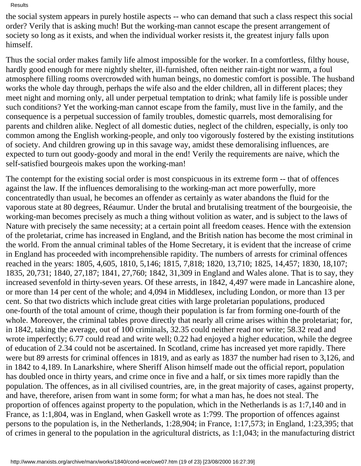the social system appears in purely hostile aspects -- who can demand that such a class respect this social order? Verily that is asking much! But the working-man cannot escape the present arrangement of society so long as it exists, and when the individual worker resists it, the greatest injury falls upon himself.

Thus the social order makes family life almost impossible for the worker. In a comfortless, filthy house, hardly good enough for mere nightly shelter, ill-furnished, often neither rain-tight nor warm, a foul atmosphere filling rooms overcrowded with human beings, no domestic comfort is possible. The husband works the whole day through, perhaps the wife also and the elder children, all in different places; they meet night and morning only, all under perpetual temptation to drink; what family life is possible under such conditions? Yet the working-man cannot escape from the family, must live in the family, and the consequence is a perpetual succession of family troubles, domestic quarrels, most demoralising for parents and children alike. Neglect of all domestic duties, neglect of the children, especially, is only too common among the English working-people, and only too vigorously fostered by the existing institutions of society. And children growing up in this savage way, amidst these demoralising influences, are expected to turn out goody-goody and moral in the end! Verily the requirements are naive, which the self-satisfied bourgeois makes upon the working-man!

The contempt for the existing social order is most conspicuous in its extreme form -- that of offences against the law. If the influences demoralising to the working-man act more powerfully, more concentratedly than usual, he becomes an offender as certainly as water abandons the fluid for the vaporous state at 80 degrees, Réaumur. Under the brutal and brutalising treatment of the bourgeoisie, the working-man becomes precisely as much a thing without volition as water, and is subject to the laws of Nature with precisely the same necessity; at a certain point all freedom ceases. Hence with the extension of the proletariat, crime has increased in England, and the British nation has become the most criminal in the world. From the annual criminal tables of the Home Secretary, it is evident that the increase of crime in England has proceeded with incomprehensible rapidity. The numbers of arrests for criminal offences reached in the years: 1805, 4,605, 1810, 5,146; 1815, 7,818; 1820, 13,710; 1825, 14,457; 1830, 18,107; 1835, 20,731; 1840, 27,187; 1841, 27,760; 1842, 31,309 in England and Wales alone. That is to say, they increased sevenfold in thirty-seven years. Of these arrests, in 1842, 4,497 were made in Lancashire alone, or more than 14 per cent of the whole; and 4,094 in Middlesex, including London, or more than 13 per cent. So that two districts which include great cities with large proletarian populations, produced one-fourth of the total amount of crime, though their population is far from forming one-fourth of the whole. Moreover, the criminal tables prove directly that nearly all crime arises within the proletariat; for, in 1842, taking the average, out of 100 criminals, 32.35 could neither read nor write; 58.32 read and wrote imperfectly; 6.77 could read and write well; 0.22 had enjoyed a higher education, while the degree of education of 2.34 could not be ascertained. In Scotland, crime has increased yet more rapidly. There were but 89 arrests for criminal offences in 1819, and as early as 1837 the number had risen to 3,126, and in 1842 to 4,189. In Lanarkshire, where Sheriff Alison himself made out the official report, population has doubled once in thirty years, and crime once in five and a half, or six times more rapidly than the population. The offences, as in all civilised countries, are, in the great majority of cases, against property, and have, therefore, arisen from want in some form; for what a man has, he does not steal. The proportion of offences against property to the population, which in the Netherlands is as 1:7,140 and in France, as 1:1,804, was in England, when Gaskell wrote as 1:799. The proportion of offences against persons to the population is, in the Netherlands, 1:28,904; in France, 1:17,573; in England, 1:23,395; that of crimes in general to the population in the agricultural districts, as 1:1,043; in the manufacturing district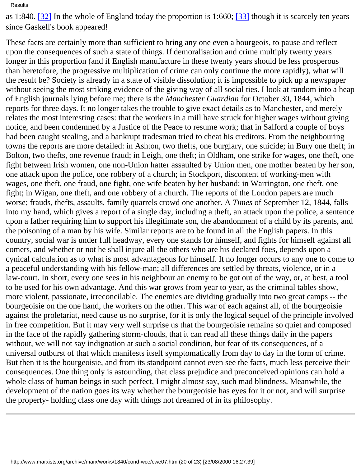<span id="page-81-0"></span>as 1:840. [32] In the whole of England today the proportion is 1:660; [33] though it is scarcely ten years since Gaskell's book appeared!

These facts are certainly more than sufficient to bring any one even a bourgeois, to pause and reflect upon the consequences of such a state of things. If demoralisation and crime multiply twenty years longer in this proportion (and if English manufacture in these twenty years should be less prosperous than heretofore, the progressive multiplication of crime can only continue the more rapidly), what will the result be? Society is already in a state of visible dissolution; it is impossible to pick up a newspaper without seeing the most striking evidence of the giving way of all social ties. I look at random into a heap of English journals lying before me; there is the *Manchester Guardian* for October 30, 1844, which reports for three days. It no longer takes the trouble to give exact details as to Manchester, and merely relates the most interesting cases: that the workers in a mill have struck for higher wages without giving notice, and been condemned by a Justice of the Peace to resume work; that in Salford a couple of boys had been caught stealing, and a bankrupt tradesman tried to cheat his creditors. From the neighbouring towns the reports are more detailed: in Ashton, two thefts, one burglary, one suicide; in Bury one theft; in Bolton, two thefts, one revenue fraud; in Leigh, one theft; in Oldham, one strike for wages, one theft, one fight between Irish women, one non-Union hatter assaulted by Union men, one mother beaten by her son, one attack upon the police, one robbery of a church; in Stockport, discontent of working-men with wages, one theft, one fraud, one fight, one wife beaten by her husband; in Warrington, one theft, one fight; in Wigan, one theft, and one robbery of a church. The reports of the London papers are much worse; frauds, thefts, assaults, family quarrels crowd one another. A *Times* of September 12, 1844, falls into my hand, which gives a report of a single day, including a theft, an attack upon the police, a sentence upon a father requiring him to support his illegitimate son, the abandonment of a child by its parents, and the poisoning of a man by his wife. Similar reports are to be found in all the English papers. In this country, social war is under full headway, every one stands for himself, and fights for himself against all comers, and whether or not he shall injure all the others who are his declared foes, depends upon a cynical calculation as to what is most advantageous for himself. It no longer occurs to any one to come to a peaceful understanding with his fellow-man; all differences are settled by threats, violence, or in a law-court. In short, every one sees in his neighbour an enemy to be got out of the way, or, at best, a tool to be used for his own advantage. And this war grows from year to year, as the criminal tables show, more violent, passionate, irreconcilable. The enemies are dividing gradually into two great camps -- the bourgeoisie on the one hand, the workers on the other. This war of each against all, of the bourgeoisie against the proletariat, need cause us no surprise, for it is only the logical sequel of the principle involved in free competition. But it may very well surprise us that the bourgeoisie remains so quiet and composed in the face of the rapidly gathering storm-clouds, that it can read all these things daily in the papers without, we will not say indignation at such a social condition, but fear of its consequences, of a universal outburst of that which manifests itself symptomatically from day to day in the form of crime. But then it is the bourgeoisie, and from its standpoint cannot even see the facts, much less perceive their consequences. One thing only is astounding, that class prejudice and preconceived opinions can hold a whole class of human beings in such perfect, I might almost say, such mad blindness. Meanwhile, the development of the nation goes its way whether the bourgeoisie has eyes for it or not, and will surprise the property- holding class one day with things not dreamed of in its philosophy.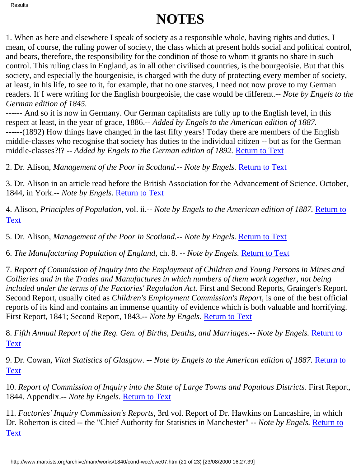# **NOTES**

1. When as here and elsewhere I speak of society as a responsible whole, having rights and duties, I mean, of course, the ruling power of society, the class which at present holds social and political control, and bears, therefore, the responsibility for the condition of those to whom it grants no share in such control. This ruling class in England, as in all other civilised countries, is the bourgeoisie. But that this society, and especially the bourgeoisie, is charged with the duty of protecting every member of society, at least, in his life, to see to it, for example, that no one starves, I need not now prove to my German readers. If I were writing for the English bourgeoisie, the case would be different.-- *Note by Engels to the German edition of 1845.*

------ And so it is now in Germany. Our German capitalists are fully up to the English level, in this respect at least, in the year of grace, 1886.-- *Added by Engels to the American edition of 1887.* ------(1892) How things have changed in the last fifty years! Today there are members of the English middle-classes who recognise that society has duties to the individual citizen -- but as for the German middle-classes?!? -- *Added by Engels to the German edition of 1892.* [Return to Text](#page-62-0)

2. Dr. Alison, *Management of the Poor in Scotland.-- Note by Engels.* [Return to Text](#page-64-0)

3. Dr. Alison in an article read before the British Association for the Advancement of Science. October, 1844, in York.-- *Note by Engels.* [Return to Text](#page-64-1)

4. Alison, *Principles of Population,* vol. ii.-- *Note by Engels to the American edition of 1887.* [Return to](#page-64-2) **[Text](#page-64-2)** 

5. Dr. Alison, *Management of the Poor in Scotland.-- Note by Engels.* [Return to Text](#page-64-3)

6. *The Manufacturing Population of England,* ch. 8. -- *Note by Engels.* [Return to Text](#page-66-0)

7. *Report of Commission of Inquiry into the Employment of Children and Young Persons in Mines and Collieries and in the Trades and Manufactures in which numbers of them work together, not being included under the terms of the Factories' Regulation Act.* First and Second Reports, Grainger's Report. Second Report, usually cited as *Children's Employment Commission's Report,* is one of the best official reports of its kind and contains an immense quantity of evidence which is both valuable and horrifying. First Report, 1841; Second Report, 1843.-- *Note by Engels.* [Return to Text](#page-67-0)

8. *Fifth Annual Report of the Reg. Gen. of Births, Deaths, and Marriages.-- Note by Engels.* [Return to](#page-67-1) **[Text](#page-67-1)** 

9. Dr. Cowan, *Vital Statistics of Glasgow*. -- *Note by Engels to the American edition of 1887.* [Return to](#page-67-2) **[Text](#page-67-2)** 

10. *Report of Commission of Inquiry into the State of Large Towns and Populous Districts.* First Report, 1844. Appendix.-- *Note by Engels*. Return to Text

11. *Factories' Inquiry Commission's Reports,* 3rd vol. Report of Dr. Hawkins on Lancashire, in which Dr. Roberton is cited -- the "Chief Authority for Statistics in Manchester" -- *Note by Engels.* Return to Text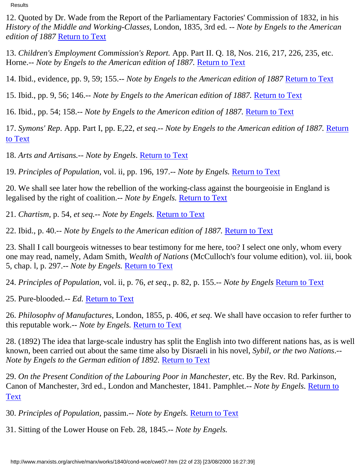12. Quoted by Dr. Wade from the Report of the Parliamentary Factories' Commission of 1832, in his *History of the Middle and Working-Classes,* London, 1835, 3rd ed. -- *Note by Engels to the American edition of 1887* Return to Text

13. *Children's Employment Commission's Report.* App. Part II. Q. 18, Nos. 216, 217, 226, 235, etc. Horne.-- *Note by Engels to the American edition of 1887.* Return to Text

14. Ibid., evidence, pp. 9, 59; 155.-- *Note by Engels to the American edition of 1887* Return to Text

15. Ibid., pp. 9, 56; 146.-- *Note by Engels to the American edition of 1887.* Return to Text

16. Ibid., pp. 54; 158.-- *Note by Engels to the Americon edition of 1887.* [Return to Text](#page-71-0)

17. *Symons' Rep*. App. Part I, pp. E,22, *et seq*.-- *Note by Engels to the American edition of 1887.* [Return](#page-71-1) [to Text](#page-71-1)

18. *Arts and Artisans.*-- *Note by Engels*. [Return to Text](#page-72-0)

19. *Principles of Population,* vol. ii, pp. 196, 197.-- *Note by Engels.* [Return to Text](#page-73-0)

20. We shall see later how the rebellion of the working-class against the bourgeoisie in England is legalised by the right of coalition.-- *Note by Engels.* [Return to Text](#page-73-1)

21. *Chartism,* p. 54, *et seq.-- Note by Engels.* [Return to Text](#page-73-2)

22. Ibid., p. 40.-- *Note by Engels to the American edition of 1887.* [Return to Text](#page-74-0)

23. Shall I call bourgeois witnesses to bear testimony for me here, too? I select one only, whom every one may read, namely, Adam Smith, *Wealth of Nations* (McCulloch's four volume edition), vol. iii, book 5, chap. l, p. 297.-- *Note by Engels.* [Return to Text](#page-74-1)

24. *Principles of Population*, vol. ii, p. 76, *et seq*., p. 82, p. 155.-- *Note by Engels* [Return to Text](#page-75-0)

25. Pure-blooded.-- *Ed.* [Return to Text](#page-76-0)

26. *Philosophv of Manufactures*, London, 1855, p. 406, *et seq*. We shall have occasion to refer further to this reputable work.-- *Note by Engels.* [Return to Text](#page-76-0)

28. (1892) The idea that large-scale industry has split the English into two different nations has, as is well known, been carried out about the same time also by Disraeli in his novel, *Sybil, or the two Nations*.-- *Note by Engels to the German edition of 1892.* [Return to Text](#page-77-0)

29. *On the Present Condition of the Labouring Poor in Manchester,* etc. By the Rev. Rd. Parkinson, Canon of Manchester, 3rd ed., London and Manchester, 1841. Pamphlet.-- *Note by Engels.* [Return to](#page-77-1) [Text](#page-77-1)

30. *Principles of Population,* passim.-- *Note by Engels.* [Return to Text](#page-78-0)

31. Sitting of the Lower House on Feb. 28, 1845.-- *Note by Engels.*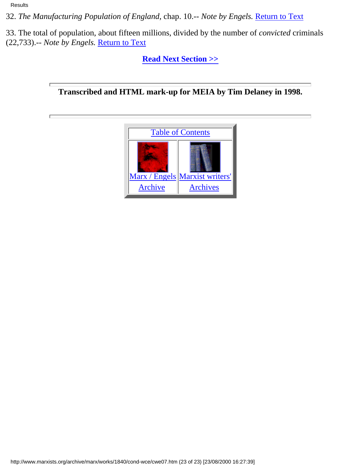32. *The Manufacturing Population of England,* chap. 10.-- *Note by Engels.* [Return to Text](#page-81-0)

33. The total of population, about fifteen millions, divided by the number of *convicted* criminals (22,733).-- *Note by Engels.* [Return to Text](#page-81-0)

**[Read Next Section >>](#page-85-0)**

### **Transcribed and HTML mark-up for MEIA by Tim Delaney in 1998.**

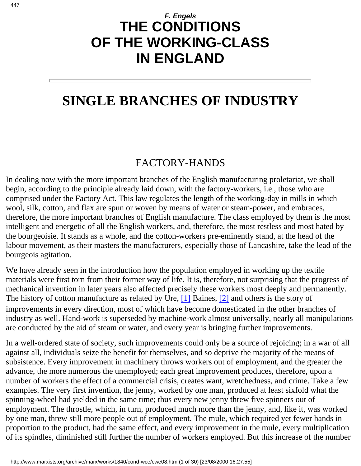## <span id="page-85-0"></span>**F. Engels THE CONDITIONS OF THE WORKING-CLASS IN ENGLAND**

## **SINGLE BRANCHES OF INDUSTRY**

### FACTORY-HANDS

In dealing now with the more important branches of the English manufacturing proletariat, we shall begin, according to the principle already laid down, with the factory-workers, i.e., those who are comprised under the Factory Act. This law regulates the length of the working-day in mills in which wool, silk, cotton, and flax are spun or woven by means of water or steam-power, and embraces, therefore, the more important branches of English manufacture. The class employed by them is the most intelligent and energetic of all the English workers, and, therefore, the most restless and most hated by the bourgeoisie. It stands as a whole, and the cotton-workers pre-eminently stand, at the head of the labour movement, as their masters the manufacturers, especially those of Lancashire, take the lead of the bourgeois agitation.

We have already seen in the introduction how the population employed in working up the textile materials were first torn from their former way of life. It is, therefore, not surprising that the progress of mechanical invention in later years also affected precisely these workers most deeply and permanently. The history of cotton manufacture as related by Ure, [\[1\]](#page-113-0) Baines, [\[2\]](#page-113-1) and others is the story of improvements in every direction, most of which have become domesticated in the other branches of industry as well. Hand-work is superseded by machine-work almost universally, nearly all manipulations are conducted by the aid of steam or water, and every year is bringing further improvements.

In a well-ordered state of society, such improvements could only be a source of rejoicing; in a war of all against all, individuals seize the benefit for themselves, and so deprive the majority of the means of subsistence. Every improvement in machinery throws workers out of employment, and the greater the advance, the more numerous the unemployed; each great improvement produces, therefore, upon a number of workers the effect of a commercial crisis, creates want, wretchedness, and crime. Take a few examples. The very first invention, the jenny, worked by one man, produced at least sixfold what the spinning-wheel had yielded in the same time; thus every new jenny threw five spinners out of employment. The throstle, which, in turn, produced much more than the jenny, and, like it, was worked by one man, threw still more people out of employment. The mule, which required yet fewer hands in proportion to the product, had the same effect, and every improvement in the mule, every multiplication of its spindles, diminished still further the number of workers employed. But this increase of the number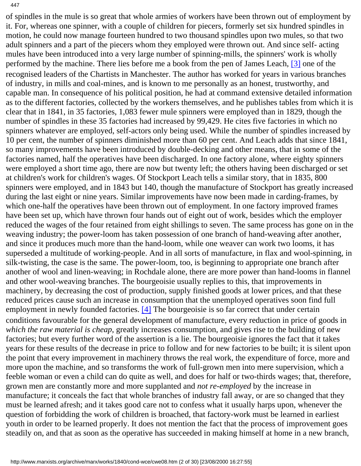of spindles in the mule is so great that whole armies of workers have been thrown out of employment by it. For, whereas one spinner, with a couple of children for piecers, formerly set six hundred spindles in motion, he could now manage fourteen hundred to two thousand spindles upon two mules, so that two adult spinners and a part of the piecers whom they employed were thrown out. And since self- acting mules have been introduced into a very large number of spinning-mills, the spinners' work is wholly performed by the machine. There lies before me a book from the pen of James Leach, [\[3\]](#page-113-2) one of the recognised leaders of the Chartists in Manchester. The author has worked for years in various branches of industry, in mills and coal-mines, and is known to me personally as an honest, trustworthy, and capable man. In consequence of his political position, he had at command extensive detailed information as to the different factories, collected by the workers themselves, and he publishes tables from which it is clear that in 1841, in 35 factories, 1,083 fewer mule spinners were employed than in 1829, though the number of spindles in these 35 factories had increased by 99,429. He cites five factories in which no spinners whatever are employed, self-actors only being used. While the number of spindles increased by 10 per cent, the number of spinners diminished more than 60 per cent. And Leach adds that since 1841, so many improvements have been introduced by double-decking and other means, that in some of the factories named, half the operatives have been discharged. In one factory alone, where eighty spinners were employed a short time ago, there are now but twenty left; the others having been discharged or set at children's work for children's wages. Of Stockport Leach tells a similar story, that in 1835, 800 spinners were employed, and in 1843 but 140, though the manufacture of Stockport has greatly increased during the last eight or nine years. Similar improvements have now been made in carding-frames, by which one-half the operatives have been thrown out of employment. In one factory improved frames have been set up, which have thrown four hands out of eight out of work, besides which the employer reduced the wages of the four retained from eight shillings to seven. The same process has gone on in the weaving industry; the power-loom has taken possession of one branch of hand-weaving after another, and since it produces much more than the hand-loom, while one weaver can work two looms, it has superseded a multitude of working-people. And in all sorts of manufacture, in flax and wool-spinning, in silk-twisting, the case is the same. The power-loom, too, is beginning to appropriate one branch after another of wool and linen-weaving; in Rochdale alone, there are more power than hand-looms in flannel and other wool-weaving branches. The bourgeoisie usually replies to this, that improvements in machinery, by decreasing the cost of production, supply finished goods at lower prices, and that these reduced prices cause such an increase in consumption that the unemployed operatives soon find full employment in newly founded factories. [\[4\]](#page-113-3) The bourgeoisie is so far correct that under certain conditions favourable for the general development of manufacture, every reduction in price of goods in *which the raw material is cheap*, greatly increases consumption, and gives rise to the building of new factories; but every further word of the assertion is a lie. The bourgeoisie ignores the fact that it takes years for these results of the decrease in price to follow and for new factories to be built; it is silent upon the point that every improvement in machinery throws the real work, the expenditure of force, more and more upon the machine, and so transforms the work of full-grown men into mere supervision, which a feeble woman or even a child can do quite as well, and does for half or two-thirds wages; that, therefore, grown men are constantly more and more supplanted and *not re-employed* by the increase in manufacture; it conceals the fact that whole branches of industry fall away, or are so changed that they must be learned afresh; and it takes good care not to confess what it usually harps upon, whenever the question of forbidding the work of children is broached, that factory-work must be learned in earliest youth in order to be learned properly. It does not mention the fact that the process of improvement goes steadily on, and that as soon as the operative has succeeded in making himself at home in a new branch,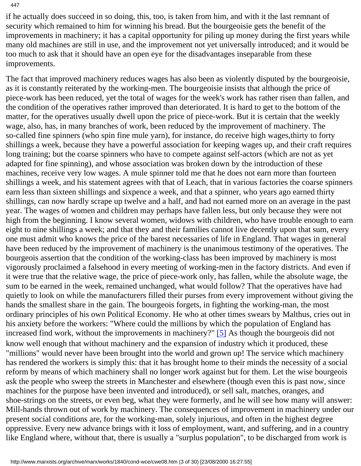if he actually does succeed in so doing, this, too, is taken from him, and with it the last remnant of security which remained to him for winning his bread. But the bourgeoisie gets the benefit of the improvements in machinery; it has a capital opportunity for piling up money during the first years while many old machines are still in use, and the improvement not yet universally introduced; and it would be too much to ask that it should have an open eye for the disadvantages inseparable from these improvements.

The fact that improved machinery reduces wages has also been as violently disputed by the bourgeoisie, as it is constantly reiterated by the working-men. The bourgeoisie insists that although the price of piece-work has been reduced, yet the total of wages for the week's work has rather risen than fallen, and the condition of the operatives rather improved than deteriorated. It is hard to get to the bottom of the matter, for the operatives usually dwell upon the price of piece-work. But it is certain that the weekly wage, also, has, in many branches of work, been reduced by the improvement of machinery. The so-called fine spinners (who spin fine mule yarn), for instance, do receive high wages,thirty to forty shillings a week, because they have a powerful association for keeping wages up, and their craft requires long training; but the coarse spinners who have to compete against self-actors (which are not as yet adapted for fine spinning), and whose association was broken down by the introduction of these machines, receive very low wages. A mule spinner told me that he does not earn more than fourteen shillings a week, and his statement agrees with that of Leach, that in various factories the coarse spinners earn less than sixteen shillings and sixpence a week, and that a spinner, who years ago earned thirty shillings, can now hardly scrape up twelve and a half, and had not earned more on an average in the past year. The wages of women and children may perhaps have fallen less, but only because they were not high from the beginning. I know several women, widows with children, who have trouble enough to earn eight to nine shillings a week; and that they and their families cannot live decently upon that sum, every one must admit who knows the price of the barest necessaries of life in England. That wages in general have been reduced by the improvement of machinery is the unanimous testimony of the operatives. The bourgeois assertion that the condition of the working-class has been improved by machinery is most vigorously proclaimed a falsehood in every meeting of working-men in the factory districts. And even if it were true that the relative wage, the price of piece-work only, has fallen, while the absolute wage, the sum to be earned in the week, remained unchanged, what would follow? That the operatives have had quietly to look on while the manufacturers filled their purses from every improvement without giving the hands the smallest share in the gain. The bourgeois forgets, in fighting the working-man, the most ordinary principles of his own Political Economy. He who at other times swears by Malthus, cries out in his anxiety before the workers: "Where could the millions by which the population of England has increased find work, without the improvements in machinery?" [\[5\]](#page-113-4) As though the bourgeois did not know well enough that without machinery and the expansion of industry which it produced, these "millions" would never have been brought into the world and grown up! The service which machinery has rendered the workers is simply this: that it has brought home to their minds the necessity of a social reform by means of which machinery shall no longer work against but for them. Let the wise bourgeois ask the people who sweep the streets in Manchester and elsewhere (though even this is past now, since machines for the purpose have been invented and introduced), or sell salt, matches, oranges, and shoe-strings on the streets, or even beg, what they were formerly, and he will see how many will answer: Mill-hands thrown out of work by machinery. The consequences of improvement in machinery under our present social conditions are, for the working-man, solely injurious, and often in the highest degree oppressive. Every new advance brings with it loss of employment, want, and suffering, and in a country like England where, without that, there is usually a "surplus population", to be discharged from work is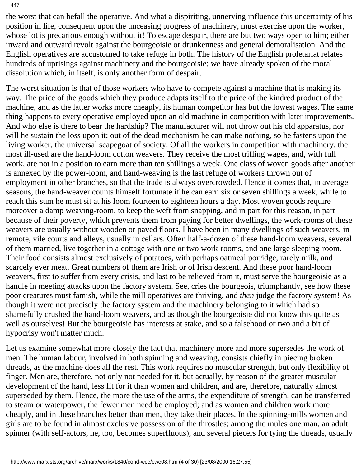the worst that can befall the operative. And what a dispiriting, unnerving influence this uncertainty of his position in life, consequent upon the unceasing progress of machinery, must exercise upon the worker, whose lot is precarious enough without it! To escape despair, there are but two ways open to him; either inward and outward revolt against the bourgeoisie or drunkenness and general demoralisation. And the English operatives are accustomed to take refuge in both. The history of the English proletariat relates hundreds of uprisings against machinery and the bourgeoisie; we have already spoken of the moral dissolution which, in itself, is only another form of despair.

The worst situation is that of those workers who have to compete against a machine that is making its way. The price of the goods which they produce adapts itself to the price of the kindred product of the machine, and as the latter works more cheaply, its human competitor has but the lowest wages. The same thing happens to every operative employed upon an old machine in competition with later improvements. And who else is there to bear the hardship? The manufacturer will not throw out his old apparatus, nor will he sustain the loss upon it; out of the dead mechanism he can make nothing, so he fastens upon the living worker, the universal scapegoat of society. Of all the workers in competition with machinery, the most ill-used are the hand-loom cotton weavers. They receive the most trifling wages, and, with full work, are not in a position to earn more than ten shillings a week. One class of woven goods after another is annexed by the power-loom, and hand-weaving is the last refuge of workers thrown out of employment in other branches, so that the trade is always overcrowded. Hence it comes that, in average seasons, the hand-weaver counts himself fortunate if he can earn six or seven shillings a week, while to reach this sum he must sit at his loom fourteen to eighteen hours a day. Most woven goods require moreover a damp weaving-room, to keep the weft from snapping, and in part for this reason, in part because of their poverty, which prevents them from paying for better dwellings, the work-rooms of these weavers are usually without wooden or paved floors. I have been in many dwellings of such weavers, in remote, vile courts and alleys, usually in cellars. Often half-a-dozen of these hand-loom weavers, several of them married, live together in a cottage with one or two work-rooms, and one large sleeping-room. Their food consists almost exclusively of potatoes, with perhaps oatmeal porridge, rarely milk, and scarcely ever meat. Great numbers of them are Irish or of Irish descent. And these poor hand-loom weavers, first to suffer from every crisis, and last to be relieved from it, must serve the bourgeoisie as a handle in meeting attacks upon the factory system. See, cries the bourgeois, triumphantly, see how these poor creatures must famish, while the mill operatives are thriving, and *then* judge the factory system! As though it were not precisely the factory system and the machinery belonging to it which had so shamefully crushed the hand-loom weavers, and as though the bourgeoisie did not know this quite as well as ourselves! But the bourgeoisie has interests at stake, and so a falsehood or two and a bit of hypocrisy won't matter much.

Let us examine somewhat more closely the fact that machinery more and more supersedes the work of men. The human labour, involved in both spinning and weaving, consists chiefly in piecing broken threads, as the machine does all the rest. This work requires no muscular strength, but only flexibility of finger. Men are, therefore, not only not needed for it, but actually, by reason of the greater muscular development of the hand, less fit for it than women and children, and are, therefore, naturally almost superseded by them. Hence, the more the use of the arms, the expenditure of strength, can be transferred to steam or waterpower, the fewer men need be employed; and as women and children work more cheaply, and in these branches better than men, they take their places. In the spinning-mills women and girls are to be found in almost exclusive possession of the throstles; among the mules one man, an adult spinner (with self-actors, he, too, becomes superfluous), and several piecers for tying the threads, usually

447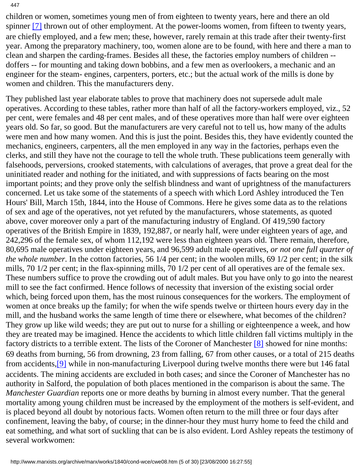children or women, sometimes young men of from eighteen to twenty years, here and there an old spinner [\[7\]](#page-113-5) thrown out of other employment. At the power-looms women, from fifteen to twenty years, are chiefly employed, and a few men; these, however, rarely remain at this trade after their twenty-first year. Among the preparatory machinery, too, women alone are to be found, with here and there a man to clean and sharpen the carding-frames. Besides all these, the factories employ numbers of children - doffers -- for mounting and taking down bobbins, and a few men as overlookers, a mechanic and an engineer for the steam- engines, carpenters, porters, etc.; but the actual work of the mills is done by women and children. This the manufacturers deny.

They published last year elaborate tables to prove that machinery does not supersede adult male operatives. According to these tables, rather more than half of all the factory-workers employed, viz., 52 per cent, were females and 48 per cent males, and of these operatives more than half were over eighteen years old. So far, so good. But the manufacturers are very careful not to tell us, how many of the adults were men and how many women. And this is just the point. Besides this, they have evidently counted the mechanics, engineers, carpenters, all the men employed in any way in the factories, perhaps even the clerks, and still they have not the courage to tell the whole truth. These publications teem generally with falsehoods, perversions, crooked statements, with calculations of averages, that prove a great deal for the uninitiated reader and nothing for the initiated, and with suppressions of facts bearing on the most important points; and they prove only the selfish blindness and want of uprightness of the manufacturers concerned. Let us take some of the statements of a speech with which Lord Ashley introduced the Ten Hours' Bill, March 15th, 1844, into the House of Commons. Here he gives some data as to the relations of sex and age of the operatives, not yet refuted by the manufacturers, whose statements, as quoted above, cover moreover only a part of the manufacturing industry of England. Of 419,590 factory operatives of the British Empire in 1839, 192,887, or nearly half, were under eighteen years of age, and 242,296 of the female sex, of whom 112,192 were less than eighteen years old. There remain, therefore, 80,695 male operatives under eighteen years, and 96,599 adult male operatives, *or not one full quarter of the whole number*. In the cotton factories, 56 1/4 per cent; in the woolen mills, 69 1/2 per cent; in the silk mills, 70 1/2 per cent; in the flax-spinning mills, 70 1/2 per cent of all operatives are of the female sex. These numbers suffice to prove the crowding out of adult males. But you have only to go into the nearest mill to see the fact confirmed. Hence follows of necessity that inversion of the existing social order which, being forced upon them, has the most ruinous consequences for the workers. The employment of women at once breaks up the family; for when the wife spends twelve or thirteen hours every day in the mill, and the husband works the same length of time there or elsewhere, what becomes of the children? They grow up like wild weeds; they are put out to nurse for a shilling or eighteenpence a week, and how they are treated may be imagined. Hence the accidents to which little children fall victims multiply in the factory districts to a terrible extent. The lists of the Coroner of Manchester [\[8\]](#page-113-6) showed for nine months: 69 deaths from burning, 56 from drowning, 23 from falling, 67 from other causes, or a total of 215 deaths from accidents[,\[9\]](#page-113-7) while in non-manufacturing Liverpool during twelve months there were but 146 fatal accidents. The mining accidents are excluded in both cases; and since the Coroner of Manchester has no authority in Salford, the population of both places mentioned in the comparison is about the same. The *Manchester Guardian* reports one or more deaths by burning in almost every number. That the general mortality among young children must be increased by the employment of the mothers is self-evident, and is placed beyond all doubt by notorious facts. Women often return to the mill three or four days after confinement, leaving the baby, of course; in the dinner-hour they must hurry home to feed the child and eat something, and what sort of suckling that can be is also evident. Lord Ashley repeats the testimony of several workwomen: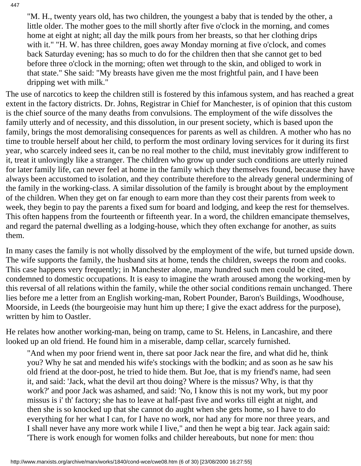"M. H., twenty years old, has two children, the youngest a baby that is tended by the other, a little older. The mother goes to the mill shortly after five o'clock in the morning, and comes home at eight at night; all day the milk pours from her breasts, so that her clothing drips with it." "H. W. has three children, goes away Monday morning at five o'clock, and comes back Saturday evening; has so much to do for the children then that she cannot get to bed before three o'clock in the morning; often wet through to the skin, and obliged to work in that state." She said: "My breasts have given me the most frightful pain, and I have been dripping wet with milk."

The use of narcotics to keep the children still is fostered by this infamous system, and has reached a great extent in the factory districts. Dr. Johns, Registrar in Chief for Manchester, is of opinion that this custom is the chief source of the many deaths from convulsions. The employment of the wife dissolves the family utterly and of necessity, and this dissolution, in our present society, which is based upon the family, brings the most demoralising consequences for parents as well as children. A mother who has no time to trouble herself about her child, to perform the most ordinary loving services for it during its first year, who scarcely indeed sees it, can be no real mother to the child, must inevitably grow indifferent to it, treat it unlovingly like a stranger. The children who grow up under such conditions are utterly ruined for later family life, can never feel at home in the family which they themselves found, because they have always been accustomed to isolation, and they contribute therefore to the already general undermining of the family in the working-class. A similar dissolution of the family is brought about by the employment of the children. When they get on far enough to earn more than they cost their parents from week to week, they begin to pay the parents a fixed sum for board and lodging, and keep the rest for themselves. This often happens from the fourteenth or fifteenth year. In a word, the children emancipate themselves, and regard the paternal dwelling as a lodging-house, which they often exchange for another, as suits them.

In many cases the family is not wholly dissolved by the employment of the wife, but turned upside down. The wife supports the family, the husband sits at home, tends the children, sweeps the room and cooks. This case happens very frequently; in Manchester alone, many hundred such men could be cited, condemned to domestic occupations. It is easy to imagine the wrath aroused among the working-men by this reversal of all relations within the family, while the other social conditions remain unchanged. There lies before me a letter from an English working-man, Robert Pounder, Baron's Buildings, Woodhouse, Moorside, in Leeds (the bourgeoisie may hunt him up there; I give the exact address for the purpose), written by him to Oastler.

He relates how another working-man, being on tramp, came to St. Helens, in Lancashire, and there looked up an old friend. He found him in a miserable, damp cellar, scarcely furnished.

"And when my poor friend went in, there sat poor Jack near the fire, and what did he, think you? Why he sat and mended his wife's stockings with the bodkin; and as soon as he saw his old friend at the door-post, he tried to hide them. But Joe, that is my friend's name, had seen it, and said: 'Jack, what the devil art thou doing? Where is the missus? Why, is that thy work?' and poor Jack was ashamed, and said: 'No, I know this is not my work, but my poor missus is i' th' factory; she has to leave at half-past five and works till eight at night, and then she is so knocked up that she cannot do aught when she gets home, so I have to do everything for her what I can, for I have no work, nor had any for more nor three years, and I shall never have any more work while I live," and then he wept a big tear. Jack again said: 'There is work enough for women folks and childer hereabouts, but none for men: thou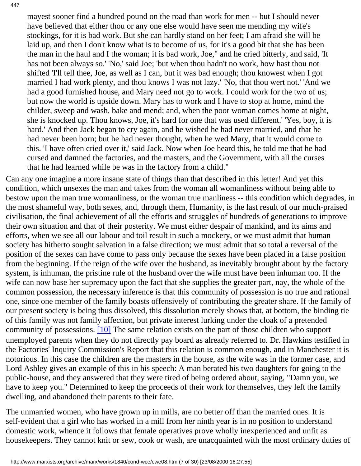mayest sooner find a hundred pound on the road than work for men -- but I should never have believed that either thou or any one else would have seen me mending my wife's stockings, for it is bad work. But she can hardly stand on her feet; I am afraid she will be laid up, and then I don't know what is to become of us, for it's a good bit that she has been the man in the haul and I the woman; it is bad work, Joe," and he cried bitterly, and said, 'It has not been always so.' 'No,' said Joe; 'but when thou hadn't no work, how hast thou not shifted 'I'll tell thee, Joe, as well as I can, but it was bad enough; thou knowest when I got married I had work plenty, and thou knows I was not lazy.' 'No, that thou wert not.' 'And we had a good furnished house, and Mary need not go to work. I could work for the two of us; but now the world is upside down. Mary has to work and I have to stop at home, mind the childer, sweep and wash, bake and mend; and, when the poor woman comes home at night, she is knocked up. Thou knows, Joe, it's hard for one that was used different.' 'Yes, boy, it is hard.' And then Jack began to cry again, and he wished he had never married, and that he had never been born; but he had never thought, when he wed Mary, that it would come to this. 'I have often cried over it,' said Jack. Now when Joe heard this, he told me that he had cursed and damned the factories, and the masters, and the Government, with all the curses that he had learned while be was in the factory from a child."

Can any one imagine a more insane state of things than that described in this letter! And yet this condition, which unsexes the man and takes from the woman all womanliness without being able to bestow upon the man true womanliness, or the woman true manliness -- this condition which degrades, in the most shameful way, both sexes, and, through them, Humanity, is the last result of our much-praised civilisation, the final achievement of all the efforts and struggles of hundreds of generations to improve their own situation and that of their posterity. We must either despair of mankind, and its aims and efforts, when we see all our labour and toil result in such a mockery, or we must admit that human society has hitherto sought salvation in a false direction; we must admit that so total a reversal of the position of the sexes can have come to pass only because the sexes have been placed in a false position from the beginning. If the reign of the wife over the husband, as inevitably brought about by the factory system, is inhuman, the pristine rule of the husband over the wife must have been inhuman too. If the wife can now base her supremacy upon the fact that she supplies the greater part, nay, the whole of the common possession, the necessary inference is that this community of possession is no true and rational one, since one member of the family boasts offensively of contributing the greater share. If the family of our present society is being thus dissolved, this dissolution merely shows that, at bottom, the binding tie of this family was not family affection, but private interest lurking under the cloak of a pretended community of possessions. [\[10\]](#page-113-8) The same relation exists on the part of those children who support unemployed parents when they do not directly pay board as already referred to. Dr. Hawkins testified in the Factories' Inquiry Commission's Report that this relation is common enough, and in Manchester it is notorious. In this case the children are the masters in the house, as the wife was in the former case, and Lord Ashley gives an example of this in his speech: A man berated his two daughters for going to the public-house, and they answered that they were tired of being ordered about, saying, "Damn you, we have to keep you." Determined to keep the proceeds of their work for themselves, they left the family dwelling, and abandoned their parents to their fate.

The unmarried women, who have grown up in mills, are no better off than the married ones. It is self-evident that a girl who has worked in a mill from her ninth year is in no position to understand domestic work, whence it follows that female operatives prove wholly inexperienced and unfit as housekeepers. They cannot knit or sew, cook or wash, are unacquainted with the most ordinary duties of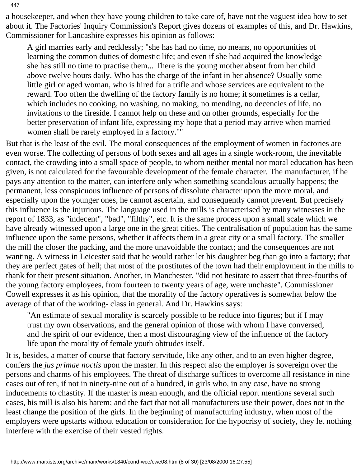a housekeeper, and when they have young children to take care of, have not the vaguest idea how to set about it. The Factories' Inquiry Commission's Report gives dozens of examples of this, and Dr. Hawkins, Commissioner for Lancashire expresses his opinion as follows:

A girl marries early and recklessly; "she has had no time, no means, no opportunities of learning the common duties of domestic life; and even if she had acquired the knowledge she has still no time to practise them... There is the young mother absent from her child above twelve hours daily. Who has the charge of the infant in her absence? Usually some little girl or aged woman, who is hired for a trifle and whose services are equivalent to the reward. Too often the dwelling of the factory family is no home; it sometimes is a cellar, which includes no cooking, no washing, no making, no mending, no decencies of life, no invitations to the fireside. I cannot help on these and on other grounds, especially for the better preservation of infant life, expressing my hope that a period may arrive when married women shall be rarely employed in a factory.'"'

But that is the least of the evil. The moral consequences of the employment of women in factories are even worse. The collecting of persons of both sexes and all ages in a single work-room, the inevitable contact, the crowding into a small space of people, to whom neither mental nor moral education has been given, is not calculated for the favourable development of the female character. The manufacturer, if he pays any attention to the matter, can interfere only when something scandalous actually happens; the permanent, less conspicuous influence of persons of dissolute character upon the more moral, and especially upon the younger ones, he cannot ascertain, and consequently cannot prevent. But precisely this influence is the injurious. The language used in the mills is characterised by many witnesses in the report of 1833, as "indecent", "bad", "filthy", etc. It is the same process upon a small scale which we have already witnessed upon a large one in the great cities. The centralisation of population has the same influence upon the same persons, whether it affects them in a great city or a small factory. The smaller the mill the closer the packing, and the more unavoidable the contact; and the consequences are not wanting. A witness in Leicester said that he would rather let his daughter beg than go into a factory; that they are perfect gates of hell; that most of the prostitutes of the town had their employment in the mills to thank for their present situation. Another, in Manchester, "did not hesitate to assert that three-fourths of the young factory employees, from fourteen to twenty years of age, were unchaste". Commissioner Cowell expresses it as his opinion, that the morality of the factory operatives is somewhat below the average of that of the working- class in general. And Dr. Hawkins says:

"An estimate of sexual morality is scarcely possible to be reduce into figures; but if I may trust my own observations, and the general opinion of those with whom I have conversed, and the spirit of our evidence, then a most discouraging view of the influence of the factory life upon the morality of female youth obtrudes itself.

It is, besides, a matter of course that factory servitude, like any other, and to an even higher degree, confers the *jus primae noctis* upon the master. In this respect also the employer is sovereign over the persons and charms of his employees. The threat of discharge suffices to overcome all resistance in nine cases out of ten, if not in ninety-nine out of a hundred, in girls who, in any case, have no strong inducements to chastity. If the master is mean enough, and the official report mentions several such cases, his mill is also his harem; and the fact that not all manufacturers use their power, does not in the least change the position of the girls. In the beginning of manufacturing industry, when most of the employers were upstarts without education or consideration for the hypocrisy of society, they let nothing interfere with the exercise of their vested rights.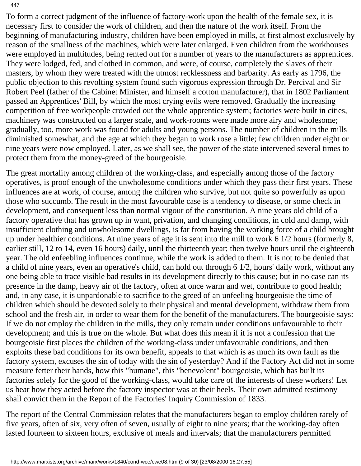To form a correct judgment of the influence of factory-work upon the health of the female sex, it is necessary first to consider the work of children, and then the nature of the work itself. From the beginning of manufacturing industry, children have been employed in mills, at first almost exclusively by reason of the smallness of the machines, which were later enlarged. Even children from the workhouses were employed in multitudes, being rented out for a number of years to the manufacturers as apprentices. They were lodged, fed, and clothed in common, and were, of course, completely the slaves of their masters, by whom they were treated with the utmost recklessness and barbarity. As early as 1796, the public objection to this revolting system found such vigorous expression through Dr. Percival and Sir Robert Peel (father of the Cabinet Minister, and himself a cotton manufacturer), that in 1802 Parliament passed an Apprentices' Bill, by which the most crying evils were removed. Gradually the increasing competition of free workpeople crowded out the whole apprentice system; factories were built in cities, machinery was constructed on a larger scale, and work-rooms were made more airy and wholesome; gradually, too, more work was found for adults and young persons. The number of children in the mills diminished somewhat, and the age at which they began to work rose a little; few children under eight or nine years were now employed. Later, as we shall see, the power of the state intervened several times to protect them from the money-greed of the bourgeoisie.

The great mortality among children of the working-class, and especially among those of the factory operatives, is proof enough of the unwholesome conditions under which they pass their first years. These influences are at work, of course, among the children who survive, but not quite so powerfully as upon those who succumb. The result in the most favourable case is a tendency to disease, or some check in development, and consequent less than normal vigour of the constitution. A nine years old child of a factory operative that has grown up in want, privation, and changing conditions, in cold and damp, with insufficient clothing and unwholesome dwellings, is far from having the working force of a child brought up under healthier conditions. At nine years of age it is sent into the mill to work 6 1/2 hours (formerly 8, earlier still, 12 to 14, even 16 hours) daily, until the thirteenth year; then twelve hours until the eighteenth year. The old enfeebling influences continue, while the work is added to them. It is not to be denied that a child of nine years, even an operative's child, can hold out through 6 1/2, hours' daily work, without any one being able to trace visible bad results in its development directly to this cause; but in no case can its presence in the damp, heavy air of the factory, often at once warm and wet, contribute to good health; and, in any case, it is unpardonable to sacrifice to the greed of an unfeeling bourgeoisie the time of children which should be devoted solely to their physical and mental development, withdraw them from school and the fresh air, in order to wear them for the benefit of the manufacturers. The bourgeoisie says: If we do not employ the children in the mills, they only remain under conditions unfavourable to their development; and this is true on the whole. But what does this mean if it is not a confession that the bourgeoisie first places the children of the working-class under unfavourable conditions, and then exploits these bad conditions for its own benefit, appeals to that which is as much its own fault as the factory system, excuses the sin of today with the sin of yesterday? And if the Factory Act did not in some measure fetter their hands, how this "humane", this "benevolent" bourgeoisie, which has built its factories solely for the good of the working-class, would take care of the interests of these workers! Let us hear how they acted before the factory inspector was at their heels. Their own admitted testimony shall convict them in the Report of the Factories' Inquiry Commission of 1833.

The report of the Central Commission relates that the manufacturers began to employ children rarely of five years, often of six, very often of seven, usually of eight to nine years; that the working-day often lasted fourteen to sixteen hours, exclusive of meals and intervals; that the manufacturers permitted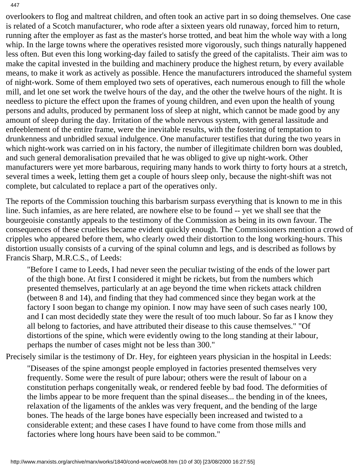overlookers to flog and maltreat children, and often took an active part in so doing themselves. One case is related of a Scotch manufacturer, who rode after a sixteen years old runaway, forced him to return, running after the employer as fast as the master's horse trotted, and beat him the whole way with a long whip. In the large towns where the operatives resisted more vigorously, such things naturally happened less often. But even this long working-day failed to satisfy the greed of the capitalists. Their aim was to make the capital invested in the building and machinery produce the highest return, by every available means, to make it work as actively as possible. Hence the manufacturers introduced the shameful system of night-work. Some of them employed two sets of operatives, each numerous enough to fill the whole mill, and let one set work the twelve hours of the day, and the other the twelve hours of the night. It is needless to picture the effect upon the frames of young children, and even upon the health of young persons and adults, produced by permanent loss of sleep at night, which cannot be made good by any amount of sleep during the day. Irritation of the whole nervous system, with general lassitude and enfeeblement of the entire frame, were the inevitable results, with the fostering of temptation to drunkenness and unbridled sexual indulgence. One manufacturer testifies that during the two years in which night-work was carried on in his factory, the number of illegitimate children born was doubled, and such general demoralisation prevailed that he was obliged to give up night-work. Other manufacturers were yet more barbarous, requiring many hands to work thirty to forty hours at a stretch, several times a week, letting them get a couple of hours sleep only, because the night-shift was not

The reports of the Commission touching this barbarism surpass everything that is known to me in this line. Such infamies, as are here related, are nowhere else to be found -- yet we shall see that the bourgeoisie constantly appeals to the testimony of the Commission as being in its own favour. The consequences of these cruelties became evident quickly enough. The Commissioners mention a crowd of cripples who appeared before them, who clearly owed their distortion to the long working-hours. This distortion usually consists of a curving of the spinal column and legs, and is described as follows by Francis Sharp, M.R.C.S., of Leeds:

"Before I came to Leeds, I had never seen the peculiar twisting of the ends of the lower part of the thigh bone. At first I considered it might be rickets, but from the numbers which presented themselves, particularly at an age beyond the time when rickets attack children (between 8 and 14), and finding that they had commenced since they began work at the factory I soon began to change my opinion. I now may have seen of such cases nearly 100, and I can most decidedly state they were the result of too much labour. So far as I know they all belong to factories, and have attributed their disease to this cause themselves." "Of distortions of the spine, which were evidently owing to the long standing at their labour, perhaps the number of cases might not be less than 300."

Precisely similar is the testimony of Dr. Hey, for eighteen years physician in the hospital in Leeds:

"Diseases of the spine amongst people employed in factories presented themselves very frequently. Some were the result of pure labour; others were the result of labour on a constitution perhaps congenitally weak, or rendered feeble by bad food. The deformities of the limbs appear to be more frequent than the spinal diseases... the bending in of the knees, relaxation of the ligaments of the ankles was very frequent, and the bending of the large bones. The heads of the large bones have especially been increased and twisted to a considerable extent; and these cases I have found to have come from those mills and factories where long hours have been said to be common."

complete, but calculated to replace a part of the operatives only.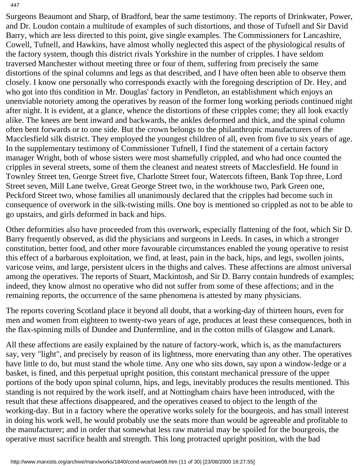Surgeons Beaumont and Sharp, of Bradford, bear the same testimony. The reports of Drinkwater, Power, and Dr. Loudon contain a multitude of examples of such distortions, and those of Tufnell and Sir David Barry, which are less directed to this point, give single examples. The Commissioners for Lancashire, Cowell, Tufnell, and Hawkins, have almost wholly neglected this aspect of the physiological results of the factory system, though this district rivals Yorkshire in the number of cripples. I have seldom traversed Manchester without meeting three or four of them, suffering from precisely the same distortions of the spinal columns and legs as that described, and I have often been able to observe them closely. I know one personally who corresponds exactly with the foregoing description of Dr. Hey, and who got into this condition in Mr. Douglas' factory in Pendleton, an establishment which enjoys an unenviable notoriety among the operatives by reason of the former long working periods continued night after night. It is evident, at a glance, whence the distortions of these cripples come; they all look exactly alike. The knees are bent inward and backwards, the ankles deformed and thick, and the spinal column often bent forwards or to one side. But the crown belongs to the philanthropic manufacturers of the Macclesfield silk district. They employed the youngest children of all, even from five to six years of age. In the supplementary testimony of Commissioner Tufnell, I find the statement of a certain factory manager Wright, both of whose sisters were most shamefully crippled, and who had once counted the cripples in several streets, some of them the cleanest and neatest streets of Macclesfield. He found in Townley Street ten, George Street five, Charlotte Street four, Watercots fifteen, Bank Top three, Lord Street seven, Mill Lane twelve, Great George Street two, in the workhouse two, Park Green one, Peckford Street two, whose families all unanimously declared that the cripples had become such in consequence of overwork in the silk-twisting mills. One boy is mentioned so crippled as not to be able to go upstairs, and girls deformed in back and hips.

Other deformities also have proceeded from this overwork, especially flattening of the foot, which Sir D. Barry frequently observed, as did the physicians and surgeons in Leeds. In cases, in which a stronger constitution, better food, and other more favourable circumstances enabled the young operative to resist this effect of a barbarous exploitation, we find, at least, pain in the back, hips, and legs, swollen joints, varicose veins, and large, persistent ulcers in the thighs and calves. These affections are almost universal among the operatives. The reports of Stuart, Mackintosh, and Sir D. Barry contain hundreds of examples; indeed, they know almost no operative who did not suffer from some of these affections; and in the remaining reports, the occurrence of the same phenomena is attested by many physicians.

The reports covering Scotland place it beyond all doubt, that a working-day of thirteen hours, even for men and women from eighteen to twenty-two years of age, produces at least these consequences, both in the flax-spinning mills of Dundee and Dunfermline, and in the cotton mills of Glasgow and Lanark.

All these affections are easily explained by the nature of factory-work, which is, as the manufacturers say, very "light", and precisely by reason of its lightness, more enervating than any other. The operatives have little to do, but must stand the whole time. Any one who sits down, say upon a window-ledge or a basket, is fined, and this perpetual upright position, this constant mechanical pressure of the upper portions of the body upon spinal column, hips, and legs, inevitably produces the results mentioned. This standing is not required by the work itself, and at Nottingham chairs have been introduced, with the result that these affections disappeared, and the operatives ceased to object to the length of the working-day. But in a factory where the operative works solely for the bourgeois, and has small interest in doing his work well, he would probably use the seats more than would be agreeable and profitable to the manufacturer; and in order that somewhat less raw material may be spoiled for the bourgeois, the operative must sacrifice health and strength. This long protracted upright position, with the bad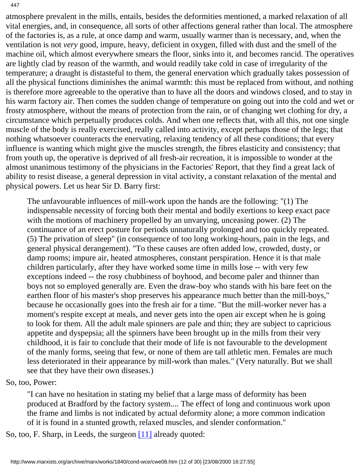atmosphere prevalent in the mills, entails, besides the deformities mentioned, a marked relaxation of all vital energies, and, in consequence, all sorts of other affections general rather than local. The atmosphere of the factories is, as a rule, at once damp and warm, usually warmer than is necessary, and, when the ventilation is not *very* good, impure, heavy, deficient in oxygen, filled with dust and the smell of the machine oil, which almost everywhere smears the floor, sinks into it, and becomes rancid. The operatives are lightly clad by reason of the warmth, and would readily take cold in case of irregularity of the temperature; a draught is distasteful to them, the general enervation which gradually takes possession of all the physical functions diminishes the animal warmth: this must be replaced from without, and nothing is therefore more agreeable to the operative than to have all the doors and windows closed, and to stay in his warm factory air. Then comes the sudden change of temperature on going out into the cold and wet or frosty atmosphere, without the means of protection from the rain, or of changing wet clothing for dry, a circumstance which perpetually produces colds. And when one reflects that, with all this, not one single muscle of the body is really exercised, really called into activity, except perhaps those of the legs; that nothing whatsoever counteracts the enervating, relaxing tendency of all these conditions; that every influence is wanting which might give the muscles strength, the fibres elasticity and consistency; that from youth up, the operative is deprived of all fresh-air recreation, it is impossible to wonder at the almost unanimous testimony of the physicians in the Factories' Report, that they find a great lack of ability to resist disease, a general depression in vital activity, a constant relaxation of the mental and physical powers. Let us hear Sir D. Barry first:

The unfavourable influences of mill-work upon the hands are the following: "(1) The indispensable necessity of forcing both their mental and bodily exertions to keep exact pace with the motions of machinery propelled by an unvarying, unceasing power. (2) The continuance of an erect posture for periods unnaturally prolonged and too quickly repeated. (5) The privation of sleep" (in consequence of too long working-hours, pain in the legs, and general physical derangement). "To these causes are often added low, crowded, dusty, or damp rooms; impure air, heated atmospheres, constant perspiration. Hence it is that male children particularly, after they have worked some time in mills lose -- with very few exceptions indeed -- the rosy chubbiness of boyhood, and become paler and thinner than boys not so employed generally are. Even the draw-boy who stands with his bare feet on the earthen floor of his master's shop preserves his appearance much better than the mill-boys," because he occasionally goes into the fresh air for a time. "But the mill-worker never has a moment's respite except at meals, and never gets into the open air except when he is going to look for them. All the adult male spinners are pale and thin; they are subject to capricious appetite and dyspepsia; all the spinners have been brought up in the mills from their very childhood, it is fair to conclude that their mode of life is not favourable to the development of the manly forms, seeing that few, or none of them are tall athletic men. Females are much less deteriorated in their appearance by mill-work than males." (Very naturally. But we shall see that they have their own diseases.)

So, too, Power:

"I can have no hesitation in stating my belief that a large mass of deformity has been produced at Bradford by the factory system.... The effect of long and continuous work upon the frame and limbs is not indicated by actual deformity alone; a more common indication of it is found in a stunted growth, relaxed muscles, and slender conformation."

So, too, F. Sharp, in Leeds, the surgeon [\[11\]](#page-113-9) already quoted: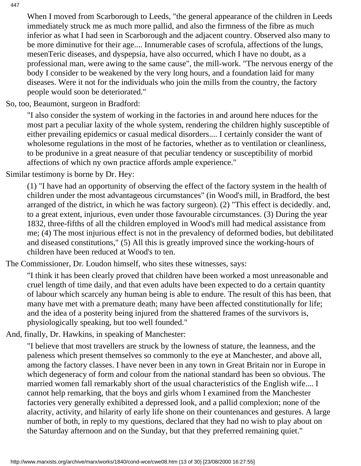When I moved from Scarborough to Leeds, "the general appearance of the children in Leeds immediately struck me as much more pallid, and also the firmness of the fibre as much inferior as what I had seen in Scarborough and the adjacent country. Observed also many to be more diminutive for their age.... Innumerable cases of scrofula, affections of the lungs, mesenTeric diseases, and dyspepsia, have also occurred, which I have no doubt, as a professional man, were awing to the same cause", the mill-work. "The nervous energy of the body I consider to be weakened by the very long hours, and a foundation laid for many diseases. Were it not for the individuals who join the mills from the country, the factory people would soon be deteriorated."

So, too, Beaumont, surgeon in Bradford:

"I also consider the system of working in the factories in and around here nduces for the most part a peculiar laxity of the whole system, rendering the children highly susceptible of either prevailing epidemics or casual medical disorders.... I certainly consider the want of wholesome regulations in the most of he factories, whether as to ventilation or cleanliness, to be produnive in a great neasure of that peculiar tendency or susceptibility of morbid affections of which ny own practice affords ample experience."

Similar testimony is borne by Dr. Hey:

(1) "I have had an opportunity of observing the effect of the factory system in the health of children under the most advantageous circumstances" (in Wood's mill, in Bradford, the best arranged of the district, in which he was factory surgeon). (2) "This effect is decidedly. and, to a great extent, injurious, even under those favourable circumstances. (3) During the year 1832, three-fifths of all the children employed in Wood's mill had medical assistance from me; (4) The most injurious effect is not in the prevalency of deformed bodies, but debilitated and diseased constitutions," (5) All this is greatly improved since the working-hours of children have been reduced at Wood's to ten.

The Commissioner, Dr. Loudon himself, who sites these witnesses, says:

"I think it has been clearly proved that children have been worked a most unreasonable and cruel length of time daily, and that even adults have been expected to do a certain quantity of labour which scarcely any human being is able to endure. The result of this has been, that many have met with a premature death; many have been affected constitutionally for life; and the idea of a posterity being injured from the shattered frames of the survivors is, physiologically speaking, but too well founded."

And, finally, Dr. Hawkins, in speaking of Manchester:

"I believe that most travellers are struck by the lowness of stature, the leanness, and the paleness which present themselves so commonly to the eye at Manchester, and above all, among the factory classes. I have never been in any town in Great Britain nor in Europe in which degeneracy of form and colour from the national standard has been so obvious. The married women fall remarkably short of the usual characteristics of the English wife.... I cannot help remarking, that the boys and girls whom I examined from the Manchester factories very generally exhibited a depressed look, and a pallid complexion; none of the alacrity, activity, and hilarity of early life shone on their countenances and gestures. A large number of both, in reply to my questions, declared that they had no wish to play about on the Saturday afternoon and on the Sunday, but that they preferred remaining quiet."

447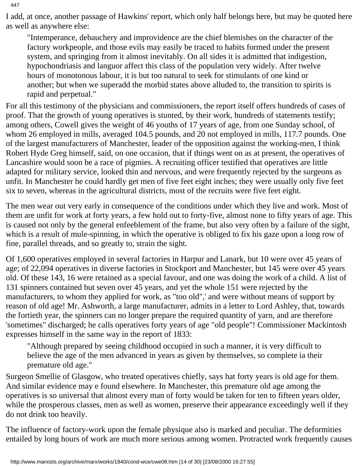I add, at once, another passage of Hawkins' report, which only half belongs here, but may be quoted here as well as anywhere else:

"Intemperance, debauchery and improvidence are the chief blemishes on the character of the factory workpeople, and those evils may easily be traced to habits formed under the present system, and springing from it almost inevitably. On all sides it is admitted that indigestion, hypochondriasis and languor affect this class of the population very widely. After twelve hours of monotonous labour, it is but too natural to seek for stimulants of one kind or another; but when we superadd the morbid states above alluded to, the transition to spirits is rapid and perpetual."

For all this testimony of the physicians and commissioners, the report itself offers hundreds of cases of proof. That the growth of young operatives is stunted, by their work, hundreds of statements testify; among others, Cowell gives the weight of 46 youths of 17 years of age, from one Sunday school, of whom 26 employed in mills, averaged 104.5 pounds, and 20 not employed in mills, 117.7 pounds. One of the largest manufacturers of Manchester, leader of the opposition against the working-men, I think Robert Hyde Greg himself, said, on one occasion, that if things went on as at present, the operatives of Lancashire would soon be a race of pigmies. A recruiting officer testified that operatives are little adapted for military service, looked thin and nervous, and were frequently rejected by the surgeons as unfit. In Manchester he could hardly get men of five feet eight inches; they were usually only five feet six to seven, whereas in the agricultural districts, most of the recruits were five feet eight.

The men wear out very early in consequence of the conditions under which they live and work. Most of them are unfit for work at forty years, a few hold out to forty-five, almost none to fifty years of age. This is caused not only by the general enfeeblement of the frame, but also very often by a failure of the sight, which is a result of mule-spinning, in which the operative is obliged to fix his gaze upon a long row of fine, parallel threads, and so greatly to, strain the sight.

Of 1,600 operatives employed in several factories in Harpur and Lanark, but 10 were over 45 years of age; of 22,094 operatives in diverse factories in Stockport and Manchester, but 145 were over 45 years old. Of these 143, 16 were retained as a special favour, and one was doing the work of a child. A list of 131 spinners contained but seven over 45 years, and yet the whole 151 were rejected by the manufacturers, to whom they applied for work, as "too old",' and were without means of support by reason of old age! Mr. Ashworth, a large manufacturer, admits in a letter to Lord Ashley, that, towards the fortieth year, the spinners can no longer prepare the required quantity of yarn, and are therefore 'sometimes" discharged; he calls operatives forty years of age "old people"! Commissioner Mackintosh expresses himself in the same way in the report of 1833:

"Although prepared by seeing childhood occupied in such a manner, it is very difficult to believe the age of the men advanced in years as given by themselves, so complete ia their premature old age."

Surgeon Smellie of Glasgow, who treated operatives chiefly, says hat forty years is old age for them. And similar evidence may e found elsewhere. In Manchester, this premature old age among the operatives is so universal that almost every man of forty would be taken for ten to fifteen years older, while the prosperous classes, men as well as women, preserve their appearance exceedingly well if they do not drink too heavily.

The influence of factory-work upon the female physique also is marked and peculiar. The deformities entailed by long hours of work are much more serious among women. Protracted work frequently causes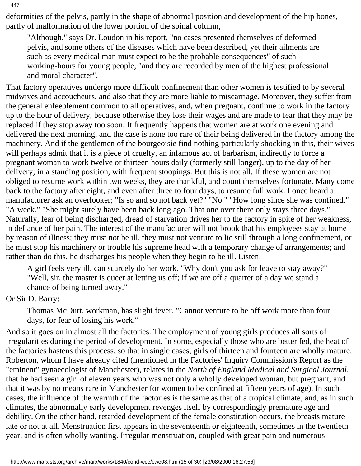deformities of the pelvis, partly in the shape of abnormal position and development of the hip bones, partly of malformation of the lower portion of the spinal column,

"Although," says Dr. Loudon in his report, "no cases presented themselves of deformed pelvis, and some others of the diseases which have been described, yet their ailments are such as every medical man must expect to be the probable consequences" of such working-hours for young people, "and they are recorded by men of the highest professional and moral character".

That factory operatives undergo more difficult confinement than other women is testified to by several midwives and accoucheurs, and also that they are more liable to miscarriage. Moreover, they suffer from the general enfeeblement common to all operatives, and, when pregnant, continue to work in the factory up to the hour of delivery, because otherwise they lose their wages and are made to fear that they may be replaced if they stop away too soon. It frequently happens that women are at work one evening and delivered the next morning, and the case is none too rare of their being delivered in the factory among the machinery. And if the gentlemen of the bourgeoisie find nothing particularly shocking in this, their wives will perhaps admit that it is a piece of cruelty, an infamous act of barbarism, indirectly to force a pregnant woman to work twelve or thirteen hours daily (formerly still longer), up to the day of her delivery; in a standing position, with frequent stoopings. But this is not all. If these women are not obliged to resume work within two weeks, they are thankful, and count themselves fortunate. Many come back to the factory after eight, and even after three to four days, to resume full work. I once heard a manufacturer ask an overlooker; "Is so and so not back yet?" "No." "How long since she was confined." "A week." "She might surely have been back long ago. That one over there only stays three days." Naturally, fear of being discharged, dread of starvation drives her to the factory in spite of her weakness, in defiance of her pain. The interest of the manufacturer will not brook that his employees stay at home by reason of illness; they must not be ill, they must not venture to lie still through a long confinement, or he must stop his machinery or trouble his supreme head with a temporary change of arrangements; and rather than do this, he discharges his people when they begin to be ill. Listen:

A girl feels very ill, can scarcely do her work. "Why don't you ask for leave to stay away?" "Well, sir, the master is queer at letting us off; if we are off a quarter of a day we stand a chance of being turned away."

Or Sir D. Barry:

Thomas McDurt, workman, has slight fever. "Cannot venture to be off work more than four days, for fear of losing his work."

And so it goes on in almost all the factories. The employment of young girls produces all sorts of irregularities during the period of development. In some, especially those who are better fed, the heat of the factories hastens this process, so that in single cases, girls of thirteen and fourteen are wholly mature. Roberton, whom I have already cited (mentioned in the Factories' Inquiry Commission's Report as the "eminent" gynaecologist of Manchester), relates in the *North of England Medical and Surgical Journal*, that he had seen a girl of eleven years who was not only a wholly developed woman, but pregnant, and that it was by no means rare in Manchester for women to be confined at fifteen years of age). In such cases, the influence of the warmth of the factories is the same as that of a tropical climate, and, as in such climates, the abnormally early development revenges itself by correspondingly premature age and debility. On the other hand, retarded development of the female constitution occurs, the breasts mature late or not at all. Menstruation first appears in the seventeenth or eighteenth, sometimes in the twentieth year, and is often wholly wanting. Irregular menstruation, coupled with great pain and numerous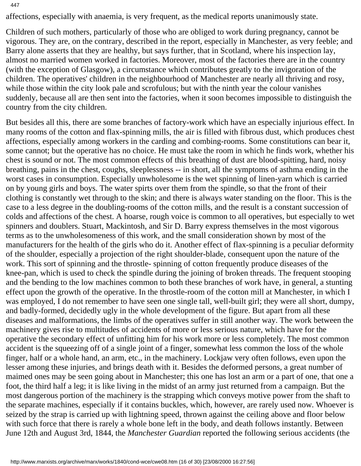affections, especially with anaemia, is very frequent, as the medical reports unanimously state.

Children of such mothers, particularly of those who are obliged to work during pregnancy, cannot be vigorous. They are, on the contrary, described in the report, especially in Manchester, as very feeble; and Barry alone asserts that they are healthy, but says further, that in Scotland, where his inspection lay, almost no married women worked in factories. Moreover, most of the factories there are in the country (with the exception of Glasgow), a circumstance which contributes greatly to the invigoration of the children. The operatives' children in the neighbourhood of Manchester are nearly all thriving and rosy, while those within the city look pale and scrofulous; but with the ninth year the colour vanishes suddenly, because all are then sent into the factories, when it soon becomes impossible to distinguish the country from the city children.

But besides all this, there are some branches of factory-work which have an especially injurious effect. In many rooms of the cotton and flax-spinning mills, the air is filled with fibrous dust, which produces chest affections, especially among workers in the carding and combing-rooms. Some constitutions can bear it, some cannot; but the operative has no choice. He must take the room in which he finds work, whether his chest is sound or not. The most common effects of this breathing of dust are blood-spitting, hard, noisy breathing, pains in the chest, coughs, sleeplessness -- in short, all the symptoms of asthma ending in the worst cases in consumption. Especially unwholesome is the wet spinning of linen-yarn which is carried on by young girls and boys. The water spirts over them from the spindle, so that the front of their clothing is constantly wet through to the skin; and there is always water standing on the floor. This is the case to a less degree in the doubling-rooms of the cotton mills, and the result is a constant succession of colds and affections of the chest. A hoarse, rough voice is common to all operatives, but especially to wet spinners and doublers. Stuart, Mackintosh, and Sir D. Barry express themselves in the most vigorous terms as to the unwholesomeness of this work, and the small consideration shown by most of the manufacturers for the health of the girls who do it. Another effect of flax-spinning is a peculiar deformity of the shoulder, especially a projection of the right shoulder-blade, consequent upon the nature of the work. This sort of spinning and the throstle- spinning of cotton frequently produce diseases of the knee-pan, which is used to check the spindle during the joining of broken threads. The frequent stooping and the bending to the low machines common to both these branches of work have, in general, a stunting effect upon the growth of the operative. In the throstle-room of the cotton mill at Manchester, in which I was employed, I do not remember to have seen one single tall, well-built girl; they were all short, dumpy, and badly-formed, decidedly ugly in the whole development of the figure. But apart from all these diseases and malformations, the limbs of the operatives suffer in still another way. The work between the machinery gives rise to multitudes of accidents of more or less serious nature, which have for the operative the secondary effect of unfitting him for his work more or less completely. The most common accident is the squeezing off of a single joint of a finger, somewhat less common the loss of the whole finger, half or a whole hand, an arm, etc., in the machinery. Lockjaw very often follows, even upon the lesser among these injuries, and brings death with it. Besides the deformed persons, a great number of maimed ones may be seen going about in Manchester; this one has lost an arm or a part of one, that one a foot, the third half a leg; it is like living in the midst of an army just returned from a campaign. But the most dangerous portion of the machinery is the strapping which conveys motive power from the shaft to the separate machines, especially if it contains buckles, which, however, are rarely used now. Whoever is seized by the strap is carried up with lightning speed, thrown against the ceiling above and floor below with such force that there is rarely a whole bone left in the body, and death follows instantly. Between June 12th and August 3rd, 1844, the *Manchester Guardian* reported the following serious accidents (the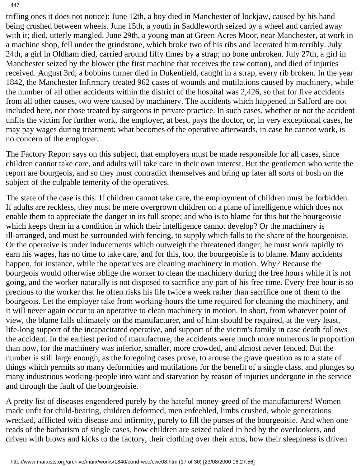trifling ones it does not notice): June 12th, a boy died in Manchester of lockjaw, caused by his hand being crushed between wheels. June 15th, a youth in Saddleworth seized by a wheel and carried away with it; died, utterly mangled. June 29th, a young man at Green Acres Moor, near Manchester, at work in a machine shop, fell under the grindstone, which broke two of his ribs and lacerated him terribly. July 24th, a girl in Oldham died, carried around fifty times by a strap; no bone unbroken. July 27th, a girl in Manchester seized by the blower (the first machine that receives the raw cotton), and died of injuries received. August 3rd, a bobbins turner died in Dukenfield, caught in a strap, every rib broken. In the year 1842, the Manchester Infirmary treated 962 cases of wounds and mutilations caused by machinery, while the number of all other accidents within the district of the hospital was 2,426, so that for five accidents from all other causes, two were caused by machinery. The accidents which happened in Salford are not included here, nor those treated by surgeons in private practice. In such cases, whether or not the accident unfits the victim for further work, the employer, at best, pays the doctor, or, in very exceptional cases, he may pay wages during treatment; what becomes of the operative afterwards, in case he cannot work, is no concern of the employer.

The Factory Report says on this subject, that employers must be made responsible for all cases, since children cannot take care, and adults will take care in their own interest. But the gentlemen who write the report are bourgeois, and so they must contradict themselves and bring up later all sorts of bosh on the subject of the culpable temerity of the operatives.

The state of the case is this: If children cannot take care, the employment of children must be forbidden. If adults are reckless, they must be mere overgrown children on a plane of intelligence which does not enable them to appreciate the danger in its full scope; and who is to blame for this but the bourgeoisie which keeps them in a condition in which their intelligence cannot develop? Or the machinery is ill-arranged, and must be surrounded with fencing, to supply which falls to the share of the bourgeoisie. Or the operative is under inducements which outweigh the threatened danger; he must work rapidly to earn his wages, has no time to take care, and for this, too, the bourgeoisie is to blame. Many accidents happen, for instance, while the operatives are cleaning machinery in motion. Why? Because the bourgeois would otherwise oblige the worker to clean the machinery during the free hours while it is not going, and the worker naturally is not disposed to sacrifice any part of his free time. Every free hour is so precious to the worker that he often risks his life twice a week rather than sacrifice one of them to the bourgeois. Let the employer take from working-hours the time required for cleaning the machinery, and it will never again occur to an operative to clean machinery in motion. In short, from whatever point of view, the blame falls ultimately on the manufacturer, and of him should be required, at the very least, life-long support of the incapacitated operative, and support of the victim's family in case death follows the accident. In the earliest period of manufacture, the accidents were much more numerous in proportion than now, for the machinery was inferior, smaller, more crowded, and almost never fenced. But the number is still large enough, as the foregoing cases prove, to arouse the grave question as to a state of things which permits so many deformities and mutilations for the benefit of a single class, and plunges so many industrious working-people into want and starvation by reason of injuries undergone in the service and through the fault of the bourgeoisie.

A pretty list of diseases engendered purely by the hateful money-greed of the manufacturers! Women made unfit for child-bearing, children deformed, men enfeebled, limbs crushed, whole generations wrecked, afflicted with disease and infirmity, purely to fill the purses of the bourgeoisie. And when one reads of the barbarism of single cases, how children are seized naked in bed by the overlookers, and driven with blows and kicks to the factory, their clothing over their arms, how their sleepiness is driven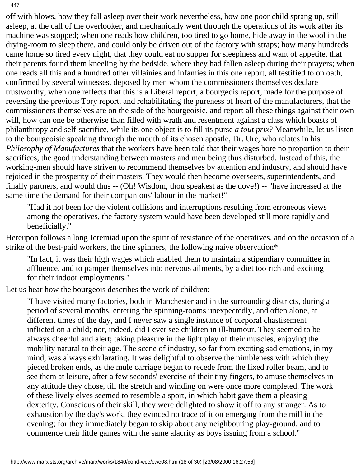off with blows, how they fall asleep over their work nevertheless, how one poor child sprang up, still asleep, at the call of the overlooker, and mechanically went through the operations of its work after its machine was stopped; when one reads how children, too tired to go home, hide away in the wool in the drying-room to sleep there, and could only be driven out of the factory with straps; how many hundreds came home so tired every night, that they could eat no supper for sleepiness and want of appetite, that their parents found them kneeling by the bedside, where they had fallen asleep during their prayers; when one reads all this and a hundred other villainies and infamies in this one report, all testified to on oath, confirmed by several witnesses, deposed by men whom the commissioners themselves declare trustworthy; when one reflects that this is a Liberal report, a bourgeois report, made for the purpose of reversing the previous Tory report, and rehabilitating the pureness of heart of the manufacturers, that the commissioners themselves are on the side of the bourgeoisie, and report all these things against their own will, how can one be otherwise than filled with wrath and resentment against a class which boasts of philanthropy and self-sacrifice, while its one object is to fill its purse *a tout prix*? Meanwhile, let us listen to the bourgeoisie speaking through the mouth of its chosen apostle, Dr. Ure, who relates in his *Philosophy of Manufactures* that the workers have been told that their wages bore no proportion to their sacrifices, the good understanding between masters and men being thus disturbed. Instead of this, the working-men should have striven to recommend themselves by attention and industry, and should have rejoiced in the prosperity of their masters. They would then become overseers, superintendents, and finally partners, and would thus -- (Oh! Wisdom, thou speakest as the dove!) -- "have increased at the same time the demand for their companions' labour in the market!"

"Had it not been for the violent collisions and interruptions resulting from erroneous views among the operatives, the factory system would have been developed still more rapidly and beneficially."

Hereupon follows a long Jeremiad upon the spirit of resistance of the operatives, and on the occasion of a strike of the best-paid workers, the fine spinners, the following naive observation\*

"In fact, it was their high wages which enabled them to maintain a stipendiary committee in affluence, and to pamper themselves into nervous ailments, by a diet too rich and exciting for their indoor employments."

Let us hear how the bourgeois describes the work of children:

"I have visited many factories, both in Manchester and in the surrounding districts, during a period of several months, entering the spinning-rooms unexpectedly, and often alone, at different times of the day, and I never saw a single instance of corporal chastisement inflicted on a child; nor, indeed, did I ever see children in ill-humour. They seemed to be always cheerful and alert; taking pleasure in the light play of their muscles, enjoying the mobility natural to their age. The scene of industry, so far from exciting sad emotions, in my mind, was always exhilarating. It was delightful to observe the nimbleness with which they pieced broken ends, as the mule carriage began to recede from the fixed roller beam, and to see them at leisure, after a few seconds' exercise of their tiny fingers, to amuse themselves in any attitude they chose, till the stretch and winding on were once more completed. The work of these lively elves seemed to resemble a sport, in which habit gave them a pleasing dexterity. Conscious of their skill, they were delighted to show it off to any stranger. As to exhaustion by the day's work, they evinced no trace of it on emerging from the mill in the evening; for they immediately began to skip about any neighbouring play-ground, and to commence their little games with the same alacrity as boys issuing from a school."

#### 447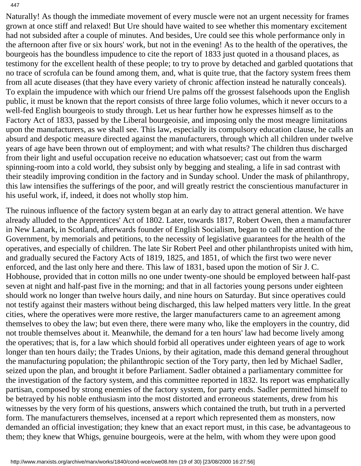Naturally! As though the immediate movement of every muscle were not an urgent necessity for frames grown at once stiff and relaxed! But Ure should have waited to see whether this momentary excitement had not subsided after a couple of minutes. And besides, Ure could see this whole performance only in the afternoon after five or six hours' work, but not in the evening! As to the health of the operatives, the bourgeois has the boundless impudence to cite the report of 1833 just quoted in a thousand places, as testimony for the excellent health of these people; to try to prove by detached and garbled quotations that no trace of scrofula can be found among them, and, what is quite true, that the factory system frees them from all acute diseases (that they have every variety of chronic affection instead he naturally conceals). To explain the impudence with which our friend Ure palms off the grossest falsehoods upon the English public, it must be known that the report consists of three large folio volumes, which it never occurs to a well-fed English bourgeois to study through. Let us hear further how he expresses himself as to the Factory Act of 1833, passed by the Liberal bourgeoisie, and imposing only the most meagre limitations upon the manufacturers, as we shall see. This law, especially its compulsory education clause, he calls an absurd and despotic measure directed against the manufacturers, through which all children under twelve years of age have been thrown out of employment; and with what results? The children thus discharged from their light and useful occupation receive no education whatsoever; cast out from the warm spinning-room into a cold world, they subsist only by begging and stealing, a life in sad contrast with their steadily improving condition in the factory and in Sunday school. Under the mask of philanthropy, this law intensifies the sufferings of the poor, and will greatly restrict the conscientious manufacturer in his useful work, if, indeed, it does not wholly stop him.

The ruinous influence of the factory system began at an early day to attract general attention. We have already alluded to the Apprentices' Act of 1802. Later, towards 1817, Robert Owen, then a manufacturer in New Lanark, in Scotland, afterwards founder of English Socialism, began to call the attention of the Government, by memorials and petitions, to the necessity of legislative guarantees for the health of the operatives, and especially of children. The late Sir Robert Peel and other philanthropists united with him, and gradually secured the Factory Acts of 1819, 1825, and 1851, of which the first two were never enforced, and the last only here and there. This law of 1831, based upon the motion of Sir J. C. Hobhouse, provided that in cotton mills no one under twenty-one should be employed between half-past seven at night and half-past five in the morning; and that in all factories young persons under eighteen should work no longer than twelve hours daily, and nine hours on Saturday. But since operatives could not testify against their masters without being discharged, this law helped matters very little. In the great cities, where the operatives were more restive, the larger manufacturers came to an agreement among themselves to obey the law; but even there, there were many who, like the employers in the country, did not trouble themselves about it. Meanwhile, the demand for a ten hours' law had become lively among the operatives; that is, for a law which should forbid all operatives under eighteen years of age to work longer than ten hours daily; the Trades Unions, by their agitation, made this demand general throughout the manufacturing population; the philanthropic section of the Tory party, then led by Michael Sadler, seized upon the plan, and brought it before Parliament. Sadler obtained a parliamentary committee for the investigation of the factory system, and this committee reported in 1832. Its report was emphatically partisan, composed by strong enemies of the factory system, for party ends. Sadler permitted himself to be betrayed by his noble enthusiasm into the most distorted and erroneous statements, drew from his witnesses by the very form of his questions, answers which contained the truth, but truth in a perverted form. The manufacturers themselves, incensed at a report which represented them as monsters, now demanded an official investigation; they knew that an exact report must, in this case, be advantageous to them; they knew that Whigs, genuine bourgeois, were at the helm, with whom they were upon good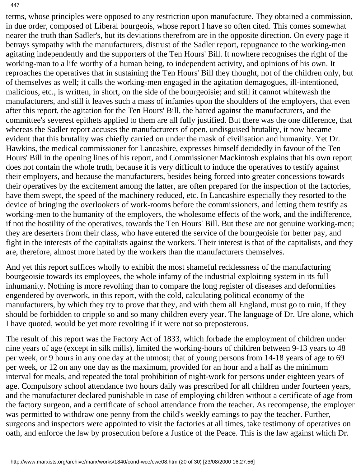terms, whose principles were opposed to any restriction upon manufacture. They obtained a commission, in due order, composed of Liberal bourgeois, whose report I have so often cited. This comes somewhat nearer the truth than Sadler's, but its deviations therefrom are in the opposite direction. On every page it betrays sympathy with the manufacturers, distrust of the Sadler report, repugnance to the working-men agitating independently and the supporters of the Ten Hours' Bill. It nowhere recognises the right of the working-man to a life worthy of a human being, to independent activity, and opinions of his own. It reproaches the operatives that in sustaining the Ten Hours' Bill they thought, not of the children only, but of themselves as well; it calls the working-men engaged in the agitation demagogues, ill-intentioned, malicious, etc., is written, in short, on the side of the bourgeoisie; and still it cannot whitewash the manufacturers, and still it leaves such a mass of infamies upon the shoulders of the employers, that even after this report, the agitation for the Ten Hours' Bill, the hatred against the manufacturers, and the committee's severest epithets applied to them are all fully justified. But there was the one difference, that whereas the Sadler report accuses the manufacturers of open, undisguised brutality, it now became evident that this brutality was chiefly carried on under the mask of civilisation and humanity. Yet Dr. Hawkins, the medical commissioner for Lancashire, expresses himself decidedly in favour of the Ten Hours' Bill in the opening lines of his report, and Commissioner Mackintosh explains that his own report does not contain the whole truth, because it is very difficult to induce the operatives to testify against their employers, and because the manufacturers, besides being forced into greater concessions towards their operatives by the excitement among the latter, are often prepared for the inspection of the factories, have them swept, the speed of the machinery reduced, etc. In Lancashire especially they resorted to the device of bringing the overlookers of work-rooms before the commissioners, and letting them testify as working-men to the humanity of the employers, the wholesome effects of the work, and the indifference, if not the hostility of the operatives, towards the Ten Hours' Bill. But these are not genuine working-men; they are deserters from their class, who have entered the service of the bourgeoisie for better pay, and fight in the interests of the capitalists against the workers. Their interest is that of the capitalists, and they are, therefore, almost more hated by the workers than the manufacturers themselves.

And yet this report suffices wholly to exhibit the most shameful recklessness of the manufacturing bourgeoisie towards its employees, the whole infamy of the industrial exploiting system in its full inhumanity. Nothing is more revolting than to compare the long register of diseases and deformities engendered by overwork, in this report, with the cold, calculating political economy of the manufacturers, by which they try to prove that they, and with them all England, must go to ruin, if they should be forbidden to cripple so and so many children every year. The language of Dr. Ure alone, which I have quoted, would be yet more revolting if it were not so preposterous.

The result of this report was the Factory Act of 1833, which forbade the employment of children under nine years of age (except in silk mills), limited the working-hours of children between 9-13 years to 48 per week, or 9 hours in any one day at the utmost; that of young persons from 14-18 years of age to 69 per week, or 12 on any one day as the maximum, provided for an hour and a half as the minimum interval for meals, and repeated the total prohibition of night-work for persons under eighteen years of age. Compulsory school attendance two hours daily was prescribed for all children under fourteen years, and the manufacturer declared punishable in case of employing children without a certificate of age from the factory surgeon, and a certificate of school attendance from the teacher. As recompense, the employer was permitted to withdraw one penny from the child's weekly earnings to pay the teacher. Further, surgeons and inspectors were appointed to visit the factories at all times, take testimony of operatives on oath, and enforce the law by prosecution before a Justice of the Peace. This is the law against which Dr.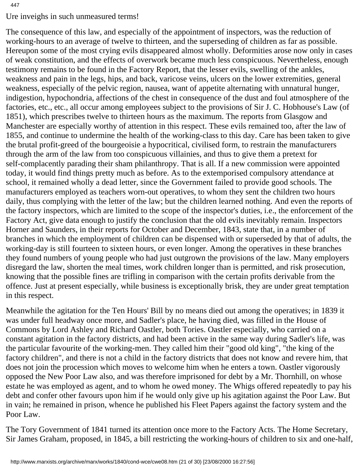Ure inveighs in such unmeasured terms!

The consequence of this law, and especially of the appointment of inspectors, was the reduction of working-hours to an average of twelve to thirteen, and the superseding of children as far as possible. Hereupon some of the most crying evils disappeared almost wholly. Deformities arose now only in cases of weak constitution, and the effects of overwork became much less conspicuous. Nevertheless, enough testimony remains to be found in the Factory Report, that the lesser evils, swelling of the ankles, weakness and pain in the legs, hips, and back, varicose veins, ulcers on the lower extremities, general weakness, especially of the pelvic region, nausea, want of appetite alternating with unnatural hunger, indigestion, hypochondria, affections of the chest in consequence of the dust and foul atmosphere of the factories, etc., etc., all occur among employees subject to the provisions of Sir J. C. Hobhouse's Law (of 1851), which prescribes twelve to thirteen hours as the maximum. The reports from Glasgow and Manchester are especially worthy of attention in this respect. These evils remained too, after the law of 1855, and continue to undermine the health of the working-class to this day. Care has been taken to give the brutal profit-greed of the bourgeoisie a hypocritical, civilised form, to restrain the manufacturers through the arm of the law from too conspicuous villainies, and thus to give them a pretext for self-complacently parading their sham philanthropy. That is all. If a new commission were appointed today, it would find things pretty much as before. As to the extemporised compulsory attendance at school, it remained wholly a dead letter, since the Government failed to provide good schools. The manufacturers employed as teachers worn-out operatives, to whom they sent the children two hours daily, thus complying with the letter of the law; but the children learned nothing. And even the reports of the factory inspectors, which are limited to the scope of the inspector's duties, i.e., the enforcement of the Factory Act, give data enough to justify the conclusion that the old evils inevitably remain. Inspectors Horner and Saunders, in their reports for October and December, 1843, state that, in a number of branches in which the employment of children can be dispensed with or superseded by that of adults, the working-day is still fourteen to sixteen hours, or even longer. Among the operatives in these branches they found numbers of young people who had just outgrown the provisions of the law. Many employers disregard the law, shorten the meal times, work children longer than is permitted, and risk prosecution, knowing that the possible fines are trifling in comparison with the certain profits derivable from the offence. Just at present especially, while business is exceptionally brisk, they are under great temptation in this respect.

Meanwhile the agitation for the Ten Hours' Bill by no means died out among the operatives; in 1839 it was under full headway once more, and Sadler's place, he having died, was filled in the House of Commons by Lord Ashley and Richard Oastler, both Tories. Oastler especially, who carried on a constant agitation in the factory districts, and had been active in the same way during Sadler's life, was the particular favourite of the working-men. They called him their "good old king", "the king of the factory children", and there is not a child in the factory districts that does not know and revere him, that does not join the procession which moves to welcome him when he enters a town. Oastler vigorously opposed the New Poor Law also, and was therefore imprisoned for debt by a Mr. Thornhill, on whose estate he was employed as agent, and to whom he owed money. The Whigs offered repeatedly to pay his debt and confer other favours upon him if he would only give up his agitation against the Poor Law. But in vain; he remained in prison, whence he published his Fleet Papers against the factory system and the Poor Law.

The Tory Government of 1841 turned its attention once more to the Factory Acts. The Home Secretary, Sir James Graham, proposed, in 1845, a bill restricting the working-hours of children to six and one-half,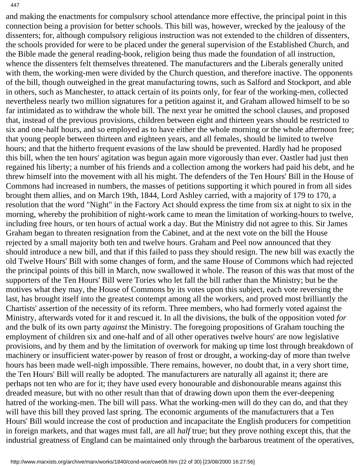and making the enactments for compulsory school attendance more effective, the principal point in this connection being a provision for better schools. This bill was, however, wrecked by the jealousy of the dissenters; for, although compulsory religious instruction was not extended to the children of dissenters, the schools provided for were to be placed under the general supervision of the Established Church, and the Bible made the general reading-book, religion being thus made the foundation of all instruction, whence the dissenters felt themselves threatened. The manufacturers and the Liberals generally united with them, the working-men were divided by the Church question, and therefore inactive. The opponents of the bill, though outweighed in the great manufacturing towns, such as Salford and Stockport, and able in others, such as Manchester, to attack certain of its points only, for fear of the working-men, collected nevertheless nearly two million signatures for a petition against it, and Graham allowed himself to be so far intimidated as to withdraw the whole bill. The next year he omitted the school clauses, and proposed that, instead of the previous provisions, children between eight and thirteen years should be restricted to six and one-half hours, and so employed as to have either the whole morning or the whole afternoon free; that young people between thirteen and eighteen years, and all females, should be limited to twelve hours; and that the hitherto frequent evasions of the law should be prevented. Hardly had he proposed this bill, when the ten hours' agitation was begun again more vigorously than ever. Oastler had just then regained his liberty; a number of his friends and a collection among the workers had paid his debt, and he threw himself into the movement with all his might. The defenders of the Ten Hours' Bill in the House of Commons had increased in numbers, the masses of petitions supporting it which poured in from all sides brought them allies, and on March 19th, 1844, Lord Ashley carried, with a majority of 179 to 170, a resolution that the word "Night" in the Factory Act should express the time from six at night to six in the morning, whereby the prohibition of night-work came to mean the limitation of working-hours to twelve, including free hours, or ten hours of actual work a day. But the Ministry did not agree to this. Sir James Graham began to threaten resignation from the Cabinet, and at the next vote on the bill the House rejected by a small majority both ten and twelve hours. Graham and Peel now announced that they should introduce a new bill, and that if this failed to pass they should resign. The new bill was exactly the old Twelve Hours' Bill with some changes of form, and the same House of Commons which had rejected the principal points of this bill in March, now swallowed it whole. The reason of this was that most of the supporters of the Ten Hours' Bill were Tories who let fall the bill rather than the Ministry; but be the motives what they may, the House of Commons by its votes upon this subject, each vote reversing the last, has brought itself into the greatest contempt among all the workers, and proved most brilliantly the Chartists' assertion of the necessity of its reform. Three members, who had formerly voted against the Ministry, afterwards voted for it and rescued it. In all the divisions, the bulk of the opposition voted *for* and the bulk of its own party *against* the Ministry. The foregoing propositions of Graham touching the employment of children six and one-half and of all other operatives twelve hours' are now legislative provisions, and by them and by the limitation of overwork for making up time lost through breakdown of machinery or insufficient water-power by reason of frost or drought, a working-day of more than twelve hours has been made well-nigh impossible. There remains, however, no doubt that, in a very short time, the Ten Hours' Bill will really be adopted. The manufacturers are naturally all against it; there are perhaps not ten who are for it; they have used every honourable and dishonourable means against this dreaded measure, but with no other result than that of drawing down upon them the ever-deepening hatred of the working-men. The bill will pass. What the working-men will do they can do, and that they will have this bill they proved last spring. The economic arguments of the manufacturers that a Ten Hours' Bill would increase the cost of production and incapacitate the English producers for competition in foreign markets, and that wages must fall, are all *half* true; but they prove nothing except this, that the industrial greatness of England can be maintained only through the barbarous treatment of the operatives,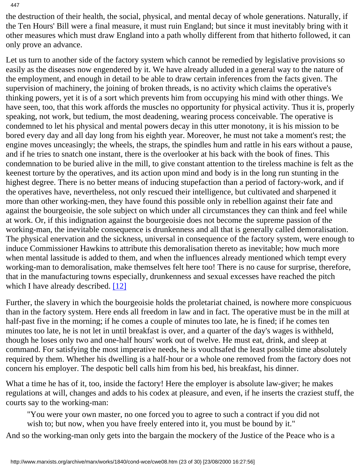the destruction of their health, the social, physical, and mental decay of whole generations. Naturally, if the Ten Hours' Bill were a final measure, it must ruin England; but since it must inevitably bring with it other measures which must draw England into a path wholly different from that hitherto followed, it can only prove an advance.

Let us turn to another side of the factory system which cannot be remedied by legislative provisions so easily as the diseases now engendered by it. We have already alluded in a general way to the nature of the employment, and enough in detail to be able to draw certain inferences from the facts given. The supervision of machinery, the joining of broken threads, is no activity which claims the operative's thinking powers, yet it is of a sort which prevents him from occupying his mind with other things. We have seen, too, that this work affords the muscles no opportunity for physical activity. Thus it is, properly speaking, not work, but tedium, the most deadening, wearing process conceivable. The operative is condemned to let his physical and mental powers decay in this utter monotony, it is his mission to be bored every day and all day long from his eighth year. Moreover, he must not take a moment's rest; the engine moves unceasingly; the wheels, the straps, the spindles hum and rattle in his ears without a pause, and if he tries to snatch one instant, there is the overlooker at his back with the book of fines. This condemnation to be buried alive in the mill, to give constant attention to the tireless machine is felt as the keenest torture by the operatives, and its action upon mind and body is in the long run stunting in the highest degree. There is no better means of inducing stupefaction than a period of factory-work, and if the operatives have, nevertheless, not only rescued their intelligence, but cultivated and sharpened it more than other working-men, they have found this possible only in rebellion against their fate and against the bourgeoisie, the sole subject on which under all circumstances they can think and feel while at work. Or, if this indignation against the bourgeoisie does not become the supreme passion of the working-man, the inevitable consequence is drunkenness and all that is generally called demoralisation. The physical enervation and the sickness, universal in consequence of the factory system, were enough to induce Commissioner Hawkins to attribute this demoralisation thereto as inevitable; how much more when mental lassitude is added to them, and when the influences already mentioned which tempt every working-man to demoralisation, make themselves felt here too! There is no cause for surprise, therefore, that in the manufacturing towns especially, drunkenness and sexual excesses have reached the pitch which I have already described. [\[12\]](#page-113-10)

Further, the slavery in which the bourgeoisie holds the proletariat chained, is nowhere more conspicuous than in the factory system. Here ends all freedom in law and in fact. The operative must be in the mill at half-past five in the morning; if he comes a couple of minutes too late, he is fined; if he comes ten minutes too late, he is not let in until breakfast is over, and a quarter of the day's wages is withheld, though he loses only two and one-half hours' work out of twelve. He must eat, drink, and sleep at command. For satisfying the most imperative needs, he is vouchsafed the least possible time absolutely required by them. Whether his dwelling is a half-hour or a whole one removed from the factory does not concern his employer. The despotic bell calls him from his bed, his breakfast, his dinner.

What a time he has of it, too, inside the factory! Here the employer is absolute law-giver; he makes regulations at will, changes and adds to his codex at pleasure, and even, if he inserts the craziest stuff, the courts say to the working-man:

"You were your own master, no one forced you to agree to such a contract if you did not wish to; but now, when you have freely entered into it, you must be bound by it."

And so the working-man only gets into the bargain the mockery of the Justice of the Peace who is a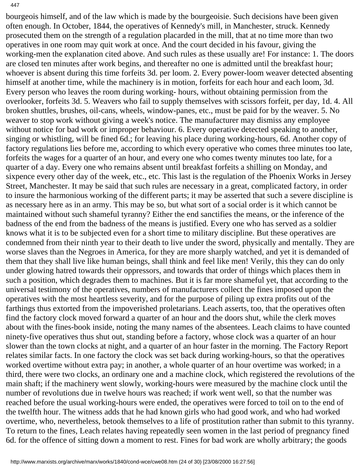bourgeois himself, and of the law which is made by the bourgeoisie. Such decisions have been given often enough. In October, 1844, the operatives of Kennedy's mill, in Manchester, struck. Kennedy prosecuted them on the strength of a regulation placarded in the mill, that at no time more than two operatives in one room may quit work at once. And the court decided in his favour, giving the working-men the explanation cited above. And such rules as these usually are! For instance: 1. The doors are closed ten minutes after work begins, and thereafter no one is admitted until the breakfast hour; whoever is absent during this time forfeits 3d. per loom. 2. Every power-loom weaver detected absenting himself at another time, while the machinery is in motion, forfeits for each hour and each loom, 3d. Every person who leaves the room during working- hours, without obtaining permission from the overlooker, forfeits 3d. 5. Weavers who fail to supply themselves with scissors forfeit, per day, 1d. 4. All broken shuttles, brushes, oil-cans, wheels, window-panes, etc., must be paid for by the weaver. 5. No weaver to stop work without giving a week's notice. The manufacturer may dismiss any employee without notice for bad work or improper behaviour. 6. Every operative detected speaking to another, singing or whistling, will be fined 6d.; for leaving his place during working-hours, 6d. Another copy of factory regulations lies before me, according to which every operative who comes three minutes too late, forfeits the wages for a quarter of an hour, and every one who comes twenty minutes too late, for a quarter of a day. Every one who remains absent until breakfast forfeits a shilling on Monday, and sixpence every other day of the week, etc., etc. This last is the regulation of the Phoenix Works in Jersey Street, Manchester. It may be said that such rules are necessary in a great, complicated factory, in order to insure the harmonious working of the different parts; it may be asserted that such a severe discipline is as necessary here as in an army. This may be so, but what sort of a social order is it which cannot be maintained without such shameful tyranny? Either the end sanctifies the means, or the inference of the badness of the end from the badness of the means is justified. Every one who has served as a soldier knows what it is to be subjected even for a short time to military discipline. But these operatives are condemned from their ninth year to their death to live under the sword, physically and mentally. They are worse slaves than the Negroes in America, for they are more sharply watched, and yet it is demanded of them that they shall live like human beings, shall think and feel like men! Verily, this they can do only under glowing hatred towards their oppressors, and towards that order of things which places them in such a position, which degrades them to machines. But it is far more shameful yet, that according to the universal testimony of the operatives, numbers of manufacturers collect the fines imposed upon the operatives with the most heartless severity, and for the purpose of piling up extra profits out of the farthings thus extorted from the impoverished proletarians. Leach asserts, too, that the operatives often find the factory clock moved forward a quarter of an hour and the doors shut, while the clerk moves about with the fines-book inside, noting the many names of the absentees. Leach claims to have counted ninety-five operatives thus shut out, standing before a factory, whose clock was a quarter of an hour slower than the town clocks at night, and a quarter of an hour faster in the morning. The Factory Report relates similar facts. In one factory the clock was set back during working-hours, so that the operatives worked overtime without extra pay; in another, a whole quarter of an hour overtime was worked; in a third, there were two clocks, an ordinary one and a machine clock, which registered the revolutions of the main shaft; if the machinery went slowly, working-hours were measured by the machine clock until the number of revolutions due in twelve hours was reached; if work went well, so that the number was reached before the usual working-hours were ended, the operatives were forced to toil on to the end of the twelfth hour. The witness adds that he had known girls who had good work, and who had worked overtime, who, nevertheless, betook themselves to a life of prostitution rather than submit to this tyranny. To return to the fines, Leach relates having repeatedly seen women in the last period of pregnancy fined 6d. for the offence of sitting down a moment to rest. Fines for bad work are wholly arbitrary; the goods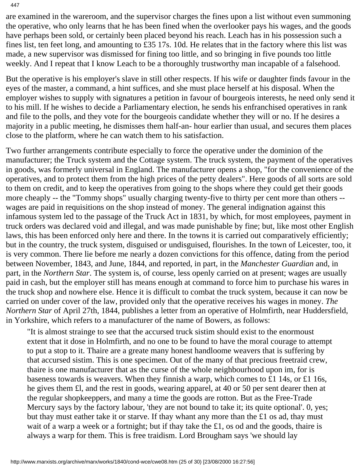are examined in the wareroom, and the supervisor charges the fines upon a list without even summoning the operative, who only learns that he has been fined when the overlooker pays his wages, and the goods have perhaps been sold, or certainly been placed beyond his reach. Leach has in his possession such a fines list, ten feet long, and amounting to £35 17s. 10d. He relates that in the factory where this list was made, a new supervisor was dismissed for fining too little, and so bringing in five pounds too little weekly. And I repeat that I know Leach to be a thoroughly trustworthy man incapable of a falsehood.

But the operative is his employer's slave in still other respects. If his wife or daughter finds favour in the eyes of the master, a command, a hint suffices, and she must place herself at his disposal. When the employer wishes to supply with signatures a petition in favour of bourgeois interests, he need only send it to his mill. If he wishes to decide a Parliamentary election, he sends his enfranchised operatives in rank and file to the polls, and they vote for the bourgeois candidate whether they will or no. If he desires a majority in a public meeting, he dismisses them half-an- hour earlier than usual, and secures them places close to the platform, where he can watch them to his satisfaction.

Two further arrangements contribute especially to force the operative under the dominion of the manufacturer; the Truck system and the Cottage system. The truck system, the payment of the operatives in goods, was formerly universal in England. The manufacturer opens a shop, "for the convenience of the operatives, and to protect them from the high prices of the petty dealers". Here goods of all sorts are sold to them on credit, and to keep the operatives from going to the shops where they could get their goods more cheaply -- the "Tommy shops" usually charging twenty-five to thirty per cent more than others - wages are paid in requisitions on the shop instead of money. The general indignation against this infamous system led to the passage of the Truck Act in 1831, by which, for most employees, payment in truck orders was declared void and illegal, and was made punishable by fine; but, like most other English laws, this has been enforced only here and there. In the towns it is carried out comparatively efficiently; but in the country, the truck system, disguised or undisguised, flourishes. In the town of Leicester, too, it is very common. There lie before me nearly a dozen convictions for this offence, dating from the period between November, 1843, and June, 1844, and reported, in part, in the *Manchester Guardian* and, in part, in the *Northern Star*. The system is, of course, less openly carried on at present; wages are usually paid in cash, but the employer still has means enough at command to force him to purchase his wares in the truck shop and nowhere else. Hence it is difficult to combat the truck system, because it can now be carried on under cover of the law, provided only that the operative receives his wages in money. *The Northern Star* of April 27th, 1844, publishes a letter from an operative of Holmfirth, near Huddersfield, in Yorkshire, which refers to a manufacturer of the name of Bowers, as follows:

"It is almost strainge to see that the accursed truck sistim should exist to the enormoust extent that it dose in Holmfirth, and no one to be found to have the moral courage to attempt to put a stop to it. Thaire are a greate many honest handloome weavers that is suffering by that accursed sistim. This is one specimen. Out of the many of that precious freetraid crew, thaire is one manufacturer that as the curse of the whole neighbourhood upon im, for is baseness towards is weavers. When they finnish a warp, which comes to £1 14s, or £1 16s, he gives them £l, and the rest in goods, wearing apparel, at 40 or 50 per sent dearer then at the regular shopkeeppers, and many a time the goods are rotton. But as the Free-Trade Mercury says by the factory labour, 'they are not bound to take it; its quite optional'. 0, yes; but thay must eather take it or starve. If thay whant any more than the £1 os ad, thay must wait of a warp a week or a fortnight; but if thay take the £1, os od and the goods, thaire is always a warp for them. This is free traidism. Lord Brougham says 'we should lay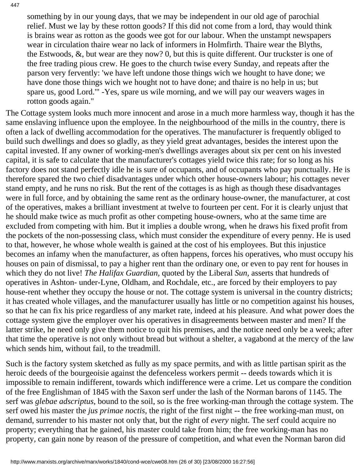something by in our young days, that we may be independent in our old age of parochial relief. Must we lay by these rotton goods? If this did not come from a lord, thay would think is brains wear as rotton as the goods wee got for our labour. When the unstampt newspapers wear in circulation thaire wear no lack of informers in Holmfirth. Thaire wear the Blyths, the Estwoods, &, but wear are they now? 0, but this is quite different. Our truckster is one of the free trading pious crew. He goes to the church twise every Sunday, and repeats after the parson very fervently: 'we have left undone those things wich we hought to have done; we have done those things wich we hought not to have done; and thaire is no help in us; but spare us, good Lord.'" -Yes, spare us wile morning, and we will pay our weavers wages in rotton goods again."

The Cottage system looks much more innocent and arose in a much more harmless way, though it has the same enslaving influence upon the employee. In the neighbourhood of the mills in the country, there is often a lack of dwelling accommodation for the operatives. The manufacturer is frequently obliged to build such dwellings and does so gladly, as they yield great advantages, besides the interest upon the capital invested. If any owner of working-men's dwellings averages about six per cent on his invested capital, it is safe to calculate that the manufacturer's cottages yield twice this rate; for so long as his factory does not stand perfectly idle he is sure of occupants, and of occupants who pay punctually. He is therefore spared the two chief disadvantages under which other house-owners labour; his cottages never stand empty, and he runs no risk. But the rent of the cottages is as high as though these disadvantages were in full force, and by obtaining the same rent as the ordinary house-owner, the manufacturer, at cost of the operatives, makes a brilliant investment at twelve to fourteen per cent. For it is clearly unjust that he should make twice as much profit as other competing house-owners, who at the same time are excluded from competing with him. But it implies a double wrong, when he draws his fixed profit from the pockets of the non-possessing class, which must consider the expenditure of every penny. He is used to that, however, he whose whole wealth is gained at the cost of his employees. But this injustice becomes an infamy when the manufacturer, as often happens, forces his operatives, who must occupy his houses on pain of dismissal, to pay a higher rent than the ordinary one, or even to pay rent for houses in which they do not live! *The Halifax Guardian,* quoted by the Liberal *Sun,* asserts that hundreds of operatives in Ashton- under-Lyne, Oldham, and Rochdale, etc., are forced by their employers to pay house-rent whether they occupy the house or not. The cottage system is universal in the country districts; it has created whole villages, and the manufacturer usually has little or no competition against his houses, so that he can fix his price regardless of any market rate, indeed at his pleasure. And what power does the cottage system give the employer over his operatives in disagreements between master and men? If the latter strike, he need only give them notice to quit his premises, and the notice need only be a week; after that time the operative is not only without bread but without a shelter, a vagabond at the mercy of the law which sends him, without fail, to the treadmill.

Such is the factory system sketched as fully as my space permits, and with as little partisan spirit as the heroic deeds of the bourgeoisie against the defenceless workers permit -- deeds towards which it is impossible to remain indifferent, towards which indifference were a crime. Let us compare the condition of the free Englishman of 1845 with the Saxon serf under the lash of the Norman barons of 1145. The serf was *glebae adscriptus*, bound to the soil, so is the free working-man through the cottage system. The serf owed his master the *jus primae noctis,* the right of the first night -- the free working-man must, on demand, surrender to his master not only that, but the right of *every* night. The serf could acquire no property; everything that he gained, his master could take from him; the free working-man has no property, can gain none by reason of the pressure of competition, and what even the Norman baron did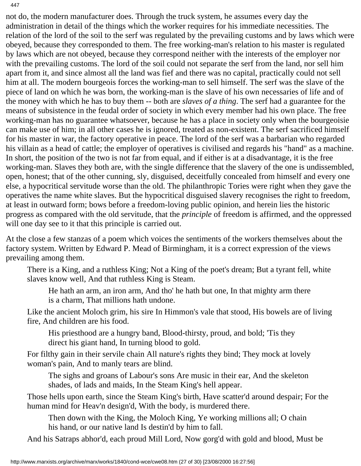not do, the modern manufacturer does. Through the truck system, he assumes every day the administration in detail of the things which the worker requires for his immediate necessities. The relation of the lord of the soil to the serf was regulated by the prevailing customs and by laws which were obeyed, because they corresponded to them. The free working-man's relation to his master is regulated by laws which are not obeyed, because they correspond neither with the interests of the employer nor with the prevailing customs. The lord of the soil could not separate the serf from the land, nor sell him apart from it, and since almost all the land was fief and there was no capital, practically could not sell him at all. The modern bourgeois forces the working-man to sell himself. The serf was the slave of the piece of land on which he was born, the working-man is the slave of his own necessaries of life and of the money with which he has to buy them -- both are *slaves of a thing*. The serf had a guarantee for the means of subsistence in the feudal order of society in which every member had his own place. The free working-man has no guarantee whatsoever, because he has a place in society only when the bourgeoisie can make use of him; in all other cases he is ignored, treated as non-existent. The serf sacrificed himself for his master in war, the factory operative in peace. The lord of the serf was a barbarian who regarded his villain as a head of cattle; the employer of operatives is civilised and regards his "hand" as a machine. In short, the position of the two is not far from equal, and if either is at a disadvantage, it is the free working-man. Slaves they both are, with the single difference that the slavery of the one is undissembled, open, honest; that of the other cunning, sly, disguised, deceitfully concealed from himself and every one else, a hypocritical servitude worse than the old. The philanthropic Tories were right when they gave the operatives the name white slaves. But the hypocritical disguised slavery recognises the right to freedom, at least in outward form; bows before a freedom-loving public opinion, and herein lies the historic progress as compared with the old servitude, that the *principle* of freedom is affirmed, and the oppressed will one day see to it that this principle is carried out.

At the close a few stanzas of a poem which voices the sentiments of the workers themselves about the factory system. Written by Edward P. Mead of Birmingham, it is a correct expression of the views prevailing among them.

There is a King, and a ruthless King; Not a King of the poet's dream; But a tyrant fell, white slaves know well, And that ruthless King is Steam.

He hath an arm, an iron arm, And tho' he hath but one, In that mighty arm there is a charm, That millions hath undone.

Like the ancient Moloch grim, his sire In Himmon's vale that stood, His bowels are of living fire, And children are his food.

His priesthood are a hungry band, Blood-thirsty, proud, and bold; 'Tis they direct his giant hand, In turning blood to gold.

For filthy gain in their servile chain All nature's rights they bind; They mock at lovely woman's pain, And to manly tears are blind.

The sighs and groans of Labour's sons Are music in their ear, And the skeleton shades, of lads and maids, In the Steam King's hell appear.

Those hells upon earth, since the Steam King's birth, Have scatter'd around despair; For the human mind for Heav'n design'd, With the body, is murdered there.

Then down with the King, the Moloch King, Ye working millions all; O chain his hand, or our native land Is destin'd by him to fall.

And his Satraps abhor'd, each proud Mill Lord, Now gorg'd with gold and blood, Must be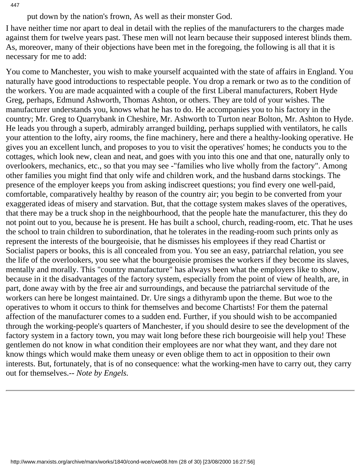put down by the nation's frown, As well as their monster God.

I have neither time nor apart to deal in detail with the replies of the manufacturers to the charges made against them for twelve years past. These men will not learn because their supposed interest blinds them. As, moreover, many of their objections have been met in the foregoing, the following is all that it is necessary for me to add:

You come to Manchester, you wish to make yourself acquainted with the state of affairs in England. You naturally have good introductions to respectable people. You drop a remark or two as to the condition of the workers. You are made acquainted with a couple of the first Liberal manufacturers, Robert Hyde Greg, perhaps, Edmund Ashworth, Thomas Ashton, or others. They are told of your wishes. The manufacturer understands you, knows what he has to do. He accompanies you to his factory in the country; Mr. Greg to Quarrybank in Cheshire, Mr. Ashworth to Turton near Bolton, Mr. Ashton to Hyde. He leads you through a superb, admirably arranged building, perhaps supplied with ventilators, he calls your attention to the lofty, airy rooms, the fine machinery, here and there a healthy-looking operative. He gives you an excellent lunch, and proposes to you to visit the operatives' homes; he conducts you to the cottages, which look new, clean and neat, and goes with you into this one and that one, naturally only to overlookers, mechanics, etc., so that you may see -"families who live wholly from the factory". Among other families you might find that only wife and children work, and the husband darns stockings. The presence of the employer keeps you from asking indiscreet questions; you find every one well-paid, comfortable, comparatively healthy by reason of the country air; you begin to be converted from your exaggerated ideas of misery and starvation. But, that the cottage system makes slaves of the operatives, that there may be a truck shop in the neighbourhood, that the people hate the manufacturer, this they do not point out to you, because he is present. He has built a school, church, reading-room, etc. That he uses the school to train children to subordination, that he tolerates in the reading-room such prints only as represent the interests of the bourgeoisie, that he dismisses his employees if they read Chartist or Socialist papers or books, this is all concealed from you. You see an easy, patriarchal relation, you see the life of the overlookers, you see what the bourgeoisie promises the workers if they become its slaves, mentally and morally. This "country manufacture" has always been what the employers like to show, because in it the disadvantages of the factory system, especially from the point of view of health, are, in part, done away with by the free air and surroundings, and because the patriarchal servitude of the workers can here be longest maintained. Dr. Ure sings a dithyramb upon the theme. But woe to the operatives to whom it occurs to think for themselves and become Chartists! For them the paternal affection of the manufacturer comes to a sudden end. Further, if you should wish to be accompanied through the working-people's quarters of Manchester, if you should desire to see the development of the factory system in a factory town, you may wait long before these rich bourgeoisie will help you! These gentlemen do not know in what condition their employees are nor what they want, and they dare not know things which would make them uneasy or even oblige them to act in opposition to their own interests. But, fortunately, that is of no consequence: what the working-men have to carry out, they carry out for themselves.-- *Note by Engels.*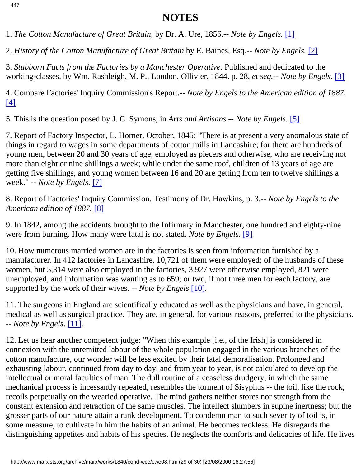# **NOTES**

1. *The Cotton Manufacture of Great Britain,* by Dr. A. Ure, 1856.-- *Note by Engels.* [\[1\]](#page-85-0)

2. *History of the Cotton Manufacture of Great Britain* by E. Baines, Esq.-- *Note by Engels.* [\[2\]](#page-85-0)

3. *Stubborn Facts from the Factories by a Manchester Operative.* Published and dedicated to the working-classes. by Wm. Rashleigh, M. P., London, Ollivier, 1844. p. 28, *et seq.-*- *Note by Engels.* [\[3\]](#page-86-0)

4. Compare Factories' Inquiry Commission's Report.-- *Note by Engels to the American edition of 1887.* [\[4\]](#page-86-1)

5. This is the question posed by J. C. Symons, in *Arts and Artisans.*-- *Note by Engels.* [\[5\]](#page-87-0)

7. Report of Factory Inspector, L. Horner. October, 1845: "There is at present a very anomalous state of things in regard to wages in some departments of cotton mills in Lancashire; for there are hundreds of young men, between 20 and 30 years of age, employed as piecers and otherwise, who are receiving not more than eight or nine shillings a week; while under the same roof, children of 13 years of age are getting five shillings, and young women between 16 and 20 are getting from ten to twelve shillings a week." -- *Note by Engels.* [\[7\]](#page-89-0)

8. Report of Factories' Inquiry Commission. Testimony of Dr. Hawkins, p. 3.-- *Note by Engels to the American edition of 1887.* [\[8\]](#page-89-1)

9. In 1842, among the accidents brought to the Infirmary in Manchester, one hundred and eighty-nine were from burning. How many were fatal is not stated. *Note by Engels.* [\[9\]](#page-89-2)

10. How numerous married women are in the factories is seen from information furnished by a manufacturer. In 412 factories in Lancashire, 10,721 of them were employed; of the husbands of these women, but 5,314 were also employed in the factories, 3.927 were otherwise employed, 821 were unemployed, and information was wanting as to 659; or two, if not three men for each factory, are supported by the work of their wives. -- *Note by Engels*[.\[10\]](#page-91-0).

11. The surgeons in England are scientifically educated as well as the physicians and have, in general, medical as well as surgical practice. They are, in general, for various reasons, preferred to the physicians. -- *Note by Engels*. [\[11\].](#page-96-0)

12. Let us hear another competent judge: "When this example [i.e., of the Irish] is considered in connexion with the unremitted labour of the whole population engaged in the various branches of the cotton manufacture, our wonder will be less excited by their fatal demoralisation. Prolonged and exhausting labour, continued from day to day, and from year to year, is not calculated to develop the intellectual or moral faculties of man. The dull routine of a ceaseless drudgery, in which the same mechanical process is incessantly repeated, resembles the torment of Sisyphus -- the toil, like the rock, recoils perpetually on the wearied operative. The mind gathers neither stores nor strength from the constant extension and retraction of the same muscles. The intellect slumbers in supine inertness; but the grosser parts of our nature attain a rank development. To condemn man to such severity of toil is, in some measure, to cultivate in him the habits of an animal. He becomes reckless. He disregards the distinguishing appetites and habits of his species. He neglects the comforts and delicacies of life. He lives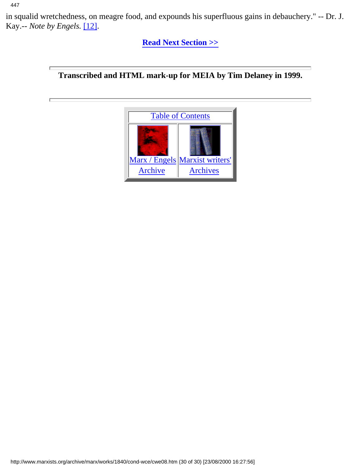in squalid wretchedness, on meagre food, and expounds his superfluous gains in debauchery." -- Dr. J. Kay.-- *Note by Engels.* [\[12\].](#page-107-0)

**[Read Next Section >>](#page-115-0)**

# **Transcribed and HTML mark-up for MEIA by Tim Delaney in 1999.**



г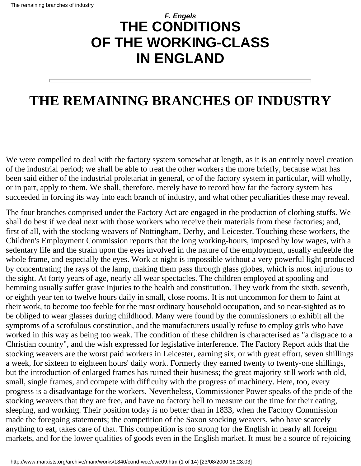# <span id="page-115-0"></span>**F. Engels THE CONDITIONS OF THE WORKING-CLASS IN ENGLAND**

# **THE REMAINING BRANCHES OF INDUSTRY**

We were compelled to deal with the factory system somewhat at length, as it is an entirely novel creation of the industrial period; we shall be able to treat the other workers the more briefly, because what has been said either of the industrial proletariat in general, or of the factory system in particular, will wholly, or in part, apply to them. We shall, therefore, merely have to record how far the factory system has succeeded in forcing its way into each branch of industry, and what other peculiarities these may reveal.

The four branches comprised under the Factory Act are engaged in the production of clothing stuffs. We shall do best if we deal next with those workers who receive their materials from these factories; and, first of all, with the stocking weavers of Nottingham, Derby, and Leicester. Touching these workers, the Children's Employment Commission reports that the long working-hours, imposed by low wages, with a sedentary life and the strain upon the eyes involved in the nature of the employment, usually enfeeble the whole frame, and especially the eyes. Work at night is impossible without a very powerful light produced by concentrating the rays of the lamp, making them pass through glass globes, which is most injurious to the sight. At forty years of age, nearly all wear spectacles. The children employed at spooling and hemming usually suffer grave injuries to the health and constitution. They work from the sixth, seventh, or eighth year ten to twelve hours daily in small, close rooms. It is not uncommon for them to faint at their work, to become too feeble for the most ordinary household occupation, and so near-sighted as to be obliged to wear glasses during childhood. Many were found by the commissioners to exhibit all the symptoms of a scrofulous constitution, and the manufacturers usually refuse to employ girls who have worked in this way as being too weak. The condition of these children is characterised as "a disgrace to a Christian country", and the wish expressed for legislative interference. The Factory Report adds that the stocking weavers are the worst paid workers in Leicester, earning six, or with great effort, seven shillings a week, for sixteen to eighteen hours' daily work. Formerly they earned twenty to twenty-one shillings, but the introduction of enlarged frames has ruined their business; the great majority still work with old, small, single frames, and compete with difficulty with the progress of machinery. Here, too, every progress is a disadvantage for the workers. Nevertheless, Commissioner Power speaks of the pride of the stocking weavers that they are free, and have no factory bell to measure out the time for their eating, sleeping, and working. Their position today is no better than in 1833, when the Factory Commission made the foregoing statements; the competition of the Saxon stocking weavers, who have scarcely anything to eat, takes care of that. This competition is too strong for the English in nearly all foreign markets, and for the lower qualities of goods even in the English market. It must be a source of rejoicing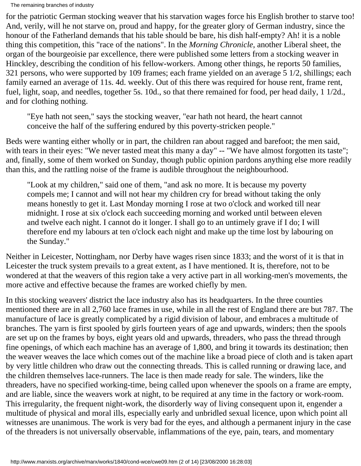for the patriotic German stocking weaver that his starvation wages force his English brother to starve too! And, verily, will he not starve on, proud and happy, for the greater glory of German industry, since the honour of the Fatherland demands that his table should be bare, his dish half-empty? Ah! it is a noble thing this competition, this "race of the nations". In the *Morning Chronicle*, another Liberal sheet, the organ of the bourgeoisie par excellence, there were published some letters from a stocking weaver in Hinckley, describing the condition of his fellow-workers. Among other things, he reports 50 families, 321 persons, who were supported by 109 frames; each frame yielded on an average 5 1/2, shillings; each family earned an average of 11s. 4d. weekly. Out of this there was required for house rent, frame rent, fuel, light, soap, and needles, together 5s. 10d., so that there remained for food, per head daily, 1 1/2d., and for clothing nothing.

"Eye hath not seen," says the stocking weaver, "ear hath not heard, the heart cannot conceive the half of the suffering endured by this poverty-stricken people."

Beds were wanting either wholly or in part, the children ran about ragged and barefoot; the men said, with tears in their eyes: "We never tasted meat this many a day" -- "We have almost forgotten its taste"; and, finally, some of them worked on Sunday, though public opinion pardons anything else more readily than this, and the rattling noise of the frame is audible throughout the neighbourhood.

"Look at my children," said one of them, "and ask no more. It is because my poverty compels me; I cannot and will not hear my children cry for bread without taking the only means honestly to get it. Last Monday morning I rose at two o'clock and worked till near midnight. I rose at six o'clock each succeeding morning and worked until between eleven and twelve each night. I cannot do it longer. I shall go to an untimely grave if I do; I will therefore end my labours at ten o'clock each night and make up the time lost by labouring on the Sunday."

Neither in Leicester, Nottingham, nor Derby have wages risen since 1833; and the worst of it is that in Leicester the truck system prevails to a great extent, as I have mentioned. It is, therefore, not to be wondered at that the weavers of this region take a very active part in all working-men's movements, the more active and effective because the frames are worked chiefly by men.

In this stocking weavers' district the lace industry also has its headquarters. In the three counties mentioned there are in all 2,760 lace frames in use, while in all the rest of England there are but 787. The manufacture of lace is greatly complicated by a rigid division of labour, and embraces a multitude of branches. The yarn is first spooled by girls fourteen years of age and upwards, winders; then the spools are set up on the frames by boys, eight years old and upwards, threaders, who pass the thread through fine openings, of which each machine has an average of 1,800, and bring it towards its destination; then the weaver weaves the lace which comes out of the machine like a broad piece of cloth and is taken apart by very little children who draw out the connecting threads. This is called running or drawing lace, and the children themselves lace-runners. The lace is then made ready for sale. The winders, like the threaders, have no specified working-time, being called upon whenever the spools on a frame are empty, and are liable, since the weavers work at night, to be required at any time in the factory or work-room. This irregularity, the frequent night-work, the disorderly way of living consequent upon it, engender a multitude of physical and moral ills, especially early and unbridled sexual licence, upon which point all witnesses are unanimous. The work is very bad for the eyes, and although a permanent injury in the case of the threaders is not universally observable, inflammations of the eye, pain, tears, and momentary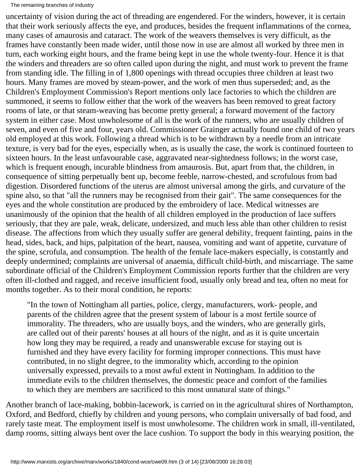uncertainty of vision during the act of threading are engendered. For the winders, however, it is certain that their work seriously affects the eye, and produces, besides the frequent inflammations of the cornea, many cases of amaurosis and cataract. The work of the weavers themselves is very difficult, as the frames have constantly been made wider, until those now in use are almost all worked by three men in turn, each working eight hours, and the frame being kept in use the whole twenty-four. Hence it is that the winders and threaders are so often called upon during the night, and must work to prevent the frame from standing idle. The filling in of 1,800 openings with thread occupies three children at least two hours. Many frames are moved by steam-power, and the work of men thus superseded; and, as the Children's Employment Commission's Report mentions only lace factories to which the children are summoned, it seems to follow either that the work of the weavers has been removed to great factory rooms of late, or that steam-weaving has become pretty general; a forward movement of the factory system in either case. Most unwholesome of all is the work of the runners, who are usually children of seven, and even of five and four, years old. Commissioner Grainger actually found one child of two years old employed at this work. Following a thread which is to be withdrawn by a needle from an intricate texture, is very bad for the eyes, especially when, as is usually the case, the work is continued fourteen to sixteen hours. In the least unfavourable case, aggravated near-sightedness follows; in the worst case, which is frequent enough, incurable blindness from amaurosis. But, apart from that, the children, in consequence of sitting perpetually bent up, become feeble, narrow-chested, and scrofulous from bad digestion. Disordered functions of the uterus are almost universal among the girls, and curvature of the spine also, so that "all the runners may be recognised from their gait". The same consequences for the eyes and the whole constitution are produced by the embroidery of lace. Medical witnesses are unanimously of the opinion that the health of all children employed in the production of lace suffers seriously, that they are pale, weak, delicate, undersized, and much less able than other children to resist disease. The affections from which they usually suffer are general debility, frequent fainting, pains in the head, sides, back, and hips, palpitation of the heart, nausea, vomiting and want of appetite, curvature of the spine, scrofula, and consumption. The health of the female lace-makers especially, is constantly and deeply undermined; complaints are universal of anaemia, difficult child-birth, and miscarriage. The same subordinate official of the Children's Employment Commission reports further that the children are very often ill-clothed and ragged, and receive insufficient food, usually only bread and tea, often no meat for months together. As to their moral condition, he reports:

"In the town of Nottingham all parties, police, clergy, manufacturers, work- people, and parents of the children agree that the present system of labour is a most fertile source of immorality. The threaders, who are usually boys, and the winders, who are generally girls, are called out of their parents' houses at all hours of the night, and as it is quite uncertain how long they may be required, a ready and unanswerable excuse for staying out is furnished and they have every facility for forming improper connections. This must have contributed, in no slight degree, to the immorality which, according to the opinion universally expressed, prevails to a most awful extent in Nottingham. In addition to the immediate evils to the children themselves, the domestic peace and comfort of the families to which they are members are sacrificed to this most unnatural state of things."

Another branch of lace-making, bobbin-lacework, is carried on in the agricultural shires of Northampton, Oxford, and Bedford, chiefly by children and young persons, who complain universally of bad food, and rarely taste meat. The employment itself is most unwholesome. The children work in small, ill-ventilated, damp rooms, sitting always bent over the lace cushion. To support the body in this wearying position, the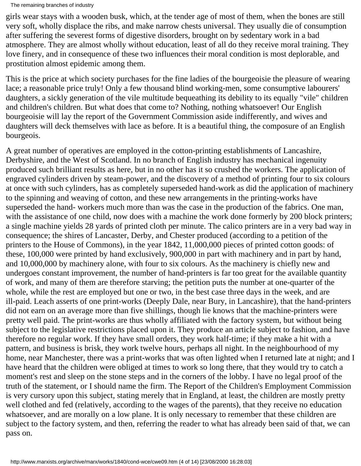girls wear stays with a wooden busk, which, at the tender age of most of them, when the bones are still very soft, wholly displace the ribs, and make narrow chests universal. They usually die of consumption after suffering the severest forms of digestive disorders, brought on by sedentary work in a bad atmosphere. They are almost wholly without education, least of all do they receive moral training. They love finery, and in consequence of these two influences their moral condition is most deplorable, and prostitution almost epidemic among them.

This is the price at which society purchases for the fine ladies of the bourgeoisie the pleasure of wearing lace; a reasonable price truly! Only a few thousand blind working-men, some consumptive labourers' daughters, a sickly generation of the vile multitude bequeathing its debility to its equally "vile" children and children's children. But what does that come to? Nothing, nothing whatsoever! Our English bourgeoisie will lay the report of the Government Commission aside indifferently, and wives and daughters will deck themselves with lace as before. It is a beautiful thing, the composure of an English bourgeois.

A great number of operatives are employed in the cotton-printing establishments of Lancashire, Derbyshire, and the West of Scotland. In no branch of English industry has mechanical ingenuity produced such brilliant results as here, but in no other has it so crushed the workers. The application of engraved cylinders driven by steam-power, and the discovery of a method of printing four to six colours at once with such cylinders, has as completely superseded hand-work as did the application of machinery to the spinning and weaving of cotton, and these new arrangements in the printing-works have superseded the hand- workers much more than was the case in the production of the fabrics. One man, with the assistance of one child, now does with a machine the work done formerly by 200 block printers; a single machine yields 28 yards of printed cloth per minute. The calico printers are in a very bad way in consequence; the shires of Lancaster, Derby, and Chester produced (according to a petition of the printers to the House of Commons), in the year 1842, 11,000,000 pieces of printed cotton goods: of these, 100,000 were printed by hand exclusively, 900,000 in part with machinery and in part by hand, and 10,000,000 by machinery alone, with four to six colours. As the machinery is chiefly new and undergoes constant improvement, the number of hand-printers is far too great for the available quantity of work, and many of them are therefore starving; the petition puts the number at one-quarter of the whole, while the rest are employed but one or two, in the best case three days in the week, and are ill-paid. Leach asserts of one print-works (Deeply Dale, near Bury, in Lancashire), that the hand-printers did not earn on an average more than five shillings, though lie knows that the machine-printers were pretty well paid. The print-works are thus wholly affiliated with the factory system, but without being subject to the legislative restrictions placed upon it. They produce an article subject to fashion, and have therefore no regular work. If they have small orders, they work half-time; if they make a hit with a pattern, and business is brisk, they work twelve hours, perhaps all night. In the neighbourhood of my home, near Manchester, there was a print-works that was often lighted when I returned late at night; and I have heard that the children were obliged at times to work so long there, that they would try to catch a moment's rest and sleep on the stone steps and in the corners of the lobby. I have no legal proof of the truth of the statement, or I should name the firm. The Report of the Children's Employment Commission is very cursory upon this subject, stating merely that in England, at least, the children are mostly pretty well clothed and fed (relatively, according to the wages of the parents), that they receive no education whatsoever, and are morally on a low plane. It is only necessary to remember that these children are subject to the factory system, and then, referring the reader to what has already been said of that, we can pass on.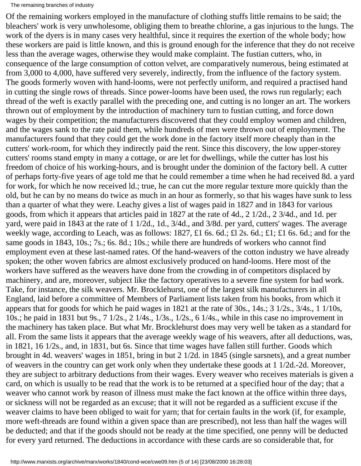Of the remaining workers employed in the manufacture of clothing stuffs little remains to be said; the bleachers' work is very unwholesome, obliging them to breathe chlorine, a gas injurious to the lungs. The work of the dyers is in many cases very healthful, since it requires the exertion of the whole body; how these workers are paid is little known, and this is ground enough for the inference that they do not receive less than the average wages, otherwise they would make complaint. The fustian cutters, who, in consequence of the large consumption of cotton velvet, are comparatively numerous, being estimated at from 3,000 to 4,000, have suffered very severely, indirectly, from the influence of the factory system. The goods formerly woven with hand-looms, were not perfectly uniform, and required a practised hand in cutting the single rows of threads. Since power-looms have been used, the rows run regularly; each thread of the weft is exactly parallel with the preceding one, and cutting is no longer an art. The workers thrown out of employment by the introduction of machinery turn to fustian cutting, and force down wages by their competition; the manufacturers discovered that they could employ women and children, and the wages sank to the rate paid them, while hundreds of men were thrown out of employment. The manufacturers found that they could get the work done in the factory itself more cheaply than in the cutters' work-room, for which they indirectly paid the rent. Since this discovery, the low upper-storey cutters' rooms stand empty in many a cottage, or are let for dwellings, while the cutter has lost his freedom of choice of his working-hours, and is brought under the dominion of the factory bell. A cutter of perhaps forty-five years of age told me that he could remember a time when he had received 8d. a yard for work, for which he now received ld.; true, he can cut the more regular texture more quickly than the old, but he can by no means do twice as much in an hour as formerly, so that his wages have sunk to less than a quarter of what they were. Leachy gives a list of wages paid in 1827 and in 1843 for various goods, from which it appears that articles paid in 1827 at the rate of 4d., 2 1/2d., 2 3/4d., and 1d. per yard, were paid in 1843 at the rate of 1 1/2d., 1d., 3/4d., and 3/8d. per yard, cutters' wages. The average weekly wage, according to Leach, was as follows: 1827, £1 6s. 6d.; £l 2s. 6d.; £1; £1 6s. 6d.; and for the same goods in 1843, 10s.; 7s.; 6s. 8d.; 10s.; while there are hundreds of workers who cannot find employment even at these last-named rates. Of the hand-weavers of the cotton industry we have already spoken; the other woven fabrics are almost exclusively produced on hand-looms. Here most of the workers have suffered as the weavers have done from the crowding in of competitors displaced by machinery, and are, moreover, subject like the factory operatives to a severe fine system for bad work. Take, for instance, the silk weavers. Mr. Brocklehurst, one of the largest silk manufacturers in all England, laid before a committee of Members of Parliament lists taken from his books, from which it appears that for goods for which he paid wages in 1821 at the rate of 30s., 14s.; 3 1/2s., 3/4s., 1 1/10s, 10s.; he paid in 1831 but 9s., 7 1/2s., 2 1/4s., 1/3s., 1/2s., 6 1/4s., while in this case no improvement in the machinery has taken place. But what Mr. Brocklehurst does may very well be taken as a standard for all. From the same lists it appears that the average weekly wage of his weavers, after all deductions, was, in 1821, 16 1/2s., and, in 1831, but 6s. Since that time wages have fallen still further. Goods which brought in 4d. weavers' wages in 1851, bring in but 2 1/2d. in 1845 (single sarsnets), and a great number of weavers in the country can get work only when they undertake these goods at 1 1/2d.-2d. Moreover, they are subject to arbitrary deductions from their wages. Every weaver who receives materials is given a card, on which is usually to be read that the work is to be returned at a specified hour of the day; that a weaver who cannot work by reason of illness must make the fact known at the office within three days, or sickness will not be regarded as an excuse; that it will not be regarded as a sufficient excuse if the weaver claims to have been obliged to wait for yarn; that for certain faults in the work (if, for example, more weft-threads are found within a given space than are prescribed), not less than half the wages will be deducted; and that if the goods should not be ready at the time specified, one penny will be deducted for every yard returned. The deductions in accordance with these cards are so considerable that, for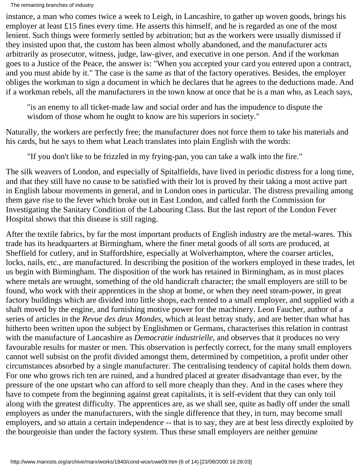instance, a man who comes twice a week to Leigh, in Lancashire, to gather up woven goods, brings his employer at least £15 fines every time. He asserts this himself, and he is regarded as one of the most lenient. Such things were formerly settled by arbitration; but as the workers were usually dismissed if they insisted upon that, the custom has been almost wholly abandoned, and the manufacturer acts arbitrarily as prosecutor, witness, judge, law-giver, and executive in one person. And if the workman goes to a Justice of the Peace, the answer is: "When you accepted your card you entered upon a contract, and you must abide by it." The case is the same as that of the factory operatives. Besides, the employer obliges the workman to sign a document in which he declares that he agrees to the deductions made. And if a workman rebels, all the manufacturers in the town know at once that he is a man who, as Leach says,

"is an enemy to all ticket-made law and social order and has the impudence to dispute the wisdom of those whom he ought to know are his superiors in society."

Naturally, the workers are perfectly free; the manufacturer does not force them to take his materials and his cards, but he says to them what Leach translates into plain English with the words:

"If you don't like to be frizzled in my frying-pan, you can take a walk into the fire."

The silk weavers of London, and especially of Spitalfields, have lived in periodic distress for a long time, and that they still have no cause to be satisfied with their lot is proved by their taking a most active part in English labour movements in general, and in London ones in particular. The distress prevailing among them gave rise to the fever which broke out in East London, and called forth the Commission for Investigating the Sanitary Condition of the Labouring Class. But the last report of the London Fever Hospital shows that this disease is still raging.

After the textile fabrics, by far the most important products of English industry are the metal-wares. This trade has its headquarters at Birmingham, where the finer metal goods of all sorts are produced, at Sheffield for cutlery, and in Staffordshire, especially at Wolverhampton, where the coarser articles, locks, nails, etc., are manufactured. In describing the position of the workers employed in these trades, let us begin with Birmingham. The disposition of the work has retained in Birmingham, as in most places where metals are wrought, something of the old handicraft character; the small employers are still to be found, who work with their apprentices in the shop at home, or when they need steam-power, in great factory buildings which are divided into little shops, each rented to a small employer, and supplied with a shaft moved by the engine, and furnishing motive power for the machinery. Leon Faucher, author of a series of articles in the *Revue des deux Mondes*, which at least betray study, and are better than what has hitherto been written upon the subject by Englishmen or Germans, characterises this relation in contrast with the manufacture of Lancashire as *Democratie industrielle*, and observes that it produces no very favourable results for master or men. This observation is perfectly correct, for the many small employers cannot well subsist on the profit divided amongst them, determined by competition, a profit under other circumstances absorbed by a single manufacturer. The centralising tendency of capital holds them down. For one who grows rich ten are ruined, and a hundred placed at greater disadvantage than ever, by the pressure of the one upstart who can afford to sell more cheaply than they. And in the cases where they have to compete from the beginning against great capitalists, it is self-evident that they can only toil along with the greatest difficulty. The apprentices are, as we shall see, quite as badly off under the small employers as under the manufacturers, with the single difference that they, in turn, may become small employers, and so attain a certain independence -- that is to say, they are at best less directly exploited by the bourgeoisie than under the factory system. Thus these small employers are neither genuine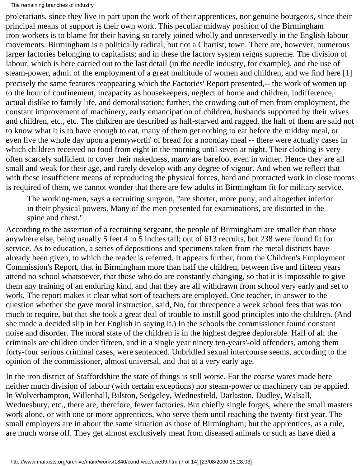<span id="page-121-0"></span>proletarians, since they live in part upon the work of their apprentices, nor genuine bourgeois, since their principal means of support is their own work. This peculiar midway position of the Birmingham iron-workers is to blame for their having so rarely joined wholly and unreservedly in the English labour movements. Birmingham is a politically radical, but not a Chartist, town. There are, however, numerous larger factories belonging to capitalists; and in these the factory system reigns supreme. The division of labour, which is here carried out to the last detail (in the needle industry, for example), and the use of steam-power, admit of the employment of a great multitude of women and children, and we find here [\[1\]](#page-127-0) precisely the same features reappearing which the Factories' Report presented,-- the work of women up to the hour of confinement, incapacity as housekeepers, neglect of home and children, indifference, actual dislike to family life, and demoralisation; further, the crowding out of men from employment, the constant improvement of machinery, early emancipation of children, husbands supported by their wives and children, etc., etc. The children are described as half-starved and ragged, the half of them are said not to know what it is to have enough to eat, many of them get nothing to eat before the midday meal, or even live the whole day upon a pennyworth' of bread for a noonday meal -- there were actually cases in which children received no food from eight in the morning until seven at night. Their clothing is very often scarcely sufficient to cover their nakedness, many are barefoot even in winter. Hence they are all small and weak for their age, and rarely develop with any degree of vigour. And when we reflect that with these insufficient means of reproducing the physical forces, hard and protracted work in close rooms is required of them, we cannot wonder that there are few adults in Birmingham fit for military service.

The working-men, says a recruiting surgeon, "are shorter, more puny, and altogether inferior in their physical powers. Many of the men presented for examinations, are distorted in the spine and chest."

According to the assertion of a recruiting sergeant, the people of Birmingham are smaller than those anywhere else, being usually 5 feet 4 to 5 inches tall; out of 613 recruits, but 238 were found fit for service. As to education, a series of depositions and specimens taken from the metal districts have already been given, to which the reader is referred. It appears further, from the Children's Employment Commission's Report, that in Birmingham more than half the children, between five and fifteen years attend no school whatsoever, that those who do are constantly changing, so that it is impossible to give them any training of an enduring kind, and that they are all withdrawn from school very early and set to work. The report makes it clear what sort of teachers are employed. One teacher, in answer to the question whether she gave moral instruction, said, No, for threepence a week school fees that was too much to require, but that she took a great deal of trouble to instill good principles into the children. (And she made a decided slip in her English in saying it.) In the schools the commissioner found constant noise and disorder. The moral state of the children is in the highest degree deplorable. Half of all the criminals are children under fifteen, and in a single year ninety ten-years'-old offenders, among them forty-four serious criminal cases, were sentenced. Unbridled sexual intercourse seems, according to the opinion of the commissioner, almost universal, and that at a very early age.

In the iron district of Staffordshire the state of things is still worse. For the coarse wares made here neither much division of labour (with certain exceptions) nor steam-power or machinery can be applied. In Wolverhampton, Willenhall, Bilston, Sedgeley, Wednesfield, Darlaston, Dudley, Walsall, Wednesbury, etc., there are, therefore, fewer factories. But chiefly single forges, where the small masters work alone, or with one or more apprentices, who serve them until reaching the twenty-first year. The small employers are in about the same situation as those of Birmingham; but the apprentices, as a rule, are much worse off. They get almost exclusively meat from diseased animals or such as have died a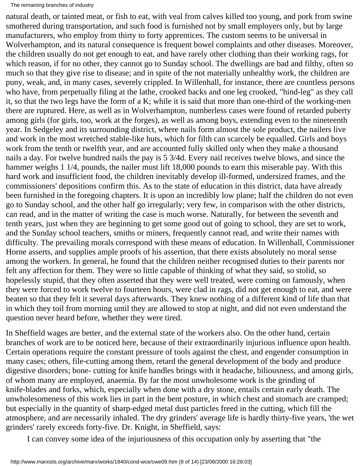natural death, or tainted meat, or fish to eat, with veal from calves killed too young, and pork from swine smothered during transportation, and such food is furnished not by small employers only, but by large manufacturers, who employ from thirty to forty apprentices. The custom seems to be universal in Wolverhampton, and its natural consequence is frequent bowel complaints and other diseases. Moreover, the children usually do not get enough to eat, and have rarely other clothing than their working rags, for which reason, if for no other, they cannot go to Sunday school. The dwellings are bad and filthy, often so much so that they give rise to disease; and in spite of the not materially unhealthy work, the children are puny, weak, and, in many cases, severely crippled. In Willenhall, for instance, there are countless persons who have, from perpetually filing at the lathe, crooked backs and one leg crooked, "hind-leg" as they call it, so that the two legs have the form of a K; while it is said that more than one-third of the working-men there are ruptured. Here, as well as in Wolverhampton, numberless cases were found of retarded puberty among girls (for girls, too, work at the forges), as well as among boys, extending even to the nineteenth year. In Sedgeley and its surrounding district, where nails form almost the sole product, the nailers live and work in the most wretched stable-like huts, which for filth can scarcely be equalled. Girls and boys work from the tenth or twelfth year, and are accounted fully skilled only when they make a thousand nails a day. For twelve hundred nails the pay is 5 3/4d. Every nail receives twelve blows, and since the hammer weighs 1 1/4, pounds, the nailer must lift 18,000 pounds to earn this miserable pay. With this hard work and insufficient food, the children inevitably develop ill-formed, undersized frames, and the commissioners' depositions confirm this. As to the state of education in this district, data have already been furnished in the foregoing chapters. It is upon an incredibly low plane; half the children do not even go to Sunday school, and the other half go irregularly; very few, in comparison with the other districts, can read, and in the matter of writing the case is much worse. Naturally, for between the seventh and tenth years, just when they are beginning to get some good out of going to school, they are set to work, and the Sunday school teachers, smiths or miners, frequently cannot read, and write their names with difficulty. The prevailing morals correspond with these means of education. In Willenhall, Commissioner Horne asserts, and supplies ample proofs of his assertion, that there exists absolutely no moral sense among the workers. In general, he found that the children neither recognised duties to their parents nor felt any affection for them. They were so little capable of thinking of what they said, so stolid, so hopelessly stupid, that they often asserted that they were well treated, were coming on famously, when they were forced to work twelve to fourteen hours, were clad in rags, did not get enough to eat, and were beaten so that they felt it several days afterwards. They knew nothing of a different kind of life than that in which they toil from morning until they are allowed to stop at night, and did not even understand the question never heard before, whether they were tired.

In Sheffield wages are better, and the external state of the workers also. On the other hand, certain branches of work are to be noticed here, because of their extraordinarily injurious influence upon health. Certain operations require the constant pressure of tools against the chest, and engender consumption in many cases; others, file-cutting among them, retard the general development of the body and produce digestive disorders; bone- cutting for knife handles brings with it headache, biliousness, and among girls, of whom many are employed, anaemia. By far the most unwholesome work is the grinding of knife-blades and forks, which, especially when done with a dry stone, entails certain early death. The unwholesomeness of this work lies in part in the bent posture, in which chest and stomach are cramped; but especially in the quantity of sharp-edged metal dust particles freed in the cutting, which fill the atmosphere, and are necessarily inhaled. The dry grinders' average life is hardly thirty-five years, 'the wet grinders' rarely exceeds forty-five. Dr. Knight, in Sheffield, says:

I can convey some idea of the injuriousness of this occupation only by asserting that "the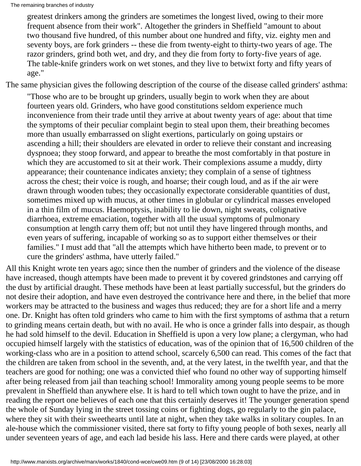greatest drinkers among the grinders are sometimes the longest lived, owing to their more frequent absence from their work". Altogether the grinders in Sheffield "amount to about two thousand five hundred, of this number about one hundred and fifty, viz. eighty men and seventy boys, are fork grinders -- these die from twenty-eight to thirty-two years of age. The razor grinders, grind both wet, and dry, and they die from forty to forty-five years of age. The table-knife grinders work on wet stones, and they live to betwixt forty and fifty years of age."

The same physician gives the following description of the course of the disease called grinders' asthma:

"Those who are to be brought up grinders, usually begin to work when they are about fourteen years old. Grinders, who have good constitutions seldom experience much inconvenience from their trade until they arrive at about twenty years of age: about that time the symptoms of their peculiar complaint begin to steal upon them, their breathing becomes more than usually embarrassed on slight exertions, particularly on going upstairs or ascending a hill; their shoulders are elevated in order to relieve their constant and increasing dyspnoea; they stoop forward, and appear to breathe the most comfortably in that posture in which they are accustomed to sit at their work. Their complexions assume a muddy, dirty appearance; their countenance indicates anxiety; they complain of a sense of tightness across the chest; their voice is rough, and hoarse; their cough loud, and as if the air were drawn through wooden tubes; they occasionally expectorate considerable quantities of dust, sometimes mixed up with mucus, at other times in globular or cylindrical masses enveloped in a thin film of mucus. Haemoptysis, inability to lie down, night sweats, colignative diarrhoea, extreme emaciation, together with all the usual symptoms of pulmonary consumption at length carry them off; but not until they have lingered through months, and even years of suffering, incapable of working so as to support either themselves or their families." I must add that "all the attempts which have hitherto been made, to prevent or to cure the grinders' asthma, have utterly failed."

All this Knight wrote ten years ago; since then the number of grinders and the violence of the disease have increased, though attempts have been made to prevent it by covered grindstones and carrying off the dust by artificial draught. These methods have been at least partially successful, but the grinders do not desire their adoption, and have even destroyed the contrivance here and there, in the belief that more workers may be attracted to the business and wages thus reduced; they are for a short life and a merry one. Dr. Knight has often told grinders who came to him with the first symptoms of asthma that a return to grinding means certain death, but with no avail. He who is once a grinder falls into despair, as though he had sold himself to the devil. Education in Sheffield is upon a very low plane; a clergyman, who had occupied himself largely with the statistics of education, was of the opinion that of 16,500 children of the working-class who are in a position to attend school, scarcely 6,500 can read. This comes of the fact that the children are taken from school in the seventh, and, at the very latest, in the twelfth year, and that the teachers are good for nothing; one was a convicted thief who found no other way of supporting himself after being released from jail than teaching school! Immorality among young people seems to be more prevalent in Sheffield than anywhere else. It is hard to tell which town ought to have the prize, and in reading the report one believes of each one that this certainly deserves it! The younger generation spend the whole of Sunday lying in the street tossing coins or fighting dogs, go regularly to the gin palace, where they sit with their sweethearts until late at night, when they take walks in solitary couples. In an ale-house which the commissioner visited, there sat forty to fifty young people of both sexes, nearly all under seventeen years of age, and each lad beside his lass. Here and there cards were played, at other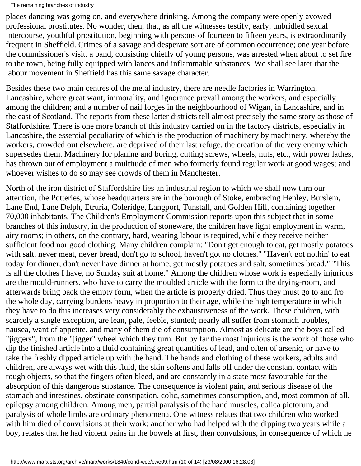places dancing was going on, and everywhere drinking. Among the company were openly avowed professional prostitutes. No wonder, then, that, as all the witnesses testify, early, unbridled sexual intercourse, youthful prostitution, beginning with persons of fourteen to fifteen years, is extraordinarily frequent in Sheffield. Crimes of a savage and desperate sort are of common occurrence; one year before the commissioner's visit, a band, consisting chiefly of young persons, was arrested when about to set fire to the town, being fully equipped with lances and inflammable substances. We shall see later that the labour movement in Sheffield has this same savage character.

Besides these two main centres of the metal industry, there are needle factories in Warrington, Lancashire, where great want, immorality, and ignorance prevail among the workers, and especially among the children; and a number of nail forges in the neighbourhood of Wigan, in Lancashire, and in the east of Scotland. The reports from these latter districts tell almost precisely the same story as those of Staffordshire. There is one more branch of this industry carried on in the factory districts, especially in Lancashire, the essential peculiarity of which is the production of machinery by machinery, whereby the workers, crowded out elsewhere, are deprived of their last refuge, the creation of the very enemy which supersedes them. Machinery for planing and boring, cutting screws, wheels, nuts, etc., with power lathes, has thrown out of employment a multitude of men who formerly found regular work at good wages; and whoever wishes to do so may see crowds of them in Manchester.

North of the iron district of Staffordshire lies an industrial region to which we shall now turn our attention, the Potteries, whose headquarters are in the borough of Stoke, embracing Henley, Burslem, Lane End, Lane Delph, Etruria, Coleridge, Langport, Tunstall, and Golden Hill, containing together 70,000 inhabitants. The Children's Employment Commission reports upon this subject that in some branches of this industry, in the production of stoneware, the children have light employment in warm, airy rooms; in others, on the contrary, hard, wearing labour is required, while they receive neither sufficient food nor good clothing. Many children complain: "Don't get enough to eat, get mostly potatoes with salt, never meat, never bread, don't go to school, haven't got no clothes." "Haven't got nothin' to eat today for dinner, don't never have dinner at home, get mostly potatoes and salt, sometimes bread." "This is all the clothes I have, no Sunday suit at home." Among the children whose work is especially injurious are the mould-runners, who have to carry the moulded article with the form to the drying-room, and afterwards bring back the empty form, when the article is properly dried. Thus they must go to and fro the whole day, carrying burdens heavy in proportion to their age, while the high temperature in which they have to do this increases very considerably the exhaustiveness of the work. These children, with scarcely a single exception, are lean, pale, feeble, stunted; nearly all suffer from stomach troubles, nausea, want of appetite, and many of them die of consumption. Almost as delicate are the boys called "jiggers", from the "jigger" wheel which they turn. But by far the most injurious is the work of those who dip the finished article into a fluid containing great quantities of lead, and often of arsenic, or have to take the freshly dipped article up with the hand. The hands and clothing of these workers, adults and children, are always wet with this fluid, the skin softens and falls off under the constant contact with rough objects, so that the fingers often bleed, and are constantly in a state most favourable for the absorption of this dangerous substance. The consequence is violent pain, and serious disease of the stomach and intestines, obstinate constipation, colic, sometimes consumption, and, most common of all, epilepsy among children. Among men, partial paralysis of the hand muscles, colica pictorum, and paralysis of whole limbs are ordinary phenomena. One witness relates that two children who worked with him died of convulsions at their work; another who had helped with the dipping two years while a boy, relates that he had violent pains in the bowels at first, then convulsions, in consequence of which he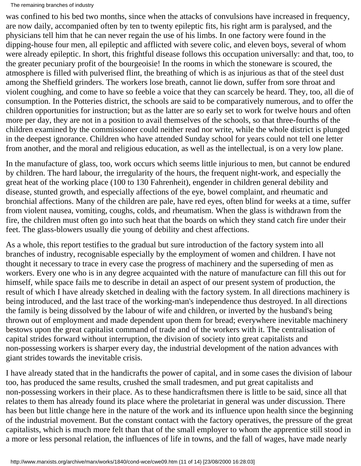was confined to his bed two months, since when the attacks of convulsions have increased in frequency, are now daily, accompanied often by ten to twenty epileptic fits, his right arm is paralysed, and the physicians tell him that he can never regain the use of his limbs. In one factory were found in the dipping-house four men, all epileptic and afflicted with severe colic, and eleven boys, several of whom were already epileptic. In short, this frightful disease follows this occupation universally: and that, too, to the greater pecuniary profit of the bourgeoisie! In the rooms in which the stoneware is scoured, the atmosphere is filled with pulverised flint, the breathing of which is as injurious as that of the steel dust among the Sheffield grinders. The workers lose breath, cannot lie down, suffer from sore throat and violent coughing, and come to have so feeble a voice that they can scarcely be heard. They, too, all die of consumption. In the Potteries district, the schools are said to be comparatively numerous, and to offer the children opportunities for instruction; but as the latter are so early set to work for twelve hours and often more per day, they are not in a position to avail themselves of the schools, so that three-fourths of the children examined by the commissioner could neither read nor write, while the whole district is plunged in the deepest ignorance. Children who have attended Sunday school for years could not tell one letter from another, and the moral and religious education, as well as the intellectual, is on a very low plane.

In the manufacture of glass, too, work occurs which seems little injurious to men, but cannot be endured by children. The hard labour, the irregularity of the hours, the frequent night-work, and especially the great heat of the working place (100 to 130 Fahrenheit), engender in children general debility and disease, stunted growth, and especially affections of the eye, bowel complaint, and rheumatic and bronchial affections. Many of the children are pale, have red eyes, often blind for weeks at a time, suffer from violent nausea, vomiting, coughs, colds, and rheumatism. When the glass is withdrawn from the fire, the children must often go into such heat that the boards on which they stand catch fire under their feet. The glass-blowers usually die young of debility and chest affections.

As a whole, this report testifies to the gradual but sure introduction of the factory system into all branches of industry, recognisable especially by the employment of women and children. I have not thought it necessary to trace in every case the progress of machinery and the superseding of men as workers. Every one who is in any degree acquainted with the nature of manufacture can fill this out for himself, while space fails me to describe in detail an aspect of our present system of production, the result of which I have already sketched in dealing with the factory system. In all directions machinery is being introduced, and the last trace of the working-man's independence thus destroyed. In all directions the family is being dissolved by the labour of wife and children, or inverted by the husband's being thrown out of employment and made dependent upon them for bread; everywhere inevitable machinery bestows upon the great capitalist command of trade and of the workers with it. The centralisation of capital strides forward without interruption, the division of society into great capitalists and non-possessing workers is sharper every day, the industrial development of the nation advances with giant strides towards the inevitable crisis.

I have already stated that in the handicrafts the power of capital, and in some cases the division of labour too, has produced the same results, crushed the small tradesmen, and put great capitalists and non-possessing workers in their place. As to these handicraftsmen there is little to be said, since all that relates to them has already found its place where the proletariat in general was under discussion. There has been but little change here in the nature of the work and its influence upon health since the beginning of the industrial movement. But the constant contact with the factory operatives, the pressure of the great capitalists, which is much more felt than that of the small employer to whom the apprentice still stood in a more or less personal relation, the influences of life in towns, and the fall of wages, have made nearly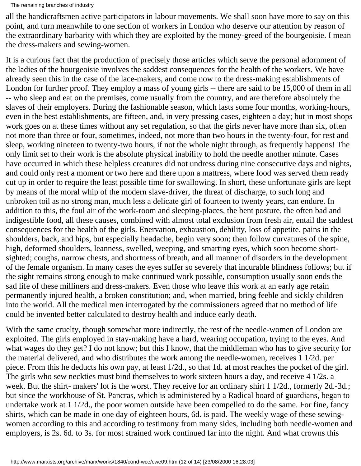all the handicraftsmen active participators in labour movements. We shall soon have more to say on this point, and turn meanwhile to one section of workers in London who deserve our attention by reason of the extraordinary barbarity with which they are exploited by the money-greed of the bourgeoisie. I mean the dress-makers and sewing-women.

It is a curious fact that the production of precisely those articles which serve the personal adornment of the ladies of the bourgeoisie involves the saddest consequences for the health of the workers. We have already seen this in the case of the lace-makers, and come now to the dress-making establishments of London for further proof. They employ a mass of young girls -- there are said to be 15,000 of them in all -- who sleep and eat on the premises, come usually from the country, and are therefore absolutely the slaves of their employers. During the fashionable season, which lasts some four months, working-hours, even in the best establishments, are fifteen, and, in very pressing cases, eighteen a day; but in most shops work goes on at these times without any set regulation, so that the girls never have more than six, often not more than three or four, sometimes, indeed, not more than two hours in the twenty-four, for rest and sleep, working nineteen to twenty-two hours, if not the whole night through, as frequently happens! The only limit set to their work is the absolute physical inability to hold the needle another minute. Cases have occurred in which these helpless creatures did not undress during nine consecutive days and nights, and could only rest a moment or two here and there upon a mattress, where food was served them ready cut up in order to require the least possible time for swallowing. In short, these unfortunate girls are kept by means of the moral whip of the modern slave-driver, the threat of discharge, to such long and unbroken toil as no strong man, much less a delicate girl of fourteen to twenty years, can endure. In addition to this, the foul air of the work-room and sleeping-places, the bent posture, the often bad and indigestible food, all these causes, combined with almost total exclusion from fresh air, entail the saddest consequences for the health of the girls. Enervation, exhaustion, debility, loss of appetite, pains in the shoulders, back, and hips, but especially headache, begin very soon; then follow curvatures of the spine, high, deformed shoulders, leanness, swelled, weeping, and smarting eyes, which soon become shortsighted; coughs, narrow chests, and shortness of breath, and all manner of disorders in the development of the female organism. In many cases the eyes suffer so severely that incurable blindness follows; but if the sight remains strong enough to make continued work possible, consumption usually soon ends the sad life of these milliners and dress-makers. Even those who leave this work at an early age retain permanently injured health, a broken constitution; and, when married, bring feeble and sickly children into the world. All the medical men interrogated by the commissioners agreed that no method of life could be invented better calculated to destroy health and induce early death.

With the same cruelty, though somewhat more indirectly, the rest of the needle-women of London are exploited. The girls employed in stay-making have a hard, wearing occupation, trying to the eyes. And what wages do they get? I do not know; but this I know, that the middleman who has to give security for the material delivered, and who distributes the work among the needle-women, receives 1 1/2d. per piece. From this he deducts his own pay, at least 1/2d., so that 1d. at most reaches the pocket of the girl. The girls who sew neckties must bind themselves to work sixteen hours a day, and receive 4 1/2s. a week. But the shirt- makers' lot is the worst. They receive for an ordinary shirt 1 1/2d., formerly 2d.-3d.; but since the workhouse of St. Pancras, which is administered by a Radical board of guardians, began to undertake work at 1 1/2d., the poor women outside have been compelled to do the same. For fine, fancy shirts, which can be made in one day of eighteen hours, 6d. is paid. The weekly wage of these sewingwomen according to this and according to testimony from many sides, including both needle-women and employers, is 2s. 6d. to 3s. for most strained work continued far into the night. And what crowns this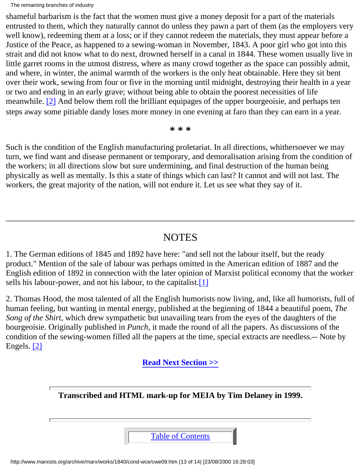shameful barbarism is the fact that the women must give a money deposit for a part of the materials entrusted to them, which they naturally cannot do unless they pawn a part of them (as the employers very well know), redeeming them at a loss; or if they cannot redeem the materials, they must appear before a Justice of the Peace, as happened to a sewing-woman in November, 1843. A poor girl who got into this strait and did not know what to do next, drowned herself in a canal in 1844. These women usually live in little garret rooms in the utmost distress, where as many crowd together as the space can possibly admit, and where, in winter, the animal warmth of the workers is the only heat obtainable. Here they sit bent over their work, sewing from four or five in the morning until midnight, destroying their health in a year or two and ending in an early grave; without being able to obtain the poorest necessities of life meanwhile. [\[2\]](#page-127-1) And below them roll the brilliant equipages of the upper bourgeoisie, and perhaps ten steps away some pitiable dandy loses more money in one evening at faro than they can earn in a year.

# **\* \* \***

<span id="page-127-2"></span>Such is the condition of the English manufacturing proletariat. In all directions, whithersoever we may turn, we find want and disease permanent or temporary, and demoralisation arising from the condition of the workers; in all directions slow but sure undermining, and final destruction of the human being physically as well as mentally. Is this a state of things which can last? It cannot and will not last. The workers, the great majority of the nation, will not endure it. Let us see what they say of it.

# **NOTES**

<span id="page-127-0"></span>1. The German editions of 1845 and 1892 have here: "and sell not the labour itself, but the ready product." Mention of the sale of labour was perhaps omitted in the American edition of 1887 and the English edition of 1892 in connection with the later opinion of Marxist political economy that the worker sells his labour-power, and not his labour, to the capitalist.<sup>[1]</sup>

<span id="page-127-1"></span>2. Thomas Hood, the most talented of all the English humorists now living, and, like all humorists, full of human feeling, but wanting in mental energy, published at the beginning of 1844 a beautiful poem, *The Song of the Shirt,* which drew sympathetic but unavailing tears from the eyes of the daughters of the bourgeoisie. Originally published in *Punch,* it made the round of all the papers. As discussions of the condition of the sewing-women filled all the papers at the time, special extracts are needless.-- Note by Engels. [\[2\]](#page-127-2)

**[Read Next Section >>](#page-129-0)**

# **Transcribed and HTML mark-up for MEIA by Tim Delaney in 1999.**

[Table of Contents](#page-0-0)

http://www.marxists.org/archive/marx/works/1840/cond-wce/cwe09.htm (13 of 14) [23/08/2000 16:28:03]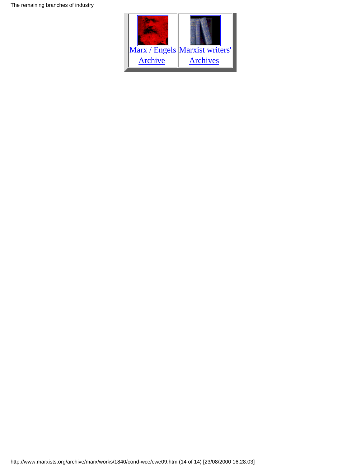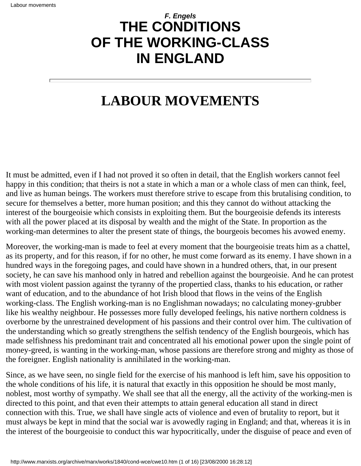# <span id="page-129-0"></span>**F. Engels THE CONDITIONS OF THE WORKING-CLASS IN ENGLAND**

# **LABOUR MOVEMENTS**

It must be admitted, even if I had not proved it so often in detail, that the English workers cannot feel happy in this condition; that theirs is not a state in which a man or a whole class of men can think, feel, and live as human beings. The workers must therefore strive to escape from this brutalising condition, to secure for themselves a better, more human position; and this they cannot do without attacking the interest of the bourgeoisie which consists in exploiting them. But the bourgeoisie defends its interests with all the power placed at its disposal by wealth and the might of the State. In proportion as the working-man determines to alter the present state of things, the bourgeois becomes his avowed enemy.

Moreover, the working-man is made to feel at every moment that the bourgeoisie treats him as a chattel, as its property, and for this reason, if for no other, he must come forward as its enemy. I have shown in a hundred ways in the foregoing pages, and could have shown in a hundred others, that, in our present society, he can save his manhood only in hatred and rebellion against the bourgeoisie. And he can protest with most violent passion against the tyranny of the propertied class, thanks to his education, or rather want of education, and to the abundance of hot Irish blood that flows in the veins of the English working-class. The English working-man is no Englishman nowadays; no calculating money-grubber like his wealthy neighbour. He possesses more fully developed feelings, his native northern coldness is overborne by the unrestrained development of his passions and their control over him. The cultivation of the understanding which so greatly strengthens the selfish tendency of the English bourgeois, which has made selfishness his predominant trait and concentrated all his emotional power upon the single point of money-greed, is wanting in the working-man, whose passions are therefore strong and mighty as those of the foreigner. English nationality is annihilated in the working-man.

Since, as we have seen, no single field for the exercise of his manhood is left him, save his opposition to the whole conditions of his life, it is natural that exactly in this opposition he should be most manly, noblest, most worthy of sympathy. We shall see that all the energy, all the activity of the working-men is directed to this point, and that even their attempts to attain general education all stand in direct connection with this. True, we shall have single acts of violence and even of brutality to report, but it must always be kept in mind that the social war is avowedly raging in England; and that, whereas it is in the interest of the bourgeoisie to conduct this war hypocritically, under the disguise of peace and even of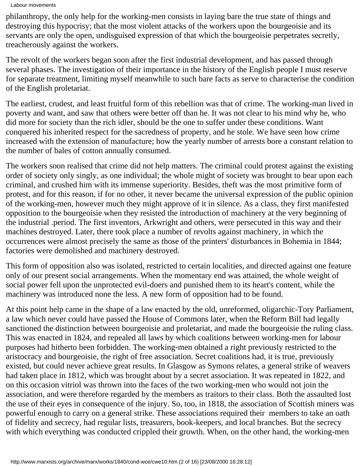Labour movements

philanthropy, the only help for the working-men consists in laying bare the true state of things and destroying this hypocrisy; that the most violent attacks of the workers upon the bourgeoisie and its servants are only the open, undisguised expression of that which the bourgeoisie perpetrates secretly, treacherously against the workers.

The revolt of the workers began soon after the first industrial development, and has passed through several phases. The investigation of their importance in the history of the English people I must reserve for separate treatment, limiting myself meanwhile to such bare facts as serve to characterise the condition of the English proletariat.

The earliest, crudest, and least fruitful form of this rebellion was that of crime. The working-man lived in poverty and want, and saw that others were better off than he. It was not clear to his mind why he, who did more for society than the rich idler, should be the one to suffer under these conditions. Want conquered his inherited respect for the sacredness of property, and he stole. We have seen how crime increased with the extension of manufacture; how the yearly number of arrests bore a constant relation to the number of bales of cotton annually consumed.

The workers soon realised that crime did not help matters. The criminal could protest against the existing order of society only singly, as one individual; the whole might of society was brought to bear upon each criminal, and crushed him with its immense superiority. Besides, theft was the most primitive form of protest, and for this reason, if for no other, it never became the universal expression of the public opinion of the working-men, however much they might approve of it in silence. As a class, they first manifested opposition to the bourgeoisie when they resisted the introduction of machinery at the very beginning of the industrial .period. The first inventors, Arkwright and others, were persecuted in this way and their machines destroyed. Later, there took place a number of revolts against machinery, in which the occurrences were almost precisely the same as those of the printers' disturbances in Bohemia in 1844; factories were demolished and machinery destroyed.

This form of opposition also was isolated, restricted to certain localities, and directed against one feature only of our present social arrangements. When the momentary end was attained, the whole weight of social power fell upon the unprotected evil-doers and punished them to its heart's content, while the machinery was introduced none the less. A new form of opposition had to be found.

At this point help came in the shape of a law enacted by the old, unreformed, oligarchic-Tory Parliament, a law which never could have passed the House of Commons later, when the Reform Bill had legally sanctioned the distinction between bourgeoisie and proletariat, and made the bourgeoisie the ruling class. This was enacted in 1824, and repealed all laws by which coalitions between working-men for labour purposes had hitherto been forbidden. The working-men obtained a right previously restricted to the aristocracy and bourgeoisie, the right of free association. Secret coalitions had, it is true, previously existed, but could never achieve great results. In Glasgow as Symons relates, a general strike of weavers had taken place in 1812, which was brought about by a secret association. It was repeated in 1822, and on this occasion vitriol was thrown into the faces of the two working-men who would not join the association, and were therefore regarded by the members as traitors to their class. Both the assaulted lost the use of their eyes in consequence of the injury. So, too, in 1818, the association of Scottish miners was powerful enough to carry on a general strike. These associations required their members to take an oath of fidelity and secrecy, had regular lists, treasurers, book-keepers, and local branches. But the secrecy with which everything was conducted crippled their growth. When, on the other hand, the working-men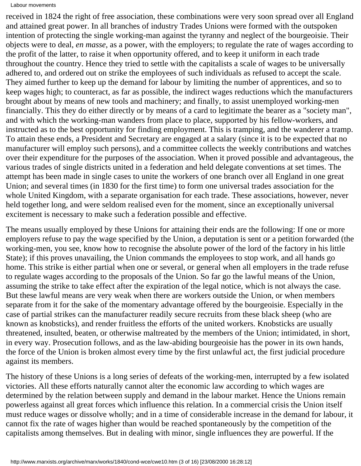received in 1824 the right of free association, these combinations were very soon spread over all England and attained great power. In all branches of industry Trades Unions were formed with the outspoken intention of protecting the single working-man against the tyranny and neglect of the bourgeoisie. Their objects were to deal, *en masse*, as a power, with the employers; to regulate the rate of wages according to the profit of the latter, to raise it when opportunity offered, and to keep it uniform in each trade throughout the country. Hence they tried to settle with the capitalists a scale of wages to be universally adhered to, and ordered out on strike the employees of such individuals as refused to accept the scale. They aimed further to keep up the demand for labour by limiting the number of apprentices, and so to keep wages high; to counteract, as far as possible, the indirect wages reductions which the manufacturers brought about by means of new tools and machinery; and finally, to assist unemployed working-men financially. This they do either directly or by means of a card to legitimate the bearer as a "society man", and with which the working-man wanders from place to place, supported by his fellow-workers, and instructed as to the best opportunity for finding employment. This is tramping, and the wanderer a tramp. To attain these ends, a President and Secretary are engaged at a salary (since it is to be expected that no manufacturer will employ such persons), and a committee collects the weekly contributions and watches over their expenditure for the purposes of the association. When it proved possible and advantageous, the various trades of single districts united in a federation and held delegate conventions at set times. The attempt has been made in single cases to unite the workers of one branch over all England in one great Union; and several times (in 1830 for the first time) to form one universal trades association for the whole United Kingdom, with a separate organisation for each trade. These associations, however, never held together long, and were seldom realised even for the moment, since an exceptionally universal excitement is necessary to make such a federation possible and effective.

The means usually employed by these Unions for attaining their ends are the following: If one or more employers refuse to pay the wage specified by the Union, a deputation is sent or a petition forwarded (the working-men, you see, know how to recognise the absolute power of the lord of the factory in his little State); if this proves unavailing, the Union commands the employees to stop work, and all hands go home. This strike is either partial when one or several, or general when all employers in the trade refuse to regulate wages according to the proposals of the Union. So far go the lawful means of the Union, assuming the strike to take effect after the expiration of the legal notice, which is not always the case. But these lawful means are very weak when there are workers outside the Union, or when members separate from it for the sake of the momentary advantage offered by the bourgeoisie. EspecialIy in the case of partial strikes can the manufacturer readily secure recruits from these black sheep (who are known as knobsticks), and render fruitless the efforts of the united workers. Knobsticks are usually threatened, insulted, beaten, or otherwise maltreated by the members of the Union; intimidated, in short, in every way. Prosecution follows, and as the law-abiding bourgeoisie has the power in its own hands, the force of the Union is broken almost every time by the first unlawful act, the first judicial procedure against its members.

The history of these Unions is a long series of defeats of the working-men, interrupted by a few isolated victories. All these efforts naturally cannot alter the economic law according to which wages are determined by the relation between supply and demand in the labour market. Hence the Unions remain powerless against all great forces which influence this relation. In a commercial crisis the Union itself must reduce wages or dissolve wholly; and in a time of considerable increase in the demand for labour, it cannot fix the rate of wages higher than would be reached spontaneously by the competition of the capitalists among themselves. But in dealing with minor, single influences they are powerful. If the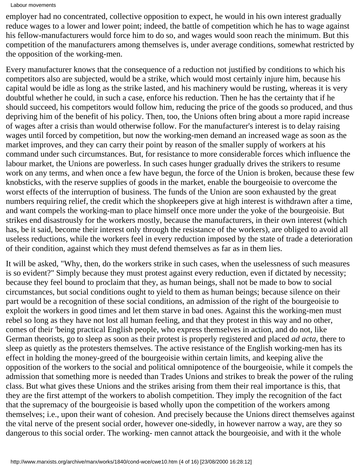Labour movements

employer had no concentrated, collective opposition to expect, he would in his own interest gradually reduce wages to a lower and lower point; indeed, the battle of competition which he has to wage against his fellow-manufacturers would force him to do so, and wages would soon reach the minimum. But this competition of the manufacturers among themselves is, under average conditions, somewhat restricted by the opposition of the working-men.

Every manufacturer knows that the consequence of a reduction not justified by conditions to which his competitors also are subjected, would be a strike, which would most certainly injure him, because his capital would be idle as long as the strike lasted, and his machinery would be rusting, whereas it is very doubtful whether he could, in such a case, enforce his reduction. Then he has the certainty that if he should succeed, his competitors would follow him, reducing the price of the goods so produced, and thus depriving him of the benefit of his policy. Then, too, the Unions often bring about a more rapid increase of wages after a crisis than would otherwise follow. For the manufacturer's interest is to delay raising wages until forced by competition, but now the working-men demand an increased wage as soon as the market improves, and they can carry their point by reason of the smaller supply of workers at his command under such circumstances. But, for resistance to more considerable forces which influence the labour market, the Unions are powerless. In such cases hunger gradually drives the strikers to resume work on any terms, and when once a few have begun, the force of the Union is broken, because these few knobsticks, with the reserve supplies of goods in the market, enable the bourgeoisie to overcome the worst effects of the interruption of business. The funds of the Union are soon exhausted by the great numbers requiring relief, the credit which the shopkeepers give at high interest is withdrawn after a time, and want compels the working-man to place himself once more under the yoke of the bourgeoisie. But strikes end disastrously for the workers mostly, because the manufacturers, in their own interest (which has, be it said, become their interest only through the resistance of the workers), are obliged to avoid all useless reductions, while the workers feel in every reduction imposed by the state of trade a deterioration of their condition, against which they must defend themselves as far as in them lies.

It will be asked, "Why, then, do the workers strike in such cases, when the uselessness of such measures is so evident?" Simply because they must protest against every reduction, even if dictated by necessity; because they feel bound to proclaim that they, as human beings, shall not be made to bow to social circumstances, but social conditions ought to yield to them as human beings; because silence on their part would be a recognition of these social conditions, an admission of the right of the bourgeoisie to exploit the workers in good times and let them starve in bad ones. Against this the working-men must rebel so long as they have not lost all human feeling, and that they protest in this way and no other, comes of their 'being practical English people, who express themselves in action, and do not, like German theorists, go to sleep as soon as their protest is properly registered and placed *ad acta*, there to sleep as quietly as the protesters themselves. The active resistance of the English working-men has its effect in holding the money-greed of the bourgeoisie within certain limits, and keeping alive the opposition of the workers to the social and political omnipotence of the bourgeoisie, while it compels the admission that something more is needed than Trades Unions and strikes to break the power of the ruling class. But what gives these Unions and the strikes arising from them their real importance is this, that they are the first attempt of the workers to abolish competition. They imply the recognition of the fact that the supremacy of the bourgeoisie is based wholly upon the competition of the workers among themselves; i.e., upon their want of cohesion. And precisely because the Unions direct themselves against the vital nerve of the present social order, however one-sidedly, in however narrow a way, are they so dangerous to this social order. The working- men cannot attack the bourgeoisie, and with it the whole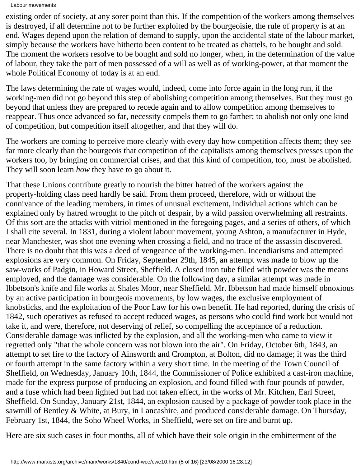existing order of society, at any sorer point than this. If the competition of the workers among themselves is destroyed, if all determine not to be further exploited by the bourgeoisie, the rule of property is at an end. Wages depend upon the relation of demand to supply, upon the accidental state of the labour market, simply because the workers have hitherto been content to be treated as chattels, to be bought and sold. The moment the workers resolve to be bought and sold no longer, when, in the determination of the value of labour, they take the part of men possessed of a will as well as of working-power, at that moment the whole Political Economy of today is at an end.

The laws determining the rate of wages would, indeed, come into force again in the long run, if the working-men did not go beyond this step of abolishing competition among themselves. But they must go beyond that unless they are prepared to recede again and to allow competition among themselves to reappear. Thus once advanced so far, necessity compels them to go farther; to abolish not only one kind of competition, but competition itself altogether, and that they will do.

The workers are coming to perceive more clearly with every day how competition affects them; they see far more clearly than the bourgeois that competition of the capitalists among themselves presses upon the workers too, by bringing on commercial crises, and that this kind of competition, too, must be abolished. They will soon learn *how* they have to go about it.

That these Unions contribute greatly to nourish the bitter hatred of the workers against the property-holding class need hardly be said. From them proceed, therefore, with or without the connivance of the leading members, in times of unusual excitement, individual actions which can be explained only by hatred wrought to the pitch of despair, by a wild passion overwhelming all restraints. Of this sort are the attacks with vitriol mentioned in the foregoing pages, and a series of others, of which I shall cite several. In 1831, during a violent labour movement, young Ashton, a manufacturer in Hyde, near Manchester, was shot one evening when crossing a field, and no trace of the assassin discovered. There is no doubt that this was a deed of vengeance of the working-men. Incendiarisms and attempted explosions are very common. On Friday, September 29th, 1845, an attempt was made to blow up the saw-works of Padgin, in Howard Street, Sheffield. A closed iron tube filled with powder was the means employed, and the damage was considerable. On the following day, a similar attempt was made in Ibbetson's knife and file works at Shales Moor, near Sheffield. Mr. Ibbetson had made himself obnoxious by an active participation in bourgeois movements, by low wages, the exclusive employment of knobsticks, and the exploitation of the Poor Law for his own benefit. He had reported, during the crisis of 1842, such operatives as refused to accept reduced wages, as persons who could find work but would not take it, and were, therefore, not deserving of relief, so compelling the acceptance of a reduction. Considerable damage was inflicted by the explosion, and all the working-men who came to view it regretted only "that the whole concern was not blown into the air". On Friday, October 6th, 1843, an attempt to set fire to the factory of Ainsworth and Crompton, at Bolton, did no damage; it was the third or fourth attempt in the same factory within a very short time. In the meeting of the Town Council of Sheffield, on Wednesday, January 10th, 1844, the Commissioner of Police exhibited a cast-iron machine, made for the express purpose of producing an explosion, and found filled with four pounds of powder, and a fuse which had been lighted but had not taken effect, in the works of Mr. Kitchen, Earl Street, Sheffield. On Sunday, January 21st, 1844, an explosion caused by a package of powder took place in the sawmill of Bentley & White, at Bury, in Lancashire, and produced considerable damage. On Thursday, February 1st, 1844, the Soho Wheel Works, in Sheffield, were set on fire and burnt up.

Here are six such cases in four months, all of which have their sole origin in the embitterment of the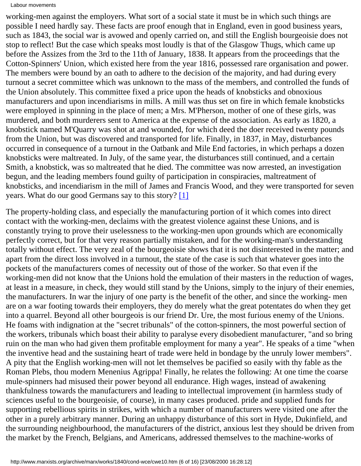working-men against the employers. What sort of a social state it must be in which such things are possible I need hardly say. These facts are proof enough that in England, even in good business years, such as 1843, the social war is avowed and openly carried on, and still the English bourgeoisie does not stop to reflect! But the case which speaks most loudly is that of the Glasgow Thugs, which came up before the Assizes from the 3rd to the 11th of January, 1838. It appears from the proceedings that the Cotton-Spinners' Union, which existed here from the year 1816, possessed rare organisation and power. The members were bound by an oath to adhere to the decision of the majority, and had during every turnout a secret committee which was unknown to the mass of the members, and controlled the funds of the Union absolutely. This committee fixed a price upon the heads of knobsticks and obnoxious manufacturers and upon incendiarisms in mills. A mill was thus set on fire in which female knobsticks were employed in spinning in the place of men; a Mrs. M'Pherson, mother of one of these girls, was murdered, and both murderers sent to America at the expense of the association. As early as 1820, a knobstick named M'Quarry was shot at and wounded, for which deed the doer received twenty pounds from the Union, but was discovered and transported for life. Finally, in 1837, in May, disturbances occurred in consequence of a turnout in the Oatbank and Mile End factories, in which perhaps a dozen knobsticks were maltreated. In July, of the same year, the disturbances still continued, and a certain Smith, a knobstick, was so maltreated that he died. The committee was now arrested, an investigation begun, and the leading members found guilty of participation in conspiracies, maltreatment of knobsticks, and incendiarism in the mill of James and Francis Wood, and they were transported for seven years. What do our good Germans say to this story? [\[1\]](#page-144-0)

The property-holding class, and especially the manufacturing portion of it which comes into direct contact with the working-men, declaims with the greatest violence against these Unions, and is constantly trying to prove their uselessness to the working-men upon grounds which are economically perfectly correct, but for that very reason partially mistaken, and for the working-man's understanding totally without effect. The very zeal of the bourgeoisie shows that it is not disinterested in the matter; and apart from the direct loss involved in a turnout, the state of the case is such that whatever goes into the pockets of the manufacturers comes of necessity out of those of the worker. So that even if the working-men did not know that the Unions hold the emulation of their masters in the reduction of wages, at least in a measure, in check, they would still stand by the Unions, simply to the injury of their enemies, the manufacturers. In war the injury of one party is the benefit of the other, and since the working- men are on a war footing towards their employers, they do merely what the great potentates do when they get into a quarrel. Beyond all other bourgeois is our friend Dr. Ure, the most furious enemy of the Unions. He foams with indignation at the "secret tribunals" of the cotton-spinners, the most powerful section of the workers, tribunals which boast their ability to paralyse every disobedient manufacturer, "and so bring ruin on the man who had given them profitable employment for many a year". He speaks of a time "when the inventive head and the sustaining heart of trade were held in bondage by the unruly lower members". A pity that the English working-men will not let themselves be pacified so easily with thy fable as the Roman Plebs, thou modern Menenius Agrippa! Finally, he relates the following: At one time the coarse mule-spinners had misused their power beyond all endurance. High wages, instead of awakening thankfulness towards the manufacturers and leading to intellectual improvement (in harmless study of sciences useful to the bourgeoisie, of course), in many cases produced. pride and supplied funds for supporting rebellious spirits in strikes, with which a number of manufacturers were visited one after the other in a purely arbitrary manner. During an unhappy disturbance of this sort in Hyde, Dukinfield, and the surrounding neighbourhood, the manufacturers of the district, anxious lest they should be driven from the market by the French, Belgians, and Americans, addressed themselves to the machine-works of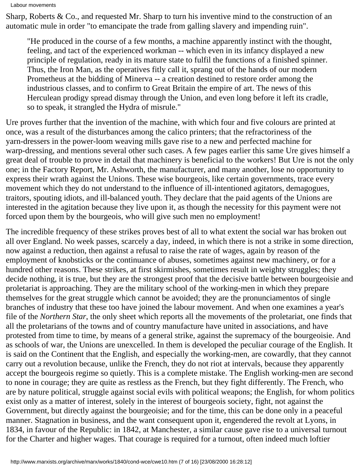Labour movements

Sharp, Roberts  $\&$  Co., and requested Mr. Sharp to turn his inventive mind to the construction of an automatic mule in order "to emancipate the trade from galling slavery and impending ruin".

"He produced in the course of a few months, a machine apparently instinct with the thought, feeling, and tact of the experienced workman -- which even in its infancy displayed a new principle of regulation, ready in its mature state to fulfil the functions of a finished spinner. Thus, the Iron Man, as the operatives fitly call it, sprang out of the hands of our modern Prometheus at the bidding of Minerva -- a creation destined to restore order among the industrious classes, and to confirm to Great Britain the empire of art. The news of this Herculean prodigy spread dismay through the Union, and even long before it left its cradle, so to speak, it strangled the Hydra of misrule."

Ure proves further that the invention of the machine, with which four and five colours are printed at once, was a result of the disturbances among the calico printers; that the refractoriness of the yarn-dressers in the power-loom weaving mills gave rise to a new and perfected machine for warp-dressing, and mentions several other such cases. A few pages earlier this same Ure gives himself a great deal of trouble to prove in detail that machinery is beneficial to the workers! But Ure is not the only one; in the Factory Report, Mr. Ashworth, the manufacturer, and many another, lose no opportunity to express their wrath against the Unions. These wise bourgeois, like certain governments, trace every movement which they do not understand to the influence of ill-intentioned agitators, demagogues, traitors, spouting idiots, and ill-balanced youth. They declare that the paid agents of the Unions are interested in the agitation because they live upon it, as though the necessity for this payment were not forced upon them by the bourgeois, who will give such men no employment!

The incredible frequency of these strikes proves best of all to what extent the social war has broken out all over England. No week passes, scarcely a day, indeed, in which there is not a strike in some direction, now against a reduction, then against a refusal to raise the rate of wages, again by reason of the employment of knobsticks or the continuance of abuses, sometimes against new machinery, or for a hundred other reasons. These strikes, at first skirmishes, sometimes result in weighty struggles; they decide nothing, it is true, but they are the strongest proof that the decisive battle between bourgeoisie and proletariat is approaching. They are the military school of the working-men in which they prepare themselves for the great struggle which cannot be avoided; they are the pronunciamentos of single branches of industry that these too have joined the labour movement. And when one examines a year's file of the *Northern Star*, the only sheet which reports all the movements of the proletariat, one finds that all the proletarians of the towns and of country manufacture have united in associations, and have protested from time to time, by means of a general strike, against the supremacy of the bourgeoisie. And as schools of war, the Unions are unexcelled. In them is developed the peculiar courage of the English. It is said on the Continent that the English, and especially the working-men, are cowardly, that they cannot carry out a revolution because, unlike the French, they do not riot at intervals, because they apparently accept the bourgeois regime so quietly. This is a complete mistake. The English working-men are second to none in courage; they are quite as restless as the French, but they fight differently. The French, who are by nature political, struggle against social evils with political weapons; the English, for whom politics exist only as a matter of interest, solely in the interest of bourgeois society, fight, not against the Government, but directly against the bourgeoisie; and for the time, this can be done only in a peaceful manner. Stagnation in business, and the want consequent upon it, engendered the revolt at Lyons, in 1834, in favour of the Republic: in 1842, at Manchester, a similar cause gave rise to a universal turnout for the Charter and higher wages. That courage is required for a turnout, often indeed much loftier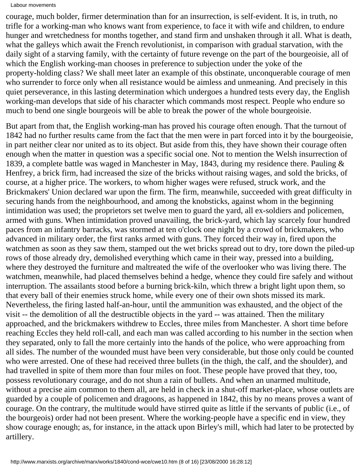courage, much bolder, firmer determination than for an insurrection, is self-evident. It is, in truth, no trifle for a working-man who knows want from experience, to face it with wife and children, to endure hunger and wretchedness for months together, and stand firm and unshaken through it all. What is death, what the galleys which await the French revolutionist, in comparison with gradual starvation, with the daily sight of a starving family, with the certainty of future revenge on the part of the bourgeoisie, all of which the English working-man chooses in preference to subjection under the yoke of the property-holding class? We shall meet later an example of this obstinate, unconquerable courage of men who surrender to force only when all resistance would be aimless and unmeaning. And precisely in this quiet perseverance, in this lasting determination which undergoes a hundred tests every day, the English working-man develops that side of his character which commands most respect. People who endure so much to bend one single bourgeois will be able to break the power of the whole bourgeoisie.

But apart from that, the English working-man has proved his courage often enough. That the turnout of 1842 had no further results came from the fact that the men were in part forced into it by the bourgeoisie, in part neither clear nor united as to its object. But aside from this, they have shown their courage often enough when the matter in question was a specific social one. Not to mention the Welsh insurrection of 1839, a complete battle was waged in Manchester in May, 1843, during my residence there. Pauling & Henfrey, a brick firm, had increased the size of the bricks without raising wages, and sold the bricks, of course, at a higher price. The workers, to whom higher wages were refused, struck work, and the Brickmakers' Union declared war upon the firm. The firm, meanwhile, succeeded with great difficulty in securing hands from the neighbourhood, and among the knobsticks, against whom in the beginning intimidation was used; the proprietors set twelve men to guard the yard, all ex-soldiers and policemen, armed with guns. When intimidation proved unavailing, the brick-yard, which lay scarcely four hundred paces from an infantry barracks, was stormed at ten o'clock one night by a crowd of brickmakers, who advanced in military order, the first ranks armed with guns. They forced their way in, fired upon the watchmen as soon as they saw them, stamped out the wet bricks spread out to dry, tore down the piled-up rows of those already dry, demolished everything which came in their way, pressed into a building, where they destroyed the furniture and maltreated the wife of the overlooker who was living there. The watchmen, meanwhile, had placed themselves behind a hedge, whence they could fire safely and without interruption. The assailants stood before a burning brick-kiln, which threw a bright light upon them, so that every ball of their enemies struck home, while every one of their own shots missed its mark. Nevertheless, the firing lasted half-an-hour, until the ammunition was exhausted, and the object of the visit -- the demolition of all the destructible objects in the yard -- was attained. Then the military approached, and the brickmakers withdrew to Eccles, three miles from Manchester. A short time before reaching Eccles they held roll-call, and each man was called according to his number in the section when they separated, only to fall the more certainly into the hands of the police, who were approaching from all sides. The number of the wounded must have been very considerable, but those only could be counted who were arrested. One of these had received three bullets (in the thigh, the calf, and the shoulder), and had travelled in spite of them more than four miles on foot. These people have proved that they, too, possess revolutionary courage, and do not shun a rain of bullets. And when an unarmed multitude, without a precise aim common to them all, are held in check in a shut-off market-place, whose outlets are guarded by a couple of policemen and dragoons, as happened in 1842, this by no means proves a want of courage. On the contrary, the multitude would have stirred quite as little if the servants of public (i.e., of the bourgeois) order had not been present. Where the working-people have a specific end in view, they show courage enough; as, for instance, in the attack upon Birley's mill, which had later to be protected by artillery.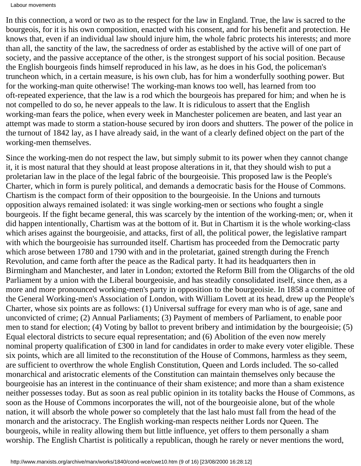Labour movements

In this connection, a word or two as to the respect for the law in England. True, the law is sacred to the bourgeois, for it is his own composition, enacted with his consent, and for his benefit and protection. He knows that, even if an individual law should injure him, the whole fabric protects his interests; and more than all, the sanctity of the law, the sacredness of order as established by the active will of one part of society, and the passive acceptance of the other, is the strongest support of his social position. Because the English bourgeois finds himself reproduced in his law, as he does in his God, the policeman's truncheon which, in a certain measure, is his own club, has for him a wonderfully soothing power. But for the working-man quite otherwise! The working-man knows too well, has learned from too oft-repeated experience, that the law is a rod which the bourgeois has prepared for him; and when he is not compelled to do so, he never appeals to the law. It is ridiculous to assert that the English working-man fears the police, when every week in Manchester policemen are beaten, and last year an attempt was made to storm a station-house secured by iron doors and shutters. The power of the police in the turnout of 1842 lay, as I have already said, in the want of a clearly defined object on the part of the working-men themselves.

Since the working-men do not respect the law, but simply submit to its power when they cannot change it, it is most natural that they should at least propose alterations in it, that they should wish to put a proletarian law in the place of the legal fabric of the bourgeoisie. This proposed law is the People's Charter, which in form is purely political, and demands a democratic basis for the House of Commons. Chartism is the compact form of their opposition to the bourgeoisie. In the Unions and turnouts opposition always remained isolated: it was single working-men or sections who fought a single bourgeois. If the fight became general, this was scarcely by the intention of the working-men; or, when it did happen intentionally, Chartism was at the bottom of it. But in Chartism it is the whole working-class which arises against the bourgeoisie, and attacks, first of all, the political power, the legislative rampart with which the bourgeoisie has surrounded itself. Chartism has proceeded from the Democratic party which arose between 1780 and 1790 with and in the proletariat, gained strength during the French Revolution, and came forth after the peace as the Radical party. It had its headquarters then in Birmingham and Manchester, and later in London; extorted the Reform Bill from the Oligarchs of the old Parliament by a union with the Liberal bourgeoisie, and has steadily consolidated itself, since then, as a more and more pronounced working-men's party in opposition to the bourgeoisie. In 1858 a committee of the General Working-men's Association of London, with William Lovett at its head, drew up the People's Charter, whose six points are as follows: (1) Universal suffrage for every man who is of age, sane and unconvicted of crime; (2) Annual Parliaments; (3) Payment of members of Parliament, to enable poor men to stand for election; (4) Voting by ballot to prevent bribery and intimidation by the bourgeoisie; (5) Equal electoral districts to secure equal representation; and (6) Abolition of the even now merely nominal property qualification of £300 in land for candidates in order to make every voter eligible. These six points, which are all limited to the reconstitution of the House of Commons, harmless as they seem, are sufficient to overthrow the whole English Constitution, Queen and Lords included. The so-called monarchical and aristocratic elements of the Constitution can maintain themselves only because the bourgeoisie has an interest in the continuance of their sham existence; and more than a sham existence neither possesses today. But as soon as real public opinion in its totality backs the House of Commons, as soon as the House of Commons incorporates the will, not of the bourgeoisie alone, but of the whole nation, it will absorb the whole power so completely that the last halo must fall from the head of the monarch and the aristocracy. The English working-man respects neither Lords nor Queen. The bourgeois, while in reality allowing them but little influence, yet offers to them personally a sham worship. The English Chartist is politically a republican, though he rarely or never mentions the word,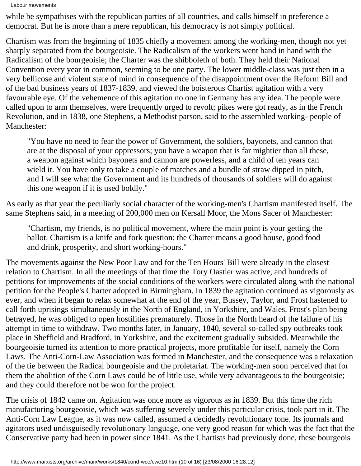Labour movements

while be sympathises with the republican parties of all countries, and calls himself in preference a democrat. But he is more than a mere republican, his democracy is not simply political.

Chartism was from the beginning of 1835 chiefly a movement among the working-men, though not yet sharply separated from the bourgeoisie. The Radicalism of the workers went hand in hand with the Radicalism of the bourgeoisie; the Charter was the shibboleth of both. They held their National Convention every year in common, seeming to be one party. The lower middle-class was just then in a very bellicose and violent state of mind in consequence of the disappointment over the Reform Bill and of the bad business years of 1837-1839, and viewed the boisterous Chartist agitation with a very favourable eye. Of the vehemence of this agitation no one in Germany has any idea. The people were called upon to arm themselves, were frequently urged to revolt; pikes were got ready, as in the French Revolution, and in 1838, one Stephens, a Methodist parson, said to the assembled working- people of Manchester:

"You have no need to fear the power of Government, the soldiers, bayonets, and cannon that are at the disposal of your oppressors; you have a weapon that is far mightier than all these, a weapon against which bayonets and cannon are powerless, and a child of ten years can wield it. You have only to take a couple of matches and a bundle of straw dipped in pitch, and I will see what the Government and its hundreds of thousands of soldiers will do against this one weapon if it is used boldly."

As early as that year the peculiarly social character of the working-men's Chartism manifested itself. The same Stephens said, in a meeting of 200,000 men on Kersall Moor, the Mons Sacer of Manchester:

"Chartism, my friends, is no political movement, where the main point is your getting the ballot. Chartism is a knife and fork question: the Charter means a good house, good food and drink, prosperity, and short working-hours."

The movements against the New Poor Law and for the Ten Hours' Bill were already in the closest relation to Chartism. In all the meetings of that time the Tory Oastler was active, and hundreds of petitions for improvements of the social conditions of the workers were circulated along with the national petition for the People's Charter adopted in Birmingham. In 1839 the agitation continued as vigorously as ever, and when it began to relax somewhat at the end of the year, Bussey, Taylor, and Frost hastened to call forth uprisings simultaneously in the North of England, in Yorkshire, and Wales. Frost's plan being betrayed, he was obliged to open hostilities prematurely. Those in the North heard of the failure of his attempt in time to withdraw. Two months later, in January, 1840, several so-called spy outbreaks took place in Sheffield and Bradford, in Yorkshire, and the excitement gradually subsided. Meanwhile the bourgeoisie turned its attention to more practical projects, more profitable for itself, namely the Corn Laws. The Anti-Corn-Law Association was formed in Manchester, and the consequence was a relaxation of the tie between the Radical bourgeoisie and the proletariat. The working-men soon perceived that for them the abolition of the Corn Laws could be of little use, while very advantageous to the bourgeoisie; and they could therefore not be won for the project.

The crisis of 1842 came on. Agitation was once more as vigorous as in 1839. But this time the rich manufacturing bourgeoisie, which was suffering severely under this particular crisis, took part in it. The Anti-Corn Law League, as it was now called, assumed a decidedly revolutionary tone. Its journals and agitators used undisguisedly revolutionary language, one very good reason for which was the fact that the Conservative party had been in power since 1841. As the Chartists had previously done, these bourgeois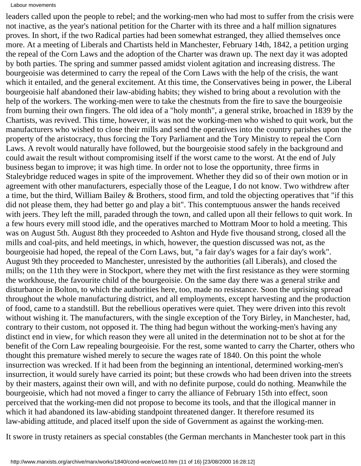leaders called upon the people to rebel; and the working-men who had most to suffer from the crisis were not inactive, as the year's national petition for the Charter with its three and a half million signatures proves. In short, if the two Radical parties had been somewhat estranged, they allied themselves once more. At a meeting of Liberals and Chartists held in Manchester, February 14th, 1842, a petition urging the repeal of the Corn Laws and the adoption of the Charter was drawn up. The next day it was adopted by both parties. The spring and summer passed amidst violent agitation and increasing distress. The bourgeoisie was determined to carry the repeal of the Corn Laws with the help of the crisis, the want which it entailed, and the general excitement. At this time, the Conservatives being in power, the Liberal bourgeoisie half abandoned their law-abiding habits; they wished to bring about a revolution with the help of the workers. The working-men were to take the chestnuts from the fire to save the bourgeoisie from burning their own fingers. The old idea of a "holy month", a general strike, broached in 1839 by the Chartists, was revived. This time, however, it was not the working-men who wished to quit work, but the manufacturers who wished to close their mills and send the operatives into the country parishes upon the property of the aristocracy, thus forcing the Tory Parliament and the Tory Ministry to repeal the Corn Laws. A revolt would naturally have followed, but the bourgeoisie stood safely in the background and could await the result without compromising itself if the worst came to the worst. At the end of July business began to improve; it was high time. In order not to lose the opportunity, three firms in Staleybridge reduced wages in spite of the improvement. Whether they did so of their own motion or in agreement with other manufacturers, especially those of the League, I do not know. Two withdrew after a time, but the third, William Bailey & Brothers, stood firm, and told the objecting operatives that "if this did not please them, they had better go and play a bit". This contemptuous answer the hands received with jeers. They left the mill, paraded through the town, and called upon all their fellows to quit work. In a few hours every mill stood idle, and the operatives marched to Mottram Moor to hold a meeting. This was on August 5th. August 8th they proceeded to Ashton and Hyde five thousand strong, closed all the mills and coal-pits, and held meetings, in which, however, the question discussed was not, as the bourgeoisie had hoped, the repeal of the Corn Laws, but, "a fair day's wages for a fair day's work". August 9th they proceeded to Manchester, unresisted by the authorities (all Liberals), and closed the mills; on the 11th they were in Stockport, where they met with the first resistance as they were storming the workhouse, the favourite child of the bourgeoisie. On the same day there was a general strike and disturbance in Bolton, to which the authorities here, too, made no resistance. Soon the uprising spread throughout the whole manufacturing district, and all employments, except harvesting and the production of food, came to a standstill. But the rebellious operatives were quiet. They were driven into this revolt without wishing it. The manufacturers, with the single exception of the Tory Birley, in Manchester, had, contrary to their custom, not opposed it. The thing had begun without the working-men's having any distinct end in view, for which reason they were all united in the determination not to be shot at for the benefit of the Corn Law repealing bourgeoisie. For the rest, some wanted to carry the Charter, others who thought this premature wished merely to secure the wages rate of 1840. On this point the whole insurrection was wrecked. If it had been from the beginning an intentional, determined working-men's insurrection, it would surely have carried its point; but these crowds who had been driven into the streets by their masters, against their own will, and with no definite purpose, could do nothing. Meanwhile the bourgeoisie, which had not moved a finger to carry the alliance of February 15th into effect, soon perceived that the working-men did not propose to become its tools, and that the illogical manner in which it had abandoned its law-abiding standpoint threatened danger. It therefore resumed its law-abiding attitude, and placed itself upon the side of Government as against the working-men.

It swore in trusty retainers as special constables (the German merchants in Manchester took part in this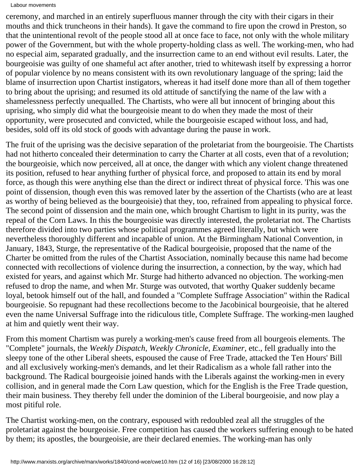ceremony, and marched in an entirely superfluous manner through the city with their cigars in their mouths and thick truncheons in their hands). It gave the command to fire upon the crowd in Preston, so that the unintentional revolt of the people stood all at once face to face, not only with the whole military power of the Government, but with the whole property-holding class as well. The working-men, who had no especial aim, separated gradually, and the insurrection came to an end without evil results. Later, the bourgeoisie was guilty of one shameful act after another, tried to whitewash itself by expressing a horror of popular violence by no means consistent with its own revolutionary language of the spring; laid the blame of insurrection upon Chartist instigators, whereas it had itself done more than all of them together to bring about the uprising; and resumed its old attitude of sanctifying the name of the law with a shamelessness perfectly unequalled. The Chartists, who were all but innocent of bringing about this uprising, who simply did what the bourgeoisie meant to do when they made the most of their opportunity, were prosecuted and convicted, while the bourgeoisie escaped without loss, and had, besides, sold off its old stock of goods with advantage during the pause in work.

The fruit of the uprising was the decisive separation of the proletariat from the bourgeoisie. The Chartists had not hitherto concealed their determination to carry the Charter at all costs, even that of a revolution; the bourgeoisie, which now perceived, all at once, the danger with which any violent change threatened its position, refused to hear anything further of physical force, and proposed to attain its end by moral force, as though this were anything else than the direct or indirect threat of physical force. 'I'his was one point of dissension, though even this was removed later by the assertion of the Chartists (who are at least as worthy of being believed as the bourgeoisie) that they, too, refrained from appealing to physical force. The second point of dissension and the main one, which brought Chartism to light in its purity, was the repeal of the Corn Laws. In this the bourgeoisie was directly interested, the proletariat not. The Chartists therefore divided into two parties whose political programmes agreed literally, but which were nevertheless thoroughly different and incapable of union. At the Birmingham National Convention, in January, 1843, Sturge, the representative of the Radical bourgeoisie, proposed that the name of the Charter be omitted from the rules of the Chartist Association, nominally because this name had become connected with recollections of violence during the insurrection, a connection, by the way, which had existed for years, and against which Mr. Sturge had hitherto advanced no objection. The working-men refused to drop the name, and when Mr. Sturge was outvoted, that worthy Quaker suddenly became loyal, betook himself out of the hall, and founded a "Complete Suffrage Association" within the Radical bourgeoisie. So repugnant had these recollections become to the Jacobinical bourgeoisie, that he altered even the name Universal Suffrage into the ridiculous title, Complete Suffrage. The working-men laughed at him and quietly went their way.

From this moment Chartism was purely a working-men's cause freed from all bourgeois elements. The "Complete" journals, the *Weekly Dispatch, Weekly Chronicle, Examiner,* etc., fell gradually into the sleepy tone of the other Liberal sheets, espoused the cause of Free Trade, attacked the Ten Hours' Bill and all exclusively working-men's demands, and let their Radicalism as a whole fall rather into the background. The Radical bourgeoisie joined hands with the Liberals against the working-men in every collision, and in general made the Corn Law question, which for the English is the Free Trade question, their main business. They thereby fell under the dominion of the Liberal bourgeoisie, and now play a most pitiful role.

The Chartist working-men, on the contrary, espoused with redoubled zeal all the struggles of the proletariat against the bourgeoisie. Free competition has caused the workers suffering enough to be hated by them; its apostles, the bourgeoisie, are their declared enemies. The working-man has only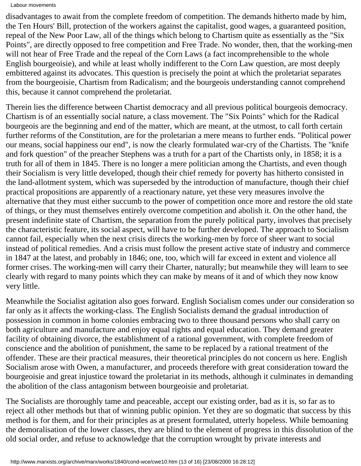disadvantages to await from the complete freedom of competition. The demands hitherto made by him, the Ten Hours' Bill, protection of the workers against the capitalist, good wages, a guaranteed position, repeal of the New Poor Law, all of the things which belong to Chartism quite as essentially as the "Six Points", are directly opposed to free competition and Free Trade. No wonder, then, that the working-men will not hear of Free Trade and the repeal of the Corn Laws (a fact incomprehensible to the whole English bourgeoisie), and while at least wholly indifferent to the Corn Law question, are most deeply embittered against its advocates. This question is precisely the point at which the proletariat separates from the bourgeoisie, Chartism from Radicalism; and the bourgeois understanding cannot comprehend this, because it cannot comprehend the proletariat.

Therein lies the difference between Chartist democracy and all previous political bourgeois democracy. Chartism is of an essentially social nature, a class movement. The "Six Points" which for the Radical bourgeois are the beginning and end of the matter, which are meant, at the utmost, to call forth certain further reforms of the Constitution, are for the proletarian a mere means to further ends. "Political power our means, social happiness our end", is now the clearly formulated war-cry of the Chartists. The "knife and fork question" of the preacher Stephens was a truth for a part of the Chartists only, in 1858; it is a truth for all of them in 1845. There is no longer a mere politician among the Chartists, and even though their Socialism is very little developed, though their chief remedy for poverty has hitherto consisted in the land-allotment system, which was superseded by the introduction of manufacture, though their chief practical propositions are apparently of a reactionary nature, yet these very measures involve the alternative that they must either succumb to the power of competition once more and restore the old state of things, or they must themselves entirely overcome competition and abolish it. On the other hand, the present indefinite state of Chartism, the separation from the purely political party, involves that precisely the characteristic feature, its social aspect, will have to be further developed. The approach to Socialism cannot fail, especially when the next crisis directs the working-men by force of sheer want to social instead of political remedies. And a crisis must follow the present active state of industry and commerce in 1847 at the latest, and probably in 1846; one, too, which will far exceed in extent and violence all former crises. The working-men will carry their Charter, naturally; but meanwhile they will learn to see clearly with regard to many points which they can make by means of it and of which they now know very little.

Meanwhile the Socialist agitation also goes forward. English Socialism comes under our consideration so far only as it affects the working-class. The English Socialists demand the gradual introduction of possession in common in home colonies embracing two to three thousand persons who shall carry on both agriculture and manufacture and enjoy equal rights and equal education. They demand greater facility of obtaining divorce, the establishment of a rational government, with complete freedom of conscience and the abolition of punishment, the same to be replaced by a rational treatment of the offender. These are their practical measures, their theoretical principles do not concern us here. English Socialism arose with Owen, a manufacturer, and proceeds therefore with great consideration toward the bourgeoisie and great injustice toward the proletariat in its methods, although it culminates in demanding the abolition of the class antagonism between bourgeoisie and proletariat.

The Socialists are thoroughly tame and peaceable, accept our existing order, bad as it is, so far as to reject all other methods but that of winning public opinion. Yet they are so dogmatic that success by this method is for them, and for their principles as at present formulated, utterly hopeless. While bemoaning the demoralisation of the lower classes, they are blind to the element of progress in this dissolution of the old social order, and refuse to acknowledge that the corruption wrought by private interests and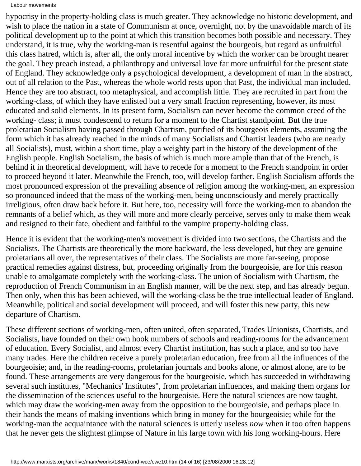hypocrisy in the property-holding class is much greater. They acknowledge no historic development, and wish to place the nation in a state of Communism at once, overnight, not by the unavoidable march of its political development up to the point at which this transition becomes both possible and necessary. They understand, it is true, why the working-man is resentful against the bourgeois, but regard as unfruitful this class hatred, which is, after all, the only moral incentive by which the worker can be brought nearer the goal. They preach instead, a philanthropy and universal love far more unfruitful for the present state of England. They acknowledge only a psychological development, a development of man in the abstract, out of all relation to the Past, whereas the whole world rests upon that Past, the individual man included. Hence they are too abstract, too metaphysical, and accomplish little. They are recruited in part from the working-class, of which they have enlisted but a very small fraction representing, however, its most educated and solid elements. In its present form, Socialism can never become the common creed of the working- class; it must condescend to return for a moment to the Chartist standpoint. But the true proletarian Socialism having passed through Chartism, purified of its bourgeois elements, assuming the form which it has already reached in the minds of many Socialists and Chartist leaders (who are nearly all Socialists), must, within a short time, play a weighty part in the history of the development of the English people. English Socialism, the basis of which is much more ample than that of the French, is behind it in theoretical development, will have to recede for a moment to the French standpoint in order to proceed beyond it later. Meanwhile the French, too, will develop farther. English Socialism affords the most pronounced expression of the prevailing absence of religion among the working-men, an expression so pronounced indeed that the mass of the working-men, being unconsciously and merely practically irreligious, often draw back before it. But here, too, necessity will force the working-men to abandon the remnants of a belief which, as they will more and more clearly perceive, serves only to make them weak and resigned to their fate, obedient and faithful to the vampire property-holding class.

Hence it is evident that the working-men's movement is divided into two sections, the Chartists and the Socialists. The Chartists are theoretically the more backward, the less developed, but they are genuine proletarians all over, the representatives of their class. The Socialists are more far-seeing, propose practical remedies against distress, but, proceeding originally from the bourgeoisie, are for this reason unable to amalgamate completely with the working-class. The union of Socialism with Chartism, the reproduction of French Communism in an English manner, will be the next step, and has already begun. Then only, when this has been achieved, will the working-class be the true intellectual leader of England. Meanwhile, political and social development will proceed, and will foster this new party, this new departure of Chartism.

These different sections of working-men, often united, often separated, Trades Unionists, Chartists, and Socialists, have founded on their own hook numbers of schools and reading-rooms for the advancement of education. Every Socialist, and almost every Chartist institution, has such a place, and so too have many trades. Here the children receive a purely proletarian education, free from all the influences of the bourgeoisie; and, in the reading-rooms, proletarian journals and books alone, or almost alone, are to be found. These arrangements are very dangerous for the bourgeoisie, which has succeeded in withdrawing several such institutes, "Mechanics' Institutes", from proletarian influences, and making them organs for the dissemination of the sciences useful to the bourgeoisie. Here the natural sciences are now taught, which may draw the working-men away from the opposition to the bourgeoisie, and perhaps place in their hands the means of making inventions which bring in money for the bourgeoisie; while for the working-man the acquaintance with the natural sciences is utterly useless *now* when it too often happens that he never gets the slightest glimpse of Nature in his large town with his long working-hours. Here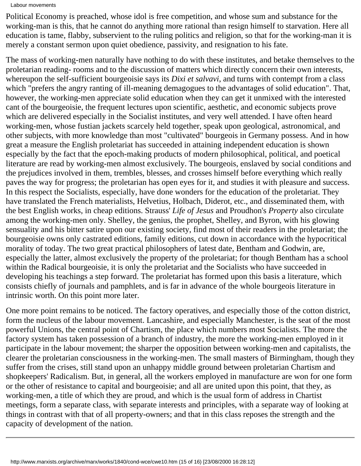Labour movements

Political Economy is preached, whose idol is free competition, and whose sum and substance for the working-man is this, that he cannot do anything more rational than resign himself to starvation. Here all education is tame, flabby, subservient to the ruling politics and religion, so that for the working-man it is merely a constant sermon upon quiet obedience, passivity, and resignation to his fate.

The mass of working-men naturally have nothing to do with these institutes, and betake themselves to the proletarian reading- rooms and to the discussion of matters which directly concern their own interests, whereupon the self-sufficient bourgeoisie says its *Dixi et salvavi*, and turns with contempt from a class which "prefers the angry ranting of ill-meaning demagogues to the advantages of solid education". That, however, the working-men appreciate solid education when they can get it unmixed with the interested cant of the bourgeoisie, the frequent lectures upon scientific, aesthetic, and economic subjects prove which are delivered especially in the Socialist institutes, and very well attended. I have often heard working-men, whose fustian jackets scarcely held together, speak upon geological, astronomical, and other subjects, with more knowledge than most "cultivated" bourgeois in Germany possess. And in how great a measure the English proletariat has succeeded in attaining independent education is shown especially by the fact that the epoch-making products of modern philosophical, political, and poetical literature are read by working-men almost exclusively. The bourgeois, enslaved by social conditions and the prejudices involved in them, trembles, blesses, and crosses himself before everything which really paves the way for progress; the proletarian has open eyes for it, and studies it with pleasure and success. In this respect the Socialists, especially, have done wonders for the education of the proletariat. They have translated the French materialists, Helvetius, Holbach, Diderot, etc., and disseminated them, with the best English works, in cheap editions. Strauss' *Life of Jesus* and Proudhon's *Property* also circulate among the working-men only. Shelley, the genius, the prophet, Shelley, and Byron, with his glowing sensuality and his bitter satire upon our existing society, find most of their readers in the proletariat; the bourgeoisie owns only castrated editions, family editions, cut down in accordance with the hypocritical morality of today. The two great practical philosophers of latest date, Bentham and Godwin, are, especially the latter, almost exclusively the property of the proletariat; for though Bentham has a school within the Radical bourgeoisie, it is only the proletariat and the Socialists who have succeeded in developing his teachings a step forward. The proletariat has formed upon this basis a literature, which consists chiefly of journals and pamphlets, and is far in advance of the whole bourgeois literature in intrinsic worth. On this point more later.

One more point remains to be noticed. The factory operatives, and especially those of the cotton district, form the nucleus of the labour movement. Lancashire, and especially Manchester, is the seat of the most powerful Unions, the central point of Chartism, the place which numbers most Socialists. The more the factory system has taken possession of a branch of industry, the more the working-men employed in it participate in the labour movement; the sharper the opposition between working-men and capitalists, the clearer the proletarian consciousness in the working-men. The small masters of Birmingham, though they suffer from the crises, still stand upon an unhappy middle ground between proletarian Chartism and shopkeepers' Radicalism. But, in general, all the workers employed in manufacture are won for one form or the other of resistance to capital and bourgeoisie; and all are united upon this point, that they, as working-men, a title of which they are proud, and which is the usual form of address in Chartist meetings, form a separate class, with separate interests and principles, with a separate way of looking at things in contrast with that of all property-owners; and that in this class reposes the strength and the capacity of development of the nation.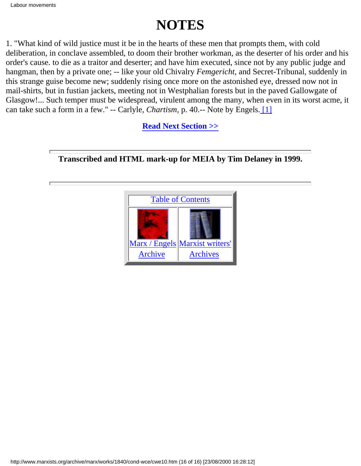# **NOTES**

1. "What kind of wild justice must it be in the hearts of these men that prompts them, with cold deliberation, in conclave assembled, to doom their brother workman, as the deserter of his order and his order's cause. to die as a traitor and deserter; and have him executed, since not by any public judge and hangman, then by a private one; -- like your old Chivalry *Femgericht*, and Secret-Tribunal, suddenly in this strange guise become new; suddenly rising once more on the astonished eye, dressed now not in mail-shirts, but in fustian jackets, meeting not in Westphalian forests but in the paved Gallowgate of Glasgow!... Such temper must be widespread, virulent among the many, when even in its worst acme, it can take such a form in a few." -- Carlyle, *Chartism*, p. 40.-- Note by Engels[. \[1\]](#page-134-0)

**[Read Next Section >>](#page-145-0)**

## **Transcribed and HTML mark-up for MEIA by Tim Delaney in 1999.**

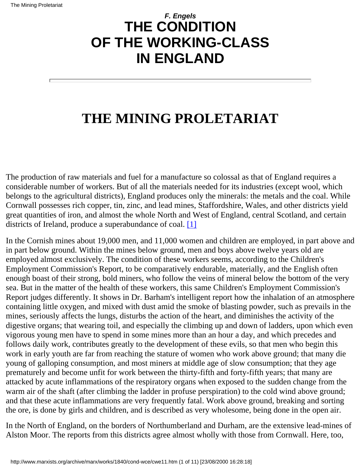# <span id="page-145-0"></span>**F. Engels THE CONDITION OF THE WORKING-CLASS IN ENGLAND**

# **THE MINING PROLETARIAT**

The production of raw materials and fuel for a manufacture so colossal as that of England requires a considerable number of workers. But of all the materials needed for its industries (except wool, which belongs to the agricultural districts), England produces only the minerals: the metals and the coal. While Cornwall possesses rich copper, tin, zinc, and lead mines, Staffordshire, Wales, and other districts yield great quantities of iron, and almost the whole North and West of England, central Scotland, and certain districts of Ireland, produce a superabundance of coal. [1]

In the Cornish mines about 19,000 men, and 11,000 women and children are employed, in part above and in part below ground. Within the mines below ground, men and boys above twelve years old are employed almost exclusively. The condition of these workers seems, according to the Children's Employment Commission's Report, to be comparatively endurable, materially, and the English often enough boast of their strong, bold miners, who follow the veins of mineral below the bottom of the very sea. But in the matter of the health of these workers, this same Children's Employment Commission's Report judges differently. It shows in Dr. Barham's intelligent report how the inhalation of an atmosphere containing little oxygen, and mixed with dust amid the smoke of blasting powder, such as prevails in the mines, seriously affects the lungs, disturbs the action of the heart, and diminishes the activity of the digestive organs; that wearing toil, and especially the climbing up and down of ladders, upon which even vigorous young men have to spend in some mines more than an hour a day, and which precedes and follows daily work, contributes greatly to the development of these evils, so that men who begin this work in early youth are far from reaching the stature of women who work above ground; that many die young of galloping consumption, and most miners at middle age of slow consumption; that they age prematurely and become unfit for work between the thirty-fifth and forty-fifth years; that many are attacked by acute inflammations of the respiratory organs when exposed to the sudden change from the warm air of the shaft (after climbing the ladder in profuse perspiration) to the cold wind above ground; and that these acute inflammations are very frequently fatal. Work above ground, breaking and sorting the ore, is done by girls and children, and is described as very wholesome, being done in the open air.

In the North of England, on the borders of Northumberland and Durham, are the extensive lead-mines of Alston Moor. The reports from this districts agree almost wholly with those from Cornwall. Here, too,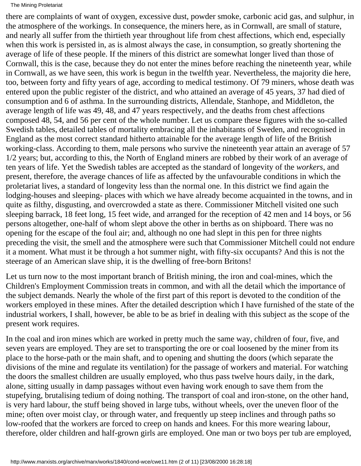there are complaints of want of oxygen, excessive dust, powder smoke, carbonic acid gas, and sulphur, in the atmosphere of the workings. In consequence, the miners here, as in Cornwall, are small of stature, and nearly all suffer from the thirtieth year throughout life from chest affections, which end, especially when this work is persisted in, as is almost always the case, in consumption, so greatly shortening the average of life of these people. If the miners of this district are somewhat longer lived than those of Cornwall, this is the case, because they do not enter the mines before reaching the nineteenth year, while in Cornwall, as we have seen, this work is begun in the twelfth year. Nevertheless, the majority die here, too, between forty and fifty years of age, according to medical testimony. Of 79 miners, whose death was entered upon the public register of the district, and who attained an average of 45 years, 37 had died of consumption and 6 of asthma. In the surrounding districts, Allendale, Stanhope, and Middleton, the average length of life was 49, 48, and 47 years respectively, and the deaths from chest affections composed 48, 54, and 56 per cent of the whole number. Let us compare these figures with the so-called Swedish tables, detailed tables of mortality embracing all the inhabitants of Sweden, and recognised in England as the most correct standard hitherto attainable for the average length of life of the British working-class. According to them, male persons who survive the nineteenth year attain an average of 57 1/2 years; but, according to this, the North of England miners are robbed by their work of an average of ten years of life. Yet the Swedish tables are accepted as the standard of longevity of the *workers*, and present, therefore, the average chances of life as affected by the unfavourable conditions in which the proletariat lives, a standard of longevity less than the normal one. In this district we find again the lodging-houses and sleeping- places with which we have already become acquainted in the towns, and in quite as filthy, disgusting, and overcrowded a state as there. Commissioner Mitchell visited one such sleeping barrack, 18 feet long, 15 feet wide, and arranged for the reception of 42 men and 14 boys, or 56 persons altogether, one-half of whom slept above the other in berths as on shipboard. There was no opening for the escape of the foul air; and, although no one had slept in this pen for three nights preceding the visit, the smell and the atmosphere were such that Commissioner Mitchell could not endure it a moment. What must it be through a hot summer night, with fifty-six occupants? And this is not the steerage of an American slave ship, it is the dwelling of free-born Britons!

Let us turn now to the most important branch of British mining, the iron and coal-mines, which the Children's Employment Commission treats in common, and with all the detail which the importance of the subject demands. Nearly the whole of the first part of this report is devoted to the condition of the workers employed in these mines. After the detailed description which I have furnished of the state of the industrial workers, I shall, however, be able to be as brief in dealing with this subject as the scope of the present work requires.

In the coal and iron mines which are worked in pretty much the same way, children of four, five, and seven years are employed. They are set to transporting the ore or coal loosened by the miner from its place to the horse-path or the main shaft, and to opening and shutting the doors (which separate the divisions of the mine and regulate its ventilation) for the passage of workers and material. For watching the doors the smallest children are usually employed, who thus pass twelve hours daily, in the dark, alone, sitting usually in damp passages without even having work enough to save them from the stupefying, brutalising tedium of doing nothing. The transport of coal and iron-stone, on the other hand, is very hard labour, the stuff being shoved in large tubs, without wheels, over the uneven floor of the mine; often over moist clay, or through water, and frequently up steep inclines and through paths so low-roofed that the workers are forced to creep on hands and knees. For this more wearing labour, therefore, older children and half-grown girls are employed. One man or two boys per tub are employed,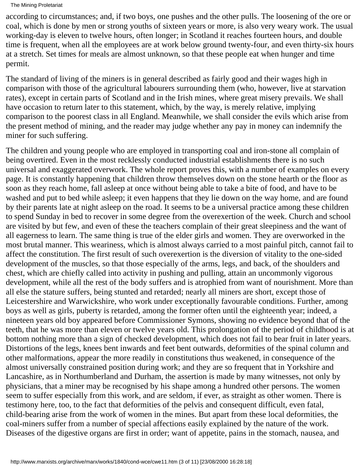```
The Mining Proletariat
```
according to circumstances; and, if two boys, one pushes and the other pulls. The loosening of the ore or coal, which is done by men or strong youths of sixteen years or more, is also very weary work. The usual working-day is eleven to twelve hours, often longer; in Scotland it reaches fourteen hours, and double time is frequent, when all the employees are at work below ground twenty-four, and even thirty-six hours at a stretch. Set times for meals are almost unknown, so that these people eat when hunger and time permit.

The standard of living of the miners is in general described as fairly good and their wages high in comparison with those of the agricultural labourers surrounding them (who, however, live at starvation rates), except in certain parts of Scotland and in the Irish mines, where great misery prevails. We shall have occasion to return later to this statement, which, by the way, is merely relative, implying comparison to the poorest class in all England. Meanwhile, we shall consider the evils which arise from the present method of mining, and the reader may judge whether any pay in money can indemnify the miner for such suffering.

The children and young people who are employed in transporting coal and iron-stone all complain of being overtired. Even in the most recklessly conducted industrial establishments there is no such universal and exaggerated overwork. The whole report proves this, with a number of examples on every page. It is constantly happening that children throw themselves down on the stone hearth or the floor as soon as they reach home, fall asleep at once without being able to take a bite of food, and have to be washed and put to bed while asleep; it even happens that they lie down on the way home, and are found by their parents late at night asleep on the road. It seems to be a universal practice among these children to spend Sunday in bed to recover in some degree from the overexertion of the week. Church and school are visited by but few, and even of these the teachers complain of their great sleepiness and the want of all eagerness to learn. The same thing is true of the elder girls and women. They are overworked in the most brutal manner. This weariness, which is almost always carried to a most painful pitch, cannot fail to affect the constitution. The first result of such overexertion is the diversion of vitality to the one-sided development of the muscles, so that those especially of the arms, legs, and back, of the shoulders and chest, which are chiefly called into activity in pushing and pulling, attain an uncommonly vigorous development, while all the rest of the body suffers and is atrophied from want of nourishment. More than all else the stature suffers, being stunted and retarded; nearly all miners are short, except those of Leicestershire and Warwickshire, who work under exceptionally favourable conditions. Further, among boys as well as girls, puberty is retarded, among the former often until the eighteenth year; indeed, a nineteen years old boy appeared before Commissioner Symons, showing no evidence beyond that of the teeth, that he was more than eleven or twelve years old. This prolongation of the period of childhood is at bottom nothing more than a sign of checked development, which does not fail to bear fruit in later years. Distortions of the legs, knees bent inwards and feet bent outwards, deformities of the spinal column and other malformations, appear the more readily in constitutions thus weakened, in consequence of the almost universally constrained position during work; and they are so frequent that in Yorkshire and Lancashire, as in Northumberland and Durham, the assertion is made by many witnesses, not only by physicians, that a miner may be recognised by his shape among a hundred other persons. The women seem to suffer especially from this work, and are seldom, if ever, as straight as other women. There is testimony here, too, to the fact that deformities of the pelvis and consequent difficult, even fatal, child-bearing arise from the work of women in the mines. But apart from these local deformities, the coal-miners suffer from a number of special affections easily explained by the nature of the work. Diseases of the digestive organs are first in order; want of appetite, pains in the stomach, nausea, and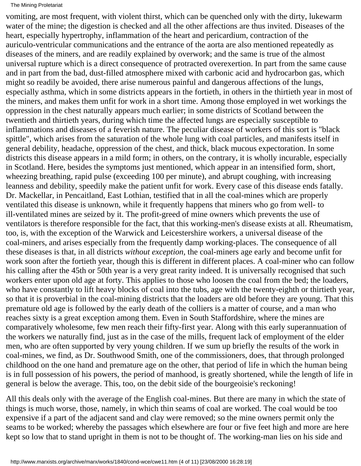vomiting, are most frequent, with violent thirst, which can be quenched only with the dirty, lukewarm water of the mine; the digestion is checked and all the other affections are thus invited. Diseases of the heart, especially hypertrophy, inflammation of the heart and pericardium, contraction of the auriculo-ventricular communications and the entrance of the aorta are also mentioned repeatedly as diseases of the miners, and are readily explained by overwork; and the same is true of the almost universal rupture which is a direct consequence of protracted overexertion. In part from the same cause and in part from the bad, dust-filled atmosphere mixed with carbonic acid and hydrocarbon gas, which might so readily be avoided, there arise numerous painful and dangerous affections of the lungs, especially asthma, which in some districts appears in the fortieth, in others in the thirtieth year in most of the miners, and makes them unfit for work in a short time. Among those employed in wet workings the oppression in the chest naturally appears much earlier; in some districts of Scotland between the twentieth and thirtieth years, during which time the affected lungs are especially susceptible to inflammations and diseases of a feverish nature. The peculiar disease of workers of this sort is "black spittle", which arises from the saturation of the whole lung with coal particles, and manifests itself in general debility, headache, oppression of the chest, and thick, black mucous expectoration. In some districts this disease appears in a mild form; in others, on the contrary, it is wholly incurable, especially in Scotland. Here, besides the symptoms just mentioned, which appear in an intensified form, short, wheezing breathing, rapid pulse (exceeding 100 per minute), and abrupt coughing, with increasing leanness and debility, speedily make the patient unfit for work. Every case of this disease ends fatally. Dr. Mackellar, in Pencaitland, East Lothian, testified that in all the coal-mines which are properly ventilated this disease is unknown, while it frequently happens that miners who go from well- to ill-ventilated mines are seized by it. The profit-greed of mine owners which prevents the use of ventilators is therefore responsible for the fact, that this working-men's disease exists at all. Rheumatism, too, is, with the exception of the Warwick and Leicestershire workers, a universal disease of the coal-miners, and arises especially from the frequently damp working-places. The consequence of all these diseases is that, in all districts *without exception,* the coal-miners age early and become unfit for work soon after the fortieth year, though this is different in different places. A coal-miner who can follow his calling after the 45th or 50th year is a very great rarity indeed. It is universally recognised that such workers enter upon old age at forty. This applies to those who loosen the coal from the bed; the loaders, who have constantly to lift heavy blocks of coal into the tubs, age with the twenty-eighth or thirtieth year, so that it is proverbial in the coal-mining districts that the loaders are old before they are young. That this premature old age is followed by the early death of the colliers is a matter of course, and a man who reaches sixty is a great exception among them. Even in South Staffordshire, where the mines are comparatively wholesome, few men reach their fifty-first year. Along with this early superannuation of the workers we naturally find, just as in the case of the mills, frequent lack of employment of the elder men, who are often supported by very young children. If we sum up briefly the results of the work in coal-mines, we find, as Dr. Southwood Smith, one of the commissioners, does, that through prolonged childhood on the one hand and premature age on the other, that period of life in which the human being is in full possession of his powers, the period of manhood, is greatly shortened, while the length of life in general is below the average. This, too, on the debit side of the bourgeoisie's reckoning!

All this deals only with the average of the English coal-mines. But there are many in which the state of things is much worse, those, namely, in which thin seams of coal are worked. The coal would be too expensive if a part of the adjacent sand and clay were removed; so the mine owners permit only the seams to be worked; whereby the passages which elsewhere are four or five feet high and more are here kept so low that to stand upright in them is not to be thought of. The working-man lies on his side and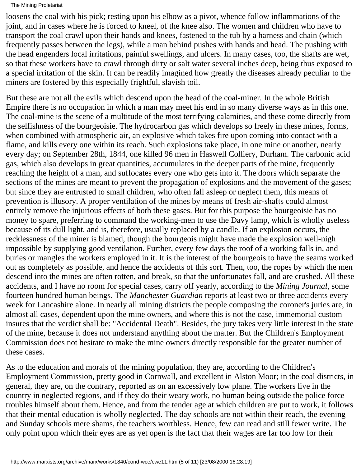loosens the coal with his pick; resting upon his elbow as a pivot, whence follow inflammations of the joint, and in cases where he is forced to kneel, of the knee also. The women and children who have to transport the coal crawl upon their hands and knees, fastened to the tub by a harness and chain (which frequently passes between the legs), while a man behind pushes with hands and head. The pushing with the head engenders local irritations, painful swellings, and ulcers. In many cases, too, the shafts are wet, so that these workers have to crawl through dirty or salt water several inches deep, being thus exposed to a special irritation of the skin. It can be readily imagined how greatly the diseases already peculiar to the miners are fostered by this especially frightful, slavish toil.

But these are not all the evils which descend upon the head of the coal-miner. In the whole British Empire there is no occupation in which a man may meet his end in so many diverse ways as in this one. The coal-mine is the scene of a multitude of the most terrifying calamities, and these come directly from the selfishness of the bourgeoisie. The hydrocarbon gas which develops so freely in these mines, forms, when combined with atmospheric air, an explosive which takes fire upon coming into contact with a flame, and kills every one within its reach. Such explosions take place, in one mine or another, nearly every day; on September 28th, 1844, one killed 96 men in Haswell Colliery, Durham. The carbonic acid gas, which also develops in great quantities, accumulates in the deeper parts of the mine, frequently reaching the height of a man, and suffocates every one who gets into it. The doors which separate the sections of the mines are meant to prevent the propagation of explosions and the movement of the gases; but since they are entrusted to small children, who often fall asleep or neglect them, this means of prevention is illusory. A proper ventilation of the mines by means of fresh air-shafts could almost entirely remove the injurious effects of both these gases. But for this purpose the bourgeoisie has no money to spare, preferring to command the working-men to use the Davy lamp, which is wholly useless because of its dull light, and is, therefore, usually replaced by a candle. If an explosion occurs, the recklessness of the miner is blamed, though the bourgeois might have made the explosion well-nigh impossible by supplying good ventilation. Further, every few days the roof of a working falls in, and buries or mangles the workers employed in it. It is the interest of the bourgeois to have the seams worked out as completely as possible, and hence the accidents of this sort. Then, too, the ropes by which the men descend into the mines are often rotten, and break, so that the unfortunates fall, and are crushed. All these accidents, and I have no room for special cases, carry off yearly, according to the *Mining Journal*, some fourteen hundred human beings. The *Manchester Guardian* reports at least two or three accidents every week for Lancashire alone. In nearly all mining districts the people composing the coroner's juries are, in almost all cases, dependent upon the mine owners, and where this is not the case, immemorial custom insures that the verdict shall be: "Accidental Death". Besides, the jury takes very little interest in the state of the mine, because it does not understand anything about the matter. But the Children's Employment Commission does not hesitate to make the mine owners directly responsible for the greater number of these cases.

As to the education and morals of the mining population, they are, according to the Children's Employment Commission, pretty good in Cornwall, and excellent in Alston Moor; in the coal districts, in general, they are, on the contrary, reported as on an excessively low plane. The workers live in the country in neglected regions, and if they do their weary work, no human being outside the police force troubles himself about them. Hence, and from the tender age at which children are put to work, it follows that their mental education is wholly neglected. The day schools are not within their reach, the evening and Sunday schools mere shams, the teachers worthless. Hence, few can read and still fewer write. The only point upon which their eyes are as yet open is the fact that their wages are far too low for their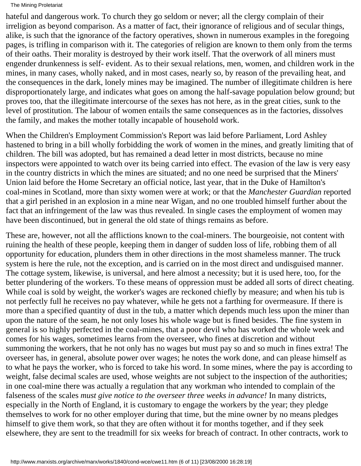hateful and dangerous work. To church they go seldom or never; all the clergy complain of their irreligion as beyond comparison. As a matter of fact, their ignorance of religious and of secular things, alike, is such that the ignorance of the factory operatives, shown in numerous examples in the foregoing pages, is trifling in comparison with it. The categories of religion are known to them only from the terms of their oaths. Their morality is destroyed by their work itself. That the overwork of all miners must engender drunkenness is self- evident. As to their sexual relations, men, women, and children work in the mines, in many cases, wholly naked, and in most cases, nearly so, by reason of the prevailing heat, and the consequences in the dark, lonely mines may be imagined. The number of illegitimate children is here disproportionately large, and indicates what goes on among the half-savage population below ground; but proves too, that the illegitimate intercourse of the sexes has not here, as in the great cities, sunk to the level of prostitution. The labour of women entails the same consequences as in the factories, dissolves the family, and makes the mother totally incapable of household work.

When the Children's Employment Commission's Report was laid before Parliament, Lord Ashley hastened to bring in a bill wholly forbidding the work of women in the mines, and greatly limiting that of children. The bill was adopted, but has remained a dead letter in most districts, because no mine inspectors were appointed to watch over its being carried into effect. The evasion of the law is very easy in the country districts in which the mines are situated; and no one need be surprised that the Miners' Union laid before the Home Secretary an official notice, last year, that in the Duke of Hamilton's coal-mines in Scotland, more than sixty women were at work; or that the *Manchester Guardian* reported that a girl perished in an explosion in a mine near Wigan, and no one troubled himself further about the fact that an infringement of the law was thus revealed. In single cases the employment of women may have been discontinued, but in general the old state of things remains as before.

These are, however, not all the afflictions known to the coal-miners. The bourgeoisie, not content with ruining the health of these people, keeping them in danger of sudden loss of life, robbing them of all opportunity for education, plunders them in other directions in the most shameless manner. The truck system is here the rule, not the exception, and is carried on in the most direct and undisguised manner. The cottage system, likewise, is universal, and here almost a necessity; but it is used here, too, for the better plundering of the workers. To these means of oppression must be added all sorts of direct cheating. While coal is sold by weight, the worker's wages are reckoned chiefly by measure; and when his tub is not perfectly full he receives no pay whatever, while he gets not a farthing for overmeasure. If there is more than a specified quantity of dust in the tub, a matter which depends much less upon the miner than upon the nature of the seam, he not only loses his whole wage but is fined besides. The fine system in general is so highly perfected in the coal-mines, that a poor devil who has worked the whole week and comes for his wages, sometimes learns from the overseer, who fines at discretion and without summoning the workers, that he not only has no wages but must pay so and so much in fines extra! The overseer has, in general, absolute power over wages; he notes the work done, and can please himself as to what he pays the worker, who is forced to take his word. In some mines, where the pay is according to weight, false decimal scales are used, whose weights are not subject to the inspection of the authorities; in one coal-mine there was actually a regulation that any workman who intended to complain of the falseness of the scales *must give notice to the overseer three weeks in advance!* In many districts, especially in the North of England, it is customary to engage the workers by the year; they pledge themselves to work for no other employer during that time, but the mine owner by no means pledges himself to give them work, so that they are often without it for months together, and if they seek elsewhere, they are sent to the treadmill for six weeks for breach of contract. In other contracts, work to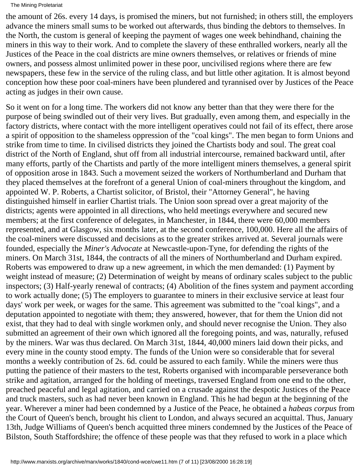the amount of 26s. every 14 days, is promised the miners, but not furnished; in others still, the employers advance the miners small sums to be worked out afterwards, thus binding the debtors to themselves. In the North, the custom is general of keeping the payment of wages one week behindhand, chaining the miners in this way to their work. And to complete the slavery of these enthralled workers, nearly all the Justices of the Peace in the coal districts are mine owners themselves, or relatives or friends of mine owners, and possess almost unlimited power in these poor, uncivilised regions where there are few newspapers, these few in the service of the ruling class, and but little other agitation. It is almost beyond conception how these poor coal-miners have been plundered and tyrannised over by Justices of the Peace acting as judges in their own cause.

So it went on for a long time. The workers did not know any better than that they were there for the purpose of being swindled out of their very lives. But gradually, even among them, and especially in the factory districts, where contact with the more intelligent operatives could not fail of its effect, there arose a spirit of opposition to the shameless oppression of the "coal kings". The men began to form Unions and strike from time to time. In civilised districts they joined the Chartists body and soul. The great coal district of the North of England, shut off from all industrial intercourse, remained backward until, after many efforts, partly of the Chartists and partly of the more intelligent miners themselves, a general spirit of opposition arose in 1843. Such a movement seized the workers of Northumberland and Durham that they placed themselves at the forefront of a general Union of coal-miners throughout the kingdom, and appointed W. P. Roberts, a Chartist solicitor, of Bristol, their "Attorney General", he having distinguished himself in earlier Chartist trials. The Union soon spread over a great majority of the districts; agents were appointed in all directions, who held meetings everywhere and secured new members; at the first conference of delegates, in Manchester, in 1844, there were 60,000 members represented, and at Glasgow, six months later, at the second conference, 100,000. Here all the affairs of the coal-miners were discussed and decisions as to the greater strikes arrived at. Several journals were founded, especially the *Miner's Advocate* at Newcastle-upon-Tyne, for defending the rights of the miners. On March 31st, 1844, the contracts of all the miners of Northumberland and Durham expired. Roberts was empowered to draw up a new agreement, in which the men demanded: (1) Payment by weight instead of measure; (2) Determination of weight by means of ordinary scales subject to the public inspectors; (3) Half-yearly renewal of contracts; (4) Abolition of the fines system and payment according to work actually done; (5) The employers to guarantee to miners in their exclusive service at least four days' work per week, or wages for the same. This agreement was submitted to the "coal kings", and a deputation appointed to negotiate with them; they answered, however, that for them the Union did not exist, that they had to deal with single workmen only, and should never recognise the Union. They also submitted an agreement of their own which ignored all the foregoing points, and was, naturally, refused by the miners. War was thus declared. On March 31st, 1844, 40,000 miners laid down their picks, and every mine in the county stood empty. The funds of the Union were so considerable that for several months a weekly contribution of 2s. 6d. could be assured to each family. While the miners were thus putting the patience of their masters to the test, Roberts organised with incomparable perseverance both strike and agitation, arranged for the holding of meetings, traversed England from one end to the other, preached peaceful and legal agitation, and carried on a crusade against the despotic Justices of the Peace and truck masters, such as had never been known in England. This he had begun at the beginning of the year. Wherever a miner had been condemned by a Justice of the Peace, he obtained a *habeas corpus* from the Court of Queen's bench, brought his client to London, and always secured an acquittal. Thus, January 13th, Judge Williams of Queen's bench acquitted three miners condemned by the Justices of the Peace of Bilston, South Staffordshire; the offence of these people was that they refused to work in a place which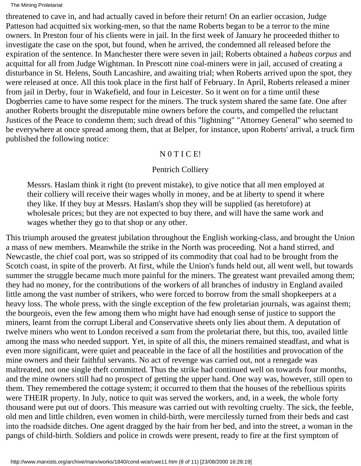threatened to cave in, and had actually caved in before their return! On an earlier occasion, Judge Patteson had acquitted six working-men, so that the name Roberts began to be a terror to the mine owners. In Preston four of his clients were in jail. In the first week of January he proceeded thither to investigate the case on the spot, but found, when he arrived, the condemned all released before the expiration of the sentence. In Manchester there were seven in jail; Roberts obtained a *habeas corpus* and acquittal for all from Judge Wightman. In Prescott nine coal-miners were in jail, accused of creating a disturbance in St. Helens, South Lancashire, and awaiting trial; when Roberts arrived upon the spot, they were released at once. All this took place in the first half of February. In April, Roberts released a miner from jail in Derby, four in Wakefield, and four in Leicester. So it went on for a time until these Dogberries came to have some respect for the miners. The truck system shared the same fate. One after another Roberts brought the disreputable mine owners before the courts, and compelled the reluctant Justices of the Peace to condemn them; such dread of this "lightning" "Attorney General" who seemed to be everywhere at once spread among them, that at Belper, for instance, upon Roberts' arrival, a truck firm published the following notice:

### N 0 T I C E!

### Pentrich Colliery

Messrs. Haslam think it right (to prevent mistake), to give notice that all men employed at their colliery will receive their wages wholly in money, and be at liberty to spend it where they like. If they buy at Messrs. Haslam's shop they will be supplied (as heretofore) at wholesale prices; but they are not expected to buy there, and will have the same work and wages whether they go to that shop or any other.

This triumph aroused the greatest jubilation throughout the English working-class, and brought the Union a mass of new members. Meanwhile the strike in the North was proceeding. Not a hand stirred, and Newcastle, the chief coal port, was so stripped of its commodity that coal had to be brought from the Scotch coast, in spite of the proverb. At first, while the Union's funds held out, all went well, but towards summer the struggle became much more painful for the miners. The greatest want prevailed among them; they had no money, for the contributions of the workers of all branches of industry in England availed little among the vast number of strikers, who were forced to borrow from the small shopkeepers at a heavy loss. The whole press, with the single exception of the few proletarian journals, was against them; the bourgeois, even the few among them who might have had enough sense of justice to support the miners, learnt from the corrupt Liberal and Conservative sheets only lies about them. A deputation of twelve miners who went to London received a sum from the proletariat there, but this, too, availed little among the mass who needed support. Yet, in spite of all this, the miners remained steadfast, and what is even more significant, were quiet and peaceable in the face of all the hostilities and provocation of the mine owners and their faithful servants. No act of revenge was carried out, not a renegade was maltreated, not one single theft committed. Thus the strike had continued well on towards four months, and the mine owners still had no prospect of getting the upper hand. One way was, however, still open to them. They remembered the cottage system; it occurred to them that the houses of the rebellious spirits were THEIR property. In July, notice to quit was served the workers, and, in a week, the whole forty thousand were put out of doors. This measure was carried out with revolting cruelty. The sick, the feeble, old men and little children, even women in child-birth, were mercilessly turned from their beds and cast into the roadside ditches. One agent dragged by the hair from her bed, and into the street, a woman in the pangs of child-birth. Soldiers and police in crowds were present, ready to fire at the first symptom of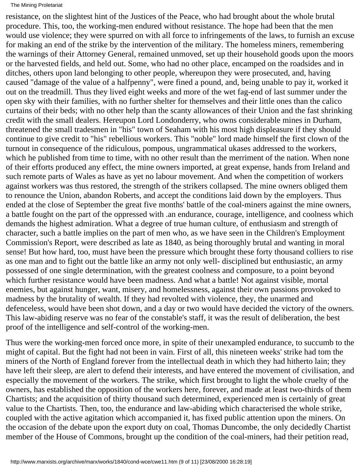resistance, on the slightest hint of the Justices of the Peace, who had brought about the whole brutal procedure. This, too, the working-men endured without resistance. The hope had been that the men would use violence; they were spurred on with all force to infringements of the laws, to furnish an excuse for making an end of the strike by the intervention of the military. The homeless miners, remembering the warnings of their Attorney General, remained unmoved, set up their household goods upon the moors or the harvested fields, and held out. Some, who had no other place, encamped on the roadsides and in ditches, others upon land belonging to other people, whereupon they were prosecuted, and, having caused "damage of the value of a halfpenny", were fined a pound, and, being unable to pay it, worked it out on the treadmill. Thus they lived eight weeks and more of the wet fag-end of last summer under the open sky with their families, with no further shelter for themselves and their little ones than the calico curtains of their beds; with no other help than the scanty allowances of their Union and the fast shrinking credit with the small dealers. Hereupon Lord Londonderry, who owns considerable mines in Durham, threatened the small tradesmen in "his" town of Seaham with his most high displeasure if they should continue to give credit to "his" rebellious workers. This "noble" lord made himself the first clown of the turnout in consequence of the ridiculous, pompous, ungrammatical ukases addressed to the workers, which he published from time to time, with no other result than the merriment of the nation. When none of their efforts produced any effect, the mine owners imported, at great expense, hands from Ireland and such remote parts of Wales as have as yet no labour movement. And when the competition of workers against workers was thus restored, the strength of the strikers collapsed. The mine owners obliged them to renounce the Union, abandon Roberts, and accept the conditions laid down by the employers. Thus ended at the close of September the great five months' battle of the coal-miners against the mine owners, a battle fought on the part of the oppressed with .an endurance, courage, intelligence, and coolness which demands the highest admiration. What a degree of true human culture, of enthusiasm and strength of character, such a battle implies on the part of men who, as we have seen in the Children's Employment Commission's Report, were described as late as 1840, as being thoroughly brutal and wanting in moral sense! But how hard, too, must have been the pressure which brought these forty thousand colliers to rise as one man and to fight out the battle like an army not only well- disciplined but enthusiastic, an army possessed of one single determination, with the greatest coolness and composure, to a point beyond which further resistance would have been madness. And what a battle! Not against visible, mortal enemies, but against hunger, want, misery, and homelessness, against their own passions provoked to madness by the brutality of wealth. If they had revolted with violence, they, the unarmed and defenceless, would have been shot down, and a day or two would have decided the victory of the owners. This law-abiding reserve was no fear of the constable's staff, it was the result of deliberation, the best proof of the intelligence and self-control of the working-men.

Thus were the working-men forced once more, in spite of their unexampled endurance, to succumb to the might of capital. But the fight had not been in vain. First of all, this nineteen weeks' strike had tom the miners of the North of England forever from the intellectual death in which they had hitherto lain; they have left their sleep, are alert to defend their interests, and have entered the movement of civilisation, and especially the movement of the workers. The strike, which first brought to light the whole cruelty of the owners, has established the opposition of the workers here, forever, and made at least two-thirds of them Chartists; and the acquisition of thirty thousand such determined, experienced men is certainly of great value to the Chartists. Then, too, the endurance and law-abiding which characterised the whole strike, coupled with the active agitation which accompanied it, has fixed public attention upon the miners. On the occasion of the debate upon the export duty on coal, Thomas Duncombe, the only decidedly Chartist member of the House of Commons, brought up the condition of the coal-miners, had their petition read,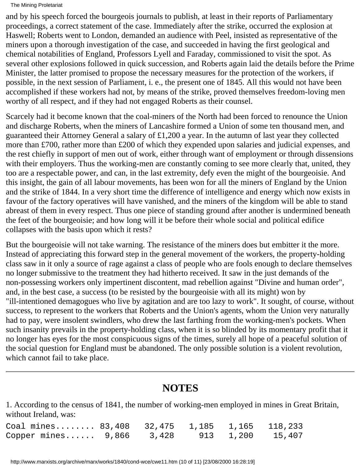and by his speech forced the bourgeois journals to publish, at least in their reports of Parliamentary proceedings, a correct statement of the case. Immediately after the strike, occurred the explosion at Haswell; Roberts went to London, demanded an audience with Peel, insisted as representative of the miners upon a thorough investigation of the case, and succeeded in having the first geological and chemical notabilities of England, Professors Lyell and Faraday, commissioned to visit the spot. As several other explosions followed in quick succession, and Roberts again laid the details before the Prime Minister, the latter promised to propose the necessary measures for the protection of the workers, if possible, in the next session of Parliament, i. e., the present one of 1845. All this would not have been accomplished if these workers had not, by means of the strike, proved themselves freedom-loving men worthy of all respect, and if they had not engaged Roberts as their counsel.

Scarcely had it become known that the coal-miners of the North had been forced to renounce the Union and discharge Roberts, when the miners of Lancashire formed a Union of some ten thousand men, and guaranteed their Attorney General a salary of £1,200 a year. In the autumn of last year they collected more than £700, rather more than £200 of which they expended upon salaries and judicial expenses, and the rest chiefly in support of men out of work, either through want of employment or through dissensions with their employers. Thus the working-men are constantly coming to see more clearly that, united, they too are a respectable power, and can, in the last extremity, defy even the might of the bourgeoisie. And this insight, the gain of all labour movements, has been won for all the miners of England by the Union and the strike of 1844. In a very short time the difference of intelligence and energy which now exists in favour of the factory operatives will have vanished, and the miners of the kingdom will be able to stand abreast of them in every respect. Thus one piece of standing ground after another is undermined beneath the feet of the bourgeoisie; and how long will it be before their whole social and political edifice collapses with the basis upon which it rests?

But the bourgeoisie will not take warning. The resistance of the miners does but embitter it the more. Instead of appreciating this forward step in the general movement of the workers, the property-holding class saw in it only a source of rage against a class of people who are fools enough to declare themselves no longer submissive to the treatment they had hitherto received. It saw in the just demands of the non-possessing workers only impertinent discontent, mad rebellion against "Divine and human order", and, in the best case, a success (to be resisted by the bourgeoisie with all its might) won by "ill-intentioned demagogues who live by agitation and are too lazy to work". It sought, of course, without success, to represent to the workers that Roberts and the Union's agents, whom the Union very naturally had to pay, were insolent swindlers, who drew the last farthing from the working-men's pockets. When such insanity prevails in the property-holding class, when it is so blinded by its momentary profit that it no longer has eyes for the most conspicuous signs of the times, surely all hope of a peaceful solution of the social question for England must be abandoned. The only possible solution is a violent revolution, which cannot fail to take place.

## **NOTES**

1. According to the census of 1841, the number of working-men employed in mines in Great Britain, without Ireland, was:

| Copper mines 9,866   3,428 |  |  | 913 1,200 15,407 |
|----------------------------|--|--|------------------|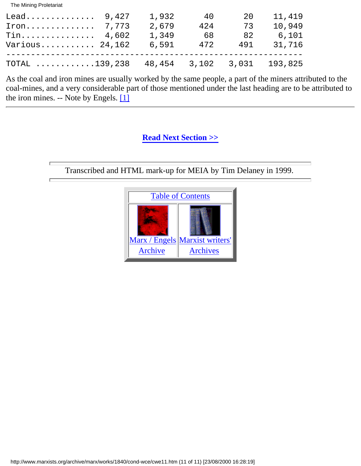г

| Lead $9,427$                 | 1,932                      | 40        | -20      | 11,419          |
|------------------------------|----------------------------|-----------|----------|-----------------|
| Iron $7,773$<br>$T$ in 4,602 | 2,679<br>1,349             | 424<br>68 | 73<br>82 | 10,949<br>6,101 |
| Various 24,162               | 6,591                      | 472       | 491      | 31,716          |
|                              | 48,454 3,102 3,031 193,825 |           |          |                 |

As the coal and iron mines are usually worked by the same people, a part of the miners attributed to the coal-mines, and a very considerable part of those mentioned under the last heading are to be attributed to the iron mines. -- Note by Engels. [1]

## **[Read Next Section >>](#page-145-0)**

Transcribed and HTML mark-up for MEIA by Tim Delaney in 1999.

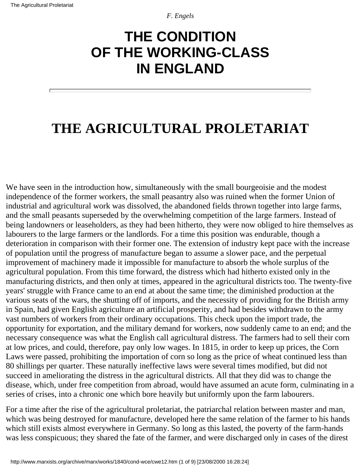*F. Engels*

# **THE CONDITION OF THE WORKING-CLASS IN ENGLAND**

# **THE AGRICULTURAL PROLETARIAT**

We have seen in the introduction how, simultaneously with the small bourgeoisie and the modest independence of the former workers, the small peasantry also was ruined when the former Union of industrial and agricultural work was dissolved, the abandoned fields thrown together into large farms, and the small peasants superseded by the overwhelming competition of the large farmers. Instead of being landowners or leaseholders, as they had been hitherto, they were now obliged to hire themselves as labourers to the large farmers or the landlords. For a time this position was endurable, though a deterioration in comparison with their former one. The extension of industry kept pace with the increase of population until the progress of manufacture began to assume a slower pace, and the perpetual improvement of machinery made it impossible for manufacture to absorb the whole surplus of the agricultural population. From this time forward, the distress which had hitherto existed only in the manufacturing districts, and then only at times, appeared in the agricultural districts too. The twenty-five years' struggle with France came to an end at about the same time; the diminished production at the various seats of the wars, the shutting off of imports, and the necessity of providing for the British army in Spain, had given English agriculture an artificial prosperity, and had besides withdrawn to the army vast numbers of workers from their ordinary occupations. This check upon the import trade, the opportunity for exportation, and the military demand for workers, now suddenly came to an end; and the necessary consequence was what the English call agricultural distress. The farmers had to sell their corn at low prices, and could, therefore, pay only low wages. In 1815, in order to keep up prices, the Corn Laws were passed, prohibiting the importation of corn so long as the price of wheat continued less than 80 shillings per quarter. These naturally ineffective laws were several times modified, but did not succeed in ameliorating the distress in the agricultural districts. All that they did was to change the disease, which, under free competition from abroad, would have assumed an acute form, culminating in a series of crises, into a chronic one which bore heavily but uniformly upon the farm labourers.

For a time after the rise of the agricultural proletariat, the patriarchal relation between master and man, which was being destroyed for manufacture, developed here the same relation of the farmer to his hands which still exists almost everywhere in Germany. So long as this lasted, the poverty of the farm-hands was less conspicuous; they shared the fate of the farmer, and were discharged only in cases of the direst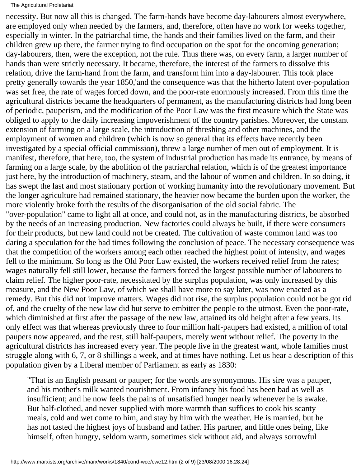### The Agricultural Proletariat

necessity. But now all this is changed. The farm-hands have become day-labourers almost everywhere, are employed only when needed by the farmers, and, therefore, often have no work for weeks together, especially in winter. In the patriarchal time, the hands and their families lived on the farm, and their children grew up there, the farmer trying to find occupation on the spot for the oncoming generation; day-labourers, then, were the exception, not the rule. Thus there was, on every farm, a larger number of hands than were strictly necessary. It became, therefore, the interest of the farmers to dissolve this relation, drive the farm-hand from the farm, and transform him into a day-labourer. This took place pretty generally towards the year 1850,'and the consequence was that the hitherto latent over-population was set free, the rate of wages forced down, and the poor-rate enormously increased. From this time the agricultural districts became the headquarters of permanent, as the manufacturing districts had long been of periodic, pauperism, and the modification of the Poor Law was the first measure which the State was obliged to apply to the daily increasing impoverishment of the country parishes. Moreover, the constant extension of farming on a large scale, the introduction of threshing and other machines, and the employment of women and children (which is now so general that its effects have recently been investigated by a special official commission), threw a large number of men out of employment. It is manifest, therefore, that here, too, the system of industrial production has made its entrance, by means of farming on a large scale, by the abolition of the patriarchal relation, which is of the greatest importance just here, by the introduction of machinery, steam, and the labour of women and children. In so doing, it has swept the last and most stationary portion of working humanity into the revolutionary movement. But the longer agriculture had remained stationary, the heavier now became the burden upon the worker, the more violently broke forth the results of the disorganisation of the old social fabric. The "over-population" came to light all at once, and could not, as in the manufacturing districts, be absorbed by the needs of an increasing production. New factories could always be built, if there were consumers for their products, but new land could not be created. The cultivation of waste common land was too daring a speculation for the bad times following the conclusion of peace. The necessary consequence was that the competition of the workers among each other reached the highest point of intensity, and wages fell to the minimum. So long as the Old Poor Law existed, the workers received relief from the rates; wages naturally fell still lower, because the farmers forced the largest possible number of labourers to claim relief. The higher poor-rate, necessitated by the surplus population, was only increased by this measure, and the New Poor Law, of which we shall have more to say later, was now enacted as a remedy. But this did not improve matters. Wages did not rise, the surplus population could not be got rid of, and the cruelty of the new law did but serve to embitter the people to the utmost. Even the poor-rate, which diminished at first after the passage of the new law, attained its old height after a few years. Its only effect was that whereas previously three to four million half-paupers had existed, a million of total paupers now appeared, and the rest, still half-paupers, merely went without relief. The poverty in the agricultural districts has increased every year. The people live in the greatest want, whole families must struggle along with 6, 7, or 8 shillings a week, and at times have nothing. Let us hear a description of this population given by a Liberal member of Parliament as early as 1830:

"That is an English peasant or pauper; for the words are synonymous. His sire was a pauper, and his mother's milk wanted nourishment. From infancy his food has been bad as well as insufficient; and he now feels the pains of unsatisfied hunger nearly whenever he is awake. But half-clothed, and never supplied with more warmth than suffices to cook his scanty meals, cold and wet come to him, and stay by him with the weather. He is married, but he has not tasted the highest joys of husband and father. His partner, and little ones being, like himself, often hungry, seldom warm, sometimes sick without aid, and always sorrowful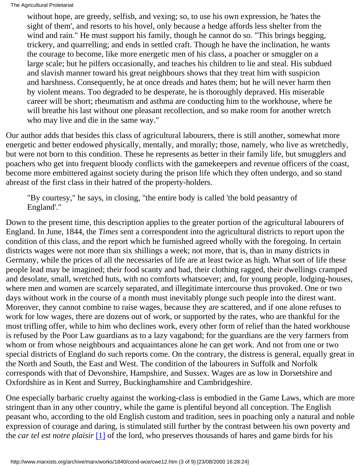without hope, are greedy, selfish, and vexing; so, to use his own expression, he 'hates the sight of them', and resorts to his hovel, only because a hedge affords less shelter from the wind and rain." He must support his family, though he cannot do so. "This brings begging, trickery, and quarrelling; and ends in settled craft. Though he have the inclination, he wants the courage to become, like more energetic men of his class, a poacher or smuggler on a large scale; but he pilfers occasionally, and teaches his children to lie and steal. His subdued and slavish manner toward his great neighbours shows that they treat him with suspicion and harshness. Consequently, he at once dreads and hates them; but he will never harm then by violent means. Too degraded to be desperate, he is thoroughly depraved. His miserable career will be short; rheumatism and asthma are conducting him to the workhouse, where he will breathe his last without one pleasant recollection, and so make room for another wretch who may live and die in the same way."

Our author adds that besides this class of agricultural labourers, there is still another, somewhat more energetic and better endowed physically, mentally, and morally; those, namely, who live as wretchedly, but were not born to this condition. These he represents as better in their family life, but smugglers and poachers who get into frequent bloody conflicts with the gamekeepers and revenue officers of the coast, become more embittered against society during the prison life which they often undergo, and so stand abreast of the first class in their hatred of the property-holders.

"By courtesy," he says, in closing, "the entire body is called 'the bold peasantry of England'."

Down to the present time, this description applies to the greater portion of the agricultural labourers of England. In June, 1844, the *Times* sent a correspondent into the agricultural districts to report upon the condition of this class, and the report which he furnished agreed wholly with the foregoing. In certain districts wages were not more than six shillings a week; not more, that is, than in many districts in Germany, while the prices of all the necessaries of life are at least twice as high. What sort of life these people lead may be imagined; their food scanty and bad, their clothing ragged, their dwellings cramped and desolate, small, wretched huts, with no comforts whatsoever; and, for young people, lodging-houses, where men and women are scarcely separated, and illegitimate intercourse thus provoked. One or two days without work in the course of a month must inevitably plunge such people into the direst want. Moreover, they cannot combine to raise wages, because they are scattered, and if one alone refuses to work for low wages, there are dozens out of work, or supported by the rates, who are thankful for the most trifling offer, while to him who declines work, every other form of relief than the hated workhouse is refused by the Poor Law guardians as to a lazy vagabond; for the guardians are the very farmers from whom or from whose neighbours and acquaintances alone he can get work. And not from one or two special districts of England do such reports come. On the contrary, the distress is general, equally great in the North and South, the East and West. The condition of the labourers in Suffolk and Norfolk corresponds with that of Devonshire, Hampshire, and Sussex. Wages are as low in Dorsetshire and Oxfordshire as in Kent and Surrey, Buckinghamshire and Cambridgeshire.

<span id="page-158-0"></span>One especially barbaric cruelty against the working-class is embodied in the Game Laws, which are more stringent than in any other country, while the game is plentiful beyond all conception. The English peasant who, according to the old English custom and tradition, sees in poaching only a natural and noble expression of courage and daring, is stimulated still further by the contrast between his own poverty and the *car tel est notre plaisir* [\[1\]](#page-163-0) of the lord, who preserves thousands of hares and game birds for his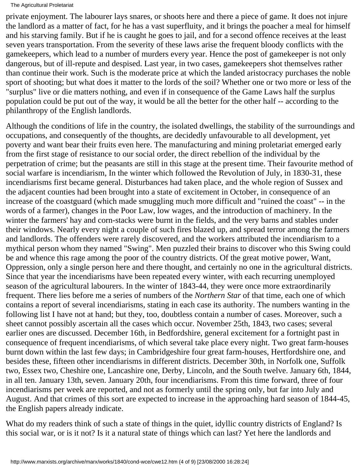### The Agricultural Proletariat

private enjoyment. The labourer lays snares, or shoots here and there a piece of game. It does not injure the landlord as a matter of fact, for he has a vast superfluity, and it brings the poacher a meal for himself and his starving family. But if he is caught he goes to jail, and for a second offence receives at the least seven years transportation. From the severity of these laws arise the frequent bloody conflicts with the gamekeepers, which lead to a number of murders every year. Hence the post of gamekeeper is not only dangerous, but of ill-repute and despised. Last year, in two cases, gamekeepers shot themselves rather than continue their work. Such is the moderate price at which the landed aristocracy purchases the noble sport of shooting; but what does it matter to the lords of the soil? Whether one or two more or less of the "surplus" live or die matters nothing, and even if in consequence of the Game Laws half the surplus population could be put out of the way, it would be all the better for the other half -- according to the philanthropy of the English landlords.

Although the conditions of life in the country, the isolated dwellings, the stability of the surroundings and occupations, and consequently of the thoughts, are decidedly unfavourable to all development, yet poverty and want bear their fruits even here. The manufacturing and mining proletariat emerged early from the first stage of resistance to our social order, the direct rebellion of the individual by the perpetration of crime; but the peasants are still in this stage at the present time. Their favourite method of social warfare is incendiarism, In the winter which followed the Revolution of July, in 1830-31, these incendiarisms first became general. Disturbances had taken place, and the whole region of Sussex and the adjacent counties had been brought into a state of excitement in October, in consequence of an increase of the coastguard (which made smuggling much more difficult and "ruined the coast" -- in the words of a farmer), changes in the Poor Law, low wages, and the introduction of machinery. In the winter the farmers' hay and corn-stacks were burnt in the fields, and the very barns and stables under their windows. Nearly every night a couple of such fires blazed up, and spread terror among the farmers and landlords. The offenders were rarely discovered, and the workers attributed the incendiarism to a mythical person whom they named "Swing". Men puzzled their brains to discover who this Swing could be and whence this rage among the poor of the country districts. Of the great motive power, Want, Oppression, only a single person here and there thought, and certainly no one in the agricultural districts. Since that year the incendiarisms have been repeated every winter, with each recurring unemployed season of the agricultural labourers. In the winter of 1843-44, they were once more extraordinarily frequent. There lies before me a series of numbers of the *Northern Star* of that time, each one of which contains a report of several incendiarisms, stating in each case its authority. The numbers wanting in the following list I have not at hand; but they, too, doubtless contain a number of cases. Moreover, such a sheet cannot possibly ascertain all the cases which occur. November 25th, 1843, two cases; several earlier ones are discussed. December 16th, in Bedfordshire, general excitement for a fortnight past in consequence of frequent incendiarisms, of which several take place every night. Two great farm-houses burnt down within the last few days; in Cambridgeshire four great farm-houses, Hertfordshire one, and besides these, fifteen other incendiarisms in different districts. December 30th, in Norfolk one, Suffolk two, Essex two, Cheshire one, Lancashire one, Derby, Lincoln, and the South twelve. January 6th, 1844, in all ten. January 13th, seven. January 20th, four incendiarisms. From this time forward, three of four incendiarisms per week are reported, and not as formerly until the spring only, but far into July and August. And that crimes of this sort are expected to increase in the approaching hard season of 1844-45, the English papers already indicate.

What do my readers think of such a state of things in the quiet, idyllic country districts of England? Is this social war, or is it not? Is it a natural state of things which can last? Yet here the landlords and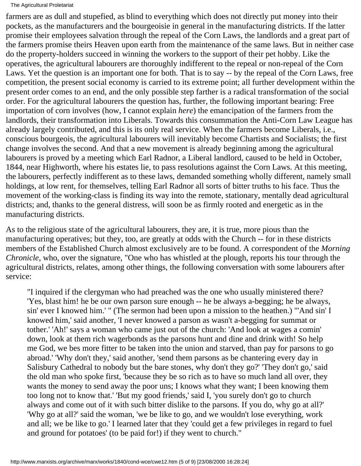### The Agricultural Proletariat

farmers are as dull and stupefied, as blind to everything which does not directly put money into their pockets, as the manufacturers and the bourgeoisie in general in the manufacturing districts. If the latter promise their employees salvation through the repeal of the Corn Laws, the landlords and a great part of the farmers promise theirs Heaven upon earth from the maintenance of the same laws. But in neither case do the property-holders succeed in winning the workers to the support of their pet hobby. Like the operatives, the agricultural labourers are thoroughly indifferent to the repeal or non-repeal of the Corn Laws. Yet the question is an important one for both. That is to say -- by the repeal of the Corn Laws, free competition, the present social economy is carried to its extreme point; all further development within the present order comes to an end, and the only possible step farther is a radical transformation of the social order. For the agricultural labourers the question has, further, the following important bearing: Free importation of corn involves (how, I cannot explain *here*) the emancipation of the farmers from the landlords, their transformation into Liberals. Towards this consummation the Anti-Corn Law League has already largely contributed, and this is its only real service. When the farmers become Liberals, i.e., conscious bourgeois, the agricultural labourers will inevitably become Chartists and Socialists; the first change involves the second. And that a new movement is already beginning among the agricultural labourers is proved by a meeting which Earl Radnor, a Liberal landlord, caused to be held in October, 1844, near Highworth, where his estates lie, to pass resolutions against the Corn Laws. At this meeting, the labourers, perfectly indifferent as to these laws, demanded something wholly different, namely small holdings, at low rent, for themselves, telling Earl Radnor all sorts of bitter truths to his face. Thus the movement of the working-class is finding its way into the remote, stationary, mentally dead agricultural districts; and, thanks to the general distress, will soon be as firmly rooted and energetic as in the manufacturing districts.

As to the religious state of the agricultural labourers, they are, it is true, more pious than the manufacturing operatives; but they, too, are greatly at odds with the Church -- for in these districts members of the Established Church almost exclusively are to be found. A correspondent of the *Morning Chronicle*, who, over the signature, "One who has whistled at the plough, reports his tour through the agricultural districts, relates, among other things, the following conversation with some labourers after service:

"I inquired if the clergyman who had preached was the one who usually ministered there? 'Yes, blast him! he be our own parson sure enough -- he be always a-begging; he be always, sin' ever I knowed him.' " (The sermon had been upon a mission to the heathen.) "'And sin' I knowed him,' said another, 'I never knowed a parson as wasn't a-begging for summat or tother.' 'Ah!' says a woman who came just out of the church: 'And look at wages a comin' down, look at them rich wagerbonds as the parsons hunt and dine and drink with! So help me God, we bes more fitter to be taken into the union and starved, than pay for parsons to go abroad.' 'Why don't they,' said another, 'send them parsons as be chantering every day in Salisbury Cathedral to nobody but the bare stones, why don't they go?' 'They don't go,' said the old man who spoke first, 'because they be so rich as to have so much land all over, they wants the money to send away the poor uns; I knows what they want; I been knowing them too long not to know that.' 'But my good friends,' said I, 'you surely don't go to church always and come out of it with such bitter dislike to the parsons. If you do, why go at all?' 'Why go at all?' said the woman, 'we be like to go, and we wouldn't lose everything, work and all; we be like to go.' I learned later that they 'could get a few privileges in regard to fuel and ground for potatoes' (to be paid for!) if they went to church."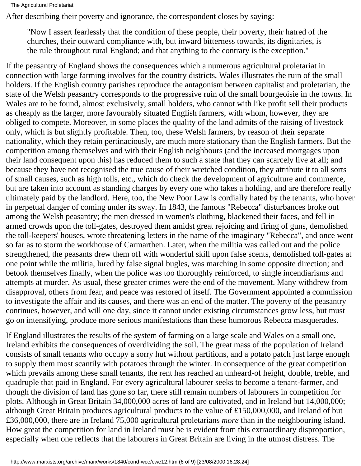```
The Agricultural Proletariat
```
After describing their poverty and ignorance, the correspondent closes by saying:

"Now I assert fearlessly that the condition of these people, their poverty, their hatred of the churches, their outward compliance with, but inward bitterness towards, its dignitaries, is the rule throughout rural England; and that anything to the contrary is the exception."

If the peasantry of England shows the consequences which a numerous agricultural proletariat in connection with large farming involves for the country districts, Wales illustrates the ruin of the small holders. If the English country parishes reproduce the antagonism between capitalist and proletarian, the state of the Welsh peasantry corresponds to the progressive ruin of the small bourgeoisie in the towns. In Wales are to be found, almost exclusively, small holders, who cannot with like profit sell their products as cheaply as the larger, more favourably situated English farmers, with whom, however, they are obliged to compete. Moreover, in some places the quality of the land admits of the raising of livestock only, which is but slightly profitable. Then, too, these Welsh farmers, by reason of their separate nationality, which they retain pertinaciously, are much more stationary than the English farmers. But the competition among themselves and with their English neighbours (and the increased mortgages upon their land consequent upon this) has reduced them to such a state that they can scarcely live at all; and because they have not recognised the true cause of their wretched condition, they attribute it to all sorts of small causes, such as high tolls, etc., which do check the development of agriculture and commerce, but are taken into account as standing charges by every one who takes a holding, and are therefore really ultimately paid by the landlord. Here, too, the New Poor Law is cordially hated by the tenants, who hover in perpetual danger of coming under its sway. In 1843, the famous "Rebecca" disturbances broke out among the Welsh peasantry; the men dressed in women's clothing, blackened their faces, and fell in armed crowds upon the toll-gates, destroyed them amidst great rejoicing and firing of guns, demolished the toll-keepers' houses, wrote threatening letters in the name of the imaginary "Rebecca", and once went so far as to storm the workhouse of Carmarthen. Later, when the militia was called out and the police strengthened, the peasants drew them off with wonderful skill upon false scents, demolished toll-gates at one point while the militia, lured by false signal bugles, was marching in some opposite direction; and betook themselves finally, when the police was too thoroughly reinforced, to single incendiarisms and attempts at murder. As usual, these greater crimes were the end of the movement. Many withdrew from disapproval, others from fear, and peace was restored of itself. The Government appointed a commission to investigate the affair and its causes, and there was an end of the matter. The poverty of the peasantry continues, however, and will one day, since it cannot under existing circumstances grow less, but must go on intensifying, produce more serious manifestations than these humorous Rebecca masquerades.

If England illustrates the results of the system of farming on a large scale and Wales on a small one, Ireland exhibits the consequences of overdividing the soil. The great mass of the population of Ireland consists of small tenants who occupy a sorry hut without partitions, and a potato patch just large enough to supply them most scantily with potatoes through the winter. In consequence of the great competition which prevails among these small tenants, the rent has reached an unheard-of height, double, treble, and quadruple that paid in England. For every agricultural labourer seeks to become a tenant-farmer, and though the division of land has gone so far, there still remain numbers of labourers in competition for plots. Although in Great Britain 34,000,000 acres of land are cultivated, and in Ireland but 14,000,000; although Great Britain produces agricultural products to the value of £150,000,000, and Ireland of but £36,000,000, there are in Ireland 75,000 agricultural proletarians *more* than in the neighbouring island. How great the competition for land in Ireland must be is evident from this extraordinary disproportion, especially when one reflects that the labourers in Great Britain are living in the utmost distress. The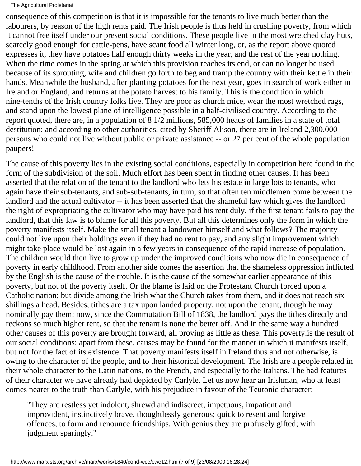### The Agricultural Proletariat

consequence of this competition is that it is impossible for the tenants to live much better than the labourers, by reason of the high rents paid. The Irish people is thus held in crushing poverty, from which it cannot free itself under our present social conditions. These people live in the most wretched clay huts, scarcely good enough for cattle-pens, have scant food all winter long, or, as the report above quoted expresses it, they have potatoes half enough thirty weeks in the year, and the rest of the year nothing. When the time comes in the spring at which this provision reaches its end, or can no longer be used because of its sprouting, wife and children go forth to beg and tramp the country with their kettle in their hands. Meanwhile the husband, after planting potatoes for the next year, goes in search of work either in Ireland or England, and returns at the potato harvest to his family. This is the condition in which nine-tenths of the Irish country folks live. They are poor as church mice, wear the most wretched rags, and stand upon the lowest plane of intelligence possible in a half-civilised country. According to the report quoted, there are, in a population of 8 1/2 millions, 585,000 heads of families in a state of total destitution; and according to other authorities, cited by Sheriff Alison, there are in Ireland 2,300,000 persons who could not live without public or private assistance -- or 27 per cent of the whole population paupers!

The cause of this poverty lies in the existing social conditions, especially in competition here found in the form of the subdivision of the soil. Much effort has been spent in finding other causes. It has been asserted that the relation of the tenant to the landlord who lets his estate in large lots to tenants, who again have their sub-tenants, and sub-sub-tenants, in turn, so that often ten middlemen come between the. landlord and the actual cultivator -- it has been asserted that the shameful law which gives the landlord the right of expropriating the cultivator who may have paid his rent duly, if the first tenant fails to pay the landlord, that this law is to blame for all this poverty. But all this determines only the form in which the poverty manifests itself. Make the small tenant a landowner himself and what follows? The majority could not live upon their holdings even if they had no rent to pay, and any slight improvement which might take place would be lost again in a few years in consequence of the rapid increase of population. The children would then live to grow up under the improved conditions who now die in consequence of poverty in early childhood. From another side comes the assertion that the shameless oppression inflicted by the English is the cause of the trouble. It is the cause of the somewhat earlier appearance of this poverty, but not of the poverty itself. Or the blame is laid on the Protestant Church forced upon a Catholic nation; but divide among the Irish what the Church takes from them, and it does not reach six shillings a head. Besides, tithes are a tax upon landed property, not upon the tenant, though he may nominally pay them; now, since the Commutation Bill of 1838, the landlord pays the tithes directly and reckons so much higher rent, so that the tenant is none the better off. And in the same way a hundred other causes of this poverty are brought forward, all proving as little as these. This poverty.is the result of our social conditions; apart from these, causes may be found for the manner in which it manifests itself, but not for the fact of its existence. That poverty manifests itself in Ireland thus and not otherwise, is owing to the character of the people, and to their historical development. The Irish are a people related in their whole character to the Latin nations, to the French, and especially to the Italians. The bad features of their character we have already had depicted by Carlyle. Let us now hear an Irishman, who at least comes nearer to the truth than Carlyle, with his prejudice in favour of the Teutonic character:

"They are restless yet indolent, shrewd and indiscreet, impetuous, impatient and improvident, instinctively brave, thoughtlessly generous; quick to resent and forgive offences, to form and renounce friendships. With genius they are profusely gifted; with judgment sparingly."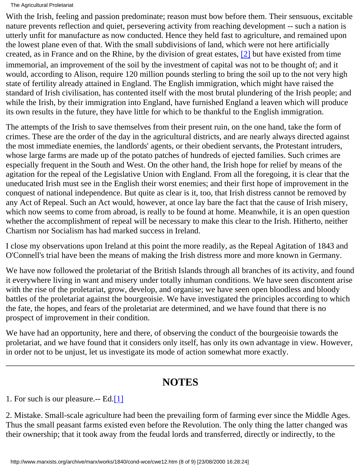### The Agricultural Proletariat

<span id="page-163-2"></span>With the Irish, feeling and passion predominate; reason must bow before them. Their sensuous, excitable nature prevents reflection and quiet, persevering activity from reaching development -- such a nation is utterly unfit for manufacture as now conducted. Hence they held fast to agriculture, and remained upon the lowest plane even of that. With the small subdivisions of land, which were not here artificially created, as in France and on the Rhine, by the division of great estates, [\[2\]](#page-163-1) but have existed from time immemorial, an improvement of the soil by the investment of capital was not to be thought of; and it would, according to Alison, require 120 million pounds sterling to bring the soil up to the not very high state of fertility already attained in England. The English immigration, which might have raised the standard of Irish civilisation, has contented itself with the most brutal plundering of the Irish people; and while the Irish, by their immigration into England, have furnished England a leaven which will produce its own results in the future, they have little for which to be thankful to the English immigration.

The attempts of the Irish to save themselves from their present ruin, on the one hand, take the form of crimes. These are the order of the day in the agricultural districts, and are nearly always directed against the most immediate enemies, the landlords' agents, or their obedient servants, the Protestant intruders, whose large farms are made up of the potato patches of hundreds of ejected families. Such crimes are especially frequent in the South and West. On the other hand, the Irish hope for relief by means of the agitation for the repeal of the Legislative Union with England. From all the foregoing, it is clear that the uneducated Irish must see in the English their worst enemies; and their first hope of improvement in the conquest of national independence. But quite as clear is it, too, that Irish distress cannot be removed by any Act of Repeal. Such an Act would, however, at once lay bare the fact that the cause of Irish misery, which now seems to come from abroad, is really to be found at home. Meanwhile, it is an open question whether the accomplishment of repeal will be necessary to make this clear to the Irish. Hitherto, neither Chartism nor Socialism has had marked success in Ireland.

I close my observations upon Ireland at this point the more readily, as the Repeal Agitation of 1843 and O'Connell's trial have been the means of making the Irish distress more and more known in Germany.

We have now followed the proletariat of the British Islands through all branches of its activity, and found it everywhere living in want and misery under totally inhuman conditions. We have seen discontent arise with the rise of the proletariat, grow, develop, and organise; we have seen open bloodless and bloody battles of the proletariat against the bourgeoisie. We have investigated the principles according to which the fate, the hopes, and fears of the proletariat are determined, and we have found that there is no prospect of improvement in their condition.

We have had an opportunity, here and there, of observing the conduct of the bourgeoisie towards the proletariat, and we have found that it considers only itself, has only its own advantage in view. However, in order not to be unjust, let us investigate its mode of action somewhat more exactly.

# **NOTES**

## <span id="page-163-0"></span>1. For such is our pleasure.-- Ed[.\[1\]](#page-158-0)

<span id="page-163-1"></span>2. Mistake. Small-scale agriculture had been the prevailing form of farming ever since the Middle Ages. Thus the small peasant farms existed even before the Revolution. The only thing the latter changed was their ownership; that it took away from the feudal lords and transferred, directly or indirectly, to the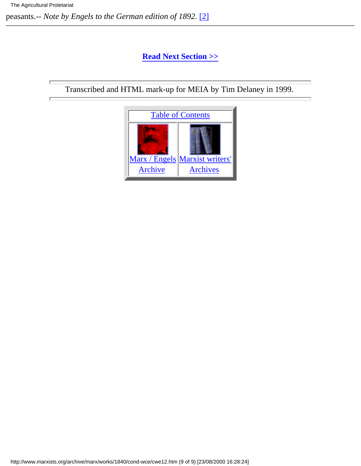## **[Read Next Section >>](#page-165-0)**

Transcribed and HTML mark-up for MEIA by Tim Delaney in 1999.

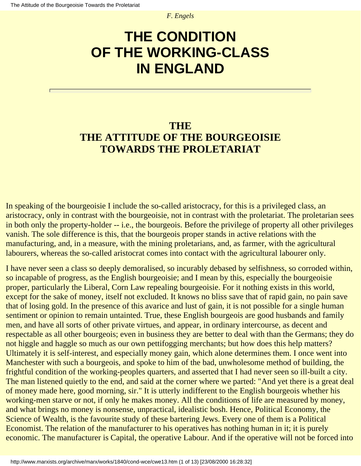*F. Engels*

# <span id="page-165-0"></span>**THE CONDITION OF THE WORKING-CLASS IN ENGLAND**

# **THE THE ATTITUDE OF THE BOURGEOISIE TOWARDS THE PROLETARIAT**

In speaking of the bourgeoisie I include the so-called aristocracy, for this is a privileged class, an aristocracy, only in contrast with the bourgeoisie, not in contrast with the proletariat. The proletarian sees in both only the property-holder -- i.e., the bourgeois. Before the privilege of property all other privileges vanish. The sole difference is this, that the bourgeois proper stands in active relations with the manufacturing, and, in a measure, with the mining proletarians, and, as farmer, with the agricultural labourers, whereas the so-called aristocrat comes into contact with the agricultural labourer only.

I have never seen a class so deeply demoralised, so incurably debased by selfishness, so corroded within, so incapable of progress, as the English bourgeoisie; and I mean by this, especially the bourgeoisie proper, particularly the Liberal, Corn Law repealing bourgeoisie. For it nothing exists in this world, except for the sake of money, itself not excluded. It knows no bliss save that of rapid gain, no pain save that of losing gold. In the presence of this avarice and lust of gain, it is not possible for a single human sentiment or opinion to remain untainted. True, these English bourgeois are good husbands and family men, and have all sorts of other private virtues, and appear, in ordinary intercourse, as decent and respectable as all other bourgeois; even in business they are better to deal with than the Germans; they do not higgle and haggle so much as our own pettifogging merchants; but how does this help matters? Ultimately it is self-interest, and especially money gain, which alone determines them. I once went into Manchester with such a bourgeois, and spoke to him of the bad, unwholesome method of building, the frightful condition of the working-peoples quarters, and asserted that I had never seen so ill-built a city. The man listened quietly to the end, and said at the corner where we parted: "And yet there is a great deal of money made here, good morning, sir." It is utterly indifferent to the English bourgeois whether his working-men starve or not, if only he makes money. All the conditions of life are measured by money, and what brings no money is nonsense, unpractical, idealistic bosh. Hence, Political Economy, the Science of Wealth, is the favourite study of these bartering Jews. Every one of them is a Political Economist. The relation of the manufacturer to his operatives has nothing human in it; it is purely economic. The manufacturer is Capital, the operative Labour. And if the operative will not be forced into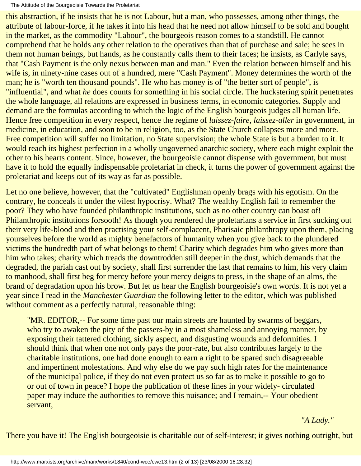this abstraction, if he insists that he is not Labour, but a man, who possesses, among other things, the attribute of labour-force, if he takes it into his head that he need not allow himself to be sold and bought in the market, as the commodity "Labour", the bourgeois reason comes to a standstill. He cannot comprehend that he holds any other relation to the operatives than that of purchase and sale; he sees in them not human beings, but hands, as he constantly calls them to their faces; he insists, as Carlyle says, that "Cash Payment is the only nexus between man and man." Even the relation between himself and his wife is, in ninety-nine cases out of a hundred, mere "Cash Payment". Money determines the worth of the man; he is "worth ten thousand pounds". He who has money is of "the better sort of people", is "influential", and what *he* does counts for something in his social circle. The huckstering spirit penetrates the whole language, all relations are expressed in business terms, in economic categories. Supply and demand are the formulas according to which the logic of the English bourgeois judges all human life. Hence free competition in every respect, hence the regime of *laissez-faire, laissez-aller* in government, in medicine, in education, and soon to be in religion, too, as the State Church collapses more and more. Free competition will suffer no limitation, no State supervision; the whole State is but a burden to it. It would reach its highest perfection in a wholly ungoverned anarchic society, where each might exploit the other to his hearts content. Since, however, the bourgeoisie cannot dispense with government, but must have it to hold the equally indispensable proletariat in check, it turns the power of government against the proletariat and keeps out of its way as far as possible.

Let no one believe, however, that the "cultivated" Englishman openly brags with his egotism. On the contrary, he conceals it under the vilest hypocrisy. What? The wealthy English fail to remember the poor? They who have founded philanthropic institutions, such as no other country can boast of! Philanthropic institutions forsooth! As though you rendered the proletarians a service in first sucking out their very life-blood and then practising your self-complacent, Pharisaic philanthropy upon them, placing yourselves before the world as mighty benefactors of humanity when you give back to the plundered victims the hundredth part of what belongs to them! Charity which degrades him who gives more than him who takes; charity which treads the downtrodden still deeper in the dust, which demands that the degraded, the pariah cast out by society, shall first surrender the last that remains to him, his very claim to manhood, shall first beg for mercy before your mercy deigns to press, in the shape of an alms, the brand of degradation upon his brow. But let us hear the English bourgeoisie's own words. It is not yet a year since I read in the *Manchester Guardian* the following letter to the editor, which was published without comment as a perfectly natural, reasonable thing:

"MR. EDITOR,-- For some time past our main streets are haunted by swarms of beggars, who try to awaken the pity of the passers-by in a most shameless and annoying manner, by exposing their tattered clothing, sickly aspect, and disgusting wounds and deformities. I should think that when one not only pays the poor-rate, but also contributes largely to the charitable institutions, one had done enough to earn a right to be spared such disagreeable and impertinent molestations. And why else do we pay such high rates for the maintenance of the municipal police, if they do not even protect us so far as to make it possible to go to or out of town in peace? I hope the publication of these lines in your widely- circulated paper may induce the authorities to remove this nuisance; and I remain,-- Your obedient servant,

*"A Lady."*

There you have it! The English bourgeoisie is charitable out of self-interest; it gives nothing outright, but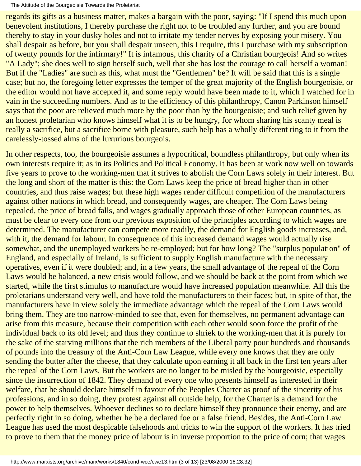regards its gifts as a business matter, makes a bargain with the poor, saying: "If I spend this much upon benevolent institutions, I thereby purchase the right not to be troubled any further, and you are bound thereby to stay in your dusky holes and not to irritate my tender nerves by exposing your misery. You shall despair as before, but you shall despair unseen, this I require, this I purchase with my subscription of twenty pounds for the infirmary!" It is infamous, this charity of a Christian bourgeois! And so writes "A Lady"; she does well to sign herself such, well that she has lost the courage to call herself a woman! But if the "Ladies" are such as this, what must the "Gentlemen" be? It will be said that this is a single case; but no, the foregoing letter expresses the temper of the great majority of the English bourgeoisie, or the editor would not have accepted it, and some reply would have been made to it, which I watched for in vain in the succeeding numbers. And as to the efficiency of this philanthropy, Canon Parkinson himself says that the poor are relieved much more by the poor than by the bourgeoisie; and such relief given by an honest proletarian who knows himself what it is to be hungry, for whom sharing his scanty meal is really a sacrifice, but a sacrifice borne with pleasure, such help has a wholly different ring to it from the carelessly-tossed alms of the luxurious bourgeois.

In other respects, too, the bourgeoisie assumes a hypocritical, boundless philanthropy, but only when its own interests require it; as in its Politics and Political Economy. It has been at work now well on towards five years to prove to the working-men that it strives to abolish the Corn Laws solely in their interest. But the long and short of the matter is this: the Corn Laws keep the price of bread higher than in other countries, and thus raise wages; but these high wages render difficult competition of the manufacturers against other nations in which bread, and consequently wages, are cheaper. The Corn Laws being repealed, the price of bread falls, and wages gradually approach those of other European countries, as must be clear to every one from our previous exposition of the principles according to which wages are determined. The manufacturer can compete more readily, the demand for English goods increases, and, with it, the demand for labour. In consequence of this increased demand wages would actually rise somewhat, and the unemployed workers be re-employed; but for how long? The "surplus population" of England, and especially of Ireland, is sufficient to supply English manufacture with the necessary operatives, even if it were doubled; and, in a few years, the small advantage of the repeal of the Corn Laws would be balanced, a new crisis would follow, and we should be back at the point from which we started, while the first stimulus to manufacture would have increased population meanwhile. All this the proletarians understand very well, and have told the manufacturers to their faces; but, in spite of that, the manufacturers have in view solely the immediate advantage which the repeal of the Corn Laws would bring them. They are too narrow-minded to see that, even for themselves, no permanent advantage can arise from this measure, because their competition with each other would soon force the profit of the individual back to its old level; and thus they continue to shriek to the working-men that it is purely for the sake of the starving millions that the rich members of the Liberal party pour hundreds and thousands of pounds into the treasury of the Anti-Corn Law League, while every one knows that they are only sending the butter after the cheese, that they calculate upon earning it all back in the first ten years after the repeal of the Corn Laws. But the workers are no longer to be misled by the bourgeoisie, especially since the insurrection of 1842. They demand of every one who presents himself as interested in their welfare, that he should declare himself in favour of the Peoples Charter as proof of the sincerity of his professions, and in so doing, they protest against all outside help, for the Charter is a demand for the power to help themselves. Whoever declines so to declare himself they pronounce their enemy, and are perfectly right in so doing, whether he be a declared foe or a false friend. Besides, the Anti-Corn Law League has used the most despicable falsehoods and tricks to win the support of the workers. It has tried to prove to them that the money price of labour is in inverse proportion to the price of corn; that wages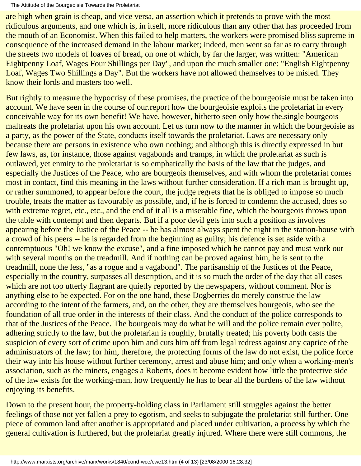are high when grain is cheap, and vice versa, an assertion which it pretends to prove with the most ridiculous arguments, and one which is, in itself, more ridiculous than any other that has proceeded from the mouth of an Economist. When this failed to help matters, the workers were promised bliss supreme in consequence of the increased demand in the labour market; indeed, men went so far as to carry through the streets two models of loaves of bread, on one of which, by far the larger, was written: "American Eightpenny Loaf, Wages Four Shillings per Day", and upon the much smaller one: "English Eightpenny Loaf, Wages Two Shillings a Day". But the workers have not allowed themselves to be misled. They know their lords and masters too well.

But rightly to measure the hypocrisy of these promises, the practice of the bourgeoisie must be taken into account. We have seen in the course of our.report how the bourgeoisie exploits the proletariat in every conceivable way for its own benefit! We have, however, hitherto seen only how the.single bourgeois maltreats the proletariat upon his own account. Let us turn now to the manner in which the bourgeoisie as a party, as the power of the State, conducts itself towards the proletariat. Laws are necessary only because there are persons in existence who own nothing; and although this is directly expressed in but few laws, as, for instance, those against vagabonds and tramps, in which the proletariat as such is outlawed, yet enmity to the proletariat is so emphatically the basis of the law that the judges, and especially the Justices of the Peace, who are bourgeois themselves, and with whom the proletariat comes most in contact, find this meaning in the laws without further consideration. If a rich man is brought up, or rather summoned, to appear before the court, the judge regrets that he is obliged to impose so much trouble, treats the matter as favourably as possible, and, if he is forced to condemn the accused, does so with extreme regret, etc., etc., and the end of it all is a miserable fine, which the bourgeois throws upon the table with contempt and then departs. But if a poor devil gets into such a position as involves appearing before the Justice of the Peace -- he has almost always spent the night in the station-house with a crowd of his peers -- he is regarded from the beginning as guilty; his defence is set aside with a contemptuous "Oh! we know the excuse", and a fine imposed which he cannot pay and must work out with several months on the treadmill. And if nothing can be proved against him, he is sent to the treadmill, none the less, "as a rogue and a vagabond". The partisanship of the Justices of the Peace, especially in the country, surpasses all description, and it is so much the order of the day that all cases which are not too utterly flagrant are quietly reported by the newspapers, without comment. Nor is anything else to be expected. For on the one hand, these Dogberries do merely construe the law according to the intent of the farmers, and, on the other, they are themselves bourgeois, who see the foundation of all true order in the interests of their class. And the conduct of the police corresponds to that of the Justices of the Peace. The bourgeois may do what he will and the police remain ever polite, adhering strictly to the law, but the proletarian is roughly, brutally treated; his poverty both casts the suspicion of every sort of crime upon him and cuts him off from legal redress against any caprice of the administrators of the law; for him, therefore, the protecting forms of the law do not exist, the police force their way into his house without further ceremony, arrest and abuse him; and only when a working-men's association, such as the miners, engages a Roberts, does it become evident how little the protective side of the law exists for the working-man, how frequently he has to bear all the burdens of the law without enjoying its benefits.

Down to the present hour, the property-holding class in Parliament still struggles against the better feelings of those not yet fallen a prey to egotism, and seeks to subjugate the proletariat still further. One piece of common land after another is appropriated and placed under cultivation, a process by which the general cultivation is furthered, but the proletariat greatly injured. Where there were still commons, the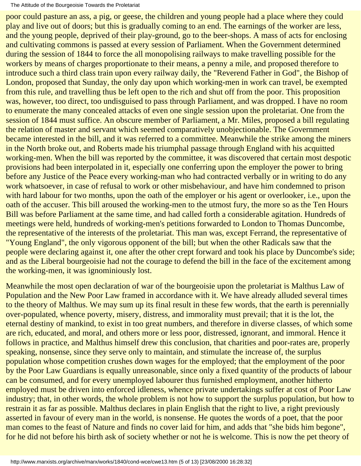poor could pasture an ass, a pig, or geese, the children and young people had a place where they could play and live out of doors; but this is gradually coming to an end. The earnings of the worker are less, and the young people, deprived of their play-ground, go to the beer-shops. A mass of acts for enclosing and cultivating commons is passed at every session of Parliament. When the Government determined during the session of 1844 to force the all monopolising railways to make travelling possible for the workers by means of charges proportionate to their means, a penny a mile, and proposed therefore to introduce such a third class train upon every railway daily, the "Reverend Father in God", the Bishop of London, proposed that Sunday, the only day upon which working-men in work can travel, be exempted from this rule, and travelling thus be left open to the rich and shut off from the poor. This proposition was, however, too direct, too undisguised to pass through Parliament, and was dropped. I have no room to enumerate the many concealed attacks of even one single session upon the proletariat. One from the session of 1844 must suffice. An obscure member of Parliament, a Mr. Miles, proposed a bill regulating the relation of master and servant which seemed comparatively unobjectionable. The Government became interested in the bill, and it was referred to a committee. Meanwhile the strike among the miners in the North broke out, and Roberts made his triumphal passage through England with his acquitted working-men. When the bill was reported by the committee, it was discovered that certain most despotic provisions had been interpolated in it, especially one conferring upon the employer the power to bring before any Justice of the Peace every working-man who had contracted verbally or in writing to do any work whatsoever, in case of refusal to work or other misbehaviour, and have him condemned to prison with hard labour for two months, upon the oath of the employer or his agent or overlooker, i.e., upon the oath of the accuser. This bill aroused the working-men to the utmost fury, the more so as the Ten Hours Bill was before Parliament at the same time, and had called forth a considerable agitation. Hundreds of meetings were held, hundreds of working-men's petitions forwarded to London to Thomas Duncombe, the representative of the interests of the proletariat. This man was, except Ferrand, the representative of "Young England", the only vigorous opponent of the bill; but when the other Radicals saw that the people were declaring against it, one after the other crept forward and took his place by Duncombe's side; and as the Liberal bourgeoisie had not the courage to defend the bill in the face of the excitement among the working-men, it was ignominiously lost.

Meanwhile the most open declaration of war of the bourgeoisie upon the proletariat is Malthus Law of Population and the New Poor Law framed in accordance with it. We have already alluded several times to the theory of Malthus. We may sum up its final result in these few words, that the earth is perennially over-populated, whence poverty, misery, distress, and immorality must prevail; that it is the lot, the eternal destiny of mankind, to exist in too great numbers, and therefore in diverse classes, of which some are rich, educated, and moral, and others more or less poor, distressed, ignorant, and immoral. Hence it follows in practice, and Malthus himself drew this conclusion, that charities and poor-rates are, properly speaking, nonsense, since they serve only to maintain, and stimulate the increase of, the surplus population whose competition crushes down wages for the employed; that the employment of the poor by the Poor Law Guardians is equally unreasonable, since only a fixed quantity of the products of labour can be consumed, and for every unemployed labourer thus furnished employment, another hitherto employed must be driven into enforced idleness, whence private undertakings suffer at cost of Poor Law industry; that, in other words, the whole problem is not how to support the surplus population, but how to restrain it as far as possible. Malthus declares in plain English that the right to live, a right previously asserted in favour of every man in the world, is nonsense. He quotes the words of a poet, that the poor man comes to the feast of Nature and finds no cover laid for him, and adds that "she bids him begone", for he did not before his birth ask of society whether or not he is welcome. This is now the pet theory of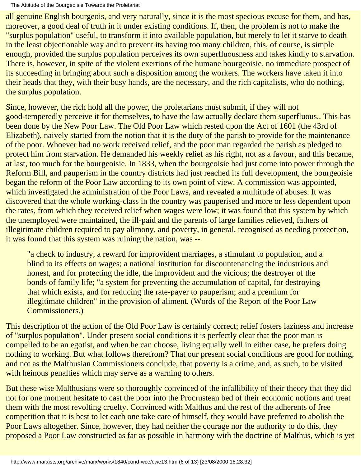The Attitude of the Bourgeoisie Towards the Proletariat

all genuine English bourgeois, and very naturally, since it is the most specious excuse for them, and has, moreover, a good deal of truth in it under existing conditions. If, then, the problem is not to make the "surplus population" useful, to transform it into available population, but merely to let it starve to death in the least objectionable way and to prevent its having too many children, this, of course, is simple enough, provided the surplus population perceives its own superfluousness and takes kindly to starvation. There is, however, in spite of the violent exertions of the humane bourgeoisie, no immediate prospect of its succeeding in bringing about such a disposition among the workers. The workers have taken it into their heads that they, with their busy hands, are the necessary, and the rich capitalists, who do nothing, the surplus population.

Since, however, the rich hold all the power, the proletarians must submit, if they will not good-temperedly perceive it for themselves, to have the law actually declare them superfluous.. This has been done by the New Poor Law. The Old Poor Law which rested upon the Act of 1601 (the 43rd of Elizabeth), naively started from the notion that it is the duty of the parish to provide for the maintenance of the poor. Whoever had no work received relief, and the poor man regarded the parish as pledged to protect him from starvation. He demanded his weekly relief as his right, not as a favour, and this became, at last, too much for the bourgeoisie. In 1833, when the bourgeoisie had just come into power through the Reform Bill, and pauperism in the country districts had just reached its full development, the bourgeoisie began the reform of the Poor Law according to its own point of view. A commission was appointed, which investigated the administration of the Poor Laws, and revealed a multitude of abuses. It was discovered that the whole working-class in the country was pauperised and more or less dependent upon the rates, from which they received relief when wages were low; it was found that this system by which the unemployed were maintained, the ill-paid and the parents of large families relieved, fathers of illegitimate children required to pay alimony, and poverty, in general, recognised as needing protection, it was found that this system was ruining the nation, was --

"a check to industry, a reward for improvident marriages, a stimulant to population, and a blind to its effects on wages; a national institution for discountenancing the industrious and honest, and for protecting the idle, the improvident and the vicious; the destroyer of the bonds of family life; "a system for preventing the accumulation of capital, for destroying that which exists, and for reducing the rate-payer to pauperism; and a premium for illegitimate children" in the provision of aliment. (Words of the Report of the Poor Law Commissioners.)

This description of the action of the Old Poor Law is certainly correct; relief fosters laziness and increase of "surplus population". Under present social conditions it is perfectly clear that the poor man is compelled to be an egotist, and when he can choose, living equally well in either case, he prefers doing nothing to working. But what follows therefrom? That our present social conditions are good for nothing, and not as the Malthusian Commissioners conclude, that poverty is a crime, and, as such, to be visited with heinous penalties which may serve as a warning to others.

But these wise Malthusians were so thoroughly convinced of the infallibility of their theory that they did not for one moment hesitate to cast the poor into the Procrustean bed of their economic notions and treat them with the most revolting cruelty. Convinced with Malthus and the rest of the adherents of free competition that it is best to let each one take care of himself, they would have preferred to abolish the Poor Laws altogether. Since, however, they had neither the courage nor the authority to do this, they proposed a Poor Law constructed as far as possible in harmony with the doctrine of Malthus, which is yet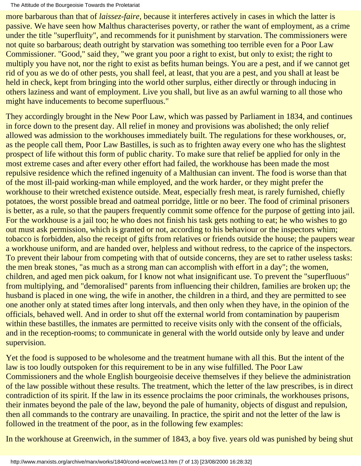more barbarous than that of *laissez-faire*, because it interferes actively in cases in which the latter is passive. We have seen how Malthus characterises poverty, or rather the want of employment, as a crime under the title "superfluity", and recommends for it punishment by starvation. The commissioners were not quite so barbarous; death outright by starvation was something too terrible even for a Poor Law Commissioner. "Good," said they, "we grant you poor a right to exist, but only to exist; the right to multiply you have not, nor the right to exist as befits human beings. You are a pest, and if we cannot get rid of you as we do of other pests, you shall feel, at least, that you are a pest, and you shall at least be held in check, kept from bringing into the world other surplus, either directly or through inducing in others laziness and want of employment. Live you shall, but live as an awful warning to all those who might have inducements to become superfluous."

They accordingly brought in the New Poor Law, which was passed by Parliament in 1834, and continues in force down to the present day. All relief in money and provisions was abolished; the only relief allowed was admission to the workhouses immediately built. The regulations for these workhouses, or, as the people call them, Poor Law Bastilles, is such as to frighten away every one who has the slightest prospect of life without this form of public charity. To make sure that relief be applied for only in the most extreme cases and after every other effort had failed, the workhouse has been made the most repulsive residence which the refined ingenuity of a Malthusian can invent. The food is worse than that of the most ill-paid working-man while employed, and the work harder, or they might prefer the workhouse to their wretched existence outside. Meat, especially fresh meat, is rarely furnished, chiefly potatoes, the worst possible bread and oatmeal porridge, little or no beer. The food of criminal prisoners is better, as a rule, so that the paupers frequently commit some offence for the purpose of getting into jail. For the workhouse is a jail too; he who does not finish his task gets nothing to eat; he who wishes to go out must ask permission, which is granted or not, according to his behaviour or the inspectors whim; tobacco is forbidden, also the receipt of gifts from relatives or friends outside the house; the paupers wear a workhouse uniform, and are handed over, helpless and without redress, to the caprice of the inspectors. To prevent their labour from competing with that of outside concerns, they are set to rather useless tasks: the men break stones, "as much as a strong man can accomplish with effort in a day"; the women, children, and aged men pick oakum, for I know not what insignificant use. To prevent the "superfluous" from multiplying, and "demoralised" parents from influencing their children, families are broken up; the husband is placed in one wing, the wife in another, the children in a third, and they are permitted to see one another only at stated times after long intervals, and then only when they have, in the opinion of the officials, behaved well. And in order to shut off the external world from contamination by pauperism within these bastilles, the inmates are permitted to receive visits only with the consent of the officials, and in the reception-rooms; to communicate in general with the world outside only by leave and under supervision.

Yet the food is supposed to be wholesome and the treatment humane with all this. But the intent of the law is too loudly outspoken for this requirement to be in any wise fulfilled. The Poor Law Commissioners and the whole English bourgeoisie deceive themselves if they believe the administration of the law possible without these results. The treatment, which the letter of the law prescribes, is in direct contradiction of its spirit. If the law in its essence proclaims the poor criminals, the workhouses prisons, their inmates beyond the pale of the law, beyond the pale of humanity, objects of disgust and repulsion, then all commands to the contrary are unavailing. In practice, the spirit and not the letter of the law is followed in the treatment of the poor, as in the following few examples:

In the workhouse at Greenwich, in the summer of 1843, a boy five. years old was punished by being shut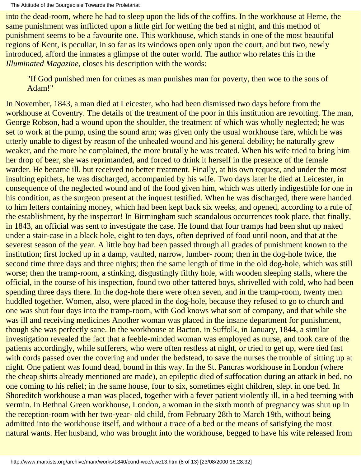into the dead-room, where he had to sleep upon the lids of the coffins. In the workhouse at Herne, the same punishment was inflicted upon a little girl for wetting the bed at night, and this method of punishment seems to be a favourite one. This workhouse, which stands in one of the most beautiful regions of Kent, is peculiar, in so far as its windows open only upon the court, and but two, newly introduced, afford the inmates a glimpse of the outer world. The author who relates this in the *Illuminated Magazine*, closes his description with the words:

"If God punished men for crimes as man punishes man for poverty, then woe to the sons of Adam!"

In November, 1843, a man died at Leicester, who had been dismissed two days before from the workhouse at Coventry. The details of the treatment of the poor in this institution are revolting. The man, George Robson, had a wound upon the shoulder, the treatment of which was wholly neglected; he was set to work at the pump, using the sound arm; was given only the usual workhouse fare, which he was utterly unable to digest by reason of the unhealed wound and his general debility; he naturally grew weaker, and the more he complained, the more brutally he was treated. When his wife tried to bring him her drop of beer, she was reprimanded, and forced to drink it herself in the presence of the female warder. He became ill, but received no better treatment. Finally, at his own request, and under the most insulting epithets, he was discharged, accompanied by his wife. Two days later he died at Leicester, in consequence of the neglected wound and of the food given him, which was utterly indigestible for one in his condition, as the surgeon present at the inquest testified. When he was discharged, there were handed to him letters containing money, which had been kept back six weeks, and opened, according to a rule of the establishment, by the inspector! In Birmingham such scandalous occurrences took place, that finally, in 1843, an official was sent to investigate the case. He found that four tramps had been shut up naked under a stair-case in a black hole, eight to ten days, often deprived of food until noon, and that at the severest season of the year. A little boy had been passed through all grades of punishment known to the institution; first locked up in a damp, vaulted, narrow, lumber- room; then in the dog-hole twice, the second time three days and three nights; then the same length of time in the old dog-hole, which was still worse; then the tramp-room, a stinking, disgustingly filthy hole, with wooden sleeping stalls, where the official, in the course of his inspection, found two other tattered boys, shrivelled with cold, who had been spending three days there. In the dog-hole there were often seven, and in the tramp-room, twenty men huddled together. Women, also, were placed in the dog-hole, because they refused to go to church and one was shut four days into the tramp-room, with God knows what sort of company, and that while she was ill and receiving medicines Another woman was placed in the insane department for punishment, though she was perfectly sane. In the workhouse at Bacton, in Suffolk, in January, 1844, a similar investigation revealed the fact that a feeble-minded woman was employed as nurse, and took care of the patients accordingly, while sufferers, who were often restless at night, or tried to get up, were tied fast with cords passed over the covering and under the bedstead, to save the nurses the trouble of sitting up at night. One patient was found dead, bound in this way. In the St. Pancras workhouse in London (where the cheap shirts already mentioned are made), an epileptic died of suffocation during an attack in bed, no one coming to his relief; in the same house, four to six, sometimes eight children, slept in one bed. In Shoreditch workhouse a man was placed, together with a fever patient violently ill, in a bed teeming with vermin. In Bethnal Green workhouse, London, a woman in the sixth month of pregnancy was shut up in the reception-room with her two-year- old child, from February 28th to March 19th, without being admitted into the workhouse itself, and without a trace of a bed or the means of satisfying the most natural wants. Her husband, who was brought into the workhouse, begged to have his wife released from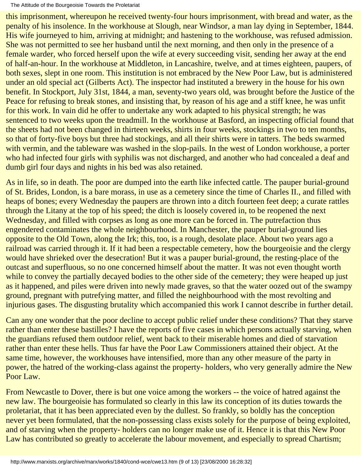this imprisonment, whereupon he received twenty-four hours imprisonment, with bread and water, as the penalty of his insolence. In the workhouse at Slough, near Windsor, a man lay dying in September, 1844. His wife journeyed to him, arriving at midnight; and hastening to the workhouse, was refused admission. She was not permitted to see her husband until the next morning, and then only in the presence of a female warder, who forced herself upon the wife at every succeeding visit, sending her away at the end of half-an-hour. In the workhouse at Middleton, in Lancashire, twelve, and at times eighteen, paupers, of both sexes, slept in one room. This institution is not embraced by the New Poor Law, but is administered under an old special act (Gilberts Act). The inspector had instituted a brewery in the house for his own benefit. In Stockport, July 31st, 1844, a man, seventy-two years old, was brought before the Justice of the Peace for refusing to break stones, and insisting that, by reason of his age and a stiff knee, he was unfit for this work. In vain did he offer to undertake any work adapted to his physical strength; he was sentenced to two weeks upon the treadmill. In the workhouse at Basford, an inspecting official found that the sheets had not been changed in thirteen weeks, shirts in four weeks, stockings in two to ten months, so that of forty-five boys but three had stockings, and all their shirts were in tatters. The beds swarmed with vermin, and the tableware was washed in the slop-pails. In the west of London workhouse, a porter who had infected four girls with syphilis was not discharged, and another who had concealed a deaf and dumb girl four days and nights in his bed was also retained.

As in life, so in death. The poor are dumped into the earth like infected cattle. The pauper burial-ground of St. Brides, London, is a bare morass, in use as a cemetery since the time of Charles II., and filled with heaps of bones; every Wednesday the paupers are thrown into a ditch fourteen feet deep; a curate rattles through the Litany at the top of his speed; the ditch is loosely covered in, to be reopened the next Wednesday, and filled with corpses as long as one more can be forced in. The putrefaction thus engendered contaminates the whole neighbourhood. In Manchester, the pauper burial-ground lies opposite to the Old Town, along the Irk; this, too, is a rough, desolate place. About two years ago a railroad was carried through it. If it had been a respectable cemetery, how the bourgeoisie and the clergy would have shrieked over the desecration! But it was a pauper burial-ground, the resting-place of the outcast and superfluous, so no one concerned himself about the matter. It was not even thought worth while to convey the partially decayed bodies to the other side of the cemetery; they were heaped up just as it happened, and piles were driven into newly made graves, so that the water oozed out of the swampy ground, pregnant with putrefying matter, and filled the neighbourhood with the most revolting and injurious gases. The disgusting brutality which accompanied this work I cannot describe in further detail.

Can any one wonder that the poor decline to accept public relief under these conditions? That they starve rather than enter these bastilles? I have the reports of five cases in which persons actually starving, when the guardians refused them outdoor relief, went back to their miserable homes and died of starvation rather than enter these hells. Thus far have the Poor Law Commissioners attained their object. At the same time, however, the workhouses have intensified, more than any other measure of the party in power, the hatred of the working-class against the property- holders, who very generally admire the New Poor Law.

From Newcastle to Dover, there is but one voice among the workers -- the voice of hatred against the new law. The bourgeoisie has formulated so clearly in this law its conception of its duties towards the proletariat, that it has been appreciated even by the dullest. So frankly, so boldly has the conception never yet been formulated, that the non-possessing class exists solely for the purpose of being exploited, and of starving when the property- holders can no longer make use of it. Hence it is that this New Poor Law has contributed so greatly to accelerate the labour movement, and especially to spread Chartism;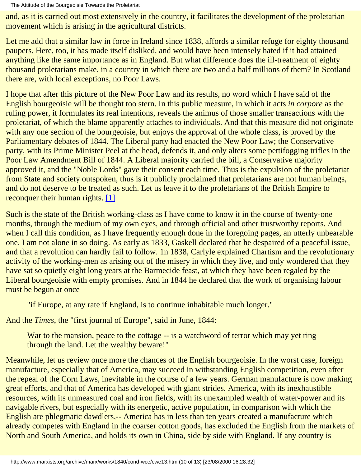The Attitude of the Bourgeoisie Towards the Proletariat

and, as it is carried out most extensively in the country, it facilitates the development of the proletarian movement which is arising in the agricultural districts.

Let me add that a similar law in force in Ireland since 1838, affords a similar refuge for eighty thousand paupers. Here, too, it has made itself disliked, and would have been intensely hated if it had attained anything like the same importance as in England. But what difference does the ill-treatment of eighty thousand proletarians make. in a country in which there are two and a half millions of them? In Scotland there are, with local exceptions, no Poor Laws.

I hope that after this picture of the New Poor Law and its results, no word which I have said of the English bourgeoisie will be thought too stern. In this public measure, in which it acts *in corpore* as the ruling power, it formulates its real intentions, reveals the animus of those smaller transactions with the proletariat, of which the blame apparently attaches to individuals. And that this measure did not originate with any one section of the bourgeoisie, but enjoys the approval of the whole class, is proved by the Parliamentary debates of 1844. The Liberal party had enacted the New Poor Law; the Conservative party, with its Prime Minister Peel at the head, defends it, and only alters some pettifogging trifles in the Poor Law Amendment Bill of 1844. A Liberal majority carried the bill, a Conservative majority approved it, and the "Noble Lords" gave their consent each time. Thus is the expulsion of the proletariat from State and society outspoken, thus is it publicly proclaimed that proletarians are not human beings, and do not deserve to be treated as such. Let us leave it to the proletarians of the British Empire to reconquer their human rights. [\[1\]](#page-176-0)

<span id="page-174-0"></span>Such is the state of the British working-class as I have come to know it in the course of twenty-one months, through the medium of my own eyes, and through official and other trustworthy reports. And when I call this condition, as I have frequently enough done in the foregoing pages, an utterly unbearable one, I am not alone in so doing. As early as 1833, Gaskell declared that he despaired of a peaceful issue, and that a revolution can hardly fail to follow. 1n 1838, Carlyle explained Chartism and the revolutionary activity of the working-men as arising out of the misery in which they live, and only wondered that they have sat so quietly eight long years at the Barmecide feast, at which they have been regaled by the Liberal bourgeoisie with empty promises. And in 1844 he declared that the work of organising labour must be begun at once

"if Europe, at any rate if England, is to continue inhabitable much longer."

And the *Times*, the "first journal of Europe", said in June, 1844:

War to the mansion, peace to the cottage -- is a watchword of terror which may yet ring through the land. Let the wealthy beware!"

Meanwhile, let us review once more the chances of the English bourgeoisie. In the worst case, foreign manufacture, especially that of America, may succeed in withstanding English competition, even after the repeal of the Corn Laws, inevitable in the course of a few years. German manufacture is now making great efforts, and that of America has developed with giant strides. America, with its inexhaustible resources, with its unmeasured coal and iron fields, with its unexampled wealth of water-power and its navigable rivers, but especially with its energetic, active population, in comparison with which the English are phlegmatic dawdlers,-- America has in less than ten years created a manufacture which already competes with England in the coarser cotton goods, has excluded the English from the markets of North and South America, and holds its own in China, side by side with England. If any country is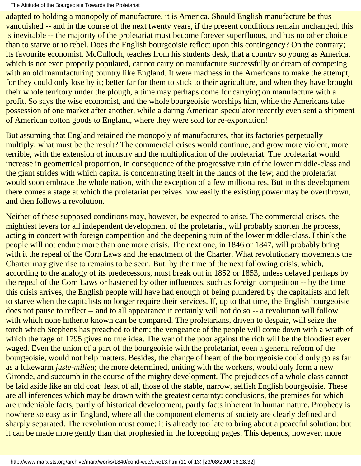adapted to holding a monopoly of manufacture, it is America. Should English manufacture be thus vanquished -- and in the course of the next twenty years, if the present conditions remain unchanged, this is inevitable -- the majority of the proletariat must become forever superfluous, and has no other choice than to starve or to rebel. Does the English bourgeoisie reflect upon this contingency? On the contrary; its favourite economist, McCulloch, teaches from his students desk, that a country so young as America, which is not even properly populated, cannot carry on manufacture successfully or dream of competing with an old manufacturing country like England. It were madness in the Americans to make the attempt, for they could only lose by it; better far for them to stick to their agriculture, and when they have brought their whole territory under the plough, a time may perhaps come for carrying on manufacture with a profit. So says the wise economist, and the whole bourgeoisie worships him, while the Americans take possession of one market after another, while a daring American speculator recently even sent a shipment of American cotton goods to England, where they were sold for re-exportation!

But assuming that England retained the monopoly of manufactures, that its factories perpetually multiply, what must be the result? The commercial crises would continue, and grow more violent, more terrible, with the extension of industry and the multiplication of the proletariat. The proletariat would increase in geometrical proportion, in consequence of the progressive ruin of the lower middle-class and the giant strides with which capital is concentrating itself in the hands of the few; and the proletariat would soon embrace the whole nation, with the exception of a few millionaires. But in this development there comes a stage at which the proletariat perceives how easily the existing power may be overthrown, and then follows a revolution.

Neither of these supposed conditions may, however, be expected to arise. The commercial crises, the mightiest levers for all independent development of the proletariat, will probably shorten the process, acting in concert with foreign competition and the deepening ruin of the lower middle-class. I think the people will not endure more than one more crisis. The next one, in 1846 or 1847, will probably bring with it the repeal of the Corn Laws and the enactment of the Charter. What revolutionary movements the Charter may give rise to remains to be seen. But, by the time of the next following crisis, which, according to the analogy of its predecessors, must break out in 1852 or 1853, unless delayed perhaps by the repeal of the Corn Laws or hastened by other influences, such as foreign competition -- by the time this crisis arrives, the English people will have had enough of being plundered by the capitalists and left to starve when the capitalists no longer require their services. If, up to that time, the English bourgeoisie does not pause to reflect -- and to all appearance it certainly will not do so -- a revolution will follow with which none hitherto known can be compared. The proletarians, driven to despair, will seize the torch which Stephens has preached to them; the vengeance of the people will come down with a wrath of which the rage of 1795 gives no true idea. The war of the poor against the rich will be the bloodiest ever waged. Even the union of a part of the bourgeoisie with the proletariat, even a general reform of the bourgeoisie, would not help matters. Besides, the change of heart of the bourgeoisie could only go as far as a lukewarm *juste-milieu*; the more determined, uniting with the workers, would only form a new Gironde, and succumb in the course of the mighty development. The prejudices of a whole class cannot be laid aside like an old coat: least of all, those of the stable, narrow, selfish English bourgeoisie. These are all inferences which may be drawn with the greatest certainty: conclusions, the premises for which are undeniable facts, partly of historical development, partly facts inherent in human nature. Prophecy is nowhere so easy as in England, where all the component elements of society are clearly defined and sharply separated. The revolution must come; it is already too late to bring about a peaceful solution; but it can be made more gently than that prophesied in the foregoing pages. This depends, however, more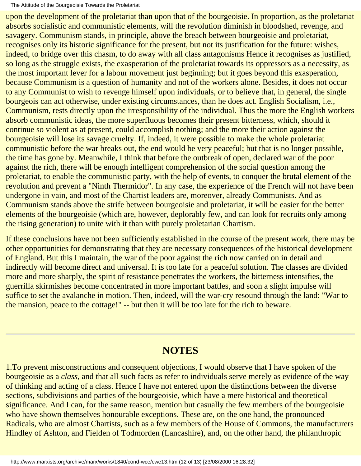upon the development of the proletariat than upon that of the bourgeoisie. In proportion, as the proletariat absorbs socialistic and communistic elements, will the revolution diminish in bloodshed, revenge, and savagery. Communism stands, in principle, above the breach between bourgeoisie and proletariat, recognises only its historic significance for the present, but not its justification for the future: wishes, indeed, to bridge over this chasm, to do away with all class antagonisms Hence it recognises as justified, so long as the struggle exists, the exasperation of the proletariat towards its oppressors as a necessity, as the most important lever for a labour movement just beginning; but it goes beyond this exasperation, because Communism is a question of humanity and not of the workers alone. Besides, it does not occur to any Communist to wish to revenge himself upon individuals, or to believe that, in general, the single bourgeois can act otherwise, under existing circumstances, than he does act. English Socialism, i.e., Communism, rests directly upon the irresponsibility of the individual. Thus the more the English workers absorb communistic ideas, the more superfluous becomes their present bitterness, which, should it continue so violent as at present, could accomplish nothing; and the more their action against the bourgeoisie will lose its savage cruelty. If, indeed, it were possible to make the whole proletariat communistic before the war breaks out, the end would be very peaceful; but that is no longer possible, the time has gone by. Meanwhile, I think that before the outbreak of open, declared war of the poor against the rich, there will be enough intelligent comprehension of the social question among the proletariat, to enable the communistic party, with the help of events, to conquer the brutal element of the revolution and prevent a "Ninth Thermidor". In any case, the experience of the French will not have been undergone in vain, and most of the Chartist leaders are, moreover, already Communists. And as Communism stands above the strife between bourgeoisie and proletariat, it will be easier for the better elements of the bourgeoisie (which are, however, deplorably few, and can look for recruits only among the rising generation) to unite with it than with purely proletarian Chartism.

If these conclusions have not been sufficiently established in the course of the present work, there may be other opportunities for demonstrating that they are necessary consequences of the historical development of England. But this I maintain, the war of the poor against the rich now carried on in detail and indirectly will become direct and universal. It is too late for a peaceful solution. The classes are divided more and more sharply, the spirit of resistance penetrates the workers, the bitterness intensifies, the guerrilla skirmishes become concentrated in more important battles, and soon a slight impulse will suffice to set the avalanche in motion. Then, indeed, will the war-cry resound through the land: "War to the mansion, peace to the cottage!" -- but then it will be too late for the rich to beware.

# **NOTES**

<span id="page-176-0"></span>1.To prevent misconstructions and consequent objections, I would observe that I have spoken of the bourgeoisie as a *class*, and that all such facts as refer to individuals serve merely as evidence of the way of thinking and acting of a class. Hence I have not entered upon the distinctions between the diverse sections, subdivisions and parties of the bourgeoisie, which have a mere historical and theoretical significance. And I can, for the same reason, mention but casually the few members of the bourgeoisie who have shown themselves honourable exceptions. These are, on the one hand, the pronounced Radicals, who are almost Chartists, such as a few members of the House of Commons, the manufacturers Hindley of Ashton, and Fielden of Todmorden (Lancashire), and, on the other hand, the philanthropic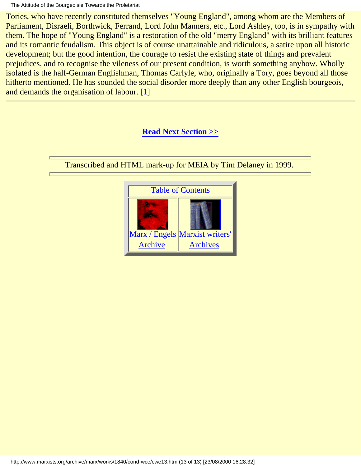Tories, who have recently constituted themselves "Young England", among whom are the Members of Parliament, Disraeli, Borthwick, Ferrand, Lord John Manners, etc., Lord Ashley, too, is in sympathy with them. The hope of "Young England" is a restoration of the old "merry England" with its brilliant features and its romantic feudalism. This object is of course unattainable and ridiculous, a satire upon all historic development; but the good intention, the courage to resist the existing state of things and prevalent prejudices, and to recognise the vileness of our present condition, is worth something anyhow. Wholly isolated is the half-German Englishman, Thomas Carlyle, who, originally a Tory, goes beyond all those hitherto mentioned. He has sounded the social disorder more deeply than any other English bourgeois, and demands the organisation of labour. [\[1\]](#page-174-0)

## **[Read Next Section >>](#page-178-0)**

Transcribed and HTML mark-up for MEIA by Tim Delaney in 1999.

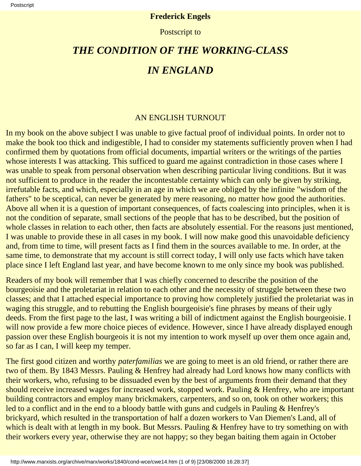### **Frederick Engels**

Postscript to

# <span id="page-178-0"></span>*THE CONDITION OF THE WORKING-CLASS IN ENGLAND*

## AN ENGLISH TURNOUT

In my book on the above subject I was unable to give factual proof of individual points. In order not to make the book too thick and indigestible, I had to consider my statements sufficiently proven when I had confirmed them by quotations from official documents, impartial writers or the writings of the parties whose interests I was attacking. This sufficed to guard me against contradiction in those cases where I was unable to speak from personal observation when describing particular living conditions. But it was not sufficient to produce in the reader the incontestable certainty which can only be given by striking, irrefutable facts, and which, especially in an age in which we are obliged by the infinite "wisdom of the fathers" to be sceptical, can never be generated by mere reasoning, no matter how good the authorities. Above all when it is a question of important consequences, of facts coalescing into principles, when it is not the condition of separate, small sections of the people that has to be described, but the position of whole classes in relation to each other, then facts are absolutely essential. For the reasons just mentioned, I was unable to provide these in all cases in my book. I will now make good this unavoidable deficiency and, from time to time, will present facts as I find them in the sources available to me. In order, at the same time, to demonstrate that my account is still correct today, I will only use facts which have taken place since I left England last year, and have become known to me only since my book was published.

Readers of my book will remember that I was chiefly concerned to describe the position of the bourgeoisie and the proletariat in relation to each other and the necessity of struggle between these two classes; and that I attached especial importance to proving how completely justified the proletariat was in waging this struggle, and to rebutting the English bourgeoisie's fine phrases by means of their ugly deeds. From the first page to the last, I was writing a bill of indictment against the English bourgeoisie. I will now provide a few more choice pieces of evidence. However, since I have already displayed enough passion over these English bourgeois it is not my intention to work myself up over them once again and, so far as I can, I will keep my temper.

The first good citizen and worthy *paterfamilias* we are going to meet is an old friend, or rather there are two of them. By 1843 Messrs. Pauling & Henfrey had already had Lord knows how many conflicts with their workers, who, refusing to be dissuaded even by the best of arguments from their demand that they should receive increased wages for increased work, stopped work. Pauling & Henfrey, who are important building contractors and employ many brickmakers, carpenters, and so on, took on other workers; this led to a conflict and in the end to a bloody battle with guns and cudgels in Pauling & Henfrey's brickyard, which resulted in the transportation of half a dozen workers to Van Diemen's Land, all of which is dealt with at length in my book. But Messrs. Pauling & Henfrey have to try something on with their workers every year, otherwise they are not happy; so they began baiting them again in October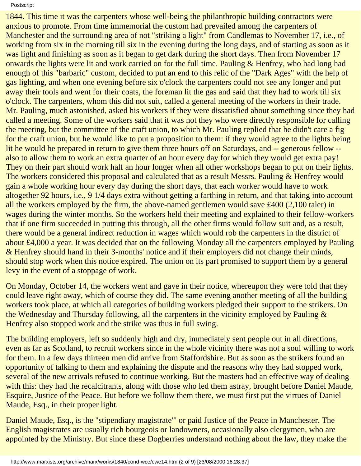### Postscript

1844. This time it was the carpenters whose well-being the philanthropic building contractors were anxious to promote. From time immemorial the custom had prevailed among the carpenters of Manchester and the surrounding area of not "striking a light" from Candlemas to November 17, i.e., of working from six in the morning till six in the evening during the long days, and of starting as soon as it was light and finishing as soon as it began to get dark during the short days. Then from November 17 onwards the lights were lit and work carried on for the full time. Pauling & Henfrey, who had long had enough of this "barbaric" custom, decided to put an end to this relic of the "Dark Ages" with the help of gas lighting, and when one evening before six o'clock the carpenters could not see any longer and put away their tools and went for their coats, the foreman lit the gas and said that they had to work till six o'clock. The carpenters, whom this did not suit, called a general meeting of the workers in their trade. Mr. Pauling, much astonished, asked his workers if they were dissatisfied about something since they had called a meeting. Some of the workers said that it was not they who were directly responsible for calling the meeting, but the committee of the craft union, to which Mr. Pauling replied that he didn't care a fig for the craft union, but he would like to put a proposition to them: if they would agree to the lights being lit he would be prepared in return to give them three hours off on Saturdays, and -- generous fellow - also to allow them to work an extra quarter of an hour every day for which they would get extra pay! They on their part should work half an hour longer when all other workshops began to put on their lights. The workers considered this proposal and calculated that as a result Messrs. Pauling & Henfrey would gain a whole working hour every day during the short days, that each worker would have to work altogether 92 hours, i.e., 9 1/4 days extra without getting a farthing in return, and that taking into account all the workers employed by the firm, the above-named gentlemen would save  $\text{\pounds}400$  (2,100 taler) in wages during the winter months. So the workers held their meeting and explained to their fellow-workers that if one firm succeeded in putting this through, all the other firms would follow suit and, as a result, there would be a general indirect reduction in wages which would rob the carpenters in the district of about £4,000 a year. It was decided that on the following Monday all the carpenters employed by Pauling & Henfrey should hand in their 3-months' notice and if their employers did not change their minds, should stop work when this notice expired. The union on its part promised to support them by a general levy in the event of a stoppage of work.

On Monday, October 14, the workers went and gave in their notice, whereupon they were told that they could leave right away, which of course they did. The same evening another meeting of all the building workers took place, at which all categories of building workers pledged their support to the strikers. On the Wednesday and Thursday following, all the carpenters in the vicinity employed by Pauling & Henfrey also stopped work and the strike was thus in full swing.

The building employers, left so suddenly high and dry, immediately sent people out in all directions, even as far as Scotland, to recruit workers since in the whole vicinity there was not a soul willing to work for them. In a few days thirteen men did arrive from Staffordshire. But as soon as the strikers found an opportunity of talking to them and explaining the dispute and the reasons why they had stopped work, several of the new arrivals refused to continue working. But the masters had an effective way of dealing with this: they had the recalcitrants, along with those who led them astray, brought before Daniel Maude, Esquire, Justice of the Peace. But before we follow them there, we must first put the virtues of Daniel Maude, Esq., in their proper light.

Daniel Maude, Esq., is the "stipendiary magistrate"' or paid Justice of the Peace in Manchester. The English magistrates are usually rich bourgeois or landowners, occasionally also clergymen, who are appointed by the Ministry. But since these Dogberries understand nothing about the law, they make the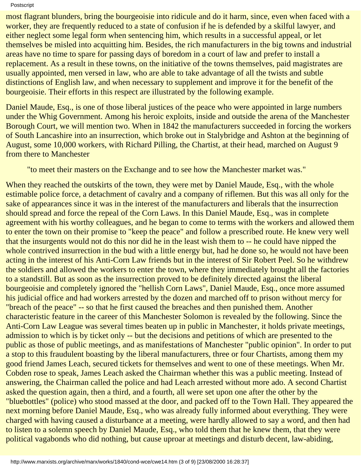most flagrant blunders, bring the bourgeoisie into ridicule and do it harm, since, even when faced with a worker, they are frequently reduced to a state of confusion if he is defended by a skilful lawyer, and either neglect some legal form when sentencing him, which results in a successful appeal, or let themselves be misled into acquitting him. Besides, the rich manufacturers in the big towns and industrial areas have no time to spare for passing days of boredom in a court of law and prefer to install a replacement. As a result in these towns, on the initiative of the towns themselves, paid magistrates are usually appointed, men versed in law, who are able to take advantage of all the twists and subtle distinctions of English law, and when necessary to supplement and improve it for the benefit of the bourgeoisie. Their efforts in this respect are illustrated by the following example.

Daniel Maude, Esq., is one of those liberal justices of the peace who were appointed in large numbers under the Whig Government. Among his heroic exploits, inside and outside the arena of the Manchester Borough Court, we will mention two. When in 1842 the manufacturers succeeded in forcing the workers of South Lancashire into an insurrection, which broke out in Stalybridge and Ashton at the beginning of August, some 10,000 workers, with Richard Pilling, the Chartist, at their head, marched on August 9 from there to Manchester

"to meet their masters on the Exchange and to see how the Manchester market was."

When they reached the outskirts of the town, they were met by Daniel Maude, Esq., with the whole estimable police force, a detachment of cavalry and a company of riflemen. But this was all only for the sake of appearances since it was in the interest of the manufacturers and liberals that the insurrection should spread and force the repeal of the Corn Laws. In this Daniel Maude, Esq., was in complete agreement with his worthy colleagues, and he began to come to terms with the workers and allowed them to enter the town on their promise to "keep the peace" and follow a prescribed route. He knew very well that the insurgents would not do this nor did he in the least wish them to -- he could have nipped the whole contrived insurrection in the bud with a little energy but, had he done so, he would not have been acting in the interest of his Anti-Corn Law friends but in the interest of Sir Robert Peel. So he withdrew the soldiers and allowed the workers to enter the town, where they immediately brought all the factories to a standstill. But as soon as the insurrection proved to be definitely directed against the liberal bourgeoisie and completely ignored the "hellish Corn Laws", Daniel Maude, Esq., once more assumed his judicial office and had workers arrested by the dozen and marched off to prison without mercy for "breach of the peace" -- so that he first caused the breaches and then punished them. Another characteristic feature in the career of this Manchester Solomon is revealed by the following. Since the Anti-Corn Law League was several times beaten up in public in Manchester, it holds private meetings, admission to which is by ticket only -- but the decisions and petitions of which are presented to the public as those of public meetings, and as manifestations of Manchester "public opinion". In order to put a stop to this fraudulent boasting by the liberal manufacturers, three or four Chartists, among them my good friend James Leach, secured tickets for themselves and went to one of these meetings. When Mr. Cobden rose to speak, James Leach asked the Chairman whether this was a public meeting. Instead of answering, the Chairman called the police and had Leach arrested without more ado. A second Chartist asked the question again, then a third, and a fourth, all were set upon one after the other by the "bluebottles" (police) who stood massed at the door, and packed off to the Town Hall. They appeared the next morning before Daniel Maude, Esq., who was already fully informed about everything. They were charged with having caused a disturbance at a meeting, were hardly allowed to say a word, and then had to listen to a solemn speech by Daniel Maude, Esq., who told them that he knew them, that they were political vagabonds who did nothing, but cause uproar at meetings and disturb decent, law-abiding,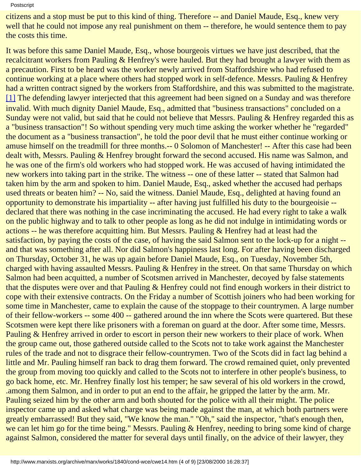citizens and a stop must be put to this kind of thing. Therefore -- and Daniel Maude, Esq., knew very well that he could not impose any real punishment on them -- therefore, he would sentence them to pay the costs this time.

It was before this same Daniel Maude, Esq., whose bourgeois virtues we have just described, that the recalcitrant workers from Pauling & Henfrey's were hauled. But they had brought a lawyer with them as a precaution. First to be heard was the worker newly arrived from Staffordshire who had refused to continue working at a place where others had stopped work in self-defence. Messrs. Pauling & Henfrey had a written contract signed by the workers from Staffordshire, and this was submitted to the magistrate. [1] The defending lawyer interjected that this agreement had been signed on a Sunday and was therefore invalid. With much dignity Daniel Maude, Esq., admitted that "business transactions" concluded on a Sunday were not valid, but said that he could not believe that Messrs. Pauling & Henfrey regarded this as a "business transaction"! So without spending very much time asking the worker whether he "regarded" the document as a "business transaction", he told the poor devil that he must either continue working or amuse himself on the treadmill for three months.-- 0 Solomon of Manchester! -- After this case had been dealt with, Messrs. Pauling & Henfrey brought forward the second accused. His name was Salmon, and he was one of the firm's old workers who had stopped work. He was accused of having intimidated the new workers into taking part in the strike. The witness -- one of these latter -- stated that Salmon had taken him by the arm and spoken to him. Daniel Maude, Esq., asked whether the accused had perhaps used threats or beaten him? -- No, said the witness. Daniel Maude, Esq., delighted at having found an opportunity to demonstrate his impartiality -- after having just fulfilled his duty to the bourgeoisie - declared that there was nothing in the case incriminating the accused. He had every right to take a walk on the public highway and to talk to other people as long as he did not indulge in intimidating words or actions -- he was therefore acquitting him. But Messrs. Pauling & Henfrey had at least had the satisfaction, by paying the costs of the case, of having the said Salmon sent to the lock-up for a night - and that was something after all. Nor did Salmon's happiness last long. For after having been discharged on Thursday, October 31, he was up again before Daniel Maude, Esq., on Tuesday, November 5th, charged with having assaulted Messrs. Pauling & Henfrey in the street. On that same Thursday on which Salmon had been acquitted, a number of Scotsmen arrived in Manchester, decoyed by false statements that the disputes were over and that Pauling & Henfrey could not find enough workers in their district to cope with their extensive contracts. On the Friday a number of Scottish joiners who had been working for some time in Manchester, came to explain the cause of the stoppage to their countrymen. A large number of their fellow-workers -- some 400 -- gathered around the inn where the Scots were quartered. But these Scotsmen were kept there like prisoners with a foreman on guard at the door. After some time, Messrs. Pauling & Henfrey arrived in order to escort in person their new workers to their place of work. When the group came out, those gathered outside called to the Scots not to take work against the Manchester rules of the trade and not to disgrace their fellow-countrymen. Two of the Scots did in fact lag behind a little and Mr. Pauling himself ran back to drag them forward. The crowd remained quiet, only prevented the group from moving too quickly and called to the Scots not to interfere in other people's business, to go back home, etc. Mr. Henfrey finally lost his temper; he saw several of his old workers in the crowd, .among them Salmon, and in order to put an end to the affair, he gripped the latter by the arm. Mr. Pauling seized him by the other arm and both shouted for the police with all their might. The police inspector came up and asked what charge was being made against the man, at which both partners were greatly embarrassed! But they said, "We know the man." "Oh," said the inspector, "that's enough then, we can let him go for the time being." Messrs. Pauling & Henfrey, needing to bring some kind of charge against Salmon, considered the matter for several days until finally, on the advice of their lawyer, they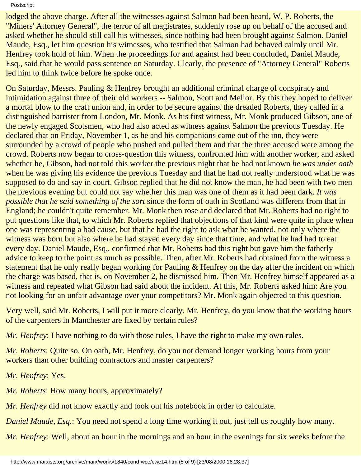lodged the above charge. After all the witnesses against Salmon had been heard, W. P. Roberts, the "Miners' Attorney General", the terror of all magistrates, suddenly rose up on behalf of the accused and asked whether he should still call his witnesses, since nothing had been brought against Salmon. Daniel Maude, Esq., let him question his witnesses, who testified that Salmon had behaved calmly until Mr. Henfrey took hold of him. When the proceedings for and against had been concluded, Daniel Maude, Esq., said that he would pass sentence on Saturday. Clearly, the presence of "Attorney General" Roberts led him to think twice before he spoke once.

On Saturday, Messrs. Pauling & Henfrey brought an additional criminal charge of conspiracy and intimidation against three of their old workers -- Salmon, Scott and Mellor. By this they hoped to deliver a mortal blow to the craft union and, in order to be secure against the dreaded Roberts, they called in a distinguished barrister from London, Mr. Monk. As his first witness, Mr. Monk produced Gibson, one of the newly engaged Scotsmen, who had also acted as witness against Salmon the previous Tuesday. He declared that on Friday, November 1, as he and his companions came out of the inn, they were surrounded by a crowd of people who pushed and pulled them and that the three accused were among the crowd. Roberts now began to cross-question this witness, confronted him with another worker, and asked whether he, Gibson, had not told this worker the previous night that he had not known *he was under oath* when he was giving his evidence the previous Tuesday and that he had not really understood what he was supposed to do and say in court. Gibson replied that he did not know the man, he had been with two men the previous evening but could not say whether this man was one of them as it had been dark. *It was possible that he said something of the sort* since the form of oath in Scotland was different from that in England; he couldn't quite remember. Mr. Monk then rose and declared that Mr. Roberts had no right to put questions like that, to which Mr. Roberts replied that objections of that kind were quite in place when one was representing a bad cause, but that he had the right to ask what he wanted, not only where the witness was born but also where he had stayed every day since that time, and what he had had to eat every day. Daniel Maude, Esq., confirmed that Mr. Roberts had this right but gave him the fatherly advice to keep to the point as much as possible. Then, after Mr. Roberts had obtained from the witness a statement that he only really began working for Pauling & Henfrey on the day after the incident on which the charge was based, that is, on November 2, he dismissed him. Then Mr. Henfrey himself appeared as a witness and repeated what Gibson had said about the incident. At this, Mr. Roberts asked him: Are you not looking for an unfair advantage over your competitors? Mr. Monk again objected to this question.

Very well, said Mr. Roberts, I will put it more clearly. Mr. Henfrey, do you know that the working hours of the carpenters in Manchester are fixed by certain rules?

*Mr. Henfrey*: I have nothing to do with those rules, I have the right to make my own rules.

*Mr. Roberts*: Quite so. On oath, Mr. Henfrey, do you not demand longer working hours from your workers than other building contractors and master carpenters?

*Mr. Henfrey*: Yes.

*Mr. Roberts*: How many hours, approximately?

*Mr. Henfrey* did not know exactly and took out his notebook in order to calculate.

*Daniel Maude, Esq.*: You need not spend a long time working it out, just tell us roughly how many.

*Mr. Henfrey*: Well, about an hour in the mornings and an hour in the evenings for six weeks before the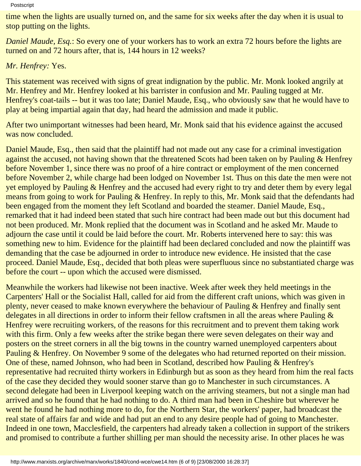time when the lights are usually turned on, and the same for six weeks after the day when it is usual to stop putting on the lights.

*Daniel Maude, Esq.*: So every one of your workers has to work an extra 72 hours before the lights are turned on and 72 hours after, that is, 144 hours in 12 weeks?

# *Mr. Henfrey:* Yes.

This statement was received with signs of great indignation by the public. Mr. Monk looked angrily at Mr. Henfrey and Mr. Henfrey looked at his barrister in confusion and Mr. Pauling tugged at Mr. Henfrey's coat-tails -- but it was too late; Daniel Maude, Esq., who obviously saw that he would have to play at being impartial again that day, had heard the admission and made it public.

After two unimportant witnesses had been heard, Mr. Monk said that his evidence against the accused was now concluded.

Daniel Maude, Esq., then said that the plaintiff had not made out any case for a criminal investigation against the accused, not having shown that the threatened Scots had been taken on by Pauling & Henfrey before November 1, since there was no proof of a hire contract or employment of the men concerned before November 2, while charge had been lodged on November 1st. Thus on this date the men were not yet employed by Pauling & Henfrey and the accused had every right to try and deter them by every legal means from going to work for Pauling & Henfrey. In reply to this, Mr. Monk said that the defendants had been engaged from the moment they left Scotland and boarded the steamer. Daniel Maude, Esq., remarked that it had indeed been stated that such hire contract had been made out but this document had not been produced. Mr. Monk replied that the document was in Scotland and he asked Mr. Maude to adjourn the case until it could be laid before the court. Mr. Roberts intervened here to say: this was something new to him. Evidence for the plaintiff had been declared concluded and now the plaintiff was demanding that the case be adjourned in order to introduce new evidence. He insisted that the case proceed. Daniel Maude, Esq., decided that both pleas were superfluous since no substantiated charge was before the court -- upon which the accused were dismissed.

Meanwhile the workers had likewise not been inactive. Week after week they held meetings in the Carpenters' Hall or the Socialist Hall, called for aid from the different craft unions, which was given in plenty, never ceased to make known everywhere the behaviour of Pauling & Henfrey and finally sent delegates in all directions in order to inform their fellow craftsmen in all the areas where Pauling & Henfrey were recruiting workers, of the reasons for this recruitment and to prevent them taking work with this firm. Only a few weeks after the strike began there were seven delegates on their way and posters on the street corners in all the big towns in the country warned unemployed carpenters about Pauling & Henfrey. On November 9 some of the delegates who had returned reported on their mission. One of these, named Johnson, who had been in Scotland, described how Pauling & Henfrey's representative had recruited thirty workers in Edinburgh but as soon as they heard from him the real facts of the case they decided they would sooner starve than go to Manchester in such circumstances. A second delegate had been in Liverpool keeping watch on the arriving steamers, but not a single man had arrived and so he found that he had nothing to do. A third man had been in Cheshire but wherever he went he found he had nothing more to do, for the Northern Star, the workers' paper, had broadcast the real state of affairs far and wide and had put an end to any desire people had of going to Manchester. Indeed in one town, Macclesfield, the carpenters had already taken a collection in support of the strikers and promised to contribute a further shilling per man should the necessity arise. In other places he was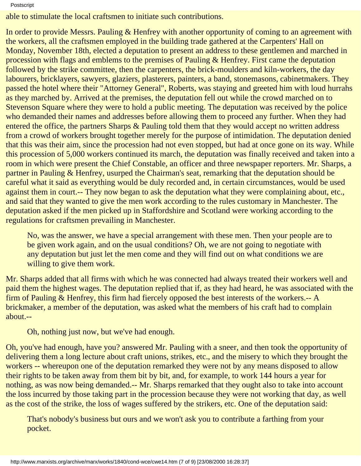able to stimulate the local craftsmen to initiate such contributions.

In order to provide Messrs. Pauling & Henfrey with another opportunity of coming to an agreement with the workers, all the craftsmen employed in the building trade gathered at the Carpenters' Hall on Monday, November 18th, elected a deputation to present an address to these gentlemen and marched in procession with flags and emblems to the premises of Pauling & Henfrey. First came the deputation followed by the strike committee, then the carpenters, the brick-moulders and kiln-workers, the day labourers, bricklayers, sawyers, glaziers, plasterers, painters, a band, stonemasons, cabinetmakers. They passed the hotel where their "Attorney General", Roberts, was staying and greeted him with loud hurrahs as they marched by. Arrived at the premises, the deputation fell out while the crowd marched on to Stevenson Square where they were to hold a public meeting. The deputation was received by the police who demanded their names and addresses before allowing them to proceed any further. When they had entered the office, the partners Sharps & Pauling told them that they would accept no written address from a crowd of workers brought together merely for the purpose of intimidation. The deputation denied that this was their aim, since the procession had not even stopped, but had at once gone on its way. While this procession of 5,000 workers continued its march, the deputation was finally received and taken into a room in which were present the Chief Constable, an officer and three newspaper reporters. Mr. Sharps, a partner in Pauling & Henfrey, usurped the Chairman's seat, remarking that the deputation should be careful what it said as everything would be duly recorded and, in certain circumstances, would be used against them in court.-- They now began to ask the deputation what they were complaining about, etc., and said that they wanted to give the men work according to the rules customary in Manchester. The deputation asked if the men picked up in Staffordshire and Scotland were working according to the regulations for craftsmen prevailing in Manchester.

No, was the answer, we have a special arrangement with these men. Then your people are to be given work again, and on the usual conditions? Oh, we are not going to negotiate with any deputation but just let the men come and they will find out on what conditions we are willing to give them work.

Mr. Sharps added that all firms with which he was connected had always treated their workers well and paid them the highest wages. The deputation replied that if, as they had heard, he was associated with the firm of Pauling & Henfrey, this firm had fiercely opposed the best interests of the workers.-- A brickmaker, a member of the deputation, was asked what the members of his craft had to complain about.--

Oh, nothing just now, but we've had enough.

Oh, you've had enough, have you? answered Mr. Pauling with a sneer, and then took the opportunity of delivering them a long lecture about craft unions, strikes, etc., and the misery to which they brought the workers -- whereupon one of the deputation remarked they were not by any means disposed to allow their rights to be taken away from them bit by bit, and, for example, to work 144 hours a year for nothing, as was now being demanded.-- Mr. Sharps remarked that they ought also to take into account the loss incurred by those taking part in the procession because they were not working that day, as well as the cost of the strike, the loss of wages suffered by the strikers, etc. One of the deputation said:

That's nobody's business but ours and we won't ask you to contribute a farthing from your pocket.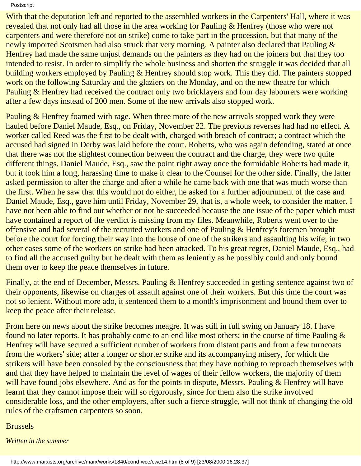With that the deputation left and reported to the assembled workers in the Carpenters' Hall, where it was revealed that not only had all those in the area working for Pauling & Henfrey (those who were not carpenters and were therefore not on strike) come to take part in the procession, but that many of the newly imported Scotsmen had also struck that very morning. A painter also declared that Pauling & Henfrey had made the same unjust demands on the painters as they had on the joiners but that they too intended to resist. In order to simplify the whole business and shorten the struggle it was decided that all building workers employed by Pauling & Henfrey should stop work. This they did. The painters stopped work on the following Saturday and the glaziers on the Monday, and on the new theatre for which Pauling & Henfrey had received the contract only two bricklayers and four day labourers were working after a few days instead of 200 men. Some of the new arrivals also stopped work.

Pauling & Henfrey foamed with rage. When three more of the new arrivals stopped work they were hauled before Daniel Maude, Esq., on Friday, November 22. The previous reverses had had no effect. A worker called Reed was the first to be dealt with, charged with breach of contract; a contract which the accused had signed in Derby was laid before the court. Roberts, who was again defending, stated at once that there was not the slightest connection between the contract and the charge, they were two quite different things. Daniel Maude, Esq., saw the point right away once the formidable Roberts had made it, but it took him a long, harassing time to make it clear to the Counsel for the other side. Finally, the latter asked permission to alter the charge and after a while he came back with one that was much worse than the first. When he saw that this would not do either, he asked for a further adjournment of the case and Daniel Maude, Esq., gave him until Friday, November 29, that is, a whole week, to consider the matter. I have not been able to find out whether or not he succeeded because the one issue of the paper which must have contained a report of the verdict is missing from my files. Meanwhile, Roberts went over to the offensive and had several of the recruited workers and one of Pauling & Henfrey's foremen brought before the court for forcing their way into the house of one of the strikers and assaulting his wife; in two other cases some of the workers on strike had been attacked. To his great regret, Daniel Maude, Esq., had to find all the accused guilty but he dealt with them as leniently as he possibly could and only bound them over to keep the peace themselves in future.

Finally, at the end of December, Messrs. Pauling & Henfrey succeeded in getting sentence against two of their opponents, likewise on charges of assault against one of their workers. But this time the court was not so lenient. Without more ado, it sentenced them to a month's imprisonment and bound them over to keep the peace after their release.

From here on news about the strike becomes meagre. It was still in full swing on January 18. I have found no later reports. It has probably come to an end like most others; in the course of time Pauling  $\&$ Henfrey will have secured a sufficient number of workers from distant parts and from a few turncoats from the workers' side; after a longer or shorter strike and its accompanying misery, for which the strikers will have been consoled by the consciousness that they have nothing to reproach themselves with and that they have helped to maintain the level of wages of their fellow workers, the majority of them will have found jobs elsewhere. And as for the points in dispute, Messrs. Pauling  $&$  Henfrey will have learnt that they cannot impose their will so rigorously, since for them also the strike involved considerable loss, and the other employers, after such a fierce struggle, will not think of changing the old rules of the craftsmen carpenters so soon.

#### Brussels

#### *Written in the summer*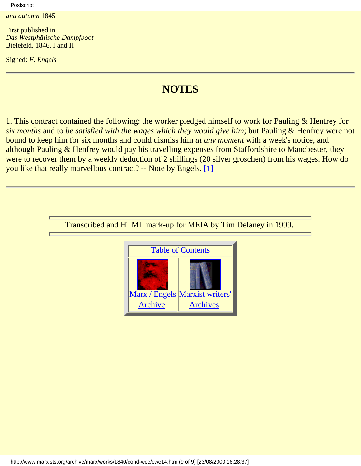*and autumn* 1845

First published in *Das Westphälische Dampfboot* Bielefeld, 1846. I and II

Signed: *F. Engels*

# **NOTES**

1. This contract contained the following: the worker pledged himself to work for Pauling & Henfrey for *six months* and to *be satisfied with the wages which they would give him*; but Pauling & Henfrey were not bound to keep him for six months and could dismiss him *at any moment* with a week's notice, and although Pauling & Henfrey would pay his travelling expenses from Staffordshire to Mancbester, they were to recover them by a weekly deduction of 2 shillings (20 silver groschen) from his wages. How do you like that really marvellous contract? -- Note by Engels. [1]

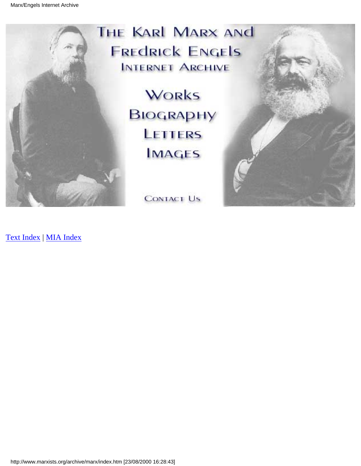<span id="page-187-0"></span>

**WORKS BIOGRAPHY** LETTERS **IMAGES** 

**CONTACT US** 

[Text Index](http://www.marxists.org/archive/marx/txtindex.htm) | [MIA Index](http://www.marxists.org/index.htm)

http://www.marxists.org/archive/marx/index.htm [23/08/2000 16:28:43]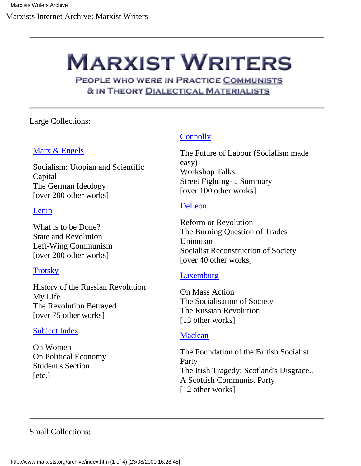# <span id="page-188-0"></span>**MARXIST WRITERS**

PEOPLE WHO WERE IN PRACTICE COMMUNISTS & IN THEORY DIALECTICAL MATERIALISTS

# Large Collections:

# [Marx & Engels](#page-187-0)

Socialism: Utopian and Scientific Capital The German Ideology [over 200 other works]

#### [Lenin](http://www.marxists.org/archive/lenin/index.htm)

What is to be Done? State and Revolution Left-Wing Communism [over 200 other works]

# **[Trotsky](http://www.marxists.org/archive/trotsky/index.htm)**

History of the Russian Revolution My Life The Revolution Betrayed [over 75 other works]

#### [Subject Index](http://www.marxists.org/subject/index.htm)

On Women On Political Economy Student's Section [etc.]

# **[Connolly](http://www.marxists.org/archive/connolly/index.htm)**

The Future of Labour (Socialism made easy) Workshop Talks Street Fighting- a Summary [over 100 other works]

#### [DeLeon](http://www.marxists.org/archive/deleon/index.htm)

Reform or Revolution The Burning Question of Trades Unionism Socialist Reconstruction of Society [over 40 other works]

#### [Luxemburg](http://www.marxists.org/archive/luxembur/index.htm)

On Mass Action The Socialisation of Society The Russian Revolution [13 other works]

#### [Maclean](http://www.marxists.org/archive/maclean/index.htm)

The Foundation of the British Socialist Party The Irish Tragedy: Scotland's Disgrace.. A Scottish Communist Party [12 other works]

# Small Collections: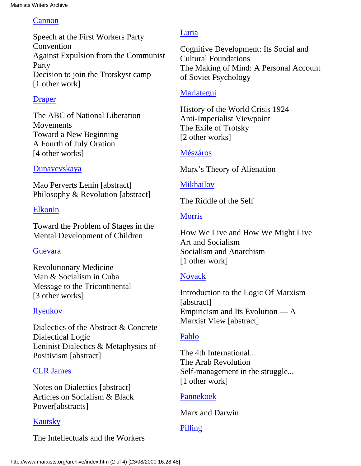# [Cannon](http://www.marxists.org/archive/cannon/index.htm)

Speech at the First Workers Party Convention Against Expulsion from the Communist Party Decision to join the Trotskyst camp [1 other work]

# [Draper](http://www.marxists.org/archive/draper/index.htm)

The ABC of National Liberation **Movements** Toward a New Beginning A Fourth of July Oration [4 other works]

# [Dunayevskaya](http://www.marxists.org/archive/dunayevskaya/index.htm)

Mao Perverts Lenin [abstract] Philosophy & Revolution [abstract]

# [Elkonin](http://www.marxists.org/archive/elkonin/index.htm)

Toward the Problem of Stages in the Mental Development of Children

# [Guevara](http://www.marxists.org/archive/guevara/index.htm)

Revolutionary Medicine Man & Socialism in Cuba Message to the Tricontinental [3 other works]

# [Ilyenkov](http://www.marxists.org/archive/ilyenkov/index.htm)

Dialectics of the Abstract & Concrete Dialectical Logic Leninist Dialectics & Metaphysics of Positivism [abstract]

# [CLR James](http://www.marxists.org/archive/james-clr/index.htm)

Notes on Dialectics [abstract] Articles on Socialism & Black Power[abstracts]

# [Kautsky](http://www.marxists.org/archive/kautsky/index.htm)

The Intellectuals and the Workers

# [Luria](http://www.marxists.org/archive/luria/index.htm)

Cognitive Development: Its Social and Cultural Foundations The Making of Mind: A Personal Account of Soviet Psychology

# [Mariategui](http://www.marxists.org/archive/mariateg/index.htm)

History of the World Crisis 1924 Anti-Imperialist Viewpoint The Exile of Trotsky [2 other works]

# [Mészáros](http://www.marxists.org/archive/meszaros/index.htm)

Marx's Theory of Alienation

# **[Mikhailov](http://www.marxists.org/archive/mikhailov/index.htm)**

The Riddle of the Self

# [Morris](http://www.marxists.org/archive/morris/index.htm)

How We Live and How We Might Live Art and Socialism Socialism and Anarchism [1 other work]

# [Novack](http://www.marxists.org/archive/novack/index.htm)

Introduction to the Logic Of Marxism [abstract] Empiricism and Its Evolution — A Marxist View [abstract]

# [Pablo](http://www.marxists.org/archive/pablo/index.htm)

The 4th International... The Arab Revolution Self-management in the struggle... [1 other work]

# [Pannekoek](http://www.marxists.org/archive/pannekoe/index.htm)

Marx and Darwin

# [Pilling](http://www.marxists.org/archive/pilling/index.htm)

http://www.marxists.org/archive/index.htm (2 of 4) [23/08/2000 16:28:48]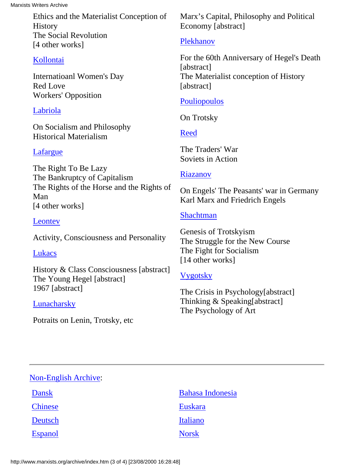Ethics and the Materialist Conception of **History** The Social Revolution [4 other works]

# **[Kollontai](http://www.marxists.org/archive/kollonta/index.htm)**

Internatioanl Women's Day Red Love Workers' Opposition

# [Labriola](http://www.marxists.org/archive/labriola/index.htm)

On Socialism and Philosophy Historical Materialism

# [Lafargue](http://www.marxists.org/archive/lafargue/index.htm)

The Right To Be Lazy The Bankruptcy of Capitalism The Rights of the Horse and the Rights of Man [4 other works]

#### **[Leontev](http://www.marxists.org/archive/leontev/index.htm)**

Activity, Consciousness and Personality

# [Lukacs](http://www.marxists.org/archive/lukacs/index.htm)

History & Class Consciousness [abstract] The Young Hegel [abstract] 1967 [abstract]

# **[Lunacharsky](http://www.marxists.org/archive/lunachar/index.htm)**

Potraits on Lenin, Trotsky, etc

Marx's Capital, Philosophy and Political Economy [abstract]

# [Plekhanov](http://www.marxists.org/archive/plekhanov/index.htm)

For the 60th Anniversary of Hegel's Death [abstract] The Materialist conception of History [abstract]

# **[Pouliopoulos](http://www.marxists.org/archive/pouliop/index.htm)**

On Trotsky

[Reed](http://www.marxists.org/archive/reed/index.htm)

The Traders' War Soviets in Action

#### [Riazanov](http://www.marxists.org/archive/riazanov/index.htm)

On Engels' The Peasants' war in Germany Karl Marx and Friedrich Engels

#### [Shachtman](http://www.marxists.org/archive/shachtma/index.htm)

Genesis of Trotskyism The Struggle for the New Course The Fight for Socialism [14 other works]

# [Vygotsky](http://www.marxists.org/archive/vygotsky/index.htm)

The Crisis in Psychology[abstract] Thinking & Speaking[abstract] The Psychology of Art

# [Non-English Archive](http://www.marxists.org/archive/noneng/index.htm):

[Deutsch](http://www.marxists.org/archive/noneng/deutsch/index.htm) [Italiano](http://www.marxists.org/archive/noneng/italiano/index.htm)

[Espanol](http://www.marxists.org/archive/noneng/espanol/index.htm) [Norsk](http://www.marxists.org/archive/noneng/norsk/index.htm)

[Dansk](http://www.marxists.org/archive/noneng/dansk/index.htm) [Bahasa Indonesia](http://www.marxists.org/archive/noneng/indonesi/index.htm) [Chinese](http://www.marxists.org/chinese/index.htm) [Euskara](http://www.marxists.org/archive/noneng/euskara/index.htm)